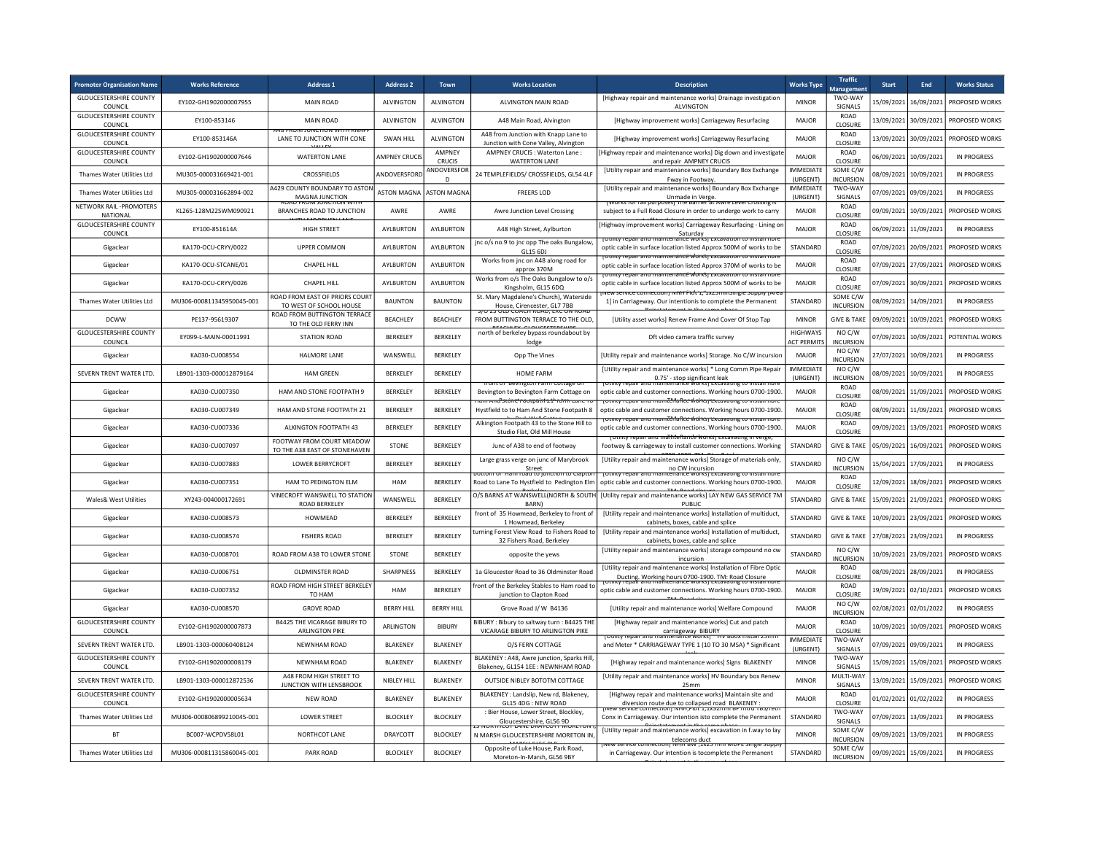| <b>Promoter Organisation Name</b>               | <b>Works Reference</b>    | <b>Address 1</b>                                           | <b>Address 2</b>        | Town                    | <b>Works Location</b>                                                                            | <b>Description</b>                                                                                                                                                                                                                                                                                  | <b>Works Type</b>                     | <b>Traffic</b><br><b>Manageme</b> | <b>Start</b> | End                   | <b>Works Status</b> |
|-------------------------------------------------|---------------------------|------------------------------------------------------------|-------------------------|-------------------------|--------------------------------------------------------------------------------------------------|-----------------------------------------------------------------------------------------------------------------------------------------------------------------------------------------------------------------------------------------------------------------------------------------------------|---------------------------------------|-----------------------------------|--------------|-----------------------|---------------------|
| <b>GLOUCESTERSHIRE COUNTY</b><br><b>COUNCIL</b> | EY102-GH1902000007955     | <b>MAIN ROAD</b>                                           | <b>ALVINGTON</b>        | <b>ALVINGTON</b>        | ALVINGTON MAIN ROAD                                                                              | [Highway repair and maintenance works] Drainage investigation<br>AI VINGTON                                                                                                                                                                                                                         | <b>MINOR</b>                          | TWO-WAY<br>SIGNALS                | 15/09/2021   | 16/09/2021            | PROPOSED WORKS      |
| <b>GLOUCESTERSHIRE COUNTY</b><br>COUNCIL        | EY100-853146              | <b>MAIN ROAD</b><br><b>VEH 2195-TIV AV VV LETT IN 1974</b> | ALVINGTON               | <b>ALVINGTON</b>        | A48 Main Road, Alvington                                                                         | [Highway improvement works] Carriageway Resurfacing                                                                                                                                                                                                                                                 | MAJOR                                 | ROAD<br>CLOSURE                   | 13/09/2021   | 30/09/2021            | PROPOSED WORKS      |
| <b>GLOUCESTERSHIRE COUNTY</b><br>COUNCIL        | EY100-853146A             | LANE TO JUNCTION WITH CONE                                 | <b>SWAN HILL</b>        | <b>ALVINGTON</b>        | A48 from Junction with Knapp Lane to<br>Junction with Cone Valley, Alvington                     | [Highway improvement works] Carriageway Resurfacing                                                                                                                                                                                                                                                 | MAJOR                                 | ROAD<br>CLOSURE                   | 13/09/2021   | 30/09/2021            | PROPOSED WORKS      |
| <b>GLOUCESTERSHIRE COUNTY</b><br>COUNCIL        | EY102-GH1902000007646     | <b>WATERTON LANE</b>                                       | <b>AMPNEY CRUCIS</b>    | <b>AMPNFY</b><br>CRUCIS | AMPNEY CRUCIS : Waterton Lane :<br><b>WATERTON LANE</b>                                          | Highway repair and maintenance works] Dig down and investigate<br>and repair AMPNEY CRUCIS                                                                                                                                                                                                          | MAJOR                                 | ROAD<br>CLOSURE                   | 06/09/2021   | 10/09/2021            | <b>IN PROGRESS</b>  |
| Thames Water Utilities Ltd                      | MU305-000031669421-001    | CROSSFIELDS                                                | ANDOVERSFORD            | ANDOVERSFOR<br>D        | 24 TEMPLEFIELDS/ CROSSFIELDS, GL54 4LF                                                           | [Utility repair and maintenance works] Boundary Box Exchange<br>Fway in Footway.                                                                                                                                                                                                                    | <b>IMMEDIATE</b><br>(URGENT)          | SOME C/W<br>INCURSION             | 08/09/2021   | 10/09/2021            | <b>IN PROGRESS</b>  |
| Thames Water Utilities Ltd                      | MU305-000031662894-002    | 4429 COUNTY BOUNDARY TO ASTON<br>MAGNA JUNCTION            | ASTON MAGNA ASTON MAGNA |                         | <b>FREERS LOD</b>                                                                                | [Utility repair and maintenance works] Boundary Box Exchange<br>.<br>איטו א דום וואס שטאפט דווש שטאפט דוויר א דום וואס דוואס דוואס דוויר שטאפט דוויר א דוויר דווויר דווויר דווויר ד<br>דווויר הוויר דווויר הוויר דווויר דווויר הוויר הוויר דווויר הוויר דווויר הוויר דווויר הוויר הוויר הוויר הוויר | <b>IMMEDIATE</b><br>(URGENT)          | TWO-WAY<br>SIGNALS                |              | 07/09/2021 09/09/2021 | <b>IN PROGRESS</b>  |
| NFTWORK RAIL -PROMOTERS<br>NATIONAL             | KL265-128M22SWM090921     | BRANCHES ROAD TO JUNCTION                                  | AWRF                    | AWRF                    | Awre Junction Level Crossing                                                                     | subject to a Full Road Closure in order to undergo work to carry                                                                                                                                                                                                                                    | <b>MAJOR</b>                          | <b>ROAD</b><br>CLOSURE            | 09/09/2021   | 10/09/2021            | PROPOSED WORKS      |
| <b>GLOUCESTERSHIRE COUNTY</b><br>COUNCIL        | EY100-851614A             | <b>HIGH STREET</b>                                         | AYLBURTON               | AYLBURTON               | A48 High Street, Aylburton                                                                       | Highway improvement works] Carriageway Resurfacing - Lining or<br>Saturday                                                                                                                                                                                                                          | MAJOR                                 | <b>ROAD</b><br>CLOSURE            |              | 06/09/2021 11/09/2021 | IN PROGRESS         |
| Gigaclear                                       | KA170-OCU-CRYY/0022       | <b>UPPER COMMON</b>                                        | AYLBURTON               | AYLBURTON               | jnc o/s no.9 to jnc opp The oaks Bungalow,<br>GL15 6DJ                                           | otility repair and maintenance works) excavation to install nore<br>optic cable in surface location listed Approx 500M of works to be                                                                                                                                                               | STANDARD                              | ROAD<br>CLOSURE                   |              | 07/09/2021 20/09/2021 | PROPOSED WORKS      |
| Gigaclear                                       | KA170-OCU-STCANE/01       | CHAPEL HILL                                                | AYLBURTON               | AYLBURTON               | Works from jnc on A48 along road for<br>approx 370M                                              | rotility repair and maintenance worksi excavation to install nore<br>optic cable in surface location listed Approx 370M of works to be                                                                                                                                                              | MAJOR                                 | ROAD<br>CLOSURE                   | 07/09/2021   | 27/09/2021            | PROPOSED WORKS      |
| Gigaclear                                       | KA170-OCU-CRYY/0026       | CHAPEL HILL                                                | AYLBURTON               | AYLBURTON               | Works from o/s The Oaks Bungalow to o/s<br>Kingsholm, GL15 6DQ                                   | <u>touliuv repair anu maintenanté worksi extavation to instali nore</u><br>optic cable in surface location listed Approx 500M of works to be                                                                                                                                                        | <b>MAJOR</b>                          | ROAD<br>CLOSURE                   | 07/09/2021   | 30/09/2021            | PROPOSED WORKS      |
| Thames Water Utilities Ltd                      | MU306-000811345950045-001 | ROAD FROM EAST OF PRIORS COURT<br>TO WEST OF SCHOOL HOUSE  | <b>BAUNTON</b>          | <b>BAUNTON</b>          | St. Mary Magdalene's Church), Waterside                                                          | ס ואן אין אויכן איז א איז דער להג', באבטוויוויז אויכן אין אין דער איז אין אין דער אין אין דער אין דער אין דער<br>1] in Carriageway. Our intentionis to complete the Permanent                                                                                                                       | STANDARD                              | SOME C/W<br><b>INCURSION</b>      | 08/09/2021   | 14/09/2021            | <b>IN PROGRESS</b>  |
| <b>DCWW</b>                                     | PF137-95619307            | ROAD FROM BUTTINGTON TERRACE<br>TO THE OLD FERRY INN       | <b>BFACHLEY</b>         | <b>BEACHLEY</b>         | House, Cirencester, GL7 7BB<br>FROM BUTTINGTON TERRACE TO THE OLD.                               | <b>IUtility asset worksl Renew Frame And Cover Of Stop Tap</b>                                                                                                                                                                                                                                      | <b>MINOR</b>                          | <b>GIVE &amp; TAKE</b>            | 09/09/2021   | 10/09/2021            | PROPOSED WORKS      |
| <b>GLOUCESTERSHIRE COUNTY</b><br>COUNCIL        | EY099-L-MAIN-00011991     | <b>STATION ROAD</b>                                        | BERKELEY                | BERKELEY                | north of berkeley bypass roundabout by                                                           | Dft video camera traffic survey                                                                                                                                                                                                                                                                     | <b>HIGHWAYS</b><br><b>ACT PERMITS</b> | NO C/W<br><b>INCURSION</b>        | 07/09/2021   | 10/09/2021            | POTENTIAL WORKS     |
| Gigaclear                                       | KA030-CU008554            | <b>HALMORE LANE</b>                                        | WANSWELL                | BERKELEY                | lodge<br>Opp The Vines                                                                           | [Utility repair and maintenance works] Storage. No C/W incursion                                                                                                                                                                                                                                    | MAJOR                                 | NO C/W<br><b>INCURSION</b>        | 27/07/2021   | 10/09/2021            | <b>IN PROGRESS</b>  |
| SEVERN TRENT WATER LTD.                         | LB901-1303-000012879164   | <b>HAM GREEN</b>                                           | BERKELEY                | BERKELEY                | <b>HOME FARM</b>                                                                                 | [Utility repair and maintenance works] * Long Comm Pipe Repair                                                                                                                                                                                                                                      | <b>IMMEDIATE</b><br>(URGENT)          | NO C/W<br><b>INCURSION</b>        | 08/09/2021   | 10/09/2021            | <b>IN PROGRESS</b>  |
| Gigaclear                                       | KA030-CU007350            | HAM AND STONE FOOTPATH 9                                   | BERKELEY                | BERKELEY                | ont or bevington rarm cottage or<br>Bevington to Bevington Farm Cottage on                       | 0.75' - stop significant leak<br>inu maintenance worksj excava<br>optic cable and customer connections. Working hours 0700-1900                                                                                                                                                                     | MAJOR                                 | ROAD<br>CLOSURE                   | 08/09/2021   | 11/09/2021            | PROPOSED WORKS      |
| Gigaclear                                       | KA030-CU007349            | HAM AND STONE FOOTPATH 21                                  | BERKELEY                | BERKELEY                | ram And Stone rootbath 21' romi cane ro<br>Hystfield to to Ham And Stone Footpath 8              | <u>TOUTUV TEDAIL AND MAINTENANCE WORKST EXCAVAUTIE TO INSTAILMOTE</u><br>optic cable and customer connections. Working hours 0700-1900                                                                                                                                                              | MAJOR                                 | ROAD<br>CLOSURE                   | 08/09/2021   | 11/09/2021            | PROPOSED WORKS      |
| Gigaclear                                       | KA030-CU007336            | ALKINGTON FOOTPATH 43                                      | BERKELEY                | BERKELEY                | Alkington Footpath 43 to the Stone Hill to<br>Studio Flat, Old Mill House                        | and maintenance works; Excav<br>optic cable and customer connections. Working hours 0700-1900                                                                                                                                                                                                       | MAJOR                                 | ROAD<br>CLOSURE                   | 09/09/2021   | 13/09/2021            | PROPOSED WORKS      |
| Gigaclear                                       | KA030-CU007097            | FOOTWAY FROM COURT MEADOW<br>TO THE A38 EAST OF STONEHAVEN | STONE                   | BERKELEY                | Junc of A38 to end of footway                                                                    | otmtv repair anu maintenande worksi excava<br>footway & carriageway to install customer connections. Working                                                                                                                                                                                        | STANDARD                              | <b>GIVE &amp; TAKE</b>            | 05/09/2021   | 16/09/2021            | PROPOSED WORKS      |
| Gigaclear                                       | KA030-CU007883            | <b>LOWER BERRYCROFT</b>                                    | BERKELEY                | BERKELEY                | Large grass verge on junc of Marybrook                                                           | [Utility repair and maintenance works] Storage of materials only,                                                                                                                                                                                                                                   | STANDARD                              | NO C/W                            | 15/04/2021   | 17/09/2021            | IN PROGRESS         |
| Gigaclear                                       | KA030-CU007351            | HAM TO PEDINGTON ELM                                       | <b>HAM</b>              | BERKELEY                | Street<br>ottom or main road to function to clabto<br>Road to Lane To Hystfield to Pedington Elm | no CW incursion<br>vinny revair ano in<br>menance worksi excavating to install not<br>optic cable and customer connections. Working hours 0700-1900                                                                                                                                                 | MAJOR                                 | <b>INCURSION</b><br><b>ROAD</b>   | 12/09/2021   | 18/09/2021            | PROPOSED WORKS      |
| Wales& West Utilities                           | XY243-004000172691        | VINECROFT WANSWELL TO STATION                              | WANSWELL                | BERKELEY                | O/S BARNS AT WANSWELL(NORTH & SOUTI                                                              | [Utility repair and maintenance works] LAY NEW GAS SERVICE 7M                                                                                                                                                                                                                                       | STANDARD                              | CLOSURE<br><b>GIVE &amp; TAKE</b> | 15/09/2021   | 21/09/2021            | PROPOSED WORKS      |
| Gigaclear                                       | KA030-CU008573            | ROAD BERKELEY<br>HOWMEAD                                   | BERKELEY                | BERKELEY                | BARN)<br>front of 35 Howmead, Berkeley to front of                                               | PUBLIC<br>[Utility repair and maintenance works] Installation of multiduct,                                                                                                                                                                                                                         | STANDARD                              | <b>GIVE &amp; TAKE</b>            | 10/09/2021   | 23/09/2021            | PROPOSED WORKS      |
| Gigaclear                                       | KA030-CU008574            | <b>FISHERS ROAD</b>                                        | <b>BERKELEY</b>         | <b>BERKELEY</b>         | 1 Howmead, Berkeley<br>turning Forest View Road to Fishers Road to                               | cabinets, boxes, cable and splice<br>[Utility repair and maintenance works] Installation of multiduct,                                                                                                                                                                                              | <b>STANDARD</b>                       | <b>GIVE &amp; TAKE</b>            | 27/08/2021   | 23/09/2021            | IN PROGRESS         |
| Gigaclear                                       | KA030-CU008701            | ROAD FROM A38 TO LOWER STONE                               | <b>STONE</b>            | BERKELEY                | 32 Fishers Road, Berkeley<br>opposite the yews                                                   | cabinets, boxes, cable and splice<br>[Utility repair and maintenance works] storage compound no cw                                                                                                                                                                                                  | STANDARD                              | NO C/W                            |              | 10/09/2021 23/09/2021 | PROPOSED WORKS      |
| Gigaclear                                       | KA030-CU006751            | <b>OLDMINSTER ROAD</b>                                     | SHARPNESS               | BERKELEY                | 1a Gloucester Road to 36 Oldminster Road                                                         | incursion<br>[Utility repair and maintenance works] Installation of Fibre Optic                                                                                                                                                                                                                     | MAJOR                                 | <b>INCURSION</b><br>ROAD          | 08/09/2021   | 28/09/2021            | <b>IN PROGRESS</b>  |
| Gigaclear                                       | KA030-CU007352            | ROAD FROM HIGH STREET BERKELEY                             | HAM                     | BERKELEY                | ront of the Berkeley Stables to Ham road to                                                      | Ducting. Working hours 0700-1900. TM: Road Closure<br>optic cable and customer connections. Working hours 0700-1900                                                                                                                                                                                 | MAJOR                                 | CLOSURE<br>ROAD                   | 19/09/2021   | 02/10/2021            | PROPOSED WORKS      |
| Gigaclear                                       | KA030-CU008570            | TO HAM<br><b>GROVE ROAD</b>                                | <b>BERRY HILL</b>       | <b>BERRY HILL</b>       | junction to Clapton Road<br>Grove Road J/ W B4136                                                | [Utility repair and maintenance works] Welfare Compound                                                                                                                                                                                                                                             | MAJOR                                 | CLOSURE<br>NO C/W                 | 02/08/2021   | 02/01/2022            | <b>IN PROGRESS</b>  |
| <b>GLOUCESTERSHIRE COUNTY</b>                   | EY102-GH1902000007873     | <b>B4425 THE VICARAGE BIBURY TO</b>                        | ARLINGTON               | <b>BIBURY</b>           | BIBURY: Bibury to saltway turn: B4425 THE                                                        | [Highway repair and maintenance works] Cut and patch                                                                                                                                                                                                                                                | MAJOR                                 | <b>INCURSION</b><br>ROAD          | 10/09/2021   | 10/09/2021            | PROPOSED WORKS      |
| COUNCIL<br>SEVERN TRENT WATER LTD.              | 18901-1303-000060408124   | <b>ARLINGTON PIKE</b><br>NFWNHAM ROAD                      | BLAKENEY                | <b>BLAKENEY</b>         | VICARAGE BIBURY TO ARLINGTON PIKE<br>O/S FERN COTTAGE                                            | carriageway BIBURY<br>amteriance works<br>and Meter * CARRIAGEWAY TYPE 1 (10 TO 30 MSA) * Significant                                                                                                                                                                                               | <b>IMMEDIATE</b>                      | CLOSURE<br>TWO-WAY                |              | 07/09/2021 09/09/2021 | IN PROGRESS         |
| <b>GLOUCESTERSHIRE COUNTY</b>                   | EY102-GH1902000008179     | NEWNHAM ROAD                                               | <b>BLAKENEY</b>         | BLAKENEY                | BLAKENEY: A48. Awre junction. Sparks Hill                                                        | [Highway repair and maintenance works] Signs BLAKENEY                                                                                                                                                                                                                                               | (URGENT)<br><b>MINOR</b>              | SIGNALS<br>TWO-WAY                |              | 15/09/2021 15/09/2021 | PROPOSED WORKS      |
| COUNCIL<br>SEVERN TRENT WATER LTD.              | LB901-1303-000012872536   | A48 FROM HIGH STREET TO                                    | NIBLEY HILL             | <b>BLAKENEY</b>         | Blakeney, GL154 1EE : NEWNHAM ROAD<br>OUTSIDE NIBLEY BOTOTM COTTAGE                              | [Utility repair and maintenance works] HV Boundary box Renew                                                                                                                                                                                                                                        | <b>MINOR</b>                          | SIGNALS<br>MULTI-WAY              | 13/09/2021   | 15/09/2021            | PROPOSED WORKS      |
| <b>GLOUCESTERSHIRE COUNTY</b>                   | EY102-GH1902000005634     | JUNCTION WITH LENSBROOK<br>NEW ROAD                        | <b>BLAKENEY</b>         | BLAKENEY                | BLAKENEY : Landslip, New rd, Blakeney,                                                           | 25 <sub>mm</sub><br>[Highway repair and maintenance works] Maintain site and                                                                                                                                                                                                                        | MAJOR                                 | SIGNALS<br><b>ROAD</b>            |              | 01/02/2021 01/02/2022 | <b>IN PROGRESS</b>  |
| COUNCIL<br>Thames Water Utilities Ltd           | MU306-000806899210045-001 | <b>LOWER STREET</b>                                        | <b>BLOCKLEY</b>         | <b>BLOCKLEY</b>         | GL15 4DG : NEW ROAD<br>: Bier House, Lower Street, Blockley                                      | diversion route due to collapsed road BLAKENEY :<br>r service connection) ואחת, רוסו 1,1x32 וווווו אך ווונוס ו i97 ופנו<br>Conx in Carriageway. Our intention isto complete the Permanent                                                                                                           | STANDARD                              | CLOSURE<br>TWO-WAY                | 07/09/2021   | 13/09/2021            | <b>IN PROGRESS</b>  |
| <b>BT</b>                                       | BC007-WCPDV58L01          | NORTHCOT LANE                                              | <b>DRAYCOTT</b>         | <b>BLOCKLEY</b>         | Gloucestershire, GL56 9D<br>N MARSH GLOUCESTERSHIRE MORETON IN                                   | [Utility repair and maintenance works] excavation in f.way to lay                                                                                                                                                                                                                                   | <b>MINOR</b>                          | SIGNALS<br>SOME C/W               | 09/09/2021   | 13/09/2021            | <b>IN PROGRESS</b>  |
| Thames Water Utilities Ltd                      | MU306-000811315860045-001 | PARK ROAD                                                  | <b>BLOCKLEY</b>         | <b>BLOCKLEY</b>         | Opposite of Luke House, Park Road,                                                               | telecoms duct<br>IT CAAL, VVG TITIVI (I                                                                                                                                                                                                                                                             | STANDARD                              | <b>INCURSION</b><br>SOME C/W      |              | 09/09/2021 15/09/2021 | IN PROGRESS         |
|                                                 |                           |                                                            |                         |                         | Moreton-In-Marsh, GL56 9BY                                                                       | in Carriageway. Our intention is tocomplete the Permanent                                                                                                                                                                                                                                           |                                       | <b>INCURSION</b>                  |              |                       |                     |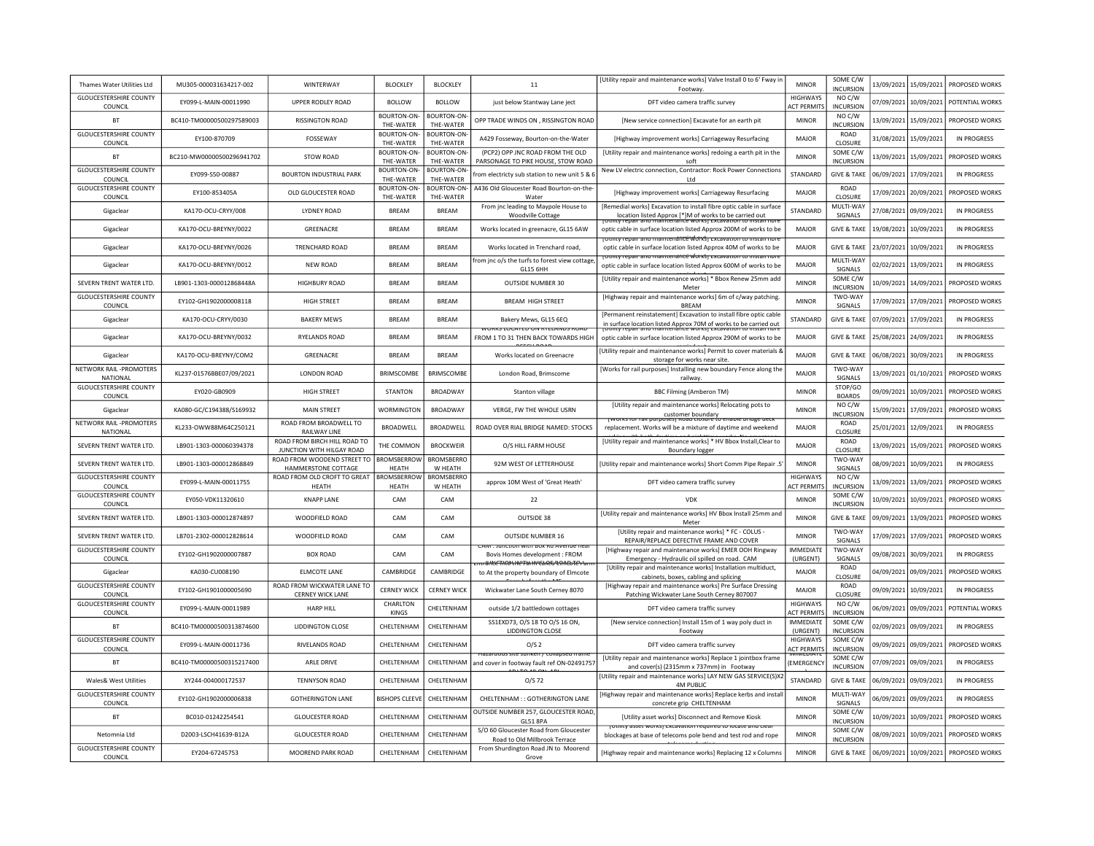| Thames Water Utilities Ltd                      | MU305-000031634217-002    | WINTERWAY                                                 | <b>BLOCKLEY</b>             | <b>BLOCKLEY</b>                 | 11                                                                                   | [Utility repair and maintenance works] Valve Install 0 to 6' Fway ir<br>Footway                                                           | <b>MINOR</b>                          | SOME C/W<br>INCURSION        |            | 13/09/2021 15/09/2021 | PROPOSED WORKS     |
|-------------------------------------------------|---------------------------|-----------------------------------------------------------|-----------------------------|---------------------------------|--------------------------------------------------------------------------------------|-------------------------------------------------------------------------------------------------------------------------------------------|---------------------------------------|------------------------------|------------|-----------------------|--------------------|
| <b>GLOUCESTERSHIRE COUNTY</b><br>COUNCIL        | EY099-L-MAIN-00011990     | UPPER RODLEY ROAD                                         | <b>BOLLOW</b>               | <b>BOLLOW</b>                   | just below Stantway Lane ject                                                        | DFT video camera traffic survey                                                                                                           | <b>HIGHWAYS</b><br><b>ACT PERMITS</b> | NO C/W<br><b>INCURSION</b>   |            | 07/09/2021 10/09/2021 | POTENTIAL WORKS    |
| <b>BT</b>                                       | BC410-TM00000500297589003 | <b>RISSINGTON ROAD</b>                                    | BOURTON-ON-<br>THE-WATER    | <b>BOURTON-ON-</b><br>THE-WATER | OPP TRADE WINDS ON , RISSINGTON ROAD                                                 | INew service connection] Excavate for an earth pit                                                                                        | <b>MINOR</b>                          | NO C/W<br><b>INCURSION</b>   | 13/09/2021 | 15/09/2021            | PROPOSED WORKS     |
| <b>GLOUCESTERSHIRE COUNTY</b><br>COUNCIL        | EY100-870709              | FOSSEWAY                                                  | BOURTON-ON-<br>THE-WATER    | BOURTON-ON-<br>THE-WATER        | A429 Fosseway, Bourton-on-the-Water                                                  | [Highway improvement works] Carriageway Resurfacing                                                                                       | MAJOR                                 | <b>ROAD</b><br>CLOSURE       | 31/08/2021 | 15/09/2021            | IN PROGRESS        |
| <b>BT</b>                                       | BC210-MW00000500296941702 | STOW ROAD                                                 | BOURTON-ON-<br>THE-WATER    | <b>BOURTON-ON-</b><br>THE-WATER | (PCP2) OPP JNC ROAD FROM THE OLD<br>PARSONAGE TO PIKE HOUSE, STOW ROAD               | [Utility repair and maintenance works] redoing a earth pit in the<br>soft                                                                 | <b>MINOR</b>                          | SOME C/W<br>INCURSION        | 13/09/2021 | 15/09/2021            | PROPOSED WORKS     |
| <b>GLOUCESTERSHIRE COUNTY</b><br>COUNCIL        | EY099-S50-00887           | <b>BOURTON INDUSTRIAL PARK</b>                            | BOURTON-ON-<br>THE-WATER    | <b>BOURTON-ON-</b><br>THE-WATER | rom electricty sub station to new unit 5 & 6                                         | New LV electric connection, Contractor: Rock Power Connections<br>1 <sub>td</sub>                                                         | STANDARD                              | <b>GIVE &amp; TAKE</b>       | 06/09/2021 | 17/09/2021            | <b>IN PROGRESS</b> |
| <b>GLOUCESTERSHIRE COUNTY</b><br>COUNCIL        | EY100-853405A             | OLD GLOUCESTER ROAD                                       | BOURTON-ON-<br>THE-WATER    | BOURTON-ON-<br>THE-WATER        | A436 Old Gloucester Road Bourton-on-the-<br>Water                                    | [Highway improvement works] Carriageway Resurfacing                                                                                       | MAJOR                                 | ROAD<br>CLOSURE              | 17/09/2021 | 20/09/2021            | PROPOSED WORKS     |
| Gigaclear                                       | KA170-OCU-CRYY/008        | LYDNEY ROAD                                               | <b>BREAM</b>                | <b>BREAM</b>                    | From jnc leading to Maypole House to<br><b>Woodville Cottage</b>                     | [Remedial works] Excavation to install fibre optic cable in surface<br>location listed Approx [*]M of works to be carried out             | STANDARD                              | MULTI-WAY<br>SIGNALS         | 27/08/2021 | 09/09/2021            | <b>IN PROGRESS</b> |
| Gigaclear                                       | KA170-OCU-BREYNY/0022     | GREENACRE                                                 | <b>BREAM</b>                | <b>BREAM</b>                    | Works located in greenacre, GL15 6AW                                                 | optic cable in surface location listed Approx 200M of works to be                                                                         | <b>MAJOR</b>                          | <b>GIVE &amp; TAKE</b>       | 19/08/2021 | 10/09/2021            | <b>IN PROGRESS</b> |
| Gigaclear                                       | KA170-OCU-BREYNY/0026     | <b>TRENCHARD ROAD</b>                                     | <b>BREAM</b>                | <b>BRFAM</b>                    | Works located in Trenchard road.                                                     | <u>tomity repair and maintenance worksj excavation to instan nore</u><br>optic cable in surface location listed Approx 40M of works to be | <b>MAJOR</b>                          | <b>GIVE &amp; TAKE</b>       | 23/07/2021 | 10/09/2021            | <b>IN PROGRESS</b> |
| Gigaclear                                       | KA170-OCU-BREYNY/0012     | <b>NEW ROAD</b>                                           | <b>BREAM</b>                | <b>BREAM</b>                    | from jnc o/s the turfs to forest view cottage<br>GL15 6HH                            | otility repair and maintenance works) excavation to install non<br>optic cable in surface location listed Approx 600M of works to be      | MAJOR                                 | MULTI-WAY<br>SIGNALS         |            | 02/02/2021 13/09/2021 | <b>IN PROGRESS</b> |
| SEVERN TRENT WATER LTD.                         | LB901-1303-000012868448A  | <b>HIGHBURY ROAD</b>                                      | <b>BREAM</b>                | <b>BREAM</b>                    | OUTSIDE NUMBER 30                                                                    | [Utility repair and maintenance works] * Bbox Renew 25mm add<br>Meter                                                                     | <b>MINOR</b>                          | SOME C/W<br><b>INCURSION</b> | 10/09/2021 | 14/09/2021            | PROPOSED WORKS     |
| <b>GLOUCESTERSHIRE COUNTY</b><br>COUNCIL        | EY102-GH1902000008118     | <b>HIGH STREET</b>                                        | BREAM                       | <b>BREAM</b>                    | <b>BREAM HIGH STREET</b>                                                             | [Highway repair and maintenance works] 6m of c/way patching.<br><b>BREAM</b>                                                              | <b>MINOR</b>                          | TWO-WAY<br>SIGNALS           | 17/09/2021 | 17/09/2021            | PROPOSED WORKS     |
| Gigaclear                                       | KA170-OCU-CRYY/0030       | <b>BAKERY MEWS</b>                                        | BREAM                       | <b>BREAM</b>                    | Bakery Mews, GL15 6EQ                                                                | [Permanent reinstatement] Excavation to install fibre optic cable<br>in surface location listed Approx 70M of works to be carried out     | STANDARD                              | <b>GIVE &amp; TAKE</b>       | 07/09/2021 | 17/09/2021            | <b>IN PROGRESS</b> |
| Gigaclear                                       | KA170-OCU-BREYNY/0032     | <b>RYELANDS ROAD</b>                                      | <b>BREAM</b>                | <b>BREAM</b>                    | WURKS LUCATED UN RTELANDS RUI<br>FROM 1 TO 31 THEN BACK TOWARDS HIGH                 | optic cable in surface location listed Approx 290M of works to be                                                                         | <b>MAJOR</b>                          | <b>GIVE &amp; TAKE</b>       | 25/08/2021 | 24/09/2021            | <b>IN PROGRESS</b> |
| Gigaclear                                       | KA170-OCU-BREYNY/COM2     | <b>GREENACRE</b>                                          | <b>BRFAM</b>                | <b>BRFAM</b>                    | Works located on Greenacre                                                           | Utility repair and maintenance works] Permit to cover materials &<br>storage for works near site.                                         | <b>MAJOR</b>                          | <b>GIVE &amp; TAKE</b>       | 06/08/2021 | 30/09/2021            | <b>IN PROGRESS</b> |
| <b>NETWORK RAIL -PROMOTERS</b><br>NATIONAL      | KL237-01576BBE07/09/2021  | LONDON ROAD                                               | <b>BRIMSCOMBE</b>           | <b>BRIMSCOMBE</b>               | London Road, Brimscome                                                               | [Works for rail purposes] Installing new boundary Fence along the<br>railway.                                                             | MAIOR                                 | TWO-WAY<br>SIGNALS           | 13/09/2021 | 01/10/2021            | PROPOSED WORKS     |
| <b>GLOUCESTERSHIRE COUNTY</b><br>COUNCIL        | EY020-GB0909              | <b>HIGH STREET</b>                                        | <b>STANTON</b>              | <b>BROADWAY</b>                 | Stanton village                                                                      | <b>BBC Filming (Amberon TM)</b>                                                                                                           | MINOR                                 | STOP/GO<br><b>BOARDS</b>     | 09/09/2021 | 10/09/2021            | PROPOSED WORKS     |
| Gigaclear                                       | KA080-GC/C194388/S169932  | <b>MAIN STREET</b>                                        | WORMINGTON                  | <b>BROADWAY</b>                 | VERGE, FW THE WHOLE USRN                                                             | [Utility repair and maintenance works] Relocating pots to<br>customer boundary<br>סיסומים ומשטח דמו משטח היה היה באזטישין                 | <b>MINOR</b>                          | NO C/W<br><b>INCURSION</b>   | 15/09/2021 | 17/09/2021            | PROPOSED WORKS     |
| NETWORK RAIL -PROMOTERS<br>NATIONAL             | KL233-OWW88M64C250121     | ROAD FROM BROADWELL TO<br>RAILWAY LINE                    | BROADWELL                   | <b>BROADWELL</b>                | ROAD OVER RIAL BRIDGE NAMED: STOCKS                                                  | replacement. Works will be a mixture of daytime and weekend                                                                               | MAJOR                                 | <b>ROAD</b><br>CLOSURE       | 25/01/2021 | 12/09/2021            | <b>IN PROGRESS</b> |
| SEVERN TRENT WATER LTD.                         | LB901-1303-000060394378   | ROAD FROM BIRCH HILL ROAD TO<br>JUNCTION WITH HILGAY ROAD | THE COMMON                  | <b>BROCKWEIR</b>                | O/S HILL FARM HOUSE                                                                  | [Utility repair and maintenance works] * HV Bbox Install.Clear to<br><b>Boundary logger</b>                                               | MAJOR                                 | ROAD<br>CLOSURE              | 13/09/2021 | 15/09/2021            | PROPOSED WORKS     |
| SEVERN TRENT WATER LTD.                         | LB901-1303-000012868849   | ROAD FROM WOODEND STREET TO<br>HAMMERSTONE COTTAGE        | <b>BROMSBERROW</b><br>HEATH | <b>BROMSBERRO</b><br>W HEATH    | 92M WEST OF LETTERHOUSE                                                              | [Utility repair and maintenance works] Short Comm Pipe Repair .5                                                                          | <b>MINOR</b>                          | TWO-WAY<br>SIGNALS           | 08/09/2021 | 10/09/2021            | <b>IN PROGRESS</b> |
| <b>GLOUCESTERSHIRE COUNTY</b><br><b>COUNCIL</b> | FY099-1-MAIN-00011755     | ROAD FROM OLD CROFT TO GREAT<br><b>HFATH</b>              | <b>BROMSBERROW</b><br>HEATH | <b>BROMSBERRO</b><br>W HEATH    | approx 10M West of 'Great Heath                                                      | DFT video camera traffic survey                                                                                                           | <b>HIGHWAYS</b><br><b>ACT PERMITS</b> | NO C/W<br><b>INCURSION</b>   | 13/09/2021 | 13/09/2021            | PROPOSED WORKS     |
| <b>GLOUCESTERSHIRE COUNTY</b><br>COUNCIL        | EY050-VDK11320610         | <b>KNAPP LANE</b>                                         | CAM                         | CAM                             | 22                                                                                   | <b>VDK</b>                                                                                                                                | <b>MINOR</b>                          | SOME C/W<br><b>INCURSION</b> | 10/09/2021 | 10/09/2021            | PROPOSED WORKS     |
| SEVERN TRENT WATER LTD.                         | LB901-1303-000012874897   | WOODFIELD ROAD                                            | CAM                         | CAM                             | OUTSIDE 38                                                                           | [Utility repair and maintenance works] HV Bbox Install 25mm and<br>Meter                                                                  | <b>MINOR</b>                          | <b>GIVE &amp; TAKE</b>       | 09/09/2021 | 13/09/2021            | PROPOSED WORKS     |
| SEVERN TRENT WATER LTD.                         | LB701-2302-000012828614   | WOODFIELD ROAD                                            | CAM                         | CAM                             | <b>OUTSIDE NUMBER 16</b>                                                             | <b>IUtility repair and maintenance works1 * FC - COLUS -</b><br>REPAIR/REPLACE DEFECTIVE FRAME AND COVER                                  | <b>MINOR</b>                          | TWO-WAY<br>SIGNALS           | 17/09/2021 | 17/09/2021            | PROPOSED WORKS     |
| <b>GLOUCESTERSHIRE COUNTY</b><br>COUNCIL        | EY102-GH1902000007887     | <b>BOX ROAD</b>                                           | CAM                         | CAM                             | Aivi : Juricuon with box Ku Avenue nea<br>Bovis Homes development : FROM             | [Highway repair and maintenance works] EMER OOH Ringway<br>Emergency - Hydraulic oil spilled on road. CAM                                 | <b>IMMEDIATE</b><br>(URGENT)          | TWO-WAY<br>SIGNALS           | 09/08/2021 | 30/09/2021            | IN PROGRESS        |
| Gigaclear                                       | KA030-CU008190            | <b>ELMCOTE LANE</b>                                       | CAMBRIDGE                   | CAMBRIDGE                       | ante mortie Faint Gales Cancute Fai<br>to At the property boundary of Elmcote        | [Utility repair and maintenance works] Installation multiduct,<br>cabinets, boxes, cabling and splicing                                   | MAJOR                                 | ROAD<br>CLOSURE              | 04/09/2021 | 09/09/2021            | PROPOSED WORKS     |
| <b>GLOUCESTERSHIRE COUNTY</b><br>COUNCIL        | EY102-GH1901000005690     | ROAD FROM WICKWATER LANE TO<br><b>CERNEY WICK LANE</b>    | <b>CERNEY WICK</b>          | <b>CERNEY WICK</b>              | Wickwater Lane South Cerney 8070                                                     | [Highway repair and maintenance works] Pre Surface Dressing<br>Patching Wickwater Lane South Cerney 807007                                | MAIOR                                 | ROAD<br>CLOSURE              | 09/09/2021 | 10/09/2021            | IN PROGRESS        |
| <b>GLOUCESTERSHIRE COUNTY</b><br>COUNCIL        | EY099-L-MAIN-00011989     | <b>HARP HILL</b>                                          | CHARLTON<br><b>KINGS</b>    | CHELTENHAM                      | outside 1/2 battledown cottages                                                      | DFT video camera traffic survey                                                                                                           | HIGHWAYS<br><b>ACT PERMITS</b>        | NO C/W<br><b>INCURSION</b>   | 06/09/2021 | 09/09/2021            | POTENTIAL WORKS    |
| <b>BT</b>                                       | BC410-TM00000500313874600 | LIDDINGTON CLOSE                                          | CHELTENHAM                  | CHELTENHAM                      | SS1EXD73, O/S 18 TO O/S 16 ON,<br>LIDDINGTON CLOSE                                   | [New service connection] Install 15m of 1 way poly duct in<br>Footway                                                                     | <b>IMMEDIATE</b><br>(URGENT)          | SOME C/W<br><b>INCURSION</b> |            | 02/09/2021 09/09/2021 | IN PROGRESS        |
| <b>GLOUCESTERSHIRE COUNTY</b><br>COUNCIL        | EY099-L-MAIN-00011736     | RIVELANDS ROAD                                            | CHELTENHAM                  | CHELTENHAM                      | O/S <sub>2</sub>                                                                     | DFT video camera traffic survey                                                                                                           | <b>HIGHWAYS</b><br><b>ACT PERMITS</b> | SOME C/W<br>INCURSION        | 09/09/2021 | 09/09/2021            | PROPOSED WORKS     |
| <b>BT</b>                                       | BC410-TM00000500315217400 | <b>ARLE DRIVE</b>                                         | CHELTENHAM                  | CHELTENHAM                      | Hazardous site sunken 7 conapsed frame<br>and cover in footway fault ref ON-02491757 | [Utility repair and maintenance works] Replace 1 jointbox frame<br>and cover(s) (2315mm x 737mm) in Footway                               | <b>EMERGENCY</b>                      | SOME C/W<br><b>INCURSION</b> | 07/09/2021 | 09/09/2021            | <b>IN PROGRESS</b> |
| Wales& West Utilities                           | XY244-004000172537        | <b>TENNYSON ROAD</b>                                      | CHELTENHAM                  | CHELTENHAM                      | O/S 72                                                                               | [Utility repair and maintenance works] LAY NEW GAS SERVICE(S)X2<br><b>4M PUBLIC</b>                                                       | STANDARD                              | <b>GIVE &amp; TAKE</b>       | 06/09/2021 | 09/09/2021            | <b>IN PROGRESS</b> |
| <b>GLOUCESTERSHIRE COUNTY</b><br>COUNCIL        | EY102-GH1902000006838     | <b>GOTHERINGTON LANE</b>                                  | <b>BISHOPS CLEEVI</b>       | CHELTENHAM                      | CHELTENHAM :: GOTHERINGTON LANE                                                      | [Highway repair and maintenance works] Replace kerbs and instal<br>concrete grip_CHELTENHAM                                               | <b>MINOR</b>                          | MULTI-WAY<br>SIGNALS         | 06/09/2021 | 09/09/2021            | <b>IN PROGRESS</b> |
|                                                 |                           |                                                           |                             |                                 |                                                                                      |                                                                                                                                           |                                       |                              |            |                       |                    |
| <b>BT</b>                                       | BC010-01242254541         | <b>GLOUCESTER ROAD</b>                                    | CHELTENHAM                  | CHELTENHAM                      | OUTSIDE NUMBER 257, GLOUCESTER ROAD<br><b>GL51 8PA</b>                               | [Utility asset works] Disconnect and Remove Kiosk                                                                                         | <b>MINOR</b>                          | SOME C/W<br><b>INCURSION</b> |            | 10/09/2021 10/09/2021 | PROPOSED WORKS     |
| Netomnia Ltd                                    | D2003-LSCH41639-B12A      | <b>GLOUCESTER ROAD</b>                                    | CHELTENHAM                  | CHELTENHAM                      | S/O 60 Gloucester Road from Gloucester<br>Road to Old Millbrook Terrace              | <u>IV ASSEL WULKSLEALAVAIRULIEUULEU IU BA ALE AIBLU</u><br>blockages at base of telecoms pole bend and test rod and rope                  | <b>MINOF</b>                          | SOME C/W<br><b>INCURSION</b> |            | 08/09/2021 10/09/2021 | PROPOSED WORKS     |
| <b>GLOUCESTERSHIRE COUNTY</b><br>COUNCIL        | EY204-67245753            | MOOREND PARK ROAD                                         | CHELTENHAM                  | CHELTENHAM                      | From Shurdington Road JN to Moorend<br>Grove                                         | [Highway repair and maintenance works] Replacing 12 x Columns                                                                             | <b>MINOR</b>                          | <b>GIVE &amp; TAKE</b>       |            | 06/09/2021 10/09/2021 | PROPOSED WORKS     |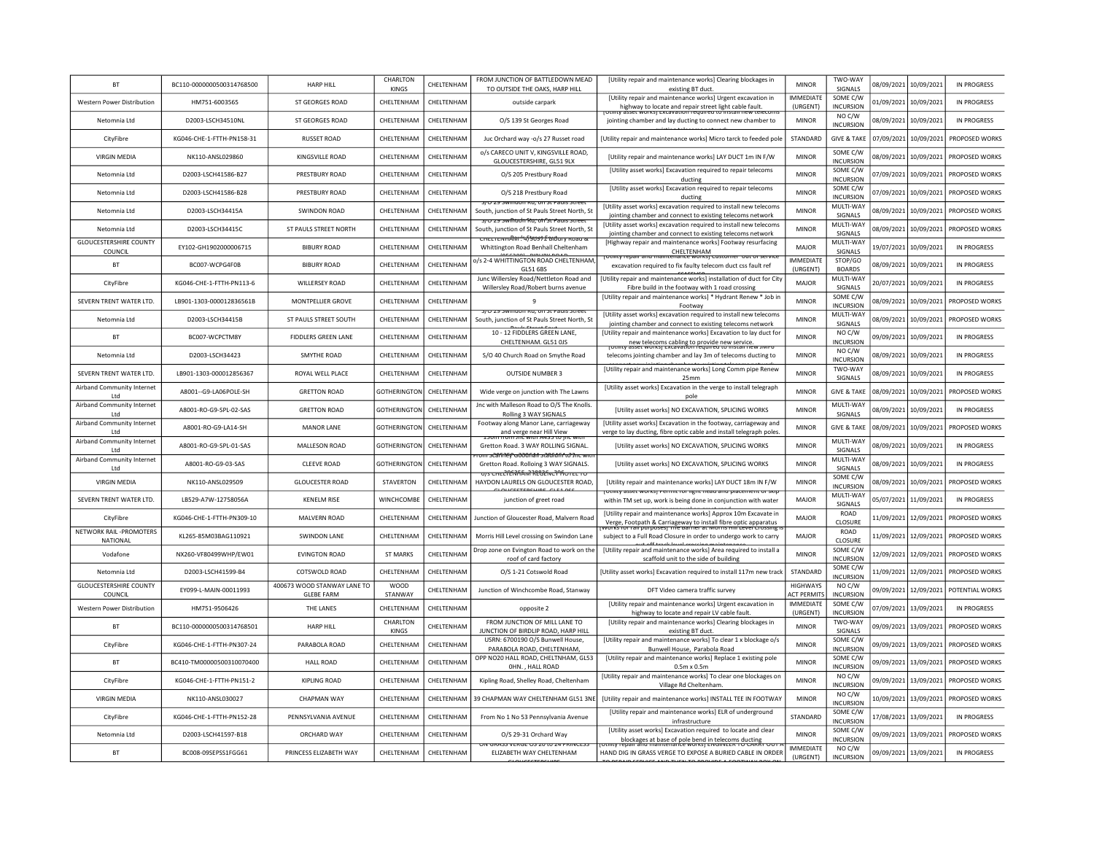| <b>IMMEDIATE</b><br>SOME C/W<br>[Utility repair and maintenance works] Urgent excavation in<br>HM751-6003565<br>ST GEORGES ROAD<br>CHELTENHAM<br>CHELTENHAM<br>10/09/2021<br><b>IN PROGRESS</b><br>Western Power Distribution<br>outside carpark<br>01/09/2021<br>highway to locate and repair street light cable fault.<br>(URGENT)<br><b>INCURSION</b><br>NO C/W<br>D2003-LSCH34510NL<br>CHELTENHAM<br>10/09/2021<br>Netomnia Ltd<br>ST GEORGES ROAD<br>CHELTENHAM<br>O/S 139 St Georges Road<br><b>MINOR</b><br>08/09/2021<br><b>IN PROGRESS</b><br>jointing chamber and lay ducting to connect new chamber to<br>INCURSION<br>KG046-CHE-1-FTTH-PN158-31<br>CHELTENHAM<br>CHELTENHAM<br>STANDARD<br><b>GIVE &amp; TAKE</b><br>10/09/2021<br>PROPOSED WORKS<br>CityFibre<br><b>RUSSET ROAD</b><br>Juc Orchard way -o/s 27 Russet road<br>07/09/2021<br>[Utility repair and maintenance works] Micro tarck to feeded pole<br>o/s CARECO UNIT V, KINGSVILLE ROAD,<br>SOME C/W<br>NK110-ANSL029860<br>CHELTENHAM<br>CHELTENHAM<br>10/09/2021<br>PROPOSED WORKS<br><b>VIRGIN MEDIA</b><br>KINGSVILLE ROAD<br>[Utility repair and maintenance works] LAY DUCT 1m IN F/W<br><b>MINOR</b><br>08/09/2021<br>GLOUCESTERSHIRE, GL51 9LX<br><b>INCURSION</b><br>SOME C/W<br>[Utility asset works] Excavation required to repair telecoms<br>Netomnia Ltd<br>D2003-LSCH41586-B27<br>PRESTBURY ROAD<br>CHELTENHAM<br>CHELTENHAM<br>O/S 205 Prestbury Road<br><b>MINOR</b><br>07/09/2021<br>10/09/2021<br>PROPOSED WORKS<br>INCURSION<br>ducting<br>[Utility asset works] Excavation required to repair telecoms<br>SOME C/W<br>CHELTENHAM<br><b>MINOR</b><br>PROPOSED WORKS<br>Netomnia Ltd<br>D2003-LSCH41586-B28<br>PRESTBURY ROAD<br>CHELTENHAM<br>O/S 218 Prestbury Road<br>07/09/2021<br>10/09/2021<br><b>INCURSION</b><br>ductin<br>s/U 29 SWINDON RO. ON SEPAUIS SUB<br>MULTI-WAY<br>[Utility asset works] excavation required to install new telecoms<br>D2003-LSCH34415A<br><b>SWINDON ROAD</b><br>CHELTENHAM<br>CHELTENHAM<br><b>MINOR</b><br>08/09/2021<br>10/09/2021<br>PROPOSED WORKS<br>Netomnia Ltd<br>South, junction of St Pauls Street North, St<br>jointing chamber and connect to existing telecoms network<br>SIGNALS<br>ਤਾਹ za swihudn fitu: oh fst Pauis stree<br>MULTI-WAY<br>[Utility asset works] excavation required to install new telecoms<br>Netomnia Ltd<br>D2003-LSCH34415C<br>ST PAULS STREET NORTH<br>CHELTENHAM<br>CHELTENHAM<br>South, junction of St Pauls Street North, St<br><b>MINOR</b><br>08/09/2021<br>10/09/2021<br>PROPOSED WORKS<br>SIGNALS<br>jointing chamber and connect to existing telecoms network<br>πεετεινιπΑϊντ <del>.' 4/90972 ειό</del> ατ <del>γ κο</del> λα &<br><b>GLOUCESTERSHIRE COUNTY</b><br>MULTI-WAY<br>[Highway repair and maintenance works] Footway resurfacing<br>EY102-GH1902000006715<br>CHELTENHAM<br>CHELTENHAM<br><b>MAJOR</b><br>19/07/2021<br>10/09/2021<br>IN PROGRESS<br><b>BIBURY ROAD</b><br>Whittington Road Benhall Cheltenham<br>COUNCIL<br><b>CHFITENHAM</b><br>SIGNALS<br>ntv repair and ma<br>o/s 2-4 WHITTINGTON ROAD CHELTENHAM,<br><b>IMMEDIATE</b><br>STOP/GO<br><b>BT</b><br>BC007-WCPG4F0B<br><b>BIBURY ROAD</b><br>CHELTENHAM<br>CHELTENHAM<br>08/09/2021<br>10/09/2021<br><b>IN PROGRESS</b><br>excavation required to fix faulty telecom duct css fault ref<br>GL51 6BS<br>(URGENT)<br><b>BOARDS</b><br>Junc Willersley Road/Nettleton Road and<br>MULTI-WAY<br>[Utility repair and maintenance works] installation of duct for City<br>KG046-CHE-1-FTTH-PN113-6<br><b>WILLERSEY ROAD</b><br>CHELTENHAM<br>CHELTENHAM<br><b>IN PROGRESS</b><br>CityFibre<br><b>MAJOR</b><br>20/07/2021<br>10/09/2021<br>Willersley Road/Robert burns avenue<br>Fibre build in the footway with 1 road crossing<br>SIGNALS<br>[Utility repair and maintenance works] * Hydrant Renew * Job in<br>SOME C/W<br>SEVERN TRENT WATER LTD.<br>LB901-1303-000012836561B<br>MONTPELLIER GROVE<br>CHELTENHAM<br>CHELTENHAM<br>9<br><b>MINOR</b><br>08/09/2021<br>10/09/2021<br>PROPOSED WORKS<br><b>INCURSION</b><br>Footway<br>[Utility asset works] excavation required to install new telecoms<br>MULTI-WAY<br>Netomnia Ltd<br>D2003-LSCH34415B<br>ST PAULS STREET SOUTH<br>CHELTENHAM<br>CHELTENHAM<br>South, junction of St Pauls Street North, St<br><b>MINOR</b><br>08/09/2021<br>10/09/2021<br>PROPOSED WORKS<br>jointing chamber and connect to existing telecoms network<br>SIGNALS<br>10 - 12 FIDDLERS GREEN LANE.<br>NO C/W<br>[Utility repair and maintenance works] Excavation to lay duct for<br><b>BT</b><br>BC007-WCPCTM8Y<br><b>FIDDLERS GREEN LANE</b><br>CHELTENHAM<br>CHELTENHAM<br><b>MINOR</b><br>09/09/2021<br>10/09/2021<br><b>IN PROGRESS</b><br>CHELTENHAM. GL51 OJS<br><b>INCURSION</b><br>new telecoms cabling to provide new service.<br>The asset works excavation required to install the<br>NO C/W<br>D2003-LSCH34423<br>CHELTENHAM<br>10/09/2021<br>Netomnia Itd<br>SMYTHE ROAD<br><b>CHFITENHAM</b><br>S/O 40 Church Road on Smythe Road<br><b>MINOR</b><br>08/09/2021<br>IN PROGRESS<br>telecoms jointing chamber and lay 3m of telecoms ducting to<br><b>INCURSION</b><br>TWO-WAY<br>[Utility repair and maintenance works] Long Comm pipe Renew<br>SEVERN TRENT WATER LTD.<br>LB901-1303-000012856367<br>ROYAL WELL PLACE<br>CHELTENHAM<br>CHELTENHAM<br><b>OUTSIDE NUMBER 3</b><br><b>MINOR</b><br>08/09/2021<br>10/09/2021<br><b>IN PROGRESS</b><br>25 <sub>mm</sub><br>SIGNALS<br>Airband Community Internet<br>[Utility asset works] Excavation in the verge to install telegraph<br>A8001 -- G9-LA06POLE-SH<br><b>GRETTON ROAD</b><br><b>SOTHERINGTON</b><br>CHELTENHAM<br>Wide verge on junction with The Lawns<br><b>MINOR</b><br><b>GIVE &amp; TAKE</b><br>08/09/2021<br>10/09/2021<br>PROPOSED WORKS<br>Ltd<br>pole<br>Airband Community Internet<br>Jnc with Malleson Road to O/S The Knolls.<br>MULTI-WAY<br>A8001-RO-G9-SPL-02-SAS<br><b>GRETTON ROAD</b><br><b>GOTHERINGTON</b><br>CHELTENHAM<br>[Utility asset works] NO EXCAVATION, SPLICING WORKS<br><b>MINOR</b><br>10/09/2021<br><b>IN PROGRESS</b><br>08/09/2021<br>Rolling 3 WAY SIGNALS<br>SIGNALS<br>Ltd<br>Airband Community Internet<br>Footway along Manor Lane, carriageway<br>[Utility asset works] Excavation in the footway, carriageway and<br>CHELTENHAM<br><b>GIVE &amp; TAKE</b><br>08/09/2021<br>10/09/2021<br>A8001-RO-G9-LA14-SH<br><b>MANOR LANE</b><br>GOTHERINGTON<br><b>MINOR</b><br>PROPOSED WORKS<br>Ltd<br>and verge near Hill View<br>חדרות של כ <del>דרית</del> והוא הוא הוס הו<br>verge to lay ducting, fibre optic cable and install telegraph poles<br>Airband Community Internet<br>MULTI-WAY<br>A8001-RO-G9-SPI-01-SAS<br>MALLESON ROAD<br>GOTHERINGTON<br>CHELTENHAM<br><b>MINOR</b><br>08/09/2021<br>10/09/2021<br>IN PROGRESS<br><b>IUtility asset works] NO EXCAVATION, SPLICING WORKS</b><br>Gretton Road. 3 WAY ROLLING SIGNAL.<br>SIGNALS<br>I <sub>td</sub><br><del>um u28fn?E√G000fiån u280fdfn^c09nc wr</del><br>MULTI-WAY<br>Airband Community Internet<br><b>CLEEVE ROAD</b><br><b>GOTHERINGTON</b><br>CHELTENHAM<br>[Utility asset works] NO EXCAVATION, SPLICING WORKS<br><b>MINOR</b><br>10/09/2021<br><b>IN PROGRESS</b><br>A8001-RO-G9-03-SAS<br>08/09/2021<br>Gretton Road. Rolloing 3 WAY SIGNALS.<br>SIGNALS<br>Ltd<br>7S CHEL LERRA RECEIVE LA COLECTO<br>SOME C/W<br><b>VIRGIN MEDIA</b><br>NK110-ANSL029509<br><b>GLOUCESTER ROAD</b><br>STAVERTON<br>CHELTENHAM<br>HAYDON LAURELS ON GLOUCESTER ROAD,<br><b>MINOR</b><br>08/09/2021<br>10/09/2021<br>PROPOSED WORKS<br><b>IUtility repair and maintenance works] LAY DUCT 18m IN F/W</b><br><b>INCURSION</b><br>Othity asset workst Permit for hem, nead and place<br>MULTI-WAY<br>SEVERN TRENT WATER LTD.<br>CHELTENHAM<br>LB529-A7W-12758056A<br><b>KENELM RISE</b><br>WINCHCOMBE<br>junction of greet road<br>within TM set up, work is being done in conjunction with water<br><b>MAJOR</b><br>05/07/2021<br>11/09/2021<br><b>IN PROGRESS</b><br>SIGNALS<br>ROAD<br>[Utility repair and maintenance works] Approx 10m Excavate in<br>KG046-CHE-1-FTTH-PN309-10<br>MALVERN ROAD<br>CHELTENHAM<br>CHELTENHAM<br>Junction of Gloucester Road, Malvern Road<br>MAJOR<br>11/09/2021<br>12/09/2021<br>PROPOSED WORKS<br>CityFibre<br>CLOSURE<br>Verge, Footpath & Carriageway to install fibre optic apparatus<br>works for rail purposes) The Barner at worns militate crossing<br>NETWORK RAIL -PROMOTERS<br>ROAD<br>KL265-85M03BAG110921<br><b>SWINDON LANE</b><br>CHELTENHAM<br>CHELTENHAM<br>Morris Hill Level crossing on Swindon Lane<br>subject to a Full Road Closure in order to undergo work to carry<br><b>MAJOR</b><br>11/09/2021<br>12/09/2021<br>PROPOSED WORKS<br>NATIONAL<br>CLOSURE<br>SOME C/W<br>Drop zone on Evington Road to work on the<br>[Utility repair and maintenance works] Area required to install a<br>CHELTENHAM<br>Vodafone<br>NX260-VF80499WHP/EW01<br><b>EVINGTON ROAD</b><br><b>ST MARKS</b><br><b>MINOR</b><br>12/09/2021<br>12/09/2021<br>PROPOSED WORKS<br>INCURSION<br>roof of card factory<br>scaffold unit to the side of building<br>SOME C/W<br>D2003-LSCH41599-B4<br>COTSWOLD ROAD<br>CHELTENHAM<br>CHELTENHAM<br>O/S 1-21 Cotswold Road<br>STANDARD<br>11/09/2021<br>12/09/2021<br>PROPOSED WORKS<br>Netomnia Ltd<br>[Utility asset works] Excavation required to install 117m new track<br><b>INCURSION</b><br><b>GLOUCESTERSHIRE COUNTY</b><br>400673 WOOD STANWAY LANE TO<br>WOOD<br><b>HIGHWAYS</b><br>NO C/W<br>EY099-L-MAIN-00011993<br>CHELTENHAM<br>Junction of Winchcombe Road, Stanway<br>DFT Video camera traffic survey<br>09/09/2021<br>12/09/2021<br>POTENTIAL WORKS<br><b>INCURSION</b><br>COUNCIL<br><b>GLEBE FARM</b><br>STANWAY<br><b>ACT PERMIT</b><br>[Utility repair and maintenance works] Urgent excavation in<br><b>IMMEDIATE</b><br>SOME C/W<br>Western Power Distribution<br>HM751-9506426<br>THE LANES<br>CHELTENHAM<br>CHELTENHAM<br>07/09/2021<br>13/09/2021<br>IN PROGRESS<br>opposite 2<br>(URGENT)<br><b>INCURSION</b><br>highway to locate and repair LV cable fault.<br>CHARLTON<br>FROM JUNCTION OF MILL LANE TO<br>[Utility repair and maintenance works] Clearing blockages in<br>TWO-WAY<br><b>BT</b><br>BC110-0000000500314768501<br><b>HARP HILL</b><br>CHELTENHAM<br><b>MINOR</b><br>09/09/2021<br>13/09/2021<br>PROPOSED WORKS<br>JUNCTION OF BIRDLIP ROAD, HARP HILL<br>KINGS<br>SIGNALS<br>existing BT duct<br>SOME C/W<br>USRN: 6700190 O/S Bunwell House,<br>[Utility repair and maintenance works] To clear 1 x blockage o/s<br>KG046-CHE-1-FTTH-PN307-24<br>CHELTENHAM<br>CHELTENHAM<br><b>MINOR</b><br>CityFibre<br>PARABOLA ROAD<br>09/09/2021<br>13/09/2021<br>PROPOSED WORKS<br>INCURSION<br>PARABOLA ROAD, CHELTENHAM<br>Bunwell House, Parabola Road<br>OPP NO20 HALL ROAD, CHELTNHAM, GL53<br>SOME C/W<br>[Utility repair and maintenance works] Replace 1 existing pole<br>BC410-TM00000500310070400<br>CHELTENHAM<br>CHELTENHAM<br><b>MINOR</b><br>PROPOSED WORKS<br><b>BT</b><br>HALL ROAD<br>09/09/2021 13/09/2021<br>OHN., HALL ROAD<br><b>INCURSION</b><br>$0.5m \times 0.5m$<br>NO C/W<br>[Utility repair and maintenance works] To clear one blockages on<br>KG046-CHE-1-FTTH-PN151-2<br><b>KIPLING ROAD</b><br>CHELTENHAM<br>CHELTENHAM<br><b>MINOR</b><br>09/09/2021 13/09/2021<br>PROPOSED WORKS<br>CityFibre<br>Kipling Road, Shelley Road, Cheltenham<br><b>INCURSION</b><br>Village Rd Cheltenham.<br>NO C/W<br><b>VIRGIN MEDIA</b><br>NK110-ANSL030027<br><b>CHAPMAN WAY</b><br>CHELTENHAM<br>CHELTENHAM<br>39 CHAPMAN WAY CHELTENHAM GL51 3NE<br>[Utility repair and maintenance works] INSTALL TEE IN FOOTWAY<br><b>MINOR</b><br>10/09/2021<br>13/09/2021<br>PROPOSED WORKS<br><b>INCURSION</b><br>SOME C/W<br>[Utility repair and maintenance works] ELR of underground<br>CityFibre<br>KG046-CHE-1-FTTH-PN152-28<br>PENNSYLVANIA AVENUE<br>CHELTENHAM<br>CHELTENHAM<br>From No 1 No 53 Pennsylvania Avenue<br>STANDARD<br>17/08/2021<br>13/09/2021<br>IN PROGRESS<br>infrastructure<br><b>INCURSION</b><br>[Utility asset works] Excavation required to locate and clear<br>SOME C/W<br>D2003-LSCH41597-B18<br>ORCHARD WAY<br>PROPOSED WORKS<br>Netomnia Ltd<br><b>CHFITENHAM</b><br>CHELTENHAM<br><b>MINOR</b><br>09/09/2021<br>13/09/2021<br>O/S 29-31 Orchard Way<br><b>INCURSION</b><br>blockages at base of pole bend in telecoms ducting<br>repair and maintenance worksj civenvech TO CANN<br><b>JINAJJ VENUE UJ ZU IU ZH FININGE</b><br><b>IMMEDIATE</b><br>NO C/W<br><b>BT</b><br>BC008-09SEPSS1FGG61<br>PRINCESS ELIZABETH WAY<br>CHELTENHAM<br>CHELTENHAM<br>13/09/2021<br>IN PROGRESS<br>09/09/2021<br>FLIZABETH WAY CHELTENHAM<br>HAND DIG IN GRASS VERGE TO EXPOSE A BURIED CABLE IN ORDER<br>(URGENT)<br><b>INCURSION</b> | <b>BT</b> | BC110-0000000500314768500 | <b>HARP HILL</b> | CHARLTON<br><b>KINGS</b> | CHELTENHAM | FROM JUNCTION OF BATTLEDOWN MEAD<br>TO OUTSIDE THE OAKS, HARP HILL | [Utility repair and maintenance works] Clearing blockages in<br>existing BT duct. | <b>MINOR</b> | TWO-WAY<br>SIGNALS | 08/09/2021 | 10/09/2021 | IN PROGRESS |
|---------------------------------------------------------------------------------------------------------------------------------------------------------------------------------------------------------------------------------------------------------------------------------------------------------------------------------------------------------------------------------------------------------------------------------------------------------------------------------------------------------------------------------------------------------------------------------------------------------------------------------------------------------------------------------------------------------------------------------------------------------------------------------------------------------------------------------------------------------------------------------------------------------------------------------------------------------------------------------------------------------------------------------------------------------------------------------------------------------------------------------------------------------------------------------------------------------------------------------------------------------------------------------------------------------------------------------------------------------------------------------------------------------------------------------------------------------------------------------------------------------------------------------------------------------------------------------------------------------------------------------------------------------------------------------------------------------------------------------------------------------------------------------------------------------------------------------------------------------------------------------------------------------------------------------------------------------------------------------------------------------------------------------------------------------------------------------------------------------------------------------------------------------------------------------------------------------------------------------------------------------------------------------------------------------------------------------------------------------------------------------------------------------------------------------------------------------------------------------------------------------------------------------------------------------------------------------------------------------------------------------------------------------------------------------------------------------------------------------------------------------------------------------------------------------------------------------------------------------------------------------------------------------------------------------------------------------------------------------------------------------------------------------------------------------------------------------------------------------------------------------------------------------------------------------------------------------------------------------------------------------------------------------------------------------------------------------------------------------------------------------------------------------------------------------------------------------------------------------------------------------------------------------------------------------------------------------------------------------------------------------------------------------------------------------------------------------------------------------------------------------------------------------------------------------------------------------------------------------------------------------------------------------------------------------------------------------------------------------------------------------------------------------------------------------------------------------------------------------------------------------------------------------------------------------------------------------------------------------------------------------------------------------------------------------------------------------------------------------------------------------------------------------------------------------------------------------------------------------------------------------------------------------------------------------------------------------------------------------------------------------------------------------------------------------------------------------------------------------------------------------------------------------------------------------------------------------------------------------------------------------------------------------------------------------------------------------------------------------------------------------------------------------------------------------------------------------------------------------------------------------------------------------------------------------------------------------------------------------------------------------------------------------------------------------------------------------------------------------------------------------------------------------------------------------------------------------------------------------------------------------------------------------------------------------------------------------------------------------------------------------------------------------------------------------------------------------------------------------------------------------------------------------------------------------------------------------------------------------------------------------------------------------------------------------------------------------------------------------------------------------------------------------------------------------------------------------------------------------------------------------------------------------------------------------------------------------------------------------------------------------------------------------------------------------------------------------------------------------------------------------------------------------------------------------------------------------------------------------------------------------------------------------------------------------------------------------------------------------------------------------------------------------------------------------------------------------------------------------------------------------------------------------------------------------------------------------------------------------------------------------------------------------------------------------------------------------------------------------------------------------------------------------------------------------------------------------------------------------------------------------------------------------------------------------------------------------------------------------------------------------------------------------------------------------------------------------------------------------------------------------------------------------------------------------------------------------------------------------------------------------------------------------------------------------------------------------------------------------------------------------------------------------------------------------------------------------------------------------------------------------------------------------------------------------------------------------------------------------------------------------------------------------------------------------------------------------------------------------------------------------------------------------------------------------------------------------------------------------------------------------------------------------------------------------------------------------------------------------------------------------------------------------------------------------------------------------------------------------------------------------------------------------------------------------------------------------------------------------------------------------------------------------------------------------------------------------------------------------------------------------------------------------------------------------------------------------------------------------------------------------------------------------------------------------------------------------------------------------------------------------------------------------------------------------------------------------------------------------------------------------------------------------------------------------------------------------------------------------------------------------------------------------------------------------------------------------------------------------------------------------------------------------------------------------------------------------------------------------------------------------------------------------------------------------------------------------------------------------------------------------------------------------------------------------------------------------------------------------------------------------------------------------------------------------------------------------------------------------------------------------------------------------------------------------------------------------------------------------------------------------------------------------------------------------------------------------------------------------------------------------------------------------------------------------------------------------------------------------------------------------------------------------------------------------------------------------------------------------------------------------------------------------------------------------------------------------------------------------------------------------------------------------------------------------------------------------------------------------------------------------------------------------------------------------------------------------------------------------------------------------------------------------------------------------------------------------------------------------------------------------------------------------------------------------------------------------------------------------------------------------------------------------------------------------------------------------------------------------------------------------------------------------------------------------------------------------------------------------------------------------------------------------------------------------------------------------------------------------------------------------------------------------------------------------------------------------------------------------------------------------------------------------------------------------------------------------------------------------------------------------------------------------------------------------------------------------------------------------------------------------------------------------------------------------------------------------------------------------------------------------------------------------------------------------------------------------------------------------------------------------------------------------------------------------------------------------------------------------------------------------------------------------------------------------------------------------------------------------------------------------------------------------------------------------------------------------------------------------------------------------------------------------------------------------------------------------------------------------------------------------------------------------------------------------------------------------------------------------------------------------------------------------------------------------------------------------------------------------------------------------------------------------------------------------------------------------------------------------------------------------------------------------------------------------------------------------------------|-----------|---------------------------|------------------|--------------------------|------------|--------------------------------------------------------------------|-----------------------------------------------------------------------------------|--------------|--------------------|------------|------------|-------------|
|                                                                                                                                                                                                                                                                                                                                                                                                                                                                                                                                                                                                                                                                                                                                                                                                                                                                                                                                                                                                                                                                                                                                                                                                                                                                                                                                                                                                                                                                                                                                                                                                                                                                                                                                                                                                                                                                                                                                                                                                                                                                                                                                                                                                                                                                                                                                                                                                                                                                                                                                                                                                                                                                                                                                                                                                                                                                                                                                                                                                                                                                                                                                                                                                                                                                                                                                                                                                                                                                                                                                                                                                                                                                                                                                                                                                                                                                                                                                                                                                                                                                                                                                                                                                                                                                                                                                                                                                                                                                                                                                                                                                                                                                                                                                                                                                                                                                                                                                                                                                                                                                                                                                                                                                                                                                                                                                                                                                                                                                                                                                                                                                                                                                                                                                                                                                                                                                                                                                                                                                                                                                                                                                                                                                                                                                                                                                                                                                                                                                                                                                                                                                                                                                                                                                                                                                                                                                                                                                                                                                                                                                                                                                                                                                                                                                                                                                                                                                                                                                                                                                                                                                                                                                                                                                                                                                                                                                                                                                                                                                                                                                                                                                                                                                                                                                                                                                                                                                                                                                                                                                                                                                                                                                                                                                                                                                                                                                                                                                                                                                                                                                                                                                                                                                                                                                                                                                                                                                                                                                                                                                                                                                                                                                                                                                                                                                                                                                                                                                                                                                                                                                                                                                                                                                                                                                                                                                                                                                                                                                                                                                                                                                                                                                                                                                                                                                                                                                                                                                                                                                                                                                                                                                                                                                                                                                                                                                                                                                                                                                                                                                                                                                                                                                                                                                                                                                                                                                                                                                                                                                                                                                                                                                                                                                                                                                                                                                                                                                                                                                                                                                                                                                                                                                                                                                                                                                                                             |           |                           |                  |                          |            |                                                                    |                                                                                   |              |                    |            |            |             |
|                                                                                                                                                                                                                                                                                                                                                                                                                                                                                                                                                                                                                                                                                                                                                                                                                                                                                                                                                                                                                                                                                                                                                                                                                                                                                                                                                                                                                                                                                                                                                                                                                                                                                                                                                                                                                                                                                                                                                                                                                                                                                                                                                                                                                                                                                                                                                                                                                                                                                                                                                                                                                                                                                                                                                                                                                                                                                                                                                                                                                                                                                                                                                                                                                                                                                                                                                                                                                                                                                                                                                                                                                                                                                                                                                                                                                                                                                                                                                                                                                                                                                                                                                                                                                                                                                                                                                                                                                                                                                                                                                                                                                                                                                                                                                                                                                                                                                                                                                                                                                                                                                                                                                                                                                                                                                                                                                                                                                                                                                                                                                                                                                                                                                                                                                                                                                                                                                                                                                                                                                                                                                                                                                                                                                                                                                                                                                                                                                                                                                                                                                                                                                                                                                                                                                                                                                                                                                                                                                                                                                                                                                                                                                                                                                                                                                                                                                                                                                                                                                                                                                                                                                                                                                                                                                                                                                                                                                                                                                                                                                                                                                                                                                                                                                                                                                                                                                                                                                                                                                                                                                                                                                                                                                                                                                                                                                                                                                                                                                                                                                                                                                                                                                                                                                                                                                                                                                                                                                                                                                                                                                                                                                                                                                                                                                                                                                                                                                                                                                                                                                                                                                                                                                                                                                                                                                                                                                                                                                                                                                                                                                                                                                                                                                                                                                                                                                                                                                                                                                                                                                                                                                                                                                                                                                                                                                                                                                                                                                                                                                                                                                                                                                                                                                                                                                                                                                                                                                                                                                                                                                                                                                                                                                                                                                                                                                                                                                                                                                                                                                                                                                                                                                                                                                                                                                                                                                                             |           |                           |                  |                          |            |                                                                    |                                                                                   |              |                    |            |            |             |
|                                                                                                                                                                                                                                                                                                                                                                                                                                                                                                                                                                                                                                                                                                                                                                                                                                                                                                                                                                                                                                                                                                                                                                                                                                                                                                                                                                                                                                                                                                                                                                                                                                                                                                                                                                                                                                                                                                                                                                                                                                                                                                                                                                                                                                                                                                                                                                                                                                                                                                                                                                                                                                                                                                                                                                                                                                                                                                                                                                                                                                                                                                                                                                                                                                                                                                                                                                                                                                                                                                                                                                                                                                                                                                                                                                                                                                                                                                                                                                                                                                                                                                                                                                                                                                                                                                                                                                                                                                                                                                                                                                                                                                                                                                                                                                                                                                                                                                                                                                                                                                                                                                                                                                                                                                                                                                                                                                                                                                                                                                                                                                                                                                                                                                                                                                                                                                                                                                                                                                                                                                                                                                                                                                                                                                                                                                                                                                                                                                                                                                                                                                                                                                                                                                                                                                                                                                                                                                                                                                                                                                                                                                                                                                                                                                                                                                                                                                                                                                                                                                                                                                                                                                                                                                                                                                                                                                                                                                                                                                                                                                                                                                                                                                                                                                                                                                                                                                                                                                                                                                                                                                                                                                                                                                                                                                                                                                                                                                                                                                                                                                                                                                                                                                                                                                                                                                                                                                                                                                                                                                                                                                                                                                                                                                                                                                                                                                                                                                                                                                                                                                                                                                                                                                                                                                                                                                                                                                                                                                                                                                                                                                                                                                                                                                                                                                                                                                                                                                                                                                                                                                                                                                                                                                                                                                                                                                                                                                                                                                                                                                                                                                                                                                                                                                                                                                                                                                                                                                                                                                                                                                                                                                                                                                                                                                                                                                                                                                                                                                                                                                                                                                                                                                                                                                                                                                                                                                             |           |                           |                  |                          |            |                                                                    |                                                                                   |              |                    |            |            |             |
|                                                                                                                                                                                                                                                                                                                                                                                                                                                                                                                                                                                                                                                                                                                                                                                                                                                                                                                                                                                                                                                                                                                                                                                                                                                                                                                                                                                                                                                                                                                                                                                                                                                                                                                                                                                                                                                                                                                                                                                                                                                                                                                                                                                                                                                                                                                                                                                                                                                                                                                                                                                                                                                                                                                                                                                                                                                                                                                                                                                                                                                                                                                                                                                                                                                                                                                                                                                                                                                                                                                                                                                                                                                                                                                                                                                                                                                                                                                                                                                                                                                                                                                                                                                                                                                                                                                                                                                                                                                                                                                                                                                                                                                                                                                                                                                                                                                                                                                                                                                                                                                                                                                                                                                                                                                                                                                                                                                                                                                                                                                                                                                                                                                                                                                                                                                                                                                                                                                                                                                                                                                                                                                                                                                                                                                                                                                                                                                                                                                                                                                                                                                                                                                                                                                                                                                                                                                                                                                                                                                                                                                                                                                                                                                                                                                                                                                                                                                                                                                                                                                                                                                                                                                                                                                                                                                                                                                                                                                                                                                                                                                                                                                                                                                                                                                                                                                                                                                                                                                                                                                                                                                                                                                                                                                                                                                                                                                                                                                                                                                                                                                                                                                                                                                                                                                                                                                                                                                                                                                                                                                                                                                                                                                                                                                                                                                                                                                                                                                                                                                                                                                                                                                                                                                                                                                                                                                                                                                                                                                                                                                                                                                                                                                                                                                                                                                                                                                                                                                                                                                                                                                                                                                                                                                                                                                                                                                                                                                                                                                                                                                                                                                                                                                                                                                                                                                                                                                                                                                                                                                                                                                                                                                                                                                                                                                                                                                                                                                                                                                                                                                                                                                                                                                                                                                                                                                                                                             |           |                           |                  |                          |            |                                                                    |                                                                                   |              |                    |            |            |             |
|                                                                                                                                                                                                                                                                                                                                                                                                                                                                                                                                                                                                                                                                                                                                                                                                                                                                                                                                                                                                                                                                                                                                                                                                                                                                                                                                                                                                                                                                                                                                                                                                                                                                                                                                                                                                                                                                                                                                                                                                                                                                                                                                                                                                                                                                                                                                                                                                                                                                                                                                                                                                                                                                                                                                                                                                                                                                                                                                                                                                                                                                                                                                                                                                                                                                                                                                                                                                                                                                                                                                                                                                                                                                                                                                                                                                                                                                                                                                                                                                                                                                                                                                                                                                                                                                                                                                                                                                                                                                                                                                                                                                                                                                                                                                                                                                                                                                                                                                                                                                                                                                                                                                                                                                                                                                                                                                                                                                                                                                                                                                                                                                                                                                                                                                                                                                                                                                                                                                                                                                                                                                                                                                                                                                                                                                                                                                                                                                                                                                                                                                                                                                                                                                                                                                                                                                                                                                                                                                                                                                                                                                                                                                                                                                                                                                                                                                                                                                                                                                                                                                                                                                                                                                                                                                                                                                                                                                                                                                                                                                                                                                                                                                                                                                                                                                                                                                                                                                                                                                                                                                                                                                                                                                                                                                                                                                                                                                                                                                                                                                                                                                                                                                                                                                                                                                                                                                                                                                                                                                                                                                                                                                                                                                                                                                                                                                                                                                                                                                                                                                                                                                                                                                                                                                                                                                                                                                                                                                                                                                                                                                                                                                                                                                                                                                                                                                                                                                                                                                                                                                                                                                                                                                                                                                                                                                                                                                                                                                                                                                                                                                                                                                                                                                                                                                                                                                                                                                                                                                                                                                                                                                                                                                                                                                                                                                                                                                                                                                                                                                                                                                                                                                                                                                                                                                                                                                                                             |           |                           |                  |                          |            |                                                                    |                                                                                   |              |                    |            |            |             |
|                                                                                                                                                                                                                                                                                                                                                                                                                                                                                                                                                                                                                                                                                                                                                                                                                                                                                                                                                                                                                                                                                                                                                                                                                                                                                                                                                                                                                                                                                                                                                                                                                                                                                                                                                                                                                                                                                                                                                                                                                                                                                                                                                                                                                                                                                                                                                                                                                                                                                                                                                                                                                                                                                                                                                                                                                                                                                                                                                                                                                                                                                                                                                                                                                                                                                                                                                                                                                                                                                                                                                                                                                                                                                                                                                                                                                                                                                                                                                                                                                                                                                                                                                                                                                                                                                                                                                                                                                                                                                                                                                                                                                                                                                                                                                                                                                                                                                                                                                                                                                                                                                                                                                                                                                                                                                                                                                                                                                                                                                                                                                                                                                                                                                                                                                                                                                                                                                                                                                                                                                                                                                                                                                                                                                                                                                                                                                                                                                                                                                                                                                                                                                                                                                                                                                                                                                                                                                                                                                                                                                                                                                                                                                                                                                                                                                                                                                                                                                                                                                                                                                                                                                                                                                                                                                                                                                                                                                                                                                                                                                                                                                                                                                                                                                                                                                                                                                                                                                                                                                                                                                                                                                                                                                                                                                                                                                                                                                                                                                                                                                                                                                                                                                                                                                                                                                                                                                                                                                                                                                                                                                                                                                                                                                                                                                                                                                                                                                                                                                                                                                                                                                                                                                                                                                                                                                                                                                                                                                                                                                                                                                                                                                                                                                                                                                                                                                                                                                                                                                                                                                                                                                                                                                                                                                                                                                                                                                                                                                                                                                                                                                                                                                                                                                                                                                                                                                                                                                                                                                                                                                                                                                                                                                                                                                                                                                                                                                                                                                                                                                                                                                                                                                                                                                                                                                                                                                                             |           |                           |                  |                          |            |                                                                    |                                                                                   |              |                    |            |            |             |
|                                                                                                                                                                                                                                                                                                                                                                                                                                                                                                                                                                                                                                                                                                                                                                                                                                                                                                                                                                                                                                                                                                                                                                                                                                                                                                                                                                                                                                                                                                                                                                                                                                                                                                                                                                                                                                                                                                                                                                                                                                                                                                                                                                                                                                                                                                                                                                                                                                                                                                                                                                                                                                                                                                                                                                                                                                                                                                                                                                                                                                                                                                                                                                                                                                                                                                                                                                                                                                                                                                                                                                                                                                                                                                                                                                                                                                                                                                                                                                                                                                                                                                                                                                                                                                                                                                                                                                                                                                                                                                                                                                                                                                                                                                                                                                                                                                                                                                                                                                                                                                                                                                                                                                                                                                                                                                                                                                                                                                                                                                                                                                                                                                                                                                                                                                                                                                                                                                                                                                                                                                                                                                                                                                                                                                                                                                                                                                                                                                                                                                                                                                                                                                                                                                                                                                                                                                                                                                                                                                                                                                                                                                                                                                                                                                                                                                                                                                                                                                                                                                                                                                                                                                                                                                                                                                                                                                                                                                                                                                                                                                                                                                                                                                                                                                                                                                                                                                                                                                                                                                                                                                                                                                                                                                                                                                                                                                                                                                                                                                                                                                                                                                                                                                                                                                                                                                                                                                                                                                                                                                                                                                                                                                                                                                                                                                                                                                                                                                                                                                                                                                                                                                                                                                                                                                                                                                                                                                                                                                                                                                                                                                                                                                                                                                                                                                                                                                                                                                                                                                                                                                                                                                                                                                                                                                                                                                                                                                                                                                                                                                                                                                                                                                                                                                                                                                                                                                                                                                                                                                                                                                                                                                                                                                                                                                                                                                                                                                                                                                                                                                                                                                                                                                                                                                                                                                                                                                             |           |                           |                  |                          |            |                                                                    |                                                                                   |              |                    |            |            |             |
|                                                                                                                                                                                                                                                                                                                                                                                                                                                                                                                                                                                                                                                                                                                                                                                                                                                                                                                                                                                                                                                                                                                                                                                                                                                                                                                                                                                                                                                                                                                                                                                                                                                                                                                                                                                                                                                                                                                                                                                                                                                                                                                                                                                                                                                                                                                                                                                                                                                                                                                                                                                                                                                                                                                                                                                                                                                                                                                                                                                                                                                                                                                                                                                                                                                                                                                                                                                                                                                                                                                                                                                                                                                                                                                                                                                                                                                                                                                                                                                                                                                                                                                                                                                                                                                                                                                                                                                                                                                                                                                                                                                                                                                                                                                                                                                                                                                                                                                                                                                                                                                                                                                                                                                                                                                                                                                                                                                                                                                                                                                                                                                                                                                                                                                                                                                                                                                                                                                                                                                                                                                                                                                                                                                                                                                                                                                                                                                                                                                                                                                                                                                                                                                                                                                                                                                                                                                                                                                                                                                                                                                                                                                                                                                                                                                                                                                                                                                                                                                                                                                                                                                                                                                                                                                                                                                                                                                                                                                                                                                                                                                                                                                                                                                                                                                                                                                                                                                                                                                                                                                                                                                                                                                                                                                                                                                                                                                                                                                                                                                                                                                                                                                                                                                                                                                                                                                                                                                                                                                                                                                                                                                                                                                                                                                                                                                                                                                                                                                                                                                                                                                                                                                                                                                                                                                                                                                                                                                                                                                                                                                                                                                                                                                                                                                                                                                                                                                                                                                                                                                                                                                                                                                                                                                                                                                                                                                                                                                                                                                                                                                                                                                                                                                                                                                                                                                                                                                                                                                                                                                                                                                                                                                                                                                                                                                                                                                                                                                                                                                                                                                                                                                                                                                                                                                                                                                                                                             |           |                           |                  |                          |            |                                                                    |                                                                                   |              |                    |            |            |             |
|                                                                                                                                                                                                                                                                                                                                                                                                                                                                                                                                                                                                                                                                                                                                                                                                                                                                                                                                                                                                                                                                                                                                                                                                                                                                                                                                                                                                                                                                                                                                                                                                                                                                                                                                                                                                                                                                                                                                                                                                                                                                                                                                                                                                                                                                                                                                                                                                                                                                                                                                                                                                                                                                                                                                                                                                                                                                                                                                                                                                                                                                                                                                                                                                                                                                                                                                                                                                                                                                                                                                                                                                                                                                                                                                                                                                                                                                                                                                                                                                                                                                                                                                                                                                                                                                                                                                                                                                                                                                                                                                                                                                                                                                                                                                                                                                                                                                                                                                                                                                                                                                                                                                                                                                                                                                                                                                                                                                                                                                                                                                                                                                                                                                                                                                                                                                                                                                                                                                                                                                                                                                                                                                                                                                                                                                                                                                                                                                                                                                                                                                                                                                                                                                                                                                                                                                                                                                                                                                                                                                                                                                                                                                                                                                                                                                                                                                                                                                                                                                                                                                                                                                                                                                                                                                                                                                                                                                                                                                                                                                                                                                                                                                                                                                                                                                                                                                                                                                                                                                                                                                                                                                                                                                                                                                                                                                                                                                                                                                                                                                                                                                                                                                                                                                                                                                                                                                                                                                                                                                                                                                                                                                                                                                                                                                                                                                                                                                                                                                                                                                                                                                                                                                                                                                                                                                                                                                                                                                                                                                                                                                                                                                                                                                                                                                                                                                                                                                                                                                                                                                                                                                                                                                                                                                                                                                                                                                                                                                                                                                                                                                                                                                                                                                                                                                                                                                                                                                                                                                                                                                                                                                                                                                                                                                                                                                                                                                                                                                                                                                                                                                                                                                                                                                                                                                                                                                                                             |           |                           |                  |                          |            |                                                                    |                                                                                   |              |                    |            |            |             |
|                                                                                                                                                                                                                                                                                                                                                                                                                                                                                                                                                                                                                                                                                                                                                                                                                                                                                                                                                                                                                                                                                                                                                                                                                                                                                                                                                                                                                                                                                                                                                                                                                                                                                                                                                                                                                                                                                                                                                                                                                                                                                                                                                                                                                                                                                                                                                                                                                                                                                                                                                                                                                                                                                                                                                                                                                                                                                                                                                                                                                                                                                                                                                                                                                                                                                                                                                                                                                                                                                                                                                                                                                                                                                                                                                                                                                                                                                                                                                                                                                                                                                                                                                                                                                                                                                                                                                                                                                                                                                                                                                                                                                                                                                                                                                                                                                                                                                                                                                                                                                                                                                                                                                                                                                                                                                                                                                                                                                                                                                                                                                                                                                                                                                                                                                                                                                                                                                                                                                                                                                                                                                                                                                                                                                                                                                                                                                                                                                                                                                                                                                                                                                                                                                                                                                                                                                                                                                                                                                                                                                                                                                                                                                                                                                                                                                                                                                                                                                                                                                                                                                                                                                                                                                                                                                                                                                                                                                                                                                                                                                                                                                                                                                                                                                                                                                                                                                                                                                                                                                                                                                                                                                                                                                                                                                                                                                                                                                                                                                                                                                                                                                                                                                                                                                                                                                                                                                                                                                                                                                                                                                                                                                                                                                                                                                                                                                                                                                                                                                                                                                                                                                                                                                                                                                                                                                                                                                                                                                                                                                                                                                                                                                                                                                                                                                                                                                                                                                                                                                                                                                                                                                                                                                                                                                                                                                                                                                                                                                                                                                                                                                                                                                                                                                                                                                                                                                                                                                                                                                                                                                                                                                                                                                                                                                                                                                                                                                                                                                                                                                                                                                                                                                                                                                                                                                                                                                                             |           |                           |                  |                          |            |                                                                    |                                                                                   |              |                    |            |            |             |
|                                                                                                                                                                                                                                                                                                                                                                                                                                                                                                                                                                                                                                                                                                                                                                                                                                                                                                                                                                                                                                                                                                                                                                                                                                                                                                                                                                                                                                                                                                                                                                                                                                                                                                                                                                                                                                                                                                                                                                                                                                                                                                                                                                                                                                                                                                                                                                                                                                                                                                                                                                                                                                                                                                                                                                                                                                                                                                                                                                                                                                                                                                                                                                                                                                                                                                                                                                                                                                                                                                                                                                                                                                                                                                                                                                                                                                                                                                                                                                                                                                                                                                                                                                                                                                                                                                                                                                                                                                                                                                                                                                                                                                                                                                                                                                                                                                                                                                                                                                                                                                                                                                                                                                                                                                                                                                                                                                                                                                                                                                                                                                                                                                                                                                                                                                                                                                                                                                                                                                                                                                                                                                                                                                                                                                                                                                                                                                                                                                                                                                                                                                                                                                                                                                                                                                                                                                                                                                                                                                                                                                                                                                                                                                                                                                                                                                                                                                                                                                                                                                                                                                                                                                                                                                                                                                                                                                                                                                                                                                                                                                                                                                                                                                                                                                                                                                                                                                                                                                                                                                                                                                                                                                                                                                                                                                                                                                                                                                                                                                                                                                                                                                                                                                                                                                                                                                                                                                                                                                                                                                                                                                                                                                                                                                                                                                                                                                                                                                                                                                                                                                                                                                                                                                                                                                                                                                                                                                                                                                                                                                                                                                                                                                                                                                                                                                                                                                                                                                                                                                                                                                                                                                                                                                                                                                                                                                                                                                                                                                                                                                                                                                                                                                                                                                                                                                                                                                                                                                                                                                                                                                                                                                                                                                                                                                                                                                                                                                                                                                                                                                                                                                                                                                                                                                                                                                                                                                             |           |                           |                  |                          |            |                                                                    |                                                                                   |              |                    |            |            |             |
|                                                                                                                                                                                                                                                                                                                                                                                                                                                                                                                                                                                                                                                                                                                                                                                                                                                                                                                                                                                                                                                                                                                                                                                                                                                                                                                                                                                                                                                                                                                                                                                                                                                                                                                                                                                                                                                                                                                                                                                                                                                                                                                                                                                                                                                                                                                                                                                                                                                                                                                                                                                                                                                                                                                                                                                                                                                                                                                                                                                                                                                                                                                                                                                                                                                                                                                                                                                                                                                                                                                                                                                                                                                                                                                                                                                                                                                                                                                                                                                                                                                                                                                                                                                                                                                                                                                                                                                                                                                                                                                                                                                                                                                                                                                                                                                                                                                                                                                                                                                                                                                                                                                                                                                                                                                                                                                                                                                                                                                                                                                                                                                                                                                                                                                                                                                                                                                                                                                                                                                                                                                                                                                                                                                                                                                                                                                                                                                                                                                                                                                                                                                                                                                                                                                                                                                                                                                                                                                                                                                                                                                                                                                                                                                                                                                                                                                                                                                                                                                                                                                                                                                                                                                                                                                                                                                                                                                                                                                                                                                                                                                                                                                                                                                                                                                                                                                                                                                                                                                                                                                                                                                                                                                                                                                                                                                                                                                                                                                                                                                                                                                                                                                                                                                                                                                                                                                                                                                                                                                                                                                                                                                                                                                                                                                                                                                                                                                                                                                                                                                                                                                                                                                                                                                                                                                                                                                                                                                                                                                                                                                                                                                                                                                                                                                                                                                                                                                                                                                                                                                                                                                                                                                                                                                                                                                                                                                                                                                                                                                                                                                                                                                                                                                                                                                                                                                                                                                                                                                                                                                                                                                                                                                                                                                                                                                                                                                                                                                                                                                                                                                                                                                                                                                                                                                                                                                                                                             |           |                           |                  |                          |            |                                                                    |                                                                                   |              |                    |            |            |             |
|                                                                                                                                                                                                                                                                                                                                                                                                                                                                                                                                                                                                                                                                                                                                                                                                                                                                                                                                                                                                                                                                                                                                                                                                                                                                                                                                                                                                                                                                                                                                                                                                                                                                                                                                                                                                                                                                                                                                                                                                                                                                                                                                                                                                                                                                                                                                                                                                                                                                                                                                                                                                                                                                                                                                                                                                                                                                                                                                                                                                                                                                                                                                                                                                                                                                                                                                                                                                                                                                                                                                                                                                                                                                                                                                                                                                                                                                                                                                                                                                                                                                                                                                                                                                                                                                                                                                                                                                                                                                                                                                                                                                                                                                                                                                                                                                                                                                                                                                                                                                                                                                                                                                                                                                                                                                                                                                                                                                                                                                                                                                                                                                                                                                                                                                                                                                                                                                                                                                                                                                                                                                                                                                                                                                                                                                                                                                                                                                                                                                                                                                                                                                                                                                                                                                                                                                                                                                                                                                                                                                                                                                                                                                                                                                                                                                                                                                                                                                                                                                                                                                                                                                                                                                                                                                                                                                                                                                                                                                                                                                                                                                                                                                                                                                                                                                                                                                                                                                                                                                                                                                                                                                                                                                                                                                                                                                                                                                                                                                                                                                                                                                                                                                                                                                                                                                                                                                                                                                                                                                                                                                                                                                                                                                                                                                                                                                                                                                                                                                                                                                                                                                                                                                                                                                                                                                                                                                                                                                                                                                                                                                                                                                                                                                                                                                                                                                                                                                                                                                                                                                                                                                                                                                                                                                                                                                                                                                                                                                                                                                                                                                                                                                                                                                                                                                                                                                                                                                                                                                                                                                                                                                                                                                                                                                                                                                                                                                                                                                                                                                                                                                                                                                                                                                                                                                                                                                                                             |           |                           |                  |                          |            |                                                                    |                                                                                   |              |                    |            |            |             |
|                                                                                                                                                                                                                                                                                                                                                                                                                                                                                                                                                                                                                                                                                                                                                                                                                                                                                                                                                                                                                                                                                                                                                                                                                                                                                                                                                                                                                                                                                                                                                                                                                                                                                                                                                                                                                                                                                                                                                                                                                                                                                                                                                                                                                                                                                                                                                                                                                                                                                                                                                                                                                                                                                                                                                                                                                                                                                                                                                                                                                                                                                                                                                                                                                                                                                                                                                                                                                                                                                                                                                                                                                                                                                                                                                                                                                                                                                                                                                                                                                                                                                                                                                                                                                                                                                                                                                                                                                                                                                                                                                                                                                                                                                                                                                                                                                                                                                                                                                                                                                                                                                                                                                                                                                                                                                                                                                                                                                                                                                                                                                                                                                                                                                                                                                                                                                                                                                                                                                                                                                                                                                                                                                                                                                                                                                                                                                                                                                                                                                                                                                                                                                                                                                                                                                                                                                                                                                                                                                                                                                                                                                                                                                                                                                                                                                                                                                                                                                                                                                                                                                                                                                                                                                                                                                                                                                                                                                                                                                                                                                                                                                                                                                                                                                                                                                                                                                                                                                                                                                                                                                                                                                                                                                                                                                                                                                                                                                                                                                                                                                                                                                                                                                                                                                                                                                                                                                                                                                                                                                                                                                                                                                                                                                                                                                                                                                                                                                                                                                                                                                                                                                                                                                                                                                                                                                                                                                                                                                                                                                                                                                                                                                                                                                                                                                                                                                                                                                                                                                                                                                                                                                                                                                                                                                                                                                                                                                                                                                                                                                                                                                                                                                                                                                                                                                                                                                                                                                                                                                                                                                                                                                                                                                                                                                                                                                                                                                                                                                                                                                                                                                                                                                                                                                                                                                                                                                                             |           |                           |                  |                          |            |                                                                    |                                                                                   |              |                    |            |            |             |
|                                                                                                                                                                                                                                                                                                                                                                                                                                                                                                                                                                                                                                                                                                                                                                                                                                                                                                                                                                                                                                                                                                                                                                                                                                                                                                                                                                                                                                                                                                                                                                                                                                                                                                                                                                                                                                                                                                                                                                                                                                                                                                                                                                                                                                                                                                                                                                                                                                                                                                                                                                                                                                                                                                                                                                                                                                                                                                                                                                                                                                                                                                                                                                                                                                                                                                                                                                                                                                                                                                                                                                                                                                                                                                                                                                                                                                                                                                                                                                                                                                                                                                                                                                                                                                                                                                                                                                                                                                                                                                                                                                                                                                                                                                                                                                                                                                                                                                                                                                                                                                                                                                                                                                                                                                                                                                                                                                                                                                                                                                                                                                                                                                                                                                                                                                                                                                                                                                                                                                                                                                                                                                                                                                                                                                                                                                                                                                                                                                                                                                                                                                                                                                                                                                                                                                                                                                                                                                                                                                                                                                                                                                                                                                                                                                                                                                                                                                                                                                                                                                                                                                                                                                                                                                                                                                                                                                                                                                                                                                                                                                                                                                                                                                                                                                                                                                                                                                                                                                                                                                                                                                                                                                                                                                                                                                                                                                                                                                                                                                                                                                                                                                                                                                                                                                                                                                                                                                                                                                                                                                                                                                                                                                                                                                                                                                                                                                                                                                                                                                                                                                                                                                                                                                                                                                                                                                                                                                                                                                                                                                                                                                                                                                                                                                                                                                                                                                                                                                                                                                                                                                                                                                                                                                                                                                                                                                                                                                                                                                                                                                                                                                                                                                                                                                                                                                                                                                                                                                                                                                                                                                                                                                                                                                                                                                                                                                                                                                                                                                                                                                                                                                                                                                                                                                                                                                                                                                             |           |                           |                  |                          |            |                                                                    |                                                                                   |              |                    |            |            |             |
|                                                                                                                                                                                                                                                                                                                                                                                                                                                                                                                                                                                                                                                                                                                                                                                                                                                                                                                                                                                                                                                                                                                                                                                                                                                                                                                                                                                                                                                                                                                                                                                                                                                                                                                                                                                                                                                                                                                                                                                                                                                                                                                                                                                                                                                                                                                                                                                                                                                                                                                                                                                                                                                                                                                                                                                                                                                                                                                                                                                                                                                                                                                                                                                                                                                                                                                                                                                                                                                                                                                                                                                                                                                                                                                                                                                                                                                                                                                                                                                                                                                                                                                                                                                                                                                                                                                                                                                                                                                                                                                                                                                                                                                                                                                                                                                                                                                                                                                                                                                                                                                                                                                                                                                                                                                                                                                                                                                                                                                                                                                                                                                                                                                                                                                                                                                                                                                                                                                                                                                                                                                                                                                                                                                                                                                                                                                                                                                                                                                                                                                                                                                                                                                                                                                                                                                                                                                                                                                                                                                                                                                                                                                                                                                                                                                                                                                                                                                                                                                                                                                                                                                                                                                                                                                                                                                                                                                                                                                                                                                                                                                                                                                                                                                                                                                                                                                                                                                                                                                                                                                                                                                                                                                                                                                                                                                                                                                                                                                                                                                                                                                                                                                                                                                                                                                                                                                                                                                                                                                                                                                                                                                                                                                                                                                                                                                                                                                                                                                                                                                                                                                                                                                                                                                                                                                                                                                                                                                                                                                                                                                                                                                                                                                                                                                                                                                                                                                                                                                                                                                                                                                                                                                                                                                                                                                                                                                                                                                                                                                                                                                                                                                                                                                                                                                                                                                                                                                                                                                                                                                                                                                                                                                                                                                                                                                                                                                                                                                                                                                                                                                                                                                                                                                                                                                                                                                                                                             |           |                           |                  |                          |            |                                                                    |                                                                                   |              |                    |            |            |             |
|                                                                                                                                                                                                                                                                                                                                                                                                                                                                                                                                                                                                                                                                                                                                                                                                                                                                                                                                                                                                                                                                                                                                                                                                                                                                                                                                                                                                                                                                                                                                                                                                                                                                                                                                                                                                                                                                                                                                                                                                                                                                                                                                                                                                                                                                                                                                                                                                                                                                                                                                                                                                                                                                                                                                                                                                                                                                                                                                                                                                                                                                                                                                                                                                                                                                                                                                                                                                                                                                                                                                                                                                                                                                                                                                                                                                                                                                                                                                                                                                                                                                                                                                                                                                                                                                                                                                                                                                                                                                                                                                                                                                                                                                                                                                                                                                                                                                                                                                                                                                                                                                                                                                                                                                                                                                                                                                                                                                                                                                                                                                                                                                                                                                                                                                                                                                                                                                                                                                                                                                                                                                                                                                                                                                                                                                                                                                                                                                                                                                                                                                                                                                                                                                                                                                                                                                                                                                                                                                                                                                                                                                                                                                                                                                                                                                                                                                                                                                                                                                                                                                                                                                                                                                                                                                                                                                                                                                                                                                                                                                                                                                                                                                                                                                                                                                                                                                                                                                                                                                                                                                                                                                                                                                                                                                                                                                                                                                                                                                                                                                                                                                                                                                                                                                                                                                                                                                                                                                                                                                                                                                                                                                                                                                                                                                                                                                                                                                                                                                                                                                                                                                                                                                                                                                                                                                                                                                                                                                                                                                                                                                                                                                                                                                                                                                                                                                                                                                                                                                                                                                                                                                                                                                                                                                                                                                                                                                                                                                                                                                                                                                                                                                                                                                                                                                                                                                                                                                                                                                                                                                                                                                                                                                                                                                                                                                                                                                                                                                                                                                                                                                                                                                                                                                                                                                                                                                                                             |           |                           |                  |                          |            |                                                                    |                                                                                   |              |                    |            |            |             |
|                                                                                                                                                                                                                                                                                                                                                                                                                                                                                                                                                                                                                                                                                                                                                                                                                                                                                                                                                                                                                                                                                                                                                                                                                                                                                                                                                                                                                                                                                                                                                                                                                                                                                                                                                                                                                                                                                                                                                                                                                                                                                                                                                                                                                                                                                                                                                                                                                                                                                                                                                                                                                                                                                                                                                                                                                                                                                                                                                                                                                                                                                                                                                                                                                                                                                                                                                                                                                                                                                                                                                                                                                                                                                                                                                                                                                                                                                                                                                                                                                                                                                                                                                                                                                                                                                                                                                                                                                                                                                                                                                                                                                                                                                                                                                                                                                                                                                                                                                                                                                                                                                                                                                                                                                                                                                                                                                                                                                                                                                                                                                                                                                                                                                                                                                                                                                                                                                                                                                                                                                                                                                                                                                                                                                                                                                                                                                                                                                                                                                                                                                                                                                                                                                                                                                                                                                                                                                                                                                                                                                                                                                                                                                                                                                                                                                                                                                                                                                                                                                                                                                                                                                                                                                                                                                                                                                                                                                                                                                                                                                                                                                                                                                                                                                                                                                                                                                                                                                                                                                                                                                                                                                                                                                                                                                                                                                                                                                                                                                                                                                                                                                                                                                                                                                                                                                                                                                                                                                                                                                                                                                                                                                                                                                                                                                                                                                                                                                                                                                                                                                                                                                                                                                                                                                                                                                                                                                                                                                                                                                                                                                                                                                                                                                                                                                                                                                                                                                                                                                                                                                                                                                                                                                                                                                                                                                                                                                                                                                                                                                                                                                                                                                                                                                                                                                                                                                                                                                                                                                                                                                                                                                                                                                                                                                                                                                                                                                                                                                                                                                                                                                                                                                                                                                                                                                                                                                                             |           |                           |                  |                          |            |                                                                    |                                                                                   |              |                    |            |            |             |
|                                                                                                                                                                                                                                                                                                                                                                                                                                                                                                                                                                                                                                                                                                                                                                                                                                                                                                                                                                                                                                                                                                                                                                                                                                                                                                                                                                                                                                                                                                                                                                                                                                                                                                                                                                                                                                                                                                                                                                                                                                                                                                                                                                                                                                                                                                                                                                                                                                                                                                                                                                                                                                                                                                                                                                                                                                                                                                                                                                                                                                                                                                                                                                                                                                                                                                                                                                                                                                                                                                                                                                                                                                                                                                                                                                                                                                                                                                                                                                                                                                                                                                                                                                                                                                                                                                                                                                                                                                                                                                                                                                                                                                                                                                                                                                                                                                                                                                                                                                                                                                                                                                                                                                                                                                                                                                                                                                                                                                                                                                                                                                                                                                                                                                                                                                                                                                                                                                                                                                                                                                                                                                                                                                                                                                                                                                                                                                                                                                                                                                                                                                                                                                                                                                                                                                                                                                                                                                                                                                                                                                                                                                                                                                                                                                                                                                                                                                                                                                                                                                                                                                                                                                                                                                                                                                                                                                                                                                                                                                                                                                                                                                                                                                                                                                                                                                                                                                                                                                                                                                                                                                                                                                                                                                                                                                                                                                                                                                                                                                                                                                                                                                                                                                                                                                                                                                                                                                                                                                                                                                                                                                                                                                                                                                                                                                                                                                                                                                                                                                                                                                                                                                                                                                                                                                                                                                                                                                                                                                                                                                                                                                                                                                                                                                                                                                                                                                                                                                                                                                                                                                                                                                                                                                                                                                                                                                                                                                                                                                                                                                                                                                                                                                                                                                                                                                                                                                                                                                                                                                                                                                                                                                                                                                                                                                                                                                                                                                                                                                                                                                                                                                                                                                                                                                                                                                                                                                             |           |                           |                  |                          |            |                                                                    |                                                                                   |              |                    |            |            |             |
|                                                                                                                                                                                                                                                                                                                                                                                                                                                                                                                                                                                                                                                                                                                                                                                                                                                                                                                                                                                                                                                                                                                                                                                                                                                                                                                                                                                                                                                                                                                                                                                                                                                                                                                                                                                                                                                                                                                                                                                                                                                                                                                                                                                                                                                                                                                                                                                                                                                                                                                                                                                                                                                                                                                                                                                                                                                                                                                                                                                                                                                                                                                                                                                                                                                                                                                                                                                                                                                                                                                                                                                                                                                                                                                                                                                                                                                                                                                                                                                                                                                                                                                                                                                                                                                                                                                                                                                                                                                                                                                                                                                                                                                                                                                                                                                                                                                                                                                                                                                                                                                                                                                                                                                                                                                                                                                                                                                                                                                                                                                                                                                                                                                                                                                                                                                                                                                                                                                                                                                                                                                                                                                                                                                                                                                                                                                                                                                                                                                                                                                                                                                                                                                                                                                                                                                                                                                                                                                                                                                                                                                                                                                                                                                                                                                                                                                                                                                                                                                                                                                                                                                                                                                                                                                                                                                                                                                                                                                                                                                                                                                                                                                                                                                                                                                                                                                                                                                                                                                                                                                                                                                                                                                                                                                                                                                                                                                                                                                                                                                                                                                                                                                                                                                                                                                                                                                                                                                                                                                                                                                                                                                                                                                                                                                                                                                                                                                                                                                                                                                                                                                                                                                                                                                                                                                                                                                                                                                                                                                                                                                                                                                                                                                                                                                                                                                                                                                                                                                                                                                                                                                                                                                                                                                                                                                                                                                                                                                                                                                                                                                                                                                                                                                                                                                                                                                                                                                                                                                                                                                                                                                                                                                                                                                                                                                                                                                                                                                                                                                                                                                                                                                                                                                                                                                                                                                                                                             |           |                           |                  |                          |            |                                                                    |                                                                                   |              |                    |            |            |             |
|                                                                                                                                                                                                                                                                                                                                                                                                                                                                                                                                                                                                                                                                                                                                                                                                                                                                                                                                                                                                                                                                                                                                                                                                                                                                                                                                                                                                                                                                                                                                                                                                                                                                                                                                                                                                                                                                                                                                                                                                                                                                                                                                                                                                                                                                                                                                                                                                                                                                                                                                                                                                                                                                                                                                                                                                                                                                                                                                                                                                                                                                                                                                                                                                                                                                                                                                                                                                                                                                                                                                                                                                                                                                                                                                                                                                                                                                                                                                                                                                                                                                                                                                                                                                                                                                                                                                                                                                                                                                                                                                                                                                                                                                                                                                                                                                                                                                                                                                                                                                                                                                                                                                                                                                                                                                                                                                                                                                                                                                                                                                                                                                                                                                                                                                                                                                                                                                                                                                                                                                                                                                                                                                                                                                                                                                                                                                                                                                                                                                                                                                                                                                                                                                                                                                                                                                                                                                                                                                                                                                                                                                                                                                                                                                                                                                                                                                                                                                                                                                                                                                                                                                                                                                                                                                                                                                                                                                                                                                                                                                                                                                                                                                                                                                                                                                                                                                                                                                                                                                                                                                                                                                                                                                                                                                                                                                                                                                                                                                                                                                                                                                                                                                                                                                                                                                                                                                                                                                                                                                                                                                                                                                                                                                                                                                                                                                                                                                                                                                                                                                                                                                                                                                                                                                                                                                                                                                                                                                                                                                                                                                                                                                                                                                                                                                                                                                                                                                                                                                                                                                                                                                                                                                                                                                                                                                                                                                                                                                                                                                                                                                                                                                                                                                                                                                                                                                                                                                                                                                                                                                                                                                                                                                                                                                                                                                                                                                                                                                                                                                                                                                                                                                                                                                                                                                                                                                                                             |           |                           |                  |                          |            |                                                                    |                                                                                   |              |                    |            |            |             |
|                                                                                                                                                                                                                                                                                                                                                                                                                                                                                                                                                                                                                                                                                                                                                                                                                                                                                                                                                                                                                                                                                                                                                                                                                                                                                                                                                                                                                                                                                                                                                                                                                                                                                                                                                                                                                                                                                                                                                                                                                                                                                                                                                                                                                                                                                                                                                                                                                                                                                                                                                                                                                                                                                                                                                                                                                                                                                                                                                                                                                                                                                                                                                                                                                                                                                                                                                                                                                                                                                                                                                                                                                                                                                                                                                                                                                                                                                                                                                                                                                                                                                                                                                                                                                                                                                                                                                                                                                                                                                                                                                                                                                                                                                                                                                                                                                                                                                                                                                                                                                                                                                                                                                                                                                                                                                                                                                                                                                                                                                                                                                                                                                                                                                                                                                                                                                                                                                                                                                                                                                                                                                                                                                                                                                                                                                                                                                                                                                                                                                                                                                                                                                                                                                                                                                                                                                                                                                                                                                                                                                                                                                                                                                                                                                                                                                                                                                                                                                                                                                                                                                                                                                                                                                                                                                                                                                                                                                                                                                                                                                                                                                                                                                                                                                                                                                                                                                                                                                                                                                                                                                                                                                                                                                                                                                                                                                                                                                                                                                                                                                                                                                                                                                                                                                                                                                                                                                                                                                                                                                                                                                                                                                                                                                                                                                                                                                                                                                                                                                                                                                                                                                                                                                                                                                                                                                                                                                                                                                                                                                                                                                                                                                                                                                                                                                                                                                                                                                                                                                                                                                                                                                                                                                                                                                                                                                                                                                                                                                                                                                                                                                                                                                                                                                                                                                                                                                                                                                                                                                                                                                                                                                                                                                                                                                                                                                                                                                                                                                                                                                                                                                                                                                                                                                                                                                                                                                                             |           |                           |                  |                          |            |                                                                    |                                                                                   |              |                    |            |            |             |
|                                                                                                                                                                                                                                                                                                                                                                                                                                                                                                                                                                                                                                                                                                                                                                                                                                                                                                                                                                                                                                                                                                                                                                                                                                                                                                                                                                                                                                                                                                                                                                                                                                                                                                                                                                                                                                                                                                                                                                                                                                                                                                                                                                                                                                                                                                                                                                                                                                                                                                                                                                                                                                                                                                                                                                                                                                                                                                                                                                                                                                                                                                                                                                                                                                                                                                                                                                                                                                                                                                                                                                                                                                                                                                                                                                                                                                                                                                                                                                                                                                                                                                                                                                                                                                                                                                                                                                                                                                                                                                                                                                                                                                                                                                                                                                                                                                                                                                                                                                                                                                                                                                                                                                                                                                                                                                                                                                                                                                                                                                                                                                                                                                                                                                                                                                                                                                                                                                                                                                                                                                                                                                                                                                                                                                                                                                                                                                                                                                                                                                                                                                                                                                                                                                                                                                                                                                                                                                                                                                                                                                                                                                                                                                                                                                                                                                                                                                                                                                                                                                                                                                                                                                                                                                                                                                                                                                                                                                                                                                                                                                                                                                                                                                                                                                                                                                                                                                                                                                                                                                                                                                                                                                                                                                                                                                                                                                                                                                                                                                                                                                                                                                                                                                                                                                                                                                                                                                                                                                                                                                                                                                                                                                                                                                                                                                                                                                                                                                                                                                                                                                                                                                                                                                                                                                                                                                                                                                                                                                                                                                                                                                                                                                                                                                                                                                                                                                                                                                                                                                                                                                                                                                                                                                                                                                                                                                                                                                                                                                                                                                                                                                                                                                                                                                                                                                                                                                                                                                                                                                                                                                                                                                                                                                                                                                                                                                                                                                                                                                                                                                                                                                                                                                                                                                                                                                                                                                             |           |                           |                  |                          |            |                                                                    |                                                                                   |              |                    |            |            |             |
|                                                                                                                                                                                                                                                                                                                                                                                                                                                                                                                                                                                                                                                                                                                                                                                                                                                                                                                                                                                                                                                                                                                                                                                                                                                                                                                                                                                                                                                                                                                                                                                                                                                                                                                                                                                                                                                                                                                                                                                                                                                                                                                                                                                                                                                                                                                                                                                                                                                                                                                                                                                                                                                                                                                                                                                                                                                                                                                                                                                                                                                                                                                                                                                                                                                                                                                                                                                                                                                                                                                                                                                                                                                                                                                                                                                                                                                                                                                                                                                                                                                                                                                                                                                                                                                                                                                                                                                                                                                                                                                                                                                                                                                                                                                                                                                                                                                                                                                                                                                                                                                                                                                                                                                                                                                                                                                                                                                                                                                                                                                                                                                                                                                                                                                                                                                                                                                                                                                                                                                                                                                                                                                                                                                                                                                                                                                                                                                                                                                                                                                                                                                                                                                                                                                                                                                                                                                                                                                                                                                                                                                                                                                                                                                                                                                                                                                                                                                                                                                                                                                                                                                                                                                                                                                                                                                                                                                                                                                                                                                                                                                                                                                                                                                                                                                                                                                                                                                                                                                                                                                                                                                                                                                                                                                                                                                                                                                                                                                                                                                                                                                                                                                                                                                                                                                                                                                                                                                                                                                                                                                                                                                                                                                                                                                                                                                                                                                                                                                                                                                                                                                                                                                                                                                                                                                                                                                                                                                                                                                                                                                                                                                                                                                                                                                                                                                                                                                                                                                                                                                                                                                                                                                                                                                                                                                                                                                                                                                                                                                                                                                                                                                                                                                                                                                                                                                                                                                                                                                                                                                                                                                                                                                                                                                                                                                                                                                                                                                                                                                                                                                                                                                                                                                                                                                                                                                                                                             |           |                           |                  |                          |            |                                                                    |                                                                                   |              |                    |            |            |             |
|                                                                                                                                                                                                                                                                                                                                                                                                                                                                                                                                                                                                                                                                                                                                                                                                                                                                                                                                                                                                                                                                                                                                                                                                                                                                                                                                                                                                                                                                                                                                                                                                                                                                                                                                                                                                                                                                                                                                                                                                                                                                                                                                                                                                                                                                                                                                                                                                                                                                                                                                                                                                                                                                                                                                                                                                                                                                                                                                                                                                                                                                                                                                                                                                                                                                                                                                                                                                                                                                                                                                                                                                                                                                                                                                                                                                                                                                                                                                                                                                                                                                                                                                                                                                                                                                                                                                                                                                                                                                                                                                                                                                                                                                                                                                                                                                                                                                                                                                                                                                                                                                                                                                                                                                                                                                                                                                                                                                                                                                                                                                                                                                                                                                                                                                                                                                                                                                                                                                                                                                                                                                                                                                                                                                                                                                                                                                                                                                                                                                                                                                                                                                                                                                                                                                                                                                                                                                                                                                                                                                                                                                                                                                                                                                                                                                                                                                                                                                                                                                                                                                                                                                                                                                                                                                                                                                                                                                                                                                                                                                                                                                                                                                                                                                                                                                                                                                                                                                                                                                                                                                                                                                                                                                                                                                                                                                                                                                                                                                                                                                                                                                                                                                                                                                                                                                                                                                                                                                                                                                                                                                                                                                                                                                                                                                                                                                                                                                                                                                                                                                                                                                                                                                                                                                                                                                                                                                                                                                                                                                                                                                                                                                                                                                                                                                                                                                                                                                                                                                                                                                                                                                                                                                                                                                                                                                                                                                                                                                                                                                                                                                                                                                                                                                                                                                                                                                                                                                                                                                                                                                                                                                                                                                                                                                                                                                                                                                                                                                                                                                                                                                                                                                                                                                                                                                                                                                                                             |           |                           |                  |                          |            |                                                                    |                                                                                   |              |                    |            |            |             |
|                                                                                                                                                                                                                                                                                                                                                                                                                                                                                                                                                                                                                                                                                                                                                                                                                                                                                                                                                                                                                                                                                                                                                                                                                                                                                                                                                                                                                                                                                                                                                                                                                                                                                                                                                                                                                                                                                                                                                                                                                                                                                                                                                                                                                                                                                                                                                                                                                                                                                                                                                                                                                                                                                                                                                                                                                                                                                                                                                                                                                                                                                                                                                                                                                                                                                                                                                                                                                                                                                                                                                                                                                                                                                                                                                                                                                                                                                                                                                                                                                                                                                                                                                                                                                                                                                                                                                                                                                                                                                                                                                                                                                                                                                                                                                                                                                                                                                                                                                                                                                                                                                                                                                                                                                                                                                                                                                                                                                                                                                                                                                                                                                                                                                                                                                                                                                                                                                                                                                                                                                                                                                                                                                                                                                                                                                                                                                                                                                                                                                                                                                                                                                                                                                                                                                                                                                                                                                                                                                                                                                                                                                                                                                                                                                                                                                                                                                                                                                                                                                                                                                                                                                                                                                                                                                                                                                                                                                                                                                                                                                                                                                                                                                                                                                                                                                                                                                                                                                                                                                                                                                                                                                                                                                                                                                                                                                                                                                                                                                                                                                                                                                                                                                                                                                                                                                                                                                                                                                                                                                                                                                                                                                                                                                                                                                                                                                                                                                                                                                                                                                                                                                                                                                                                                                                                                                                                                                                                                                                                                                                                                                                                                                                                                                                                                                                                                                                                                                                                                                                                                                                                                                                                                                                                                                                                                                                                                                                                                                                                                                                                                                                                                                                                                                                                                                                                                                                                                                                                                                                                                                                                                                                                                                                                                                                                                                                                                                                                                                                                                                                                                                                                                                                                                                                                                                                                                                                             |           |                           |                  |                          |            |                                                                    |                                                                                   |              |                    |            |            |             |
|                                                                                                                                                                                                                                                                                                                                                                                                                                                                                                                                                                                                                                                                                                                                                                                                                                                                                                                                                                                                                                                                                                                                                                                                                                                                                                                                                                                                                                                                                                                                                                                                                                                                                                                                                                                                                                                                                                                                                                                                                                                                                                                                                                                                                                                                                                                                                                                                                                                                                                                                                                                                                                                                                                                                                                                                                                                                                                                                                                                                                                                                                                                                                                                                                                                                                                                                                                                                                                                                                                                                                                                                                                                                                                                                                                                                                                                                                                                                                                                                                                                                                                                                                                                                                                                                                                                                                                                                                                                                                                                                                                                                                                                                                                                                                                                                                                                                                                                                                                                                                                                                                                                                                                                                                                                                                                                                                                                                                                                                                                                                                                                                                                                                                                                                                                                                                                                                                                                                                                                                                                                                                                                                                                                                                                                                                                                                                                                                                                                                                                                                                                                                                                                                                                                                                                                                                                                                                                                                                                                                                                                                                                                                                                                                                                                                                                                                                                                                                                                                                                                                                                                                                                                                                                                                                                                                                                                                                                                                                                                                                                                                                                                                                                                                                                                                                                                                                                                                                                                                                                                                                                                                                                                                                                                                                                                                                                                                                                                                                                                                                                                                                                                                                                                                                                                                                                                                                                                                                                                                                                                                                                                                                                                                                                                                                                                                                                                                                                                                                                                                                                                                                                                                                                                                                                                                                                                                                                                                                                                                                                                                                                                                                                                                                                                                                                                                                                                                                                                                                                                                                                                                                                                                                                                                                                                                                                                                                                                                                                                                                                                                                                                                                                                                                                                                                                                                                                                                                                                                                                                                                                                                                                                                                                                                                                                                                                                                                                                                                                                                                                                                                                                                                                                                                                                                                                                                                                             |           |                           |                  |                          |            |                                                                    |                                                                                   |              |                    |            |            |             |
|                                                                                                                                                                                                                                                                                                                                                                                                                                                                                                                                                                                                                                                                                                                                                                                                                                                                                                                                                                                                                                                                                                                                                                                                                                                                                                                                                                                                                                                                                                                                                                                                                                                                                                                                                                                                                                                                                                                                                                                                                                                                                                                                                                                                                                                                                                                                                                                                                                                                                                                                                                                                                                                                                                                                                                                                                                                                                                                                                                                                                                                                                                                                                                                                                                                                                                                                                                                                                                                                                                                                                                                                                                                                                                                                                                                                                                                                                                                                                                                                                                                                                                                                                                                                                                                                                                                                                                                                                                                                                                                                                                                                                                                                                                                                                                                                                                                                                                                                                                                                                                                                                                                                                                                                                                                                                                                                                                                                                                                                                                                                                                                                                                                                                                                                                                                                                                                                                                                                                                                                                                                                                                                                                                                                                                                                                                                                                                                                                                                                                                                                                                                                                                                                                                                                                                                                                                                                                                                                                                                                                                                                                                                                                                                                                                                                                                                                                                                                                                                                                                                                                                                                                                                                                                                                                                                                                                                                                                                                                                                                                                                                                                                                                                                                                                                                                                                                                                                                                                                                                                                                                                                                                                                                                                                                                                                                                                                                                                                                                                                                                                                                                                                                                                                                                                                                                                                                                                                                                                                                                                                                                                                                                                                                                                                                                                                                                                                                                                                                                                                                                                                                                                                                                                                                                                                                                                                                                                                                                                                                                                                                                                                                                                                                                                                                                                                                                                                                                                                                                                                                                                                                                                                                                                                                                                                                                                                                                                                                                                                                                                                                                                                                                                                                                                                                                                                                                                                                                                                                                                                                                                                                                                                                                                                                                                                                                                                                                                                                                                                                                                                                                                                                                                                                                                                                                                                                                                             |           |                           |                  |                          |            |                                                                    |                                                                                   |              |                    |            |            |             |
|                                                                                                                                                                                                                                                                                                                                                                                                                                                                                                                                                                                                                                                                                                                                                                                                                                                                                                                                                                                                                                                                                                                                                                                                                                                                                                                                                                                                                                                                                                                                                                                                                                                                                                                                                                                                                                                                                                                                                                                                                                                                                                                                                                                                                                                                                                                                                                                                                                                                                                                                                                                                                                                                                                                                                                                                                                                                                                                                                                                                                                                                                                                                                                                                                                                                                                                                                                                                                                                                                                                                                                                                                                                                                                                                                                                                                                                                                                                                                                                                                                                                                                                                                                                                                                                                                                                                                                                                                                                                                                                                                                                                                                                                                                                                                                                                                                                                                                                                                                                                                                                                                                                                                                                                                                                                                                                                                                                                                                                                                                                                                                                                                                                                                                                                                                                                                                                                                                                                                                                                                                                                                                                                                                                                                                                                                                                                                                                                                                                                                                                                                                                                                                                                                                                                                                                                                                                                                                                                                                                                                                                                                                                                                                                                                                                                                                                                                                                                                                                                                                                                                                                                                                                                                                                                                                                                                                                                                                                                                                                                                                                                                                                                                                                                                                                                                                                                                                                                                                                                                                                                                                                                                                                                                                                                                                                                                                                                                                                                                                                                                                                                                                                                                                                                                                                                                                                                                                                                                                                                                                                                                                                                                                                                                                                                                                                                                                                                                                                                                                                                                                                                                                                                                                                                                                                                                                                                                                                                                                                                                                                                                                                                                                                                                                                                                                                                                                                                                                                                                                                                                                                                                                                                                                                                                                                                                                                                                                                                                                                                                                                                                                                                                                                                                                                                                                                                                                                                                                                                                                                                                                                                                                                                                                                                                                                                                                                                                                                                                                                                                                                                                                                                                                                                                                                                                                                                                                             |           |                           |                  |                          |            |                                                                    |                                                                                   |              |                    |            |            |             |
|                                                                                                                                                                                                                                                                                                                                                                                                                                                                                                                                                                                                                                                                                                                                                                                                                                                                                                                                                                                                                                                                                                                                                                                                                                                                                                                                                                                                                                                                                                                                                                                                                                                                                                                                                                                                                                                                                                                                                                                                                                                                                                                                                                                                                                                                                                                                                                                                                                                                                                                                                                                                                                                                                                                                                                                                                                                                                                                                                                                                                                                                                                                                                                                                                                                                                                                                                                                                                                                                                                                                                                                                                                                                                                                                                                                                                                                                                                                                                                                                                                                                                                                                                                                                                                                                                                                                                                                                                                                                                                                                                                                                                                                                                                                                                                                                                                                                                                                                                                                                                                                                                                                                                                                                                                                                                                                                                                                                                                                                                                                                                                                                                                                                                                                                                                                                                                                                                                                                                                                                                                                                                                                                                                                                                                                                                                                                                                                                                                                                                                                                                                                                                                                                                                                                                                                                                                                                                                                                                                                                                                                                                                                                                                                                                                                                                                                                                                                                                                                                                                                                                                                                                                                                                                                                                                                                                                                                                                                                                                                                                                                                                                                                                                                                                                                                                                                                                                                                                                                                                                                                                                                                                                                                                                                                                                                                                                                                                                                                                                                                                                                                                                                                                                                                                                                                                                                                                                                                                                                                                                                                                                                                                                                                                                                                                                                                                                                                                                                                                                                                                                                                                                                                                                                                                                                                                                                                                                                                                                                                                                                                                                                                                                                                                                                                                                                                                                                                                                                                                                                                                                                                                                                                                                                                                                                                                                                                                                                                                                                                                                                                                                                                                                                                                                                                                                                                                                                                                                                                                                                                                                                                                                                                                                                                                                                                                                                                                                                                                                                                                                                                                                                                                                                                                                                                                                                                                                             |           |                           |                  |                          |            |                                                                    |                                                                                   |              |                    |            |            |             |
|                                                                                                                                                                                                                                                                                                                                                                                                                                                                                                                                                                                                                                                                                                                                                                                                                                                                                                                                                                                                                                                                                                                                                                                                                                                                                                                                                                                                                                                                                                                                                                                                                                                                                                                                                                                                                                                                                                                                                                                                                                                                                                                                                                                                                                                                                                                                                                                                                                                                                                                                                                                                                                                                                                                                                                                                                                                                                                                                                                                                                                                                                                                                                                                                                                                                                                                                                                                                                                                                                                                                                                                                                                                                                                                                                                                                                                                                                                                                                                                                                                                                                                                                                                                                                                                                                                                                                                                                                                                                                                                                                                                                                                                                                                                                                                                                                                                                                                                                                                                                                                                                                                                                                                                                                                                                                                                                                                                                                                                                                                                                                                                                                                                                                                                                                                                                                                                                                                                                                                                                                                                                                                                                                                                                                                                                                                                                                                                                                                                                                                                                                                                                                                                                                                                                                                                                                                                                                                                                                                                                                                                                                                                                                                                                                                                                                                                                                                                                                                                                                                                                                                                                                                                                                                                                                                                                                                                                                                                                                                                                                                                                                                                                                                                                                                                                                                                                                                                                                                                                                                                                                                                                                                                                                                                                                                                                                                                                                                                                                                                                                                                                                                                                                                                                                                                                                                                                                                                                                                                                                                                                                                                                                                                                                                                                                                                                                                                                                                                                                                                                                                                                                                                                                                                                                                                                                                                                                                                                                                                                                                                                                                                                                                                                                                                                                                                                                                                                                                                                                                                                                                                                                                                                                                                                                                                                                                                                                                                                                                                                                                                                                                                                                                                                                                                                                                                                                                                                                                                                                                                                                                                                                                                                                                                                                                                                                                                                                                                                                                                                                                                                                                                                                                                                                                                                                                                                                                             |           |                           |                  |                          |            |                                                                    |                                                                                   |              |                    |            |            |             |
|                                                                                                                                                                                                                                                                                                                                                                                                                                                                                                                                                                                                                                                                                                                                                                                                                                                                                                                                                                                                                                                                                                                                                                                                                                                                                                                                                                                                                                                                                                                                                                                                                                                                                                                                                                                                                                                                                                                                                                                                                                                                                                                                                                                                                                                                                                                                                                                                                                                                                                                                                                                                                                                                                                                                                                                                                                                                                                                                                                                                                                                                                                                                                                                                                                                                                                                                                                                                                                                                                                                                                                                                                                                                                                                                                                                                                                                                                                                                                                                                                                                                                                                                                                                                                                                                                                                                                                                                                                                                                                                                                                                                                                                                                                                                                                                                                                                                                                                                                                                                                                                                                                                                                                                                                                                                                                                                                                                                                                                                                                                                                                                                                                                                                                                                                                                                                                                                                                                                                                                                                                                                                                                                                                                                                                                                                                                                                                                                                                                                                                                                                                                                                                                                                                                                                                                                                                                                                                                                                                                                                                                                                                                                                                                                                                                                                                                                                                                                                                                                                                                                                                                                                                                                                                                                                                                                                                                                                                                                                                                                                                                                                                                                                                                                                                                                                                                                                                                                                                                                                                                                                                                                                                                                                                                                                                                                                                                                                                                                                                                                                                                                                                                                                                                                                                                                                                                                                                                                                                                                                                                                                                                                                                                                                                                                                                                                                                                                                                                                                                                                                                                                                                                                                                                                                                                                                                                                                                                                                                                                                                                                                                                                                                                                                                                                                                                                                                                                                                                                                                                                                                                                                                                                                                                                                                                                                                                                                                                                                                                                                                                                                                                                                                                                                                                                                                                                                                                                                                                                                                                                                                                                                                                                                                                                                                                                                                                                                                                                                                                                                                                                                                                                                                                                                                                                                                                                                                             |           |                           |                  |                          |            |                                                                    |                                                                                   |              |                    |            |            |             |
|                                                                                                                                                                                                                                                                                                                                                                                                                                                                                                                                                                                                                                                                                                                                                                                                                                                                                                                                                                                                                                                                                                                                                                                                                                                                                                                                                                                                                                                                                                                                                                                                                                                                                                                                                                                                                                                                                                                                                                                                                                                                                                                                                                                                                                                                                                                                                                                                                                                                                                                                                                                                                                                                                                                                                                                                                                                                                                                                                                                                                                                                                                                                                                                                                                                                                                                                                                                                                                                                                                                                                                                                                                                                                                                                                                                                                                                                                                                                                                                                                                                                                                                                                                                                                                                                                                                                                                                                                                                                                                                                                                                                                                                                                                                                                                                                                                                                                                                                                                                                                                                                                                                                                                                                                                                                                                                                                                                                                                                                                                                                                                                                                                                                                                                                                                                                                                                                                                                                                                                                                                                                                                                                                                                                                                                                                                                                                                                                                                                                                                                                                                                                                                                                                                                                                                                                                                                                                                                                                                                                                                                                                                                                                                                                                                                                                                                                                                                                                                                                                                                                                                                                                                                                                                                                                                                                                                                                                                                                                                                                                                                                                                                                                                                                                                                                                                                                                                                                                                                                                                                                                                                                                                                                                                                                                                                                                                                                                                                                                                                                                                                                                                                                                                                                                                                                                                                                                                                                                                                                                                                                                                                                                                                                                                                                                                                                                                                                                                                                                                                                                                                                                                                                                                                                                                                                                                                                                                                                                                                                                                                                                                                                                                                                                                                                                                                                                                                                                                                                                                                                                                                                                                                                                                                                                                                                                                                                                                                                                                                                                                                                                                                                                                                                                                                                                                                                                                                                                                                                                                                                                                                                                                                                                                                                                                                                                                                                                                                                                                                                                                                                                                                                                                                                                                                                                                                                                                             |           |                           |                  |                          |            |                                                                    |                                                                                   |              |                    |            |            |             |
|                                                                                                                                                                                                                                                                                                                                                                                                                                                                                                                                                                                                                                                                                                                                                                                                                                                                                                                                                                                                                                                                                                                                                                                                                                                                                                                                                                                                                                                                                                                                                                                                                                                                                                                                                                                                                                                                                                                                                                                                                                                                                                                                                                                                                                                                                                                                                                                                                                                                                                                                                                                                                                                                                                                                                                                                                                                                                                                                                                                                                                                                                                                                                                                                                                                                                                                                                                                                                                                                                                                                                                                                                                                                                                                                                                                                                                                                                                                                                                                                                                                                                                                                                                                                                                                                                                                                                                                                                                                                                                                                                                                                                                                                                                                                                                                                                                                                                                                                                                                                                                                                                                                                                                                                                                                                                                                                                                                                                                                                                                                                                                                                                                                                                                                                                                                                                                                                                                                                                                                                                                                                                                                                                                                                                                                                                                                                                                                                                                                                                                                                                                                                                                                                                                                                                                                                                                                                                                                                                                                                                                                                                                                                                                                                                                                                                                                                                                                                                                                                                                                                                                                                                                                                                                                                                                                                                                                                                                                                                                                                                                                                                                                                                                                                                                                                                                                                                                                                                                                                                                                                                                                                                                                                                                                                                                                                                                                                                                                                                                                                                                                                                                                                                                                                                                                                                                                                                                                                                                                                                                                                                                                                                                                                                                                                                                                                                                                                                                                                                                                                                                                                                                                                                                                                                                                                                                                                                                                                                                                                                                                                                                                                                                                                                                                                                                                                                                                                                                                                                                                                                                                                                                                                                                                                                                                                                                                                                                                                                                                                                                                                                                                                                                                                                                                                                                                                                                                                                                                                                                                                                                                                                                                                                                                                                                                                                                                                                                                                                                                                                                                                                                                                                                                                                                                                                                                                                                             |           |                           |                  |                          |            |                                                                    |                                                                                   |              |                    |            |            |             |
|                                                                                                                                                                                                                                                                                                                                                                                                                                                                                                                                                                                                                                                                                                                                                                                                                                                                                                                                                                                                                                                                                                                                                                                                                                                                                                                                                                                                                                                                                                                                                                                                                                                                                                                                                                                                                                                                                                                                                                                                                                                                                                                                                                                                                                                                                                                                                                                                                                                                                                                                                                                                                                                                                                                                                                                                                                                                                                                                                                                                                                                                                                                                                                                                                                                                                                                                                                                                                                                                                                                                                                                                                                                                                                                                                                                                                                                                                                                                                                                                                                                                                                                                                                                                                                                                                                                                                                                                                                                                                                                                                                                                                                                                                                                                                                                                                                                                                                                                                                                                                                                                                                                                                                                                                                                                                                                                                                                                                                                                                                                                                                                                                                                                                                                                                                                                                                                                                                                                                                                                                                                                                                                                                                                                                                                                                                                                                                                                                                                                                                                                                                                                                                                                                                                                                                                                                                                                                                                                                                                                                                                                                                                                                                                                                                                                                                                                                                                                                                                                                                                                                                                                                                                                                                                                                                                                                                                                                                                                                                                                                                                                                                                                                                                                                                                                                                                                                                                                                                                                                                                                                                                                                                                                                                                                                                                                                                                                                                                                                                                                                                                                                                                                                                                                                                                                                                                                                                                                                                                                                                                                                                                                                                                                                                                                                                                                                                                                                                                                                                                                                                                                                                                                                                                                                                                                                                                                                                                                                                                                                                                                                                                                                                                                                                                                                                                                                                                                                                                                                                                                                                                                                                                                                                                                                                                                                                                                                                                                                                                                                                                                                                                                                                                                                                                                                                                                                                                                                                                                                                                                                                                                                                                                                                                                                                                                                                                                                                                                                                                                                                                                                                                                                                                                                                                                                                                                                                             |           |                           |                  |                          |            |                                                                    |                                                                                   |              |                    |            |            |             |
|                                                                                                                                                                                                                                                                                                                                                                                                                                                                                                                                                                                                                                                                                                                                                                                                                                                                                                                                                                                                                                                                                                                                                                                                                                                                                                                                                                                                                                                                                                                                                                                                                                                                                                                                                                                                                                                                                                                                                                                                                                                                                                                                                                                                                                                                                                                                                                                                                                                                                                                                                                                                                                                                                                                                                                                                                                                                                                                                                                                                                                                                                                                                                                                                                                                                                                                                                                                                                                                                                                                                                                                                                                                                                                                                                                                                                                                                                                                                                                                                                                                                                                                                                                                                                                                                                                                                                                                                                                                                                                                                                                                                                                                                                                                                                                                                                                                                                                                                                                                                                                                                                                                                                                                                                                                                                                                                                                                                                                                                                                                                                                                                                                                                                                                                                                                                                                                                                                                                                                                                                                                                                                                                                                                                                                                                                                                                                                                                                                                                                                                                                                                                                                                                                                                                                                                                                                                                                                                                                                                                                                                                                                                                                                                                                                                                                                                                                                                                                                                                                                                                                                                                                                                                                                                                                                                                                                                                                                                                                                                                                                                                                                                                                                                                                                                                                                                                                                                                                                                                                                                                                                                                                                                                                                                                                                                                                                                                                                                                                                                                                                                                                                                                                                                                                                                                                                                                                                                                                                                                                                                                                                                                                                                                                                                                                                                                                                                                                                                                                                                                                                                                                                                                                                                                                                                                                                                                                                                                                                                                                                                                                                                                                                                                                                                                                                                                                                                                                                                                                                                                                                                                                                                                                                                                                                                                                                                                                                                                                                                                                                                                                                                                                                                                                                                                                                                                                                                                                                                                                                                                                                                                                                                                                                                                                                                                                                                                                                                                                                                                                                                                                                                                                                                                                                                                                                                                                                             |           |                           |                  |                          |            |                                                                    |                                                                                   |              |                    |            |            |             |
|                                                                                                                                                                                                                                                                                                                                                                                                                                                                                                                                                                                                                                                                                                                                                                                                                                                                                                                                                                                                                                                                                                                                                                                                                                                                                                                                                                                                                                                                                                                                                                                                                                                                                                                                                                                                                                                                                                                                                                                                                                                                                                                                                                                                                                                                                                                                                                                                                                                                                                                                                                                                                                                                                                                                                                                                                                                                                                                                                                                                                                                                                                                                                                                                                                                                                                                                                                                                                                                                                                                                                                                                                                                                                                                                                                                                                                                                                                                                                                                                                                                                                                                                                                                                                                                                                                                                                                                                                                                                                                                                                                                                                                                                                                                                                                                                                                                                                                                                                                                                                                                                                                                                                                                                                                                                                                                                                                                                                                                                                                                                                                                                                                                                                                                                                                                                                                                                                                                                                                                                                                                                                                                                                                                                                                                                                                                                                                                                                                                                                                                                                                                                                                                                                                                                                                                                                                                                                                                                                                                                                                                                                                                                                                                                                                                                                                                                                                                                                                                                                                                                                                                                                                                                                                                                                                                                                                                                                                                                                                                                                                                                                                                                                                                                                                                                                                                                                                                                                                                                                                                                                                                                                                                                                                                                                                                                                                                                                                                                                                                                                                                                                                                                                                                                                                                                                                                                                                                                                                                                                                                                                                                                                                                                                                                                                                                                                                                                                                                                                                                                                                                                                                                                                                                                                                                                                                                                                                                                                                                                                                                                                                                                                                                                                                                                                                                                                                                                                                                                                                                                                                                                                                                                                                                                                                                                                                                                                                                                                                                                                                                                                                                                                                                                                                                                                                                                                                                                                                                                                                                                                                                                                                                                                                                                                                                                                                                                                                                                                                                                                                                                                                                                                                                                                                                                                                                                                                             |           |                           |                  |                          |            |                                                                    |                                                                                   |              |                    |            |            |             |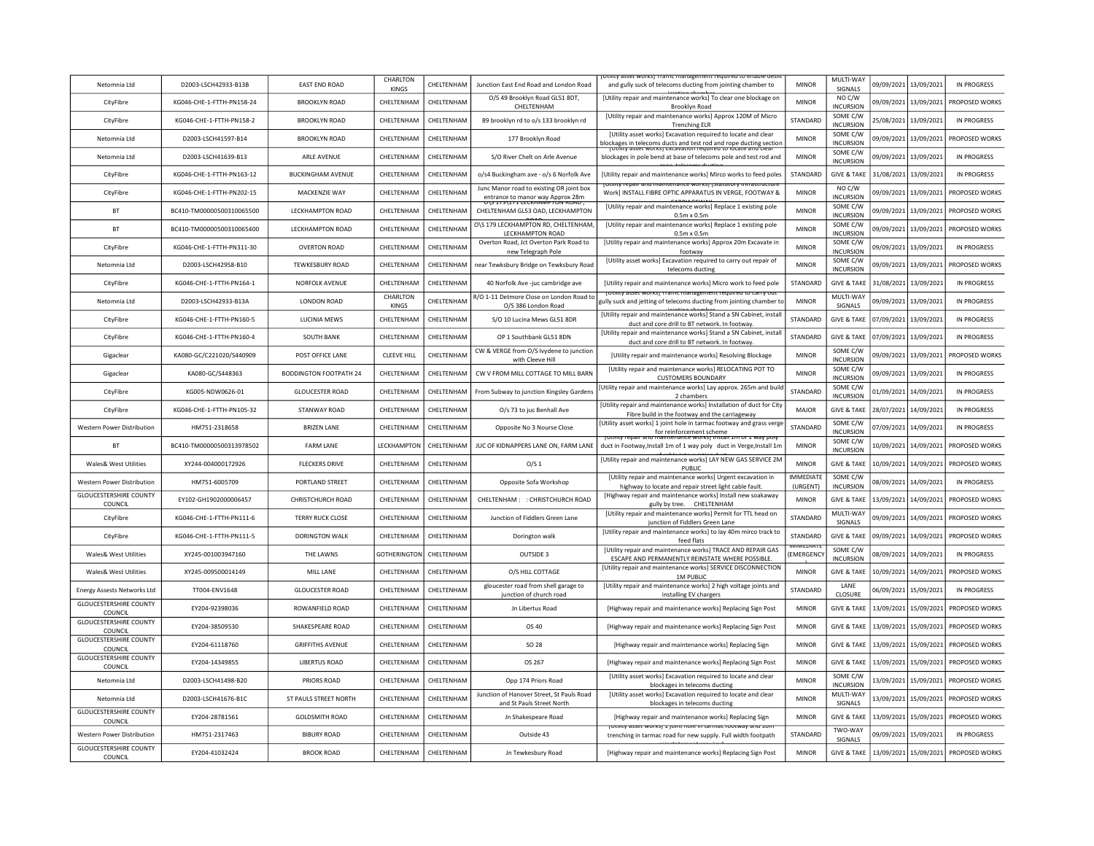| Netomnia Itd                             | D2003-LSCH42933-B13B      | <b>FAST FND ROAD</b>          | CHARLTON<br>KINGS  | CHELTENHAM        | Junction East End Road and London Road                                       | ity asset worksj framc management required<br>and gully suck of telecoms ducting from jointing chamber to                                                                                          | <b>MINOR</b>                 | MULTI-WAY<br>SIGNALS         | 09/09/2021 | 13/09/2021 | IN PROGRESS        |
|------------------------------------------|---------------------------|-------------------------------|--------------------|-------------------|------------------------------------------------------------------------------|----------------------------------------------------------------------------------------------------------------------------------------------------------------------------------------------------|------------------------------|------------------------------|------------|------------|--------------------|
| CityFibre                                | KG046-CHE-1-FTTH-PN158-24 | <b>BROOKLYN ROAD</b>          | CHELTENHAM         | CHELTENHAM        | O/S 49 Brooklyn Road GL51 8DT,<br>CHELTENHAM                                 | [Utility repair and maintenance works] To clear one blockage on<br>Brooklyn Road                                                                                                                   | <b>MINOR</b>                 | NO C/W<br><b>INCURSION</b>   | 09/09/2021 | 13/09/2021 | PROPOSED WORKS     |
| CityFibre                                | KG046-CHE-1-FTTH-PN158-2  | <b>BROOKLYN ROAD</b>          | CHELTENHAM         | CHELTENHAM        | 89 brooklyn rd to o/s 133 brooklyn rd                                        | [Utility repair and maintenance works] Approx 120M of Micro<br><b>Trenching ELR</b>                                                                                                                | STANDARD                     | SOME C/W<br><b>INCURSION</b> | 15/08/2021 | 13/09/2021 | <b>IN PROGRESS</b> |
| Netomnia Ltd                             | D2003-LSCH41597-B14       | <b>BROOKLYN ROAD</b>          | CHELTENHAM         | CHELTENHAM        | 177 Brooklyn Road                                                            | [Utility asset works] Excavation required to locate and clear<br>blockages in telecoms ducts and test rod and rope ducting section<br>potinty asset worksj Excavation required to ideate and clear | <b>MINOR</b>                 | SOME C/W<br><b>INCURSION</b> | 09/09/2021 | 13/09/2021 | PROPOSED WORKS     |
| Netomnia Ltd                             | D2003-LSCH41639-B13       | <b>ARLE AVENUE</b>            | CHELTENHAM         | CHELTENHAM        | S/O River Chelt on Arle Avenue                                               | blockages in pole bend at base of telecoms pole and test rod and                                                                                                                                   | <b>MINOR</b>                 | SOME C/W<br><b>INCURSION</b> | 09/09/2021 | 13/09/2021 | IN PROGRESS        |
| CityFibre                                | KG046-CHE-1-FTTH-PN163-12 | <b>BUCKINGHAM AVENUE</b>      | CHELTENHAM         | CHELTENHAM        | o/s4 Buckingham ave - o/s 6 Norfolk Ave                                      | [Utility repair and maintenance works] Mirco works to feed poles                                                                                                                                   | STANDARD                     | <b>GIVE &amp; TAKE</b>       | 31/08/2021 | 13/09/2021 | IN PROGRESS        |
| CityFibre                                | KG046-CHF-1-FTTH-PN202-15 | MACKENZIE WAY                 | CHELTENHAM         | CHFI TFNHAM       | Junc Manor road to existing OR joint box<br>entrance to manor way Approx 28m | Juliuv repair and maintenance works     Statutory infrastructur<br>Work] INSTALL FIBRE OPTIC APPARATUS IN VERGE, FOOTWAY &                                                                         | <b>MINOR</b>                 | NO C/W<br><b>INCURSION</b>   | 09/09/2021 | 13/09/2021 | PROPOSED WORKS     |
| <b>BT</b>                                | BC410-TM00000500310065500 | LECKHAMPTON ROAD              | CHELTENHAM         | CHELTENHAM        | CHELTENHAM GL53 OAD, LECKHAMPTON                                             | [Utility repair and maintenance works] Replace 1 existing pole<br>$0.5m \times 0.5m$                                                                                                               | <b>MINOR</b>                 | SOME C/W<br><b>INCURSION</b> | 09/09/2021 | 13/09/2021 | PROPOSED WORKS     |
| <b>BT</b>                                | BC410-TM00000500310065400 | LECKHAMPTON ROAD              | CHELTENHAM         | CHELTENHAM        | O\S 179 LECKHAMPTON RD, CHELTENHAM<br>LECKHAMPTON ROAD                       | [Utility repair and maintenance works] Replace 1 existing pole<br>$0.5m \times 0.5m$                                                                                                               | <b>MINOR</b>                 | SOME C/W<br><b>INCURSION</b> | 09/09/2021 | 13/09/2021 | PROPOSED WORKS     |
| CityFibre                                | KG046-CHE-1-FTTH-PN311-30 | <b>OVERTON ROAD</b>           | CHELTENHAM         | CHELTENHAM        | Overton Road, Jct Overton Park Road to<br>new Telegraph Pole                 | [Utility repair and maintenance works] Approx 20m Excavate in<br>footway                                                                                                                           | <b>MINOR</b>                 | SOME C/W<br><b>INCURSION</b> | 09/09/2021 | 13/09/2021 | <b>IN PROGRESS</b> |
| Netomnia Ltd                             | D2003-LSCH42958-B10       | <b>TEWKESBURY ROAD</b>        | CHELTENHAM         | CHELTENHAM        | near Tewksbury Bridge on Tewksbury Road                                      | [Utility asset works] Excavation required to carry out repair of<br>telecoms ducting                                                                                                               | <b>MINOR</b>                 | SOME C/W<br><b>INCURSION</b> | 09/09/2021 | 13/09/2021 | PROPOSED WORKS     |
| CityFibre                                | KG046-CHE-1-FTTH-PN164-1  | <b>NORFOLK AVENUE</b>         | CHELTENHAM         | CHELTENHAM        | 40 Norfolk Ave -juc cambridge ave                                            | [Utility repair and maintenance works] Micro work to feed pole                                                                                                                                     | STANDARD                     | <b>GIVE &amp; TAKE</b>       | 31/08/2021 | 13/09/2021 | <b>IN PROGRESS</b> |
| Netomnia Itd                             | D2003-LSCH42933-B13A      | <b>LONDON ROAD</b>            | CHARLTON<br>KINGS  | CHELTENHAM        | R/O 1-11 Detmore Close on London Road to<br>O/S 386 London Road              | וונץ asset worksj frame management required to carry o<br>gully suck and jetting of telecoms ducting from jointing chamber to                                                                      | <b>MINOR</b>                 | MULTI-WAY<br>SIGNALS         | 09/09/2021 | 13/09/2021 | IN PROGRESS        |
| CityFibre                                | KG046-CHE-1-FTTH-PN160-5  | <b>LUCINIA MEWS</b>           | CHELTENHAM         | CHELTENHAM        | S/O 10 Lucina Mews GL51 8DR                                                  | <b>IUtility repair and maintenance works] Stand a SN Cabinet, instal</b><br>duct and core drill to BT network. In footway                                                                          | STANDARD                     | <b>GIVE &amp; TAKE</b>       | 07/09/2021 | 13/09/2021 | <b>IN PROGRESS</b> |
| CityFibre                                | KG046-CHE-1-FTTH-PN160-4  | SOUTH BANK                    | CHELTENHAM         | CHELTENHAM        | OP 1 Southbank GL51 8DN                                                      | [Utility repair and maintenance works] Stand a SN Cabinet, install<br>duct and core drill to BT network. In footway                                                                                | STANDARD                     | <b>GIVE &amp; TAKE</b>       | 07/09/2021 | 13/09/2021 | <b>IN PROGRESS</b> |
| Gigaclear                                | KA080-GC/C221020/S440909  | POST OFFICE LANE              | <b>CLEEVE HILL</b> | CHELTENHAM        | CW & VERGE from O/S Ivydene to junction<br>with Cleeve Hill                  | [Utility repair and maintenance works] Resolving Blockage                                                                                                                                          | <b>MINOR</b>                 | SOME C/W<br><b>INCURSION</b> | 09/09/2021 | 13/09/2021 | PROPOSED WORKS     |
| Gigaclear                                | KA080-GC/S448363          | <b>BODDINGTON FOOTPATH 24</b> | CHELTENHAM         | CHELTENHAM        | CW V FROM MILL COTTAGE TO MILL BARN                                          | [Utility repair and maintenance works] RELOCATING POT TO<br><b>CUSTOMERS BOUNDARY</b>                                                                                                              | <b>MINOR</b>                 | SOME C/W<br><b>INCURSION</b> | 09/09/2021 | 13/09/2021 | <b>IN PROGRESS</b> |
| CityFibre                                | KG005-NDW0626-01          | <b>GLOUCESTER ROAD</b>        | CHELTENHAM         | CHELTENHAM        | From Subway to junction Kingsley Gardens                                     | Utility repair and maintenance works] Lay approx. 265m and build<br>2 chambers                                                                                                                     | STANDARD                     | SOME C/W<br><b>INCURSION</b> | 01/09/2021 | 14/09/2021 | <b>IN PROGRESS</b> |
| CityFibre                                | KG046-CHE-1-FTTH-PN105-32 | <b>STANWAY ROAD</b>           | CHELTENHAM         | CHELTENHAM        | O/s 73 to juc Benhall Ave                                                    | [Utility repair and maintenance works] Installation of duct for City<br>Fibre build in the footway and the carriageway                                                                             | MAJOR                        | <b>GIVE &amp; TAKE</b>       | 28/07/2021 | 14/09/2021 | <b>IN PROGRESS</b> |
| Western Power Distribution               | HM751-2318658             | <b>BRIZEN LANE</b>            | CHELTENHAM         | CHELTENHAM        | Opposite No 3 Nourse Close                                                   | [Utility asset works] 1 joint hole in tarmac footway and grass verge<br>for reinforcement scheme                                                                                                   | STANDARD                     | SOME C/W<br><b>INCURSION</b> | 07/09/2021 | 14/09/2021 | <b>IN PROGRESS</b> |
| <b>BT</b>                                | BC410-TM00000500313978502 | <b>FARM LANE</b>              | LECKHAMPTON        | CHELTENHAM        | JUC OF KIDNAPPERS LANE ON, FARM LANE                                         | repair and maintenance works install<br>duct in Footway, Install 1m of 1 way poly duct in Verge, Install 1m                                                                                        | <b>MINOR</b>                 | SOME C/W<br><b>INCURSION</b> | 10/09/2021 | 14/09/2021 | PROPOSED WORKS     |
| <b>Wales&amp; West Utilities</b>         | XY244-004000172926        | <b>FLECKERS DRIVE</b>         | CHELTENHAM         | CHELTENHAM        | O/S <sub>1</sub>                                                             | [Utility repair and maintenance works] LAY NEW GAS SERVICE 2M<br>PUBLIC                                                                                                                            | <b>MINOR</b>                 | <b>GIVE &amp; TAKE</b>       | 10/09/2021 | 14/09/2021 | PROPOSED WORKS     |
| Western Power Distribution               | HM751-6005709             | PORTLAND STREET               | CHELTENHAM         | CHELTENHAM        | Opposite Sofa Workshop                                                       | [Utility repair and maintenance works] Urgent excavation in<br>highway to locate and repair street light cable fault                                                                               | <b>IMMEDIATE</b><br>(URGENT) | SOME C/W<br><b>INCURSION</b> | 08/09/2021 | 14/09/2021 | <b>IN PROGRESS</b> |
| <b>GLOUCESTERSHIRE COUNTY</b><br>COUNCIL | EY102-GH1902000006457     | <b>CHRISTCHURCH ROAD</b>      | CHELTENHAM         | CHELTENHAM        | CHELTENHAM: : CHRISTCHURCH ROAD                                              | [Highway repair and maintenance works] Install new soakaway<br>gully by tree. CHELTENHAM                                                                                                           | <b>MINOR</b>                 | <b>GIVE &amp; TAKE</b>       | 13/09/2021 | 14/09/2021 | PROPOSED WORKS     |
| CityFibre                                | KG046-CHF-1-FTTH-PN111-6  | <b>TERRY RUCK CLOSE</b>       | CHELTENHAM         | CHELTENHAM        | Junction of Fiddlers Green Lane                                              | [Utility repair and maintenance works] Permit for TTL head on<br>junction of Fiddlers Green Lane                                                                                                   | STANDARD                     | MULTI-WAY<br>SIGNALS         | 09/09/2021 | 14/09/2021 | PROPOSED WORKS     |
| CityFibre                                | KG046-CHE-1-FTTH-PN111-5  | DORINGTON WALK                | CHELTENHAM         | CHELTENHAM        | Dorington walk                                                               | [Utility repair and maintenance works] to lay 40m mirco track to<br>feed flats                                                                                                                     | <b>STANDARD</b>              | <b>GIVE &amp; TAKE</b>       | 09/09/2021 | 14/09/2021 | PROPOSED WORKS     |
| Wales& West Utilities                    | XY245-001003947160        | <b>THE LAWNS</b>              | GOTHERINGTON       | <b>CHFITENHAM</b> | OUTSIDE 3                                                                    | [Utility repair and maintenance works] TRACE AND REPAIR GAS<br>ESCAPE AND PERMANENTLY REINSTATE WHERE POSSIBLE.                                                                                    | <b>EMERGENCY</b>             | SOME C/W<br><b>INCURSION</b> | 08/09/2021 | 14/09/2021 | IN PROGRESS        |
| <b>Wales&amp; West Utilities</b>         | XY245-009500014149        | MILL LANE                     | CHELTENHAM         | CHELTENHAM        | O/S HILL COTTAGE                                                             | [Utility repair and maintenance works] SERVICE DISCONNECTION<br><b>1M PUBLIC</b>                                                                                                                   | <b>MINOR</b>                 | <b>GIVE &amp; TAKE</b>       | 10/09/2021 | 14/09/2021 | PROPOSED WORKS     |
| Energy Assests Networks Ltd              | TT004-ENV1648             | <b>GLOUCESTER ROAD</b>        | CHELTENHAM         | CHELTENHAM        | gloucester road from shell garage to<br>junction of church road              | [Utility repair and maintenance works] 2 high voltage joints and<br>installing EV chargers                                                                                                         | STANDARD                     | LANE<br><b>CLOSURE</b>       | 06/09/2021 | 15/09/2021 | <b>IN PROGRESS</b> |
| <b>GLOUCESTERSHIRE COUNTY</b><br>COUNCIL | EY204-92398036            | ROWANFIELD ROAD               | CHELTENHAM         | CHELTENHAM        | Jn Libertus Road                                                             | [Highway repair and maintenance works] Replacing Sign Post                                                                                                                                         | <b>MINOR</b>                 | <b>GIVE &amp; TAKE</b>       | 13/09/2021 | 15/09/2021 | PROPOSED WORKS     |
| <b>GLOUCESTERSHIRE COUNTY</b><br>COUNCIL | EY204-38509530            | SHAKESPEARE ROAD              | CHELTENHAM         | CHELTENHAM        | OS 40                                                                        | [Highway repair and maintenance works] Replacing Sign Post                                                                                                                                         | <b>MINOR</b>                 | <b>GIVE &amp; TAKE</b>       | 13/09/2021 | 15/09/2021 | PROPOSED WORKS     |
| <b>GLOUCESTERSHIRE COUNTY</b><br>COUNCIL | EY204-61118760            | <b>GRIFFITHS AVENUE</b>       | CHELTENHAM         | CHELTENHAM        | <b>SO 28</b>                                                                 | [Highway repair and maintenance works] Replacing Sign                                                                                                                                              | <b>MINOR</b>                 | <b>GIVE &amp; TAKE</b>       | 13/09/2021 | 15/09/2021 | PROPOSED WORKS     |
| <b>GLOUCESTERSHIRE COUNTY</b><br>COUNCIL | FY204-14349855            | <b>LIBERTUS ROAD</b>          | <b>CHEITENHAM</b>  | <b>CHFITENHAM</b> | OS 267                                                                       | [Highway repair and maintenance works] Replacing Sign Post                                                                                                                                         | <b>MINOR</b>                 | <b>GIVE &amp; TAKE</b>       | 13/09/2021 | 15/09/2021 | PROPOSED WORKS     |
| Netomnia Ltd                             | D2003-LSCH41498-B20       | PRIORS ROAD                   | CHELTENHAM         | CHELTENHAM        | Opp 174 Priors Road                                                          | [Utility asset works] Excavation required to locate and clear<br>blockages in telecoms ducting                                                                                                     | <b>MINOR</b>                 | SOME C/W<br><b>INCURSION</b> | 13/09/2021 | 15/09/2021 | PROPOSED WORKS     |
| Netomnia Itd                             | D2003-LSCH41676-B1C       | ST PAULS STREET NORTH         | CHELTENHAM         | CHELTENHAM        | Junction of Hanover Street, St Pauls Road<br>and St Pauls Street North       | [Utility asset works] Excavation required to locate and clear<br>blockages in telecoms ducting                                                                                                     | <b>MINOR</b>                 | MULTI-WAY<br>SIGNALS         | 13/09/2021 | 15/09/2021 | PROPOSED WORKS     |
| <b>GLOUCESTERSHIRE COUNTY</b><br>COUNCIL | EY204-28781561            | <b>GOLDSMITH ROAD</b>         | CHELTENHAM         | CHELTENHAM        | Jn Shakespeare Road                                                          | [Highway repair and maintenance works] Replacing Sign                                                                                                                                              | <b>MINOR</b>                 | <b>GIVE &amp; TAKE</b>       | 13/09/2021 | 15/09/2021 | PROPOSED WORKS     |
| Western Power Distribution               | HM751-2317463             | <b>BIBURY ROAD</b>            | CHELTENHAM         | CHELTENHAM        | Outside 43                                                                   | הוונץ SSCL WOLNS בן סווות ווטופ זו נמוזוומט וטו<br>trenching in tarmac road for new supply. Full width footpath                                                                                    | STANDARD                     | TWO-WAY<br>SIGNALS           | 09/09/2021 | 15/09/2021 | IN PROGRESS        |
| <b>GLOUCESTERSHIRE COUNTY</b><br>COUNCIL | EY204-41032424            | <b>BROOK ROAD</b>             | CHELTENHAM         | CHELTENHAM        | Jn Tewkesbury Road                                                           | [Highway repair and maintenance works] Replacing Sign Post                                                                                                                                         | <b>MINOR</b>                 | <b>GIVE &amp; TAKE</b>       | 13/09/2021 | 15/09/2021 | PROPOSED WORKS     |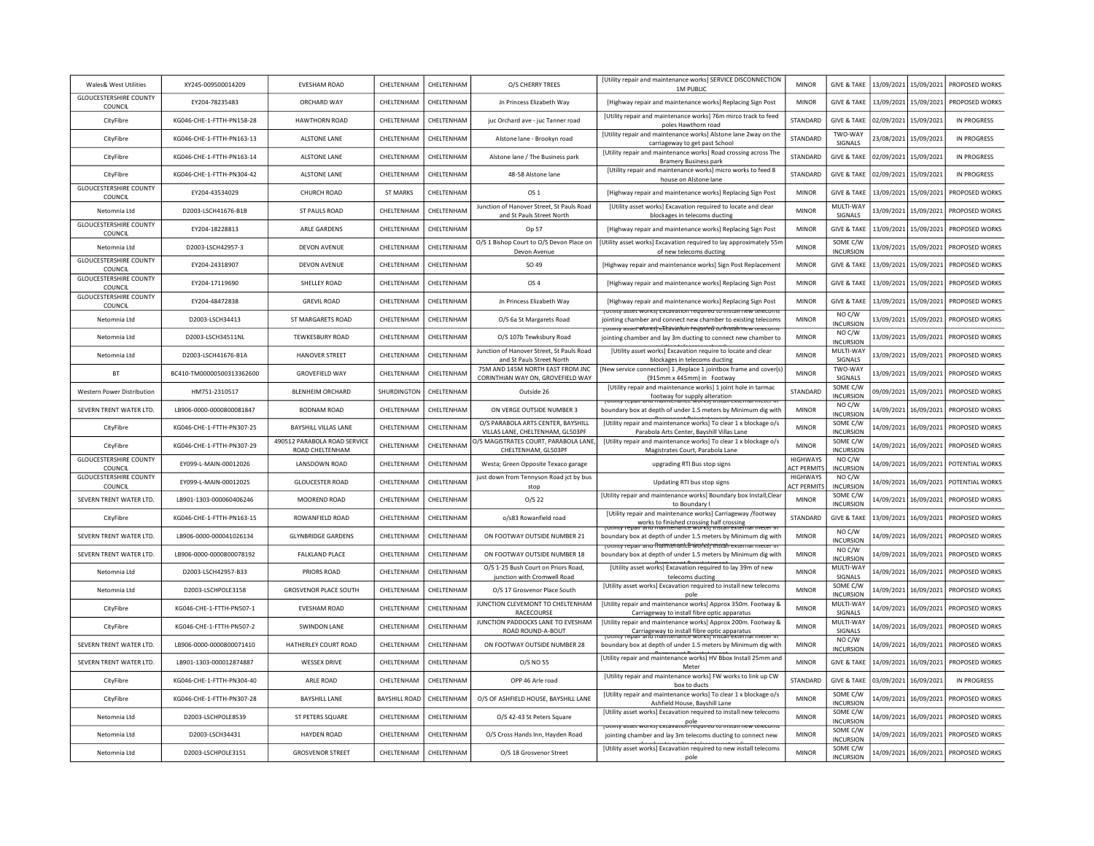| Wales& West Utilities                    | XY245-009500014209        | <b>EVESHAM ROAD</b>                             | CHELTENHAM           | CHELTENHAM | O/S CHERRY TREES                                                       | [Utility repair and maintenance works] SERVICE DISCONNECTION<br><b>1M PUBLIC</b>                                                                                         | <b>MINOR</b>                          | <b>GIVE &amp; TAKE</b>                           |            | 13/09/2021 15/09/2021 | PROPOSED WORKS               |
|------------------------------------------|---------------------------|-------------------------------------------------|----------------------|------------|------------------------------------------------------------------------|--------------------------------------------------------------------------------------------------------------------------------------------------------------------------|---------------------------------------|--------------------------------------------------|------------|-----------------------|------------------------------|
| <b>GLOUCESTERSHIRE COUNTY</b><br>COUNCIL | EY204-78235483            | ORCHARD WAY                                     | CHELTENHAM           | CHELTENHAM | Jn Princess Elizabeth Way                                              | [Highway repair and maintenance works] Replacing Sign Post                                                                                                               | MINOR                                 | <b>GIVE &amp; TAKE</b>                           | 13/09/2021 | 15/09/2021            | PROPOSED WORKS               |
| CityFibre                                | KG046-CHE-1-FTTH-PN158-28 | <b>HAWTHORN ROAD</b>                            | <b>CHFITFNHAM</b>    | CHELTENHAM | juc Orchard ave - juc Tanner road                                      | [Utility repair and maintenance works] 76m mirco track to feed<br>poles Hawthorn road                                                                                    | <b>STANDARD</b>                       | <b>GIVE &amp; TAKE</b>                           | 02/09/2021 | 15/09/2021            | IN PROGRESS                  |
| CityFibre                                | KG046-CHE-1-FTTH-PN163-13 | <b>ALSTONE LANE</b>                             | CHELTENHAM           | CHELTENHAM | Alstone lane - Brookyn road                                            | [Utility repair and maintenance works] Alstone lane 2way on the<br>carriageway to get past School                                                                        | STANDARD                              | TWO-WAY<br>SIGNALS                               | 23/08/2021 | 15/09/2021            | <b>IN PROGRESS</b>           |
| CityFibre                                | KG046-CHE-1-FTTH-PN163-14 | <b>ALSTONE LANE</b>                             | CHELTENHAM           | CHELTENHAM | Alstone lane / The Business park                                       | [Utility repair and maintenance works] Road crossing across The<br><b>Bramery Business park</b>                                                                          | STANDARD                              | <b>GIVE &amp; TAKE</b>                           | 02/09/2021 | 15/09/2021            | <b>IN PROGRESS</b>           |
| CityFibre                                | KG046-CHE-1-FTTH-PN304-42 | <b>ALSTONE LANE</b>                             | CHELTENHAM           | CHELTENHAM | 48-58 Alstone lane                                                     | [Utility repair and maintenance works] micro works to feed 8<br>house on Alstone lane                                                                                    | STANDARD                              | <b>GIVE &amp; TAKE</b>                           | 02/09/2021 | 15/09/2021            | <b>IN PROGRESS</b>           |
| <b>GLOUCESTERSHIRE COUNTY</b><br>COUNCIL | EY204-43534029            | <b>CHURCH ROAD</b>                              | <b>ST MARKS</b>      | CHELTENHAM | OS 1                                                                   | [Highway repair and maintenance works] Replacing Sign Post                                                                                                               | <b>MINOR</b>                          | <b>GIVE &amp; TAKE</b>                           | 13/09/2021 | 15/09/2021            | PROPOSED WORKS               |
| Netomnia Ltd                             | D2003-LSCH41676-B1B       | ST PAULS ROAD                                   | CHELTENHAM           | CHELTENHAM | Junction of Hanover Street, St Pauls Road<br>and St Pauls Street North | [Utility asset works] Excavation required to locate and clear<br>blockages in telecoms ducting                                                                           | <b>MINOR</b>                          | MULTI-WAY<br>SIGNALS                             | 13/09/2021 | 15/09/2021            | PROPOSED WORKS               |
| <b>GLOUCESTERSHIRE COUNTY</b><br>COUNCIL | EY204-18228813            | <b>ARLE GARDENS</b>                             | CHELTENHAM           | CHELTENHAM | Op 57                                                                  | [Highway repair and maintenance works] Replacing Sign Post                                                                                                               | <b>MINOR</b>                          | <b>GIVE &amp; TAKE</b>                           | 13/09/2021 | 15/09/2021            | PROPOSED WORKS               |
| Netomnia Ltd                             | D2003-LSCH42957-3         | <b>DEVON AVENUE</b>                             | CHELTENHAM           | CHELTENHAM | O/S 1 Bishop Court to O/S Devon Place on<br>Devon Avenue               | [Utility asset works] Excavation required to lay approximately 55n<br>of new telecoms ducting                                                                            | <b>MINOR</b>                          | SOME C/W<br><b>INCURSION</b>                     | 13/09/2021 | 15/09/2021            | PROPOSED WORKS               |
| <b>GLOUCESTERSHIRE COUNTY</b><br>COUNCIL | EY204-24318907            | <b>DEVON AVENUE</b>                             | CHELTENHAM           | CHELTENHAM | SO 49                                                                  | [Highway repair and maintenance works] Sign Post Replacement                                                                                                             | <b>MINOR</b>                          | <b>GIVE &amp; TAKE</b>                           | 13/09/2021 | 15/09/2021            | PROPOSED WORKS               |
| <b>GLOUCESTERSHIRE COUNTY</b><br>COUNCIL | EY204-17119690            | SHELLEY ROAD                                    | CHELTENHAM           | CHELTENHAM | OS <sub>4</sub>                                                        | [Highway repair and maintenance works] Replacing Sign Post                                                                                                               | <b>MINOR</b>                          | <b>GIVE &amp; TAKE</b>                           | 13/09/2021 | 15/09/2021            | PROPOSED WORKS               |
| <b>GLOUCESTERSHIRE COUNTY</b><br>COUNCIL | EY204-48472838            | <b>GREVIL ROAD</b>                              | CHELTENHAM           | CHELTENHAM | Jn Princess Elizabeth Way                                              | [Highway repair and maintenance works] Replacing Sign Post                                                                                                               | <b>MINOR</b>                          | <b>GIVE &amp; TAKE</b>                           | 13/09/2021 | 15/09/2021            | PROPOSED WORKS               |
| Netomnia Ltd                             | D2003-LSCH34413           | ST MARGARETS ROAD                               | CHELTENHAM           | CHELTENHAM | O/S 6a St Margarets Road                                               | ן טנווונץ מאפנ שטרגאן בגעמעמנוטור וכעשווכט גט ווואנמורווכש נכוכנטווו<br>jointing chamber and connect new chamber to existing telecoms                                    | MINOR                                 | NO C/W<br><b>INCURSION</b>                       | 13/09/2021 | 15/09/2021            | PROPOSED WORKS               |
| Netomnia Ltd                             | D2003-LSCH34511NL         | <b>TEWKESBURY ROAD</b>                          | CHELTENHAM           | CHELTENHAM | O/S 107b Tewksbury Road                                                | <u>TUtility asset works extavation regained to</u><br>jointing chamber and lay 3m ducting to connect new chamber to                                                      | <b>MINOR</b>                          | NO C/W<br><b>INCURSION</b>                       | 13/09/2021 | 15/09/2021            | PROPOSED WORKS               |
| Netomnia Ltd                             | D2003-LSCH41676-B1A       | <b>HANOVER STREET</b>                           | CHELTENHAM           | CHELTENHAM | Junction of Hanover Street, St Pauls Road<br>and St Pauls Street North | [Utility asset works] Excavation require to locate and clear<br>blockages in telecoms ducting                                                                            | <b>MINOR</b>                          | MULTI-WAY<br>SIGNALS                             | 13/09/2021 | 15/09/2021            | PROPOSED WORKS               |
| <b>BT</b>                                | BC410-TM00000500313362600 | <b>GROVEFIELD WAY</b>                           | CHELTENHAM           | CHFITENHAM | 75M AND 145M NORTH FAST FROM INC.<br>CORINTHIAN WAY ON, GROVEFIELD WAY | [New service connection] 1, Replace 1 jointbox frame and cover(s)<br>(915mm x 445mm) in Footway                                                                          | <b>MINOR</b>                          | TWO-WAY<br>SIGNALS                               | 13/09/2021 | 15/09/2021            | PROPOSED WORKS               |
| <b>Western Power Distribution</b>        | HM751-2310517             | <b>BLENHEIM ORCHARD</b>                         | SHURDINGTON          | CHELTENHAM | Outside 26                                                             | [Utility repair and maintenance works] 1 joint hole in tarmac<br>footway for supply alteration<br>no maintenance worksj installexter                                     | STANDARD                              | SOME C/W<br>INCURSION                            | 09/09/2021 | 15/09/2021            | PROPOSED WORKS               |
| SEVERN TRENT WATER LTD.                  | LB906-0000-0000800081847  | <b>BODNAM ROAD</b>                              | CHELTENHAM           | CHELTENHAM | ON VERGE OUTSIDE NUMBER 3                                              | boundary box at depth of under 1.5 meters by Minimum dig with                                                                                                            | <b>MINOR</b>                          | NO C/W<br><b>INCURSION</b>                       | 14/09/2021 | 16/09/2021            | PROPOSED WORKS               |
| CityFibre                                | KG046-CHE-1-FTTH-PN307-25 | <b>BAYSHILL VILLAS LANE</b>                     | CHELTENHAM           | CHELTENHAM | O/S PARABOLA ARTS CENTER, BAYSHILL<br>VILLAS LANE, CHELTENHAM, GL503PF | [Utility repair and maintenance works] To clear 1 x blockage o/s<br>Parabola Arts Center, Bayshill Villas Lane                                                           | <b>MINOR</b>                          | SOME C/W<br><b>INCURSION</b>                     | 14/09/2021 | 16/09/2021            | PROPOSED WORKS               |
| CityFibre                                | KG046-CHE-1-FTTH-PN307-29 | 490512 PARABOLA ROAD SERVICE<br>ROAD CHELTENHAM | CHELTENHAM           | CHELTENHAM | D/S MAGISTRATES COURT, PARABOLA LANE<br>CHELTENHAM, GL503PF            | [Utility repair and maintenance works] To clear 1 x blockage o/s<br>Magistrates Court, Parabola Lane                                                                     | <b>MINOR</b>                          | SOME C/W<br><b>INCURSION</b>                     | 14/09/2021 | 16/09/2021            | PROPOSED WORKS               |
| <b>GLOUCESTERSHIRE COUNTY</b><br>COUNCIL | EY099-L-MAIN-00012026     | <b>LANSDOWN ROAD</b>                            | CHELTENHAM           | CHELTENHAM | Westa; Green Opposite Texaco garage                                    | upgrading RTI Bus stop signs                                                                                                                                             | <b>HIGHWAYS</b><br><b>ACT PERMITS</b> | NO C/W<br><b>INCURSION</b>                       | 14/09/2021 |                       | 16/09/2021   POTENTIAL WORKS |
| <b>GLOUCESTERSHIRE COUNTY</b><br>COUNCIL | FY099-1-MAIN-00012025     | <b>GLOUCESTER ROAD</b>                          | <b>CHFITFNHAM</b>    | CHFITENHAM | just down from Tennyson Road jct by bus<br>stop                        | Updating RTI bus stop signs                                                                                                                                              | <b>HIGHWAYS</b><br><b>ACT PERMITS</b> | NO C/W<br><b>INCURSION</b>                       | 14/09/2021 |                       | 16/09/2021 POTENTIAL WORKS   |
| SEVERN TRENT WATER LTD.                  | LB901-1303-000060406246   | MOOREND ROAD                                    |                      |            |                                                                        |                                                                                                                                                                          |                                       |                                                  |            |                       |                              |
| CityFibre                                |                           |                                                 | CHELTENHAM           | CHELTENHAM | $O/S$ 22                                                               | [Utility repair and maintenance works] Boundary box Install, Clear                                                                                                       | <b>MINOR</b>                          | SOME C/W                                         | 14/09/2021 | 16/09/2021            | PROPOSED WORKS               |
|                                          | KG046-CHE-1-FTTH-PN163-15 | ROWANFIELD ROAD                                 | CHELTENHAM           | CHELTENHAM | o/s83 Rowanfield road                                                  | to Boundary<br>[Utility repair and maintenance works] Carriageway /footway                                                                                               | STANDARD                              | <b>INCURSION</b><br><b>GIVE &amp; TAKE</b>       | 13/09/2021 | 16/09/2021            | PROPOSED WORKS               |
| SEVERN TRENT WATER LTD.                  | LB906-0000-000041026134   | <b>GLYNBRIDGE GARDENS</b>                       | CHELTENHAM           | CHELTENHAM | ON FOOTWAY OUTSIDE NUMBER 21                                           | works to finished crossing half crossing<br><u>joulity repair and maintenance worksj install extern</u><br>boundary box at depth of under 1.5 meters by Minimum dig with | <b>MINOR</b>                          | NO C/W                                           | 14/09/2021 | 16/09/2021            | PROPOSED WORKS               |
| SEVERN TRENT WATER LTD.                  | LB906-0000-0000800078192  | <b>FALKLAND PLACE</b>                           | CHELTENHAM           | CHELTENHAM | ON FOOTWAY OUTSIDE NUMBER 18                                           | Tounty repair and fhamtenance works) instan external meter in<br>boundary box at depth of under 1.5 meters by Minimum dig with                                           | <b>MINOR</b>                          | <b>INCURSION</b><br>NO C/W                       | 14/09/2021 | 16/09/2021            | PROPOSED WORKS               |
| Netomnia Ltd                             | D2003-LSCH42957-B33       | <b>PRIORS ROAD</b>                              | CHELTENHAM           | CHELTENHAM | O/S 1-25 Bush Court on Priors Road,                                    | [Utility asset works] Excavation required to lay 39m of new                                                                                                              | <b>MINOR</b>                          | INCURSION<br>MULTI-WAY                           | 14/09/2021 | 16/09/2021            | <b>PROPOSED WORKS</b>        |
| Netomnia Itd                             | D2003-LSCHPOLE3158        | <b>GROSVENOR PLACE SOUTH</b>                    | <b>CHFITENHAM</b>    | CHELTENHAM | junction with Cromwell Road<br>O/S 17 Grosvenor Place South            | telecoms ducting<br>[Utility asset works] Excavation required to install new telecoms                                                                                    | <b>MINOR</b>                          | SIGNALS<br>SOME C/W                              | 14/09/2021 | 16/09/2021            | PROPOSED WORKS               |
| CityFibre                                | KG046-CHE-1-FTTH-PN507-1  | <b>EVESHAM ROAD</b>                             | CHELTENHAM           | CHELTENHAM | JUNCTION CLEVEMONT TO CHELTENHAM                                       | pole<br>[Utility repair and maintenance works] Approx 350m. Footway &                                                                                                    | <b>MINOR</b>                          | <b>INCURSION</b><br>MULTI-WAY                    | 14/09/2021 | 16/09/2021            | PROPOSED WORKS               |
| CityFibre                                | KG046-CHE-1-FTTH-PN507-2  | <b>SWINDON LANE</b>                             | CHELTENHAM           | CHELTENHAM | RACECOURSE<br>JUNCTION PADDOCKS LANE TO EVESHAM                        | Carriageway to install fibre optic apparatus<br>[Utility repair and maintenance works] Approx 200m. Footway &                                                            | <b>MINOR</b>                          | SIGNALS<br>MULTI-WAY                             | 14/09/2021 | 16/09/2021            | PROPOSED WORKS               |
| SEVERN TRENT WATER LTD.                  | LB906-0000-0000800071410  | HATHERLEY COURT ROAD                            | CHELTENHAM           | CHELTENHAM | ROAD ROUND-A-BOUT<br>ON FOOTWAY OUTSIDE NUMBER 28                      | Carriageway to install fibre optic apparatus<br>Tepair and maintenance worksj install externa<br>boundary box at depth of under 1.5 meters by Minimum dig with           | <b>MINOR</b>                          | SIGNALS<br>NO C/W                                | 14/09/2021 | 16/09/2021            | PROPOSED WORKS               |
| SEVERN TRENT WATER LTD.                  | LB901-1303-000012874887   | <b>WESSEX DRIVE</b>                             | CHELTENHAM           | CHELTENHAM | O/S NO 55                                                              | [Utility repair and maintenance works] HV Bbox Install 25mm and                                                                                                          | <b>MINOR</b>                          | <b>INCURSION</b><br><b>GIVE &amp; TAKE</b>       | 14/09/2021 | 16/09/2021            | PROPOSED WORKS               |
| CityFibre                                | KG046-CHE-1-FTTH-PN304-40 | ARLE ROAD                                       | CHELTENHAM           | CHELTENHAM | OPP 46 Arle road                                                       | Meter<br>[Utility repair and maintenance works] FW works to link up CW                                                                                                   | STANDARD                              | <b>GIVE &amp; TAKE</b>                           | 03/09/2021 | 16/09/2021            | IN PROGRESS                  |
| CityFibre                                | KG046-CHE-1-FTTH-PN307-28 | <b>BAYSHILL LANE</b>                            | <b>BAYSHILL ROAD</b> | CHELTENHAM | O/S OF ASHFIELD HOUSE, BAYSHILL LANE                                   | box to ducts<br>[Utility repair and maintenance works] To clear 1 x blockage o/s                                                                                         | <b>MINOR</b>                          | SOME C/W                                         | 14/09/2021 | 16/09/2021            | PROPOSED WORKS               |
| Netomnia Ltd                             | D2003-LSCHPOLE8539        | ST PETERS SQUARE                                | CHELTENHAM           | CHELTENHAM | O/S 42-43 St Peters Square                                             | Ashfield House, Bayshill Lane<br>[Utility asset works] Excavation required to install new telecoms                                                                       | <b>MINOR</b>                          | <b>INCURSION</b><br>SOME C/W                     |            | 14/09/2021 16/09/2021 | PROPOSED WORKS               |
| Netomnia Ltd                             | D2003-LSCH34431           | <b>HAYDEN ROAD</b>                              | CHELTENHAM           | CHELTENHAM | O/S Cross Hands Inn, Hayden Road                                       | pole בספר works ו pole<br><del>מאפת works ו באנסעמוניות ופעמופט נס</del><br>jointing chamber and lay 3m telecoms ducting to connect new                                  | <b>MINOF</b>                          | <b>INCURSION</b><br>SOME C/W                     |            | 14/09/2021 16/09/2021 | PROPOSED WORKS               |
| Netomnia Ltd                             | D2003-LSCHPOLE3151        | <b>GROSVENOR STREET</b>                         | CHELTENHAM           | CHELTENHAM | O/S 18 Grosvenor Street                                                | [Utility asset works] Excavation required to new install telecoms<br>pole                                                                                                | <b>MINOR</b>                          | <b>INCURSION</b><br>SOME C/W<br><b>INCURSION</b> |            | 14/09/2021 16/09/2021 | PROPOSED WORKS               |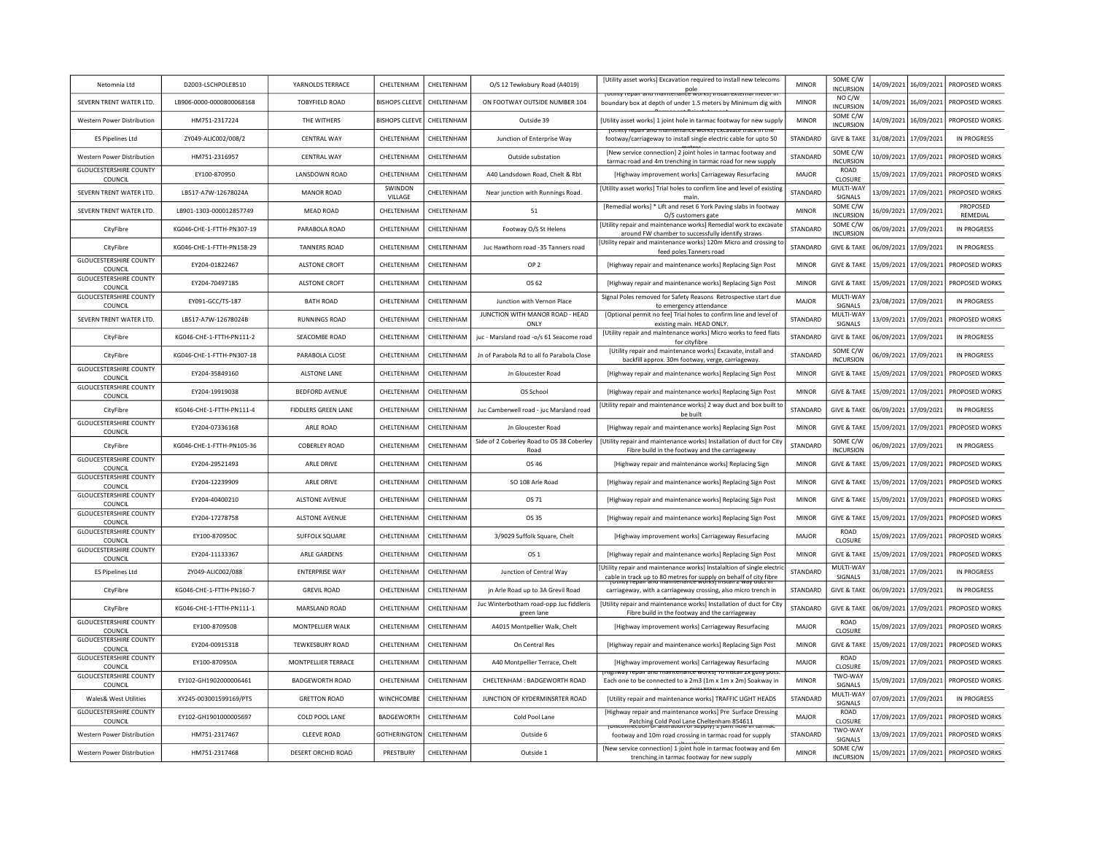| Netomnia Ltd                               | D2003-LSCHPOLE8510        | YARNOLDS TERRACE           | CHELTENHAM            | CHELTENHAM        | O/S 12 Tewksbury Road (A4019)                     | [Utility asset works] Excavation required to install new telecoms                                                                          | <b>MINOR</b>    | SOME C/W                          | 14/09/2021 | 16/09/2021              | PROPOSED WORKS            |
|--------------------------------------------|---------------------------|----------------------------|-----------------------|-------------------|---------------------------------------------------|--------------------------------------------------------------------------------------------------------------------------------------------|-----------------|-----------------------------------|------------|-------------------------|---------------------------|
|                                            |                           |                            |                       |                   |                                                   | <u>touluv repair and maintenance workst install external meter in</u>                                                                      |                 | <b>INCURSION</b><br>NO C/W        |            |                         |                           |
| SEVERN TRENT WATER LTD.                    | LB906-0000-0000800068168  | <b>TOBYFIELD ROAD</b>      | <b>BISHOPS CLEEVE</b> | CHELTENHAM        | ON FOOTWAY OUTSIDE NUMBER 104                     | boundary box at depth of under 1.5 meters by Minimum dig with                                                                              | <b>MINOR</b>    | INCURSION<br>SOME C/W             |            | 14/09/2021   16/09/2021 | PROPOSED WORKS            |
| Western Power Distribution                 | HM751-2317224             | THE WITHERS                | <b>BISHOPS CLEEVE</b> | <b>CHFITENHAM</b> | Outside 39                                        | [Utility asset works] 1 joint hole in tarmac footway for new supply<br>jotinty repair and maintenance works) Excavate track in tr          | <b>MINOR</b>    | <b>INCURSION</b>                  | 14/09/2021 | 16/09/2021              | PROPOSED WORKS            |
| <b>FS Pinelines Itd</b>                    | ZY049-ALIC002/008/2       | CENTRAI WAY                | CHELTENHAM            | <b>CHFITENHAM</b> | Junction of Enterprise Way                        | footway/carriageway to install single electric cable for upto 50                                                                           | <b>STANDARD</b> | <b>GIVE &amp; TAKE</b>            | 31/08/2021 | 17/09/2021              | IN PROGRESS               |
| Western Power Distribution                 | HM751-2316957             | <b>CENTRAL WAY</b>         | CHELTENHAM            | CHELTENHAM        | Outside substation                                | [New service connection] 2 joint holes in tarmac footway and<br>tarmac road and 4m trenching in tarmac road for new supply                 | STANDARD        | SOME C/W<br><b>INCURSION</b>      | 10/09/2021 | 17/09/2021              | PROPOSED WORKS            |
| <b>GLOUCESTERSHIRE COUNTY</b><br>COUNCIL   | EY100-870950              | LANSDOWN ROAD              | CHELTENHAM            | CHELTENHAM        | A40 Landsdown Road, Chelt & Rbt                   | [Highway improvement works] Carriageway Resurfacing                                                                                        | MAJOR           | ROAD<br>CLOSURE                   | 15/09/2021 | 17/09/2021              | PROPOSED WORKS            |
| SEVERN TRENT WATER LTD.                    | LB517-A7W-12678024A       | <b>MANOR ROAD</b>          | SWINDON<br>VILLAGE    | CHELTENHAM        | Near junction with Runnings Road.                 | [Utility asset works] Trial holes to confirm line and level of existing<br>main                                                            | STANDARD        | MULTI-WAY<br>SIGNALS              | 13/09/2021 | 17/09/2021              | PROPOSED WORKS            |
| SEVERN TRENT WATER LTD.                    | LB901-1303-000012857749   | MEAD ROAD                  | CHELTENHAM            | CHELTENHAM        | 51                                                | [Remedial works] * Lift and reset 6 York Paving slabs in footway<br>O/S customers gate                                                     | <b>MINOR</b>    | SOME C/W<br><b>INCURSION</b>      | 16/09/2021 | 17/09/2021              | PROPOSED<br>REMEDIAL      |
| CityFibre                                  | KG046-CHE-1-FTTH-PN307-19 | PARABOLA ROAD              | CHELTENHAM            | CHELTENHAM        | Footway O/S St Helens                             | [Utility repair and maintenance works] Remedial work to excavate<br>around FW chamber to successfully identify straws                      | STANDARD        | SOME C/W<br><b>INCURSION</b>      | 06/09/2021 | 17/09/2021              | <b>IN PROGRESS</b>        |
| CityFibre                                  | KG046-CHE-1-FTTH-PN158-29 | <b>TANNERS ROAD</b>        | CHELTENHAM            | CHELTENHAM        | Juc Hawthorn road -35 Tanners road                | [Utility repair and maintenance works] 120m Micro and crossing to<br>feed poles Tanners road                                               | STANDARD        | <b>GIVE &amp; TAKE</b>            | 06/09/2021 | 17/09/2021              | IN PROGRESS               |
| <b>GLOUCESTERSHIRE COUNTY</b><br>COUNCIL   | EY204-01822467            | <b>ALSTONE CROFT</b>       | CHELTENHAM            | CHELTENHAM        | OP <sub>2</sub>                                   | [Highway repair and maintenance works] Replacing Sign Post                                                                                 | <b>MINOR</b>    | <b>GIVE &amp; TAKE</b>            | 15/09/2021 | 17/09/2021              | PROPOSED WORKS            |
| <b>GLOUCESTERSHIRE COUNTY</b><br>COUNCIL   | EY204-70497185            | <b>ALSTONE CROFT</b>       | CHELTENHAM            | CHELTENHAM        | OS 62                                             | [Highway repair and maintenance works] Replacing Sign Post                                                                                 | <b>MINOR</b>    | <b>GIVE &amp; TAKE</b>            | 15/09/2021 | 17/09/2021              | PROPOSED WORKS            |
| <b>GLOUCESTERSHIRE COUNTY</b>              | EY091-GCC/TS-187          | <b>BATH ROAD</b>           | CHELTENHAM            | CHELTENHAM        | Junction with Vernon Place                        | Signal Poles removed for Safety Reasons Retrospective start due                                                                            | MAJOR           | MULTI-WAY                         |            | 23/08/2021 17/09/2021   | <b>IN PROGRESS</b>        |
| COUNCIL<br>SEVERN TRENT WATER LTD.         | LB517-A7W-12678024B       | <b>RUNNINGS ROAD</b>       | CHELTENHAM            | CHELTENHAM        | JUNCTION WITH MANOR ROAD - HEAD                   | to emergency attendance<br>[Optional permit no fee] Trial holes to confirm line and level of                                               | STANDARD        | SIGNALS<br>MULTI-WAY              |            | 13/09/2021 17/09/2021   | PROPOSED WORKS            |
| CityFibre                                  | KG046-CHE-1-FTTH-PN111-2  | SEACOMBE ROAD              | CHELTENHAM            | CHELTENHAM        | ONLY<br>juc - Marsland road -o/s 61 Seacome road  | existing main. HEAD ONLY.<br>[Utility repair and maintenance works] Micro works to feed flats                                              | STANDARD        | SIGNALS<br><b>GIVE &amp; TAKE</b> |            | 06/09/2021 17/09/2021   | IN PROGRESS               |
|                                            |                           |                            |                       |                   |                                                   | for cityfibre<br>[Utility repair and maintenance works] Excavate, install and                                                              |                 | SOME C/W                          |            |                         |                           |
| CityFibre<br><b>GLOUCESTERSHIRE COUNTY</b> | KG046-CHE-1-FTTH-PN307-18 | PARABOLA CLOSE             | CHELTENHAM            | CHELTENHAM        | Jn of Parabola Rd to all fo Parabola Close        | backfill approx. 30m footway, verge, carriageway.                                                                                          | STANDARD        | <b>INCURSION</b>                  | 06/09/2021 | 17/09/2021              | <b>IN PROGRESS</b>        |
| COUNCIL<br><b>GLOUCESTERSHIRE COUNTY</b>   | EY204-35849160            | ALSTONE LANE               | CHELTENHAM            | CHELTENHAM        | Jn Gloucester Road                                | [Highway repair and maintenance works] Replacing Sign Post                                                                                 | <b>MINOR</b>    | <b>GIVE &amp; TAKE</b>            | 15/09/2021 | 17/09/2021              | PROPOSED WORKS            |
| COUNCIL                                    | EY204-19919038            | <b>BEDFORD AVENUE</b>      | CHELTENHAM            | CHELTENHAM        | OS School                                         | [Highway repair and maintenance works] Replacing Sign Post<br>[Utility repair and maintenance works] 2 way duct and box built to           | <b>MINOR</b>    | <b>GIVE &amp; TAKE</b>            | 15/09/2021 | 17/09/2021              | PROPOSED WORKS            |
| CityFibre                                  | KG046-CHE-1-FTTH-PN111-4  | <b>FIDDLERS GREEN LANE</b> | CHELTENHAM            | <b>CHFITENHAM</b> | Juc Camberwell road - juc Marsland road           | be built                                                                                                                                   | STANDARD        | <b>GIVE &amp; TAKE</b>            | 06/09/2021 | 17/09/2021              | IN PROGRESS               |
| <b>GLOUCESTERSHIRE COUNTY</b><br>COUNCIL   | EY204-07336168            | ARLE ROAD                  | CHELTENHAM            | CHELTENHAM        | Jn Gloucester Road                                | [Highway repair and maintenance works] Replacing Sign Post                                                                                 | <b>MINOR</b>    | <b>GIVE &amp; TAKE</b>            | 15/09/2021 | 17/09/2021              | PROPOSED WORKS            |
| CityFibre                                  | KG046-CHE-1-FTTH-PN105-36 | <b>COBERLEY ROAD</b>       | CHELTENHAM            | CHELTENHAM        | Side of 2 Coberley Road to OS 38 Coberley<br>Road | [Utility repair and maintenance works] Installation of duct for City<br>Fibre build in the footway and the carriageway                     | STANDARD        | SOME C/W<br><b>INCURSION</b>      | 06/09/2021 | 17/09/2021              | <b>IN PROGRESS</b>        |
| <b>GLOUCESTERSHIRE COUNTY</b><br>COUNCIL   | EY204-29521493            | ARLE DRIVE                 | CHELTENHAM            | CHELTENHAM        | OS 46                                             | [Highway repair and maintenance works] Replacing Sign                                                                                      | <b>MINOR</b>    | <b>GIVE &amp; TAKE</b>            | 15/09/2021 | 17/09/2021              | PROPOSED WORKS            |
| <b>GLOUCESTERSHIRE COUNTY</b><br>COUNCIL   | EY204-12239909            | <b>ARLE DRIVE</b>          | CHELTENHAM            | CHELTENHAM        | SO 108 Arle Road                                  | [Highway repair and maintenance works] Replacing Sign Post                                                                                 | <b>MINOR</b>    | <b>GIVE &amp; TAKE</b>            | 15/09/2021 | 17/09/2021              | PROPOSED WORKS            |
| <b>GLOUCESTERSHIRE COUNTY</b><br>COUNCII   | EY204-40400210            | <b>ALSTONE AVENUE</b>      | CHELTENHAM            | CHELTENHAM        | OS 71                                             | [Highway repair and maintenance works] Replacing Sign Post                                                                                 | <b>MINOR</b>    | <b>GIVE &amp; TAKE</b>            | 15/09/2021 | 17/09/2021              | PROPOSED WORKS            |
| <b>GLOUCESTERSHIRE COUNTY</b><br>COUNCIL   | EY204-17278758            | ALSTONE AVENUE             | CHFI TFNHAM           | <b>CHEITENHAM</b> | OS 35                                             | [Highway repair and maintenance works] Replacing Sign Post                                                                                 | <b>MINOR</b>    | <b>GIVE &amp; TAKE</b>            | 15/09/2021 | 17/09/2021              | PROPOSED WORKS            |
| <b>GLOUCESTERSHIRE COUNTY</b><br>COUNCIL   | EY100-870950C             | <b>SUFFOLK SQUARE</b>      | CHELTENHAM            | CHELTENHAM        | 3/9029 Suffolk Square, Chelt                      | [Highway improvement works] Carriageway Resurfacing                                                                                        | MAJOR           | <b>ROAD</b><br>CLOSURE            | 15/09/2021 |                         | 17/09/2021 PROPOSED WORKS |
| <b>GLOUCESTERSHIRE COUNTY</b><br>COUNCIL   | EY204-11133367            | ARLE GARDENS               | CHELTENHAM            | CHELTENHAM        | OS <sub>1</sub>                                   | [Highway repair and maintenance works] Replacing Sign Post                                                                                 | <b>MINOR</b>    | <b>GIVE &amp; TAKE</b>            | 15/09/2021 | 17/09/2021              | PROPOSED WORKS            |
| <b>ES Pipelines Ltd</b>                    | ZY049-ALIC002/088         | <b>ENTERPRISE WAY</b>      | CHELTENHAM            | CHELTENHAM        | Junction of Central Way                           | [Utility repair and maintenance works] Instalaltion of single electri<br>cable in track up to 80 metres for supply on behalf of city fibre | STANDARD        | MULTI-WAY<br>SIGNALS              | 31/08/2021 | 17/09/2021              | IN PROGRESS               |
| CityFibre                                  | KG046-CHE-1-FTTH-PN160-7  | <b>GREVIL ROAD</b>         | CHELTENHAM            | CHELTENHAM        | jn Arle Road up to 3A Grevil Road                 | <u>iu maintenance worksi instali z way uuct ii</u><br>carriageway, with a carriageway crossing, also micro trench in                       | STANDARD        | <b>GIVE &amp; TAKE</b>            | 06/09/2021 | 17/09/2021              | <b>IN PROGRESS</b>        |
| CityFibre                                  | KG046-CHE-1-FTTH-PN111-1  | <b>MARSLAND ROAD</b>       | CHELTENHAM            | CHELTENHAM        | Juc Winterbotham road-opp Juc fiddleris           | [Utility repair and maintenance works] Installation of duct for City                                                                       | STANDARD        | <b>GIVE &amp; TAKE</b>            | 06/09/2021 | 17/09/2021              | PROPOSED WORKS            |
| <b>GLOUCESTERSHIRE COUNTY</b>              | EY100-870950B             | MONTPELLIER WALK           | CHELTENHAM            | CHELTENHAM        | green lane<br>A4015 Montpellier Walk, Chelt       | Fibre build in the footway and the carriageway<br>[Highway improvement works] Carriageway Resurfacing                                      | <b>MAJOR</b>    | <b>ROAD</b>                       | 15/09/2021 | 17/09/2021              | PROPOSED WORKS            |
| COUNCIL<br><b>GLOUCESTERSHIRE COUNTY</b>   | EY204-00915318            | <b>TEWKESBURY ROAD</b>     | <b>CHEITENHAM</b>     | CHELTENHAM        | On Central Res                                    | [Highway repair and maintenance works] Replacing Sign Post                                                                                 | <b>MINOR</b>    | CLOSURE<br><b>GIVE &amp; TAKE</b> | 15/09/2021 | 17/09/2021              | PROPOSED WORKS            |
| COUNCIL<br><b>GLOUCESTERSHIRE COUNTY</b>   |                           |                            |                       |                   |                                                   |                                                                                                                                            |                 | ROAD                              |            |                         |                           |
| COUNCIL<br><b>GLOUCESTERSHIRE COUNTY</b>   | EY100-870950A             | MONTPELLIER TERRACE        | CHELTENHAM            | CHELTENHAM        | A40 Montpellier Terrace, Chelt                    | [Highway improvement works] Carriageway Resurfacing<br><u>henwav repair and maintenance worksji ro install zx gully pot</u>                | MAJOR           | CLOSURE<br>TWO-WAY                | 15/09/2021 | 17/09/2021              | PROPOSED WORKS            |
| COUNCIL                                    | EY102-GH1902000006461     | <b>BADGEWORTH ROAD</b>     | CHELTENHAM            | CHELTENHAM        | CHELTENHAM : BADGEWORTH ROAD                      | Each one to be connected to a 2m3 (1m x 1m x 2m) Soakway in                                                                                | <b>MINOR</b>    | SIGNALS<br>MULTI-WAY              | 15/09/2021 | 17/09/2021              | PROPOSED WORKS            |
| Wales& West Utilities                      | XY245-003001599169/PTS    | <b>GRETTON ROAD</b>        | WINCHCOMBE            | CHELTENHAM        | JUNCTION OF KYDERMINSRTER ROAD                    | [Utility repair and maintenance works] TRAFFIC LIGHT HEADS                                                                                 | STANDARD        | SIGNALS                           | 07/09/2021 | 17/09/2021              | <b>IN PROGRESS</b>        |
| <b>GLOUCESTERSHIRE COUNTY</b><br>COUNCIL   | EY102-GH1901000005697     | COLD POOL LANE             | BADGEWORTH            | CHELTENHAM        | Cold Pool Lane                                    | [Highway repair and maintenance works] Pre Surface Dressing<br>Patching Cold Pool Lane Cheltenham 854611<br><b>IDI 1 IVIUUU</b> IDI        | <b>MAJOR</b>    | ROAD<br>CLOSURE                   | 17/09/2021 | 17/09/2021              | PROPOSED WORKS            |
| Western Power Distribution                 | HM751-2317467             | <b>CLEEVE ROAD</b>         | <b>GOTHERINGTON</b>   | CHELTENHAM        | Outside 6                                         | footway and 10m road crossing in tarmac road for supply                                                                                    | STANDARD        | TWO-WAY<br>SIGNALS                |            | 13/09/2021 17/09/2021   | PROPOSED WORKS            |
| Western Power Distribution                 | HM751-2317468             | DESERT ORCHID ROAD         | PRESTBURY             | CHELTENHAM        | Outside 1                                         | [New service connection] 1 joint hole in tarmac footway and 6m<br>trenching in tarmac footway for new supply                               | <b>MINOR</b>    | SOME C/W<br><b>INCURSION</b>      |            | 15/09/2021 17/09/2021   | PROPOSED WORKS            |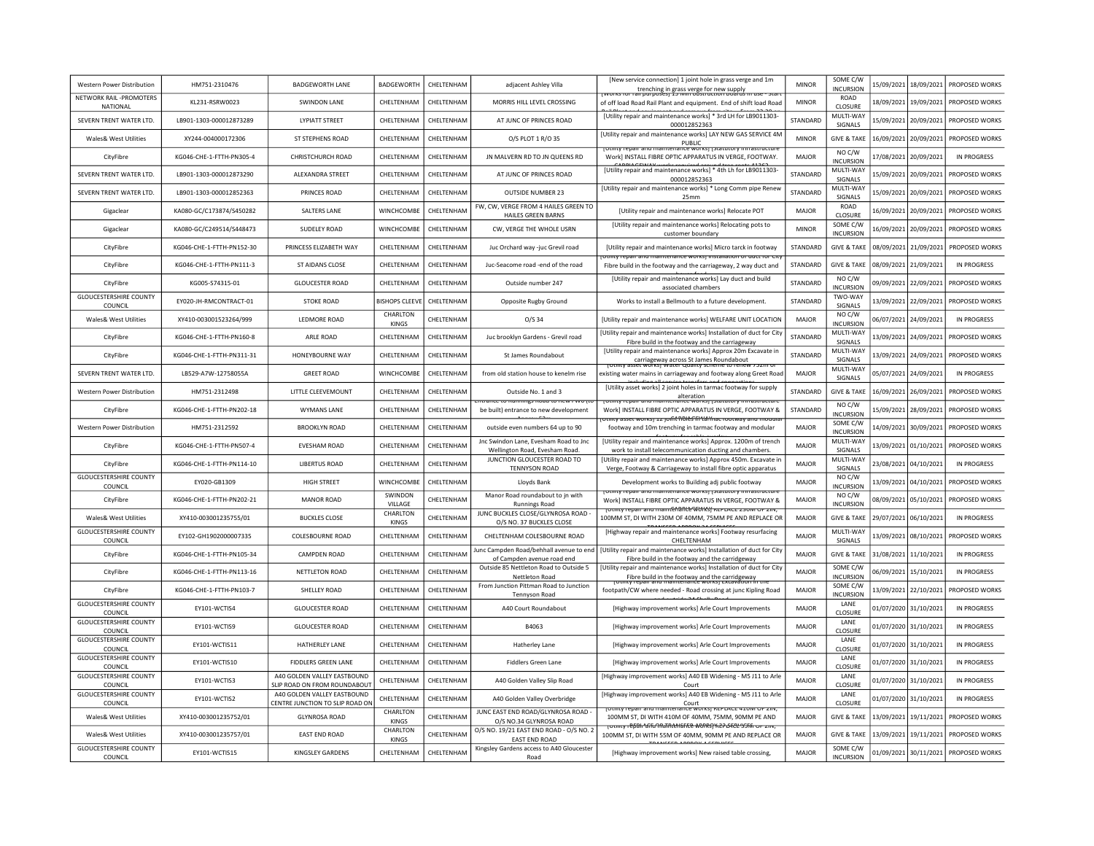| Western Power Distribution               | HM751-2310476             | <b>BADGEWORTH LANE</b>                                         | <b>BADGEWORTH</b>        | CHELTENHAM        | adiacent Ashley Villa                                                           | [New service connection] 1 joint hole in grass verge and 1m<br>trenching in grass verge for new supply<br><del>נצי השום המוסט המוסט המוסיכון באוסטומט ווא</del> די האדי האדי האדי האדי האדי | <b>MINOR</b>    | SOME C/W<br><b>INCURSION</b> |            | 15/09/2021 18/09/2021   | PROPOSED WORKS     |
|------------------------------------------|---------------------------|----------------------------------------------------------------|--------------------------|-------------------|---------------------------------------------------------------------------------|---------------------------------------------------------------------------------------------------------------------------------------------------------------------------------------------|-----------------|------------------------------|------------|-------------------------|--------------------|
| NETWORK RAIL -PROMOTERS<br>NATIONAL      | KL231-RSRW0023            | <b>SWINDON LANE</b>                                            | CHELTENHAM               | CHELTENHAM        | MORRIS HILL LEVEL CROSSING                                                      | of off load Road Rail Plant and equipment. End of shift load Road                                                                                                                           | <b>MINOR</b>    | <b>ROAD</b><br>CLOSURE       |            | 18/09/2021   19/09/2021 | PROPOSED WORKS     |
| SEVERN TRENT WATER LTD.                  | LB901-1303-000012873289   | <b>LYPIATT STREET</b>                                          | CHELTENHAM               | CHELTENHAM        | AT JUNC OF PRINCES ROAD                                                         | [Utility repair and maintenance works] * 3rd LH for LB9011303-<br>000012852363                                                                                                              | STANDARD        | MULTI-WAY<br>SIGNALS         |            | 15/09/2021   20/09/2021 | PROPOSED WORKS     |
| Wales& West Utilities                    | XY244-004000172306        | <b>ST STEPHENS ROAD</b>                                        | CHELTENHAM               | CHELTENHAM        | O/S PLOT 1 R/O 35                                                               | [Utility repair and maintenance works] LAY NEW GAS SERVICE 4M<br><b>PUBLIC</b>                                                                                                              | <b>MINOR</b>    | <b>GIVE &amp; TAKE</b>       | 16/09/2021 | 20/09/2021              | PROPOSED WORKS     |
| CityFibre                                | KG046-CHF-1-FTTH-PN305-4  | CHRISTCHURCH ROAD                                              | <b>CHFITENHAM</b>        | CHFITENHAM        | JN MALVERN RD TO JN QUEENS RD                                                   | <b>TULINEY TEDAH AND MANY</b><br><b>J</b> atutory<br>Work] INSTALL FIBRE OPTIC APPARATUS IN VERGE, FOOTWAY.                                                                                 | MAIOR           | NO C/W<br><b>INCURSION</b>   | 17/08/2021 | 20/09/2021              | IN PROGRESS        |
| SEVERN TRENT WATER LTD.                  | LB901-1303-000012873290   | ALEXANDRA STREET                                               | CHELTENHAM               | CHELTENHAM        | AT JUNC OF PRINCES ROAD                                                         | [Utility repair and maintenance works] * 4th Lh for LB9011303-<br>000012852363                                                                                                              | STANDARD        | MULTI-WAY<br>SIGNALS         | 15/09/2021 | 20/09/2021              | PROPOSED WORKS     |
| SEVERN TRENT WATER LTD.                  | LB901-1303-000012852363   | PRINCES ROAD                                                   | CHELTENHAM               | CHELTENHAM        | <b>OUTSIDE NUMBER 23</b>                                                        | [Utility repair and maintenance works] * Long Comm pipe Renew<br>25 <sub>mm</sub>                                                                                                           | STANDARD        | MULTI-WAY<br>SIGNALS         |            | 15/09/2021 20/09/2021   | PROPOSED WORKS     |
| Gigaclear                                | KA080-GC/C173874/S450282  | SALTERS LANE                                                   | WINCHCOMBE               | CHELTENHAM        | FW, CW, VERGE FROM 4 HAILES GREEN TO<br><b>HAILES GREEN BARNS</b>               | [Utility repair and maintenance works] Relocate POT                                                                                                                                         | <b>MAJOR</b>    | ROAD<br>CLOSURE              |            | 16/09/2021 20/09/2021   | PROPOSED WORKS     |
| Gigaclear                                | KA080-GC/C249514/S448473  | <b>SUDELEY ROAD</b>                                            | WINCHCOMBE               | CHELTENHAM        | CW, VERGE THE WHOLE USRN                                                        | [Utility repair and maintenance works] Relocating pots to<br>customer boundary                                                                                                              | <b>MINOR</b>    | SOME C/W<br><b>INCURSION</b> |            | 16/09/2021 20/09/2021   | PROPOSED WORKS     |
| CityFibre                                | KG046-CHE-1-FTTH-PN152-30 | PRINCESS ELIZABETH WAY                                         | CHELTENHAM               | CHELTENHAM        | Juc Orchard way -juc Grevil road                                                | [Utility repair and maintenance works] Micro tarck in footway                                                                                                                               | STANDARD        | <b>GIVE &amp; TAKE</b>       |            | 08/09/2021 21/09/2021   | PROPOSED WORKS     |
| CityFibre                                | KG046-CHF-1-FTTH-PN111-3  | ST AIDANS CLOSE                                                | CHELTENHAM               | CHELTENHAM        | Juc-Seacome road -end of the road                                               | Othity repair and maintenance works) installation or quet for Ch<br>Fibre build in the footway and the carriageway, 2 way duct and                                                          | STANDARD        | <b>GIVE &amp; TAKE</b>       |            | 08/09/2021 21/09/2021   | IN PROGRESS        |
| CityFibre                                | KG005-S74315-01           | <b>GLOUCESTER ROAD</b>                                         | CHELTENHAM               | CHELTENHAM        | Outside number 247                                                              | [Utility repair and maintenance works] Lay duct and build<br>associated chambers                                                                                                            | STANDARD        | NO C/W<br><b>INCURSION</b>   |            | 09/09/2021 22/09/2021   | PROPOSED WORKS     |
| <b>GLOUCESTERSHIRE COUNTY</b><br>COUNCIL | EY020-JH-RMCONTRACT-01    | <b>STOKE ROAD</b>                                              | <b>BISHOPS CLEEVE</b>    | CHELTENHAM        | Opposite Rugby Ground                                                           | Works to install a Bellmouth to a future development.                                                                                                                                       | STANDARD        | TWO-WAY<br>SIGNALS           |            | 13/09/2021 22/09/2021   | PROPOSED WORKS     |
| Wales& West Utilities                    | XY410-003001523264/999    | LEDMORE ROAD                                                   | CHARLTON<br>KINGS        | CHELTENHAM        | $O/S$ 34                                                                        | [Utility repair and maintenance works] WELFARE UNIT LOCATION                                                                                                                                | MAJOR           | NO C/W<br><b>INCURSION</b>   |            | 06/07/2021 24/09/2021   | IN PROGRESS        |
| CityFibre                                | KG046-CHE-1-FTTH-PN160-8  | ARLE ROAD                                                      | CHELTENHAM               | CHELTENHAM        | Juc brooklyn Gardens - Grevil road                                              | [Utility repair and maintenance works] Installation of duct for City<br>Fibre build in the footway and the carriageway                                                                      | STANDARD        | MULTI-WAY<br>SIGNALS         |            | 13/09/2021 24/09/2021   | PROPOSED WORKS     |
| CityFibre                                | KG046-CHE-1-FTTH-PN311-31 | HONEYBOURNE WAY                                                | CHELTENHAM               | CHELTENHAM        | St James Roundabout                                                             | [Utility repair and maintenance works] Approx 20m Excavate in<br>carriageway across St James Roundabout<br>- asset worksj water Quanty scheme to renew                                      | STANDARD        | MULTI-WAY<br>SIGNALS         |            | 13/09/2021 24/09/2021   | PROPOSED WORKS     |
| SEVERN TRENT WATER LTD                   | LB529-A7W-12758055A       | <b>GREET ROAD</b>                                              | WINCHCOMBE               | CHELTENHAM        | from old station house to kenelm rise                                           | existing water mains in carriageway and footway along Greet Road                                                                                                                            | MAJOR           | MULTI-WAY<br>SIGNALS         | 05/07/2021 | 24/09/2021              | <b>IN PROGRESS</b> |
| Western Power Distribution               | HM751-2312498             | LITTLE CLEEVEMOUNT                                             | CHELTENHAM               | CHFITENHAM        | Outside No. 1 and 3                                                             | [Utility asset works] 2 joint holes in tarmac footway for supply<br>alteration                                                                                                              | <b>STANDARD</b> | <b>GIVE &amp; TAKE</b>       | 16/09/2021 | 26/09/2021              | PROPOSED WORKS     |
| CityFibre                                | KG046-CHE-1-FTTH-PN202-18 | <b>WYMANS LANE</b>                                             | CHELTENHAM               | CHFITENHAM        | trance to Kummigs Koad to new rive (to<br>be built) entrance to new development | TULINLY TEDAIL and maintenance works   Statutory<br>rastructur<br>Work] INSTALL FIBRE OPTIC APPARATUS IN VERGE, FOOTWAY &                                                                   | STANDARD        | NO C/W<br><b>INCURSION</b>   | 15/09/2021 | 28/09/2021              | PROPOSED WORKS     |
| <b>Western Power Distribution</b>        | HM751-2312592             | <b>BROOKLYN ROAD</b>                                           | CHELTENHAM               | CHELTENHAM        | outside even numbers 64 up to 90                                                | otmty asset worksj 12 junit <del>NOIES הו למונים וסטנאפץ פחס חוט</del> טמה<br>footway and 10m trenching in tarmac footway and modular                                                       | MAJOR           | SOME C/W<br><b>INCURSION</b> |            | 14/09/2021 30/09/2021   | PROPOSED WORKS     |
| CityFibre                                | KG046-CHE-1-FTTH-PN507-4  | EVESHAM ROAD                                                   | CHELTENHAM               | CHELTENHAM        | Jnc Swindon Lane, Evesham Road to Jnc<br>Wellington Road, Evesham Road.         | [Utility repair and maintenance works] Approx, 1200m of trench<br>work to install telecommunication ducting and chambers.                                                                   | MAJOR           | MULTI-WAY<br>SIGNALS         |            | 13/09/2021 01/10/2021   | PROPOSED WORKS     |
| CityFibre                                | KG046-CHE-1-FTTH-PN114-10 | <b>LIBERTUS ROAD</b>                                           | CHELTENHAM               | CHELTENHAM        | JUNCTION GLOUCESTER ROAD TO<br><b>TENNYSON ROAD</b>                             | [Utility repair and maintenance works] Approx 450m. Excavate in<br>Verge, Footway & Carriageway to install fibre optic apparatus                                                            | MAJOR           | MULTI-WAY<br>SIGNALS         |            | 23/08/2021 04/10/2021   | <b>IN PROGRESS</b> |
| <b>GLOUCESTERSHIRE COUNTY</b><br>COUNCIL | EY020-GB1309              | <b>HIGH STREET</b>                                             | WINCHCOMBE               | CHELTENHAM        | Lloyds Bank                                                                     | Development works to Building adj public footway                                                                                                                                            | MAJOR           | NO C/W<br><b>INCURSION</b>   | 13/09/2021 | 04/10/2021              | PROPOSED WORKS     |
| CityFibre                                | KG046-CHE-1-FTTH-PN202-21 | <b>MANOR ROAD</b>                                              | SWINDON<br>VILLAGE       | CHELTENHAM        | Manor Road roundabout to jn with<br><b>Runnings Road</b>                        | <b>Othicy repair and maintenance works; istatutory inirastructu</b><br>Work] INSTALL FIBRE OPTIC APPARATUS IN VERGE, FOOTWAY &                                                              | <b>MAJOR</b>    | NO C/W<br><b>INCURSION</b>   |            | 08/09/2021 05/10/2021   | PROPOSED WORKS     |
| Wales& West Utilities                    | XY410-003001235755/01     | <b>BUCKLES CLOSE</b>                                           | CHARLTON<br><b>KINGS</b> | CHELTENHAM        | JUNC BUCKLES CLOSE/GLYNROSA ROAD -<br>O/S NO. 37 BUCKLES CLOSE                  | TOthity repair and mam@hante@MWKSj KEPLACE 250M OF 21N<br>100MM ST, DI WITH 230M OF 40MM, 75MM PE AND REPLACE OR<br><b>BANCEED ADDROVAACE</b>                                               | <b>MAJOR</b>    | <b>GIVE &amp; TAKE</b>       |            | 29/07/2021 06/10/2021   | <b>IN PROGRESS</b> |
| <b>GLOUCESTERSHIRE COUNTY</b><br>COUNCIL | FY102-GH1902000007335     | COLESBOURNE ROAD                                               | CHELTENHAM               | CHELTENHAM        | CHELTENHAM COLESBOURNE ROAD                                                     | [Highway repair and maintenance works] Footway resurfacing<br>CHELTENHAM                                                                                                                    | <b>MAJOR</b>    | MULTI-WAY<br>SIGNALS         |            | 13/09/2021 08/10/2021   | PROPOSED WORKS     |
| CityFibre                                | KG046-CHE-1-FTTH-PN105-34 | <b>CAMPDEN ROAD</b>                                            | CHELTENHAM               | CHELTENHAM        | Junc Campden Road/behhall avenue to end<br>of Campden avenue road end           | [Utility repair and maintenance works] Installation of duct for City<br>Fibre build in the footway and the carridgeway                                                                      | MAJOR           | <b>GIVE &amp; TAKE</b>       | 31/08/2021 | 11/10/2021              | <b>IN PROGRESS</b> |
| CityFibre                                | KG046-CHE-1-FTTH-PN113-16 | NETTLETON ROAD                                                 | CHELTENHAM               | CHELTENHAM        | Outside 85 Nettleton Road to Outside 5<br>Nettleton Road                        | [Utility repair and maintenance works] Installation of duct for City<br>Fibre build in the footway and the carridgeway                                                                      | MAJOR           | SOME C/W<br><b>INCURSION</b> | 06/09/2021 | 15/10/2021              | IN PROGRESS        |
| CityFibre                                | KG046-CHE-1-FTTH-PN103-7  | SHELLEY ROAD                                                   | CHELTENHAM               | CHELTENHAM        | From Junction Pittman Road to Junction<br>Tennyson Road                         | <u>inty repair and maniteriance worksi LACava</u><br>footpath/CW where needed - Road crossing at junc Kipling Road                                                                          | MAJOR           | SOME C/W<br>INCURSION        |            | 13/09/2021 22/10/2021   | PROPOSED WORKS     |
| <b>GLOUCESTERSHIRE COUNTY</b><br>COUNCIL | EY101-WCTIS4              | <b>GLOUCESTER ROAD</b>                                         | CHELTENHAM               | CHELTENHAM        | A40 Court Roundabout                                                            | [Highway improvement works] Arle Court Improvements                                                                                                                                         | MAJOR           | LANE<br>CLOSURE              |            | 01/07/2020 31/10/2021   | <b>IN PROGRESS</b> |
| <b>GLOUCESTERSHIRE COUNTY</b><br>COUNCIL | EY101-WCTIS9              | <b>GLOUCESTER ROAD</b>                                         | CHELTENHAM               | CHELTENHAM        | B4063                                                                           | [Highway improvement works] Arle Court Improvements                                                                                                                                         | <b>MAJOR</b>    | LANE<br>CLOSURE              |            | 01/07/2020 31/10/2021   | IN PROGRESS        |
| <b>GLOUCESTERSHIRE COUNTY</b><br>COUNCIL | EY101-WCTIS11             | HATHERLEY LANE                                                 | CHELTENHAM               | <b>CHFITENHAM</b> | Hatherley Lane                                                                  | [Highway improvement works] Arle Court Improvements                                                                                                                                         | MAJOR           | <b>I ANF</b><br>CLOSURE      |            | 01/07/2020 31/10/2021   | <b>IN PROGRESS</b> |
| <b>GLOUCESTERSHIRE COUNTY</b><br>COUNCIL | EY101-WCTIS10             | <b>FIDDLERS GREEN LANE</b>                                     | CHELTENHAM               | CHELTENHAM        | <b>Fiddlers Green Lane</b>                                                      | [Highway improvement works] Arle Court Improvements                                                                                                                                         | <b>MAJOR</b>    | LANE<br>CLOSURE              |            | 01/07/2020 31/10/2021   | <b>IN PROGRESS</b> |
| <b>GLOUCESTERSHIRE COUNTY</b><br>COUNCIL | EY101-WCTIS3              | A40 GOLDEN VALLEY EASTBOUND<br>SLIP ROAD ON FROM ROUNDABOUT    | CHELTENHAM               | CHELTENHAM        | A40 Golden Valley Slip Road                                                     | [Highway improvement works] A40 EB Widening - M5 J11 to Arle<br>Court                                                                                                                       | MAJOR           | LANE<br>CLOSURE              |            | 01/07/2020 31/10/2021   | <b>IN PROGRESS</b> |
| <b>GLOUCESTERSHIRE COUNTY</b><br>COUNCIL | EY101-WCTIS2              | A40 GOLDEN VALLEY EASTBOUND<br>CENTRE JUNCTION TO SLIP ROAD ON | CHELTENHAM               | CHELTENHAM        | A40 Golden Valley Overbridge                                                    | [Highway improvement works] A40 EB Widening - M5 J11 to Arle<br>Court<br>TOthity repair and maintenance workslike PLACE 410M OF 21N                                                         | MAJOR           | LANE<br>CLOSURE              |            | 01/07/2020 31/10/2021   | <b>IN PROGRESS</b> |
| Wales& West Utilities                    | XY410-003001235752/01     | <b>GLYNROSA ROAD</b>                                           | CHARLTON<br>KINGS        | CHELTENHAM        | JUNC EAST END ROAD/GLYNROSA ROAD -<br>O/S NO.34 GLYNROSA ROAD                   | 100MM ST, DI WITH 410M OF 40MM, 75MM, 90MM PE AND                                                                                                                                           | MAJOR           | <b>GIVE &amp; TAKE</b>       | 13/09/2021 | 19/11/2021              | PROPOSED WORKS     |
| <b>Wales&amp; West Utilities</b>         | XY410-003001235757/01     | <b>FAST FND ROAD</b>                                           | CHARLTON<br><b>KINGS</b> | CHELTENHAM        | O/S NO. 19/21 EAST END ROAD - O/S NO. 2<br><b>EAST END ROAD</b>                 | <del>ות יו פֿן פֿון אַ די אָזווי פֿון פֿון אַ דער דער פֿון פֿון אַ דער דער פֿון פֿון אַ דער דער דער דער פֿון פֿון א</del><br>100MM ST, DI WITH 55M OF 40MM, 90MM PE AND REPLACE OR          | MAJOR           | <b>GIVE &amp; TAKE</b>       |            | 13/09/2021 19/11/2021   | PROPOSED WORKS     |
| <b>GLOUCESTERSHIRE COUNTY</b><br>COUNCIL | EY101-WCTIS15             | <b>KINGSLEY GARDENS</b>                                        | CHELTENHAM               | CHELTENHAM        | Kingsley Gardens access to A40 Gloucester<br>Road                               | [Highway improvement works] New raised table crossing,                                                                                                                                      | MAJOR           | SOME C/W<br><b>INCURSION</b> |            | 01/09/2021 30/11/2021   | PROPOSED WORKS     |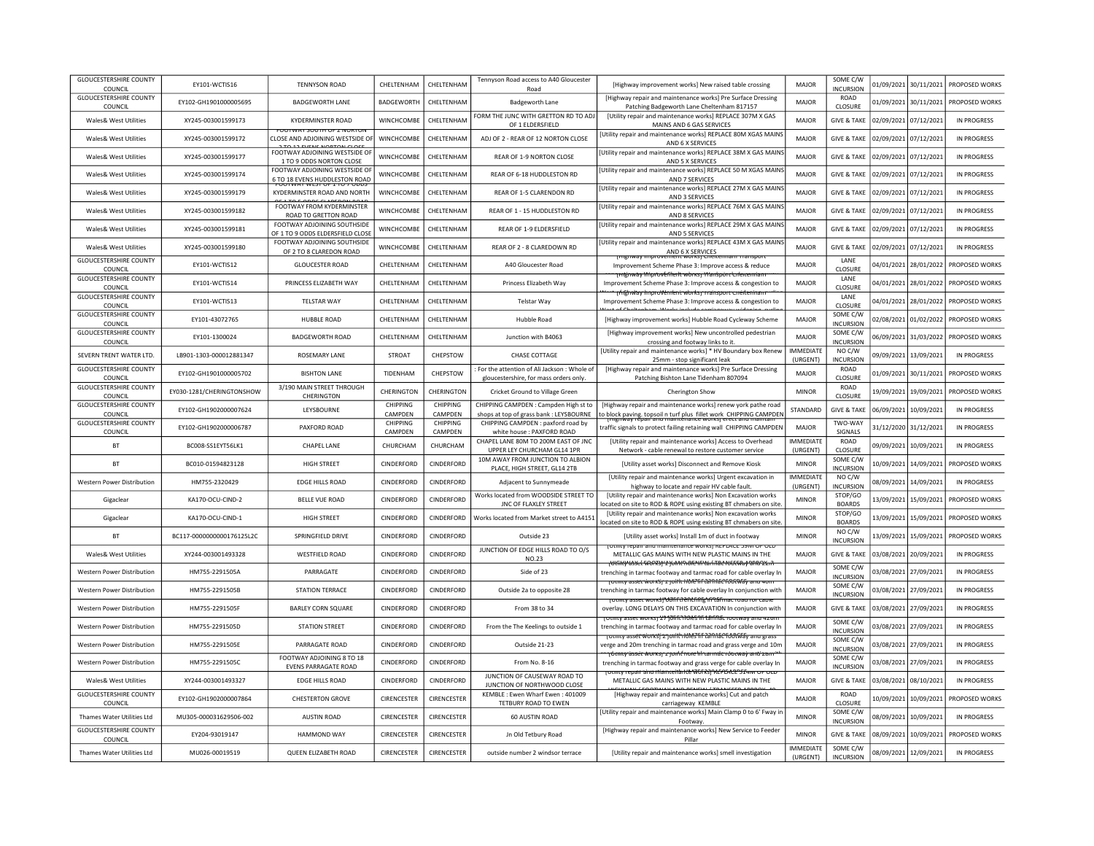| <b>GLOUCESTERSHIRE COUNTY</b><br>COUNCIL | EY101-WCTIS16             | <b>TENNYSON ROAD</b>                                               | CHELTENHAM          | CHELTENHAM                 | Tennyson Road access to A40 Gloucester<br>Road                                        | [Highway improvement works] New raised table crossing                                                                                                                                                                          | MAIOR                        | SOME C/W<br><b>INCURSION</b>  | 01/09/2021 | 30/11/2021            | PROPOSED WORKS     |
|------------------------------------------|---------------------------|--------------------------------------------------------------------|---------------------|----------------------------|---------------------------------------------------------------------------------------|--------------------------------------------------------------------------------------------------------------------------------------------------------------------------------------------------------------------------------|------------------------------|-------------------------------|------------|-----------------------|--------------------|
| <b>GLOUCESTERSHIRE COUNTY</b><br>COUNCIL | EY102-GH1901000005695     | <b>BADGEWORTH LANE</b>                                             | <b>BADGEWORTH</b>   | CHELTENHAM                 | <b>Badgeworth Lane</b>                                                                | [Highway repair and maintenance works] Pre Surface Dressing<br>Patching Badgeworth Lane Cheltenham 817157                                                                                                                      | <b>MAJOR</b>                 | <b>ROAD</b><br>CLOSURE        | 01/09/2021 | 30/11/2021            | PROPOSED WORKS     |
| Wales& West Utilities                    | XY245-003001599173        | <b>KYDERMINSTER ROAD</b>                                           | WINCHCOMBE          | CHELTENHAM                 | FORM THE JUNC WITH GRETTON RD TO ADJ<br>OF 1 ELDERSFIELD                              | [Utility repair and maintenance works] REPLACE 307M X GAS<br>MAINS AND 6 GAS SERVICES                                                                                                                                          | MAJOR                        | <b>GIVE &amp; TAKE</b>        | 02/09/2021 | 07/12/2021            | IN PROGRESS        |
| <b>Wales&amp; West Utilities</b>         | XY245-003001599172        | <b>PUUTWAT SUUTH UF Z NUNTU</b><br>CLOSE AND ADJOINING WESTSIDE OF | WINCHCOMBE          | CHELTENHAM                 | ADJ OF 2 - REAR OF 12 NORTON CLOSE                                                    | Utility repair and maintenance works] REPLACE 80M XGAS MAINS<br>AND 6 X SERVICES                                                                                                                                               | <b>MAJOR</b>                 | <b>GIVE &amp; TAKE</b>        | 02/09/2021 | 07/12/2021            | IN PROGRESS        |
| Wales& West Utilities                    | XY245-003001599177        | FOOTWAY ADJOINING WESTSIDE OF<br>1 TO 9 ODDS NORTON CLOSE          | <b>WINCHCOMBE</b>   | <b>CHEITENHAM</b>          | REAR OF 1-9 NORTON CLOSE                                                              | Utility repair and maintenance works] REPLACE 38M X GAS MAINS<br>AND 5 X SERVICES                                                                                                                                              | MAIOR                        | <b>GIVE &amp; TAKE</b>        | 02/09/2021 | 07/12/2021            | IN PROGRESS        |
| <b>Wales&amp; West Utilities</b>         | XY245-003001599174        | FOOTWAY ADJOINING WESTSIDE OF<br>6 TO 18 EVENS HUDDLESTON ROAD     | WINCHCOMBE          | CHELTENHAM                 | REAR OF 6-18 HUDDLESTON RD                                                            | [Utility repair and maintenance works] REPLACE 50 M XGAS MAINS<br>AND 7 SERVICES                                                                                                                                               | <b>MAJOR</b>                 | <b>GIVE &amp; TAKE</b>        | 02/09/2021 | 07/12/2021            | IN PROGRESS        |
| <b>Wales&amp; West Utilities</b>         | XY245-003001599179        | KYDERMINSTER ROAD AND NORTH                                        | <b>WINCHCOMBE</b>   | CHELTENHAM                 | REAR OF 1-5 CLARENDON RD                                                              | [Utility repair and maintenance works] REPLACE 27M X GAS MAINS<br>AND 3 SERVICES                                                                                                                                               | MAJOR                        | <b>GIVE &amp; TAKE</b>        | 02/09/2021 | 07/12/2021            | <b>IN PROGRESS</b> |
| Wales& West Utilities                    | XY245-003001599182        | FOOTWAY FROM KYDERMINSTER<br>ROAD TO GRETTON ROAD                  | WINCHCOMBE          | CHELTENHAM                 | REAR OF 1 - 15 HUDDLESTON RD                                                          | Utility repair and maintenance works] REPLACE 76M X GAS MAINS<br>AND 8 SERVICES                                                                                                                                                | MAJOR                        | <b>GIVE &amp; TAKE</b>        | 02/09/2021 | 07/12/2021            | <b>IN PROGRESS</b> |
| <b>Wales&amp; West Utilities</b>         | XY245-003001599181        | FOOTWAY ADJOINING SOUTHSIDE<br>OF 1 TO 9 ODDS ELDERSFIELD CLOSE    | WINCHCOMBE          | CHELTENHAM                 | REAR OF 1-9 ELDERSFIELD                                                               | [Utility repair and maintenance works] REPLACE 29M X GAS MAINS<br>AND 5 SERVICES                                                                                                                                               | MAJOR                        | <b>GIVE &amp; TAKE</b>        | 02/09/2021 | 07/12/2021            | IN PROGRESS        |
| <b>Wales&amp; West Utilities</b>         | XY245-003001599180        | FOOTWAY ADJOINING SOUTHSIDE<br>OF 2 TO 8 CLAREDON ROAD             | WINCHCOMBE          | CHELTENHAM                 | REAR OF 2 - 8 CLAREDOWN RD                                                            | [Utility repair and maintenance works] REPLACE 43M X GAS MAINS<br>AND 6 X SERVICES                                                                                                                                             | MAJOR                        | <b>GIVE &amp; TAKE</b>        | 02/09/2021 | 07/12/2021            | <b>IN PROGRESS</b> |
| <b>GLOUCESTERSHIRE COUNTY</b><br>COUNCIL | EY101-WCTIS12             | <b>GLOUCESTER ROAD</b>                                             | CHELTENHAM          | CHELTENHAM                 | A40 Gloucester Road                                                                   | inigiiway improvement worksi Cheitermani Transport<br>Improvement Scheme Phase 3: Improve access & reduce                                                                                                                      | MAJOR                        | LANE<br><b>CLOSURE</b>        |            | 04/01/2021 28/01/2022 | PROPOSED WORKS     |
| <b>GLOUCESTERSHIRE COUNTY</b><br>COUNCIL | FY101-WCTIS14             | PRINCESS FLIZABETH WAY                                             | <b>CHFITENHAM</b>   | CHELTENHAM                 | Princess Elizabeth Way                                                                | <del>mgnway MiprovEfileitt worksj Mansporc'erlei</del><br>Improvement Scheme Phase 3: Improve access & congestion to                                                                                                           | MAJOR                        | LANE<br><b>CLOSURE</b>        |            | 04/01/2021 28/01/2022 | PROPOSED WORKS     |
| <b>GLOUCESTERSHIRE COUNTY</b><br>COUNCIL | EY101-WCTIS13             | <b>TELSTAR WAY</b>                                                 | CHELTENHAM          | CHELTENHAM                 | <b>Telstar Wav</b>                                                                    | <del>n fißh way hnordVendent worksmaansport ener</del> t<br>Improvement Scheme Phase 3: Improve access & congestion to                                                                                                         | MAJOR                        | LANE<br>CLOSURE               |            | 04/01/2021 28/01/2022 | PROPOSED WORKS     |
| <b>GLOUCESTERSHIRE COUNTY</b><br>COUNCIL | EY101-43072765            | <b>HUBBLE ROAD</b>                                                 | CHELTENHAM          | CHELTENHAM                 | Hubble Road                                                                           | [Highway improvement works] Hubble Road Cycleway Scheme                                                                                                                                                                        | MAJOR                        | SOME C/W<br><b>INCURSION</b>  |            | 02/08/2021 01/02/2022 | PROPOSED WORKS     |
| <b>GLOUCESTERSHIRE COUNTY</b><br>COUNCIL | EY101-1300024             | <b>BADGEWORTH ROAD</b>                                             | CHELTENHAM          | CHELTENHAM                 | Junction with B4063                                                                   | [Highway improvement works] New uncontrolled pedestrian<br>crossing and footway links to it.                                                                                                                                   | MAJOR                        | SOME C/W<br>INCURSION         | 06/09/2021 | 31/03/2022            | PROPOSED WORKS     |
| SEVERN TRENT WATER LTD.                  | LB901-1303-000012881347   | ROSEMARY LANE                                                      | <b>STROAT</b>       | CHEPSTOW                   | CHASE COTTAGE                                                                         | [Utility repair and maintenance works] * HV Boundary box Renew<br>25mm - stop significant leak                                                                                                                                 | <b>IMMEDIATE</b><br>(URGENT) | NO C/W<br><b>INCURSION</b>    | 09/09/2021 | 13/09/2021            | <b>IN PROGRESS</b> |
| <b>GLOUCESTERSHIRE COUNTY</b><br>COUNCIL | EY102-GH1901000005702     | <b>BISHTON LANE</b>                                                | TIDENHAM            | CHEPSTOW                   | For the attention of Ali Jackson : Whole of<br>gloucestershire, for mass orders only. | [Highway repair and maintenance works] Pre Surface Dressing<br>Patching Bishton Lane Tidenham 807094                                                                                                                           | <b>MAJOR</b>                 | ROAD<br>CLOSURE               | 01/09/2021 | 30/11/2021            | PROPOSED WORKS     |
| <b>GLOUCESTERSHIRE COUNTY</b><br>COUNCIL | EY030-1281/CHERINGTONSHOW | 3/190 MAIN STREET THROUGH<br>CHERINGTON                            | CHERINGTON          | CHERINGTON                 | Cricket Ground to Village Green                                                       | Cherington Show                                                                                                                                                                                                                | <b>MINOR</b>                 | <b>ROAD</b><br><b>CLOSURE</b> | 19/09/2021 | 19/09/2021            | PROPOSED WORKS     |
| <b>GLOUCESTERSHIRE COUNTY</b><br>COUNCIL | EY102-GH1902000007624     | LEYSBOURNE                                                         | CHIPPING<br>CAMPDEN | <b>CHIPPING</b><br>CAMPDEN | CHIPPING CAMPDEN : Campden High st to<br>shops at top of grass bank : LEYSBOURNE      | [Highway repair and maintenance works] renew york pathe road<br>to block paving. topsoil n turf plus fillet work CHIPPING CAMPDEN                                                                                              | STANDARD                     | <b>GIVE &amp; TAKE</b>        | 06/09/2021 | 10/09/2021            | <b>IN PROGRESS</b> |
| <b>GLOUCESTERSHIRE COUNTY</b><br>COUNCIL | EY102-GH1902000006787     | PAXFORD ROAD                                                       | CHIPPING<br>CAMPDEN | CHIPPING<br>CAMPDEN        | CHIPPING CAMPDEN : paxford road by<br>white house : PAXFORD ROAD                      | traffic signals to protect failing retaining wall CHIPPING CAMPDEN                                                                                                                                                             | MAJOR                        | TWO-WAY<br>SIGNALS            | 31/12/2020 | 31/12/2021            | <b>IN PROGRESS</b> |
| <b>BT</b>                                | BC008-SS1EYT56LK1         | <b>CHAPEL LANE</b>                                                 | CHURCHAM            | CHURCHAM                   | CHAPEL LANE 80M TO 200M EAST OF JNC<br>UPPER LEY CHURCHAM GL14 1PR                    | <b>IUtility repair and maintenance works] Access to Overhead</b><br>Network - cable renewal to restore customer service                                                                                                        | <b>IMMEDIATE</b><br>(URGENT) | ROAD<br>CLOSURE               | 09/09/2021 | 10/09/2021            | <b>IN PROGRESS</b> |
| <b>BT</b>                                | BC010-01594823128         | <b>HIGH STREET</b>                                                 | CINDERFORD          | CINDERFORD                 | 10M AWAY FROM JUNCTION TO ALBION<br>PLACE, HIGH STREET, GL14 2TB                      | [Utility asset works] Disconnect and Remove Kiosk                                                                                                                                                                              | <b>MINOR</b>                 | SOME C/W<br><b>INCURSION</b>  | 10/09/2021 | 14/09/2021            | PROPOSED WORKS     |
| Western Power Distribution               | HM755-2320429             | <b>EDGE HILLS ROAD</b>                                             | CINDERFORD          | CINDERFORD                 | Adjacent to Sunnymeade                                                                | [Utility repair and maintenance works] Urgent excavation in<br>highway to locate and repair HV cable fault                                                                                                                     | <b>IMMEDIATE</b><br>(URGENT) | NO C/W<br><b>INCURSION</b>    | 08/09/2021 | 14/09/2021            | IN PROGRESS        |
| Gigaclear                                | KA170-OCU-CIND-2          | <b>BELLE VUE ROAD</b>                                              | CINDERFORD          | CINDERFORD                 | Works located from WOODSIDE STREET TO<br>JNC OF FLAXLEY STREET                        | [Utility repair and maintenance works] Non Excavation works<br>ocated on site to ROD & ROPE using existing BT chmabers on site                                                                                                 | <b>MINOR</b>                 | STOP/GO<br><b>BOARDS</b>      | 13/09/2021 | 15/09/2021            | PROPOSED WORKS     |
| Gigaclear                                | KA170-OCU-CIND-1          | <b>HIGH STREET</b>                                                 | CINDERFORD          | CINDERFORD                 | Works located from Market street to A415:                                             | [Utility repair and maintenance works] Non excavation works<br>located on site to ROD & ROPE using existing BT chmabers on site                                                                                                | <b>MINOR</b>                 | STOP/GO<br><b>BOARDS</b>      | 13/09/2021 | 15/09/2021            | PROPOSED WORKS     |
| <b>BT</b>                                | BC117-0000000000176125L2C | SPRINGFIFLD DRIVE                                                  | <b>CINDERFORD</b>   | <b>CINDERFORD</b>          | Outside 23                                                                            | [Utility asset works] Install 1m of duct in footway                                                                                                                                                                            | <b>MINOR</b>                 | NO C/W<br><b>INCURSION</b>    | 13/09/2021 | 15/09/2021            | PROPOSED WORKS     |
| <b>Wales&amp; West Utilities</b>         | XY244-003001493328        | <b>WESTFIELD ROAD</b>                                              | CINDERFORD          | CINDERFORD                 | JUNCTION OF EDGE HILLS ROAD TO O/S<br><b>NO.23</b>                                    | <b>FOLITILY TEDAIT AND MAINTENANCE WORKST KEPLACE 59IVFOR OLD</b><br>METALLIC GAS MAINS WITH NEW PLASTIC MAINS IN THE<br>tuchty asset works) in joint more in tarinac rootway and 22 m                                         | MAJOR                        | <b>GIVE &amp; TAKE</b>        | 03/08/2021 | 20/09/2021            | <b>IN PROGRESS</b> |
| Western Power Distribution               | HM755-2291505A            | PARRAGATE                                                          | CINDERFORD          | CINDERFORD                 | Side of 23                                                                            | trenching in tarmac footway and tarmac road for cable overlay In<br>Totmty asset worksjill joith Hole fif tannachoot way and wom                                                                                               | MAJOR                        | SOME C/W<br><b>INCURSION</b>  | 03/08/2021 | 27/09/2021            | <b>IN PROGRESS</b> |
| Western Power Distribution               | HM755-2291505B            | <b>STATION TERRACE</b>                                             | CINDERFORD          | CINDERFORD                 | Outside 2a to opposite 28                                                             | trenching in tarmac footway for cable overlay In conjunction with<br>TOUTHLY asset works!" <del>WJFFQ20CFRFE*IFP&amp;FmacToauTor.capic</del>                                                                                   | MAJOR                        | SOME C/W<br><b>INCURSION</b>  | 03/08/2021 | 27/09/2021            | IN PROGRESS        |
| Western Power Distribution               | HM755-2291505F            | <b>BARLEY CORN SQUARE</b>                                          | CINDERFORD          | CINDERFORD                 | From 38 to 34                                                                         | overlay, LONG DELAYS ON THIS EXCAVATION In conjunction with<br>TUtility asset works  27 10fift 110fes 1fi tariflat Tootway and 42011                                                                                           | <b>MAJOR</b>                 | <b>GIVE &amp; TAKE</b>        | 03/08/2021 | 27/09/2021            | IN PROGRESS        |
| Western Power Distribution               | HM755-2291505D            | <b>STATION STREET</b>                                              | CINDERFORD          | CINDERFORD                 | From the The Keelings to outside 1                                                    | trenching in tarmac footway and tarmac road for cable overlay In<br>TUtility asset worksji z joritt riches fif tannac foot way and grass                                                                                       | <b>MAJOR</b>                 | SOME C/W<br><b>INCURSION</b>  | 03/08/2021 | 27/09/2021            | IN PROGRESS        |
| Western Power Distribution               | HM755-2291505E            | PARRAGATE ROAD                                                     | CINDERFORD          | <b>CINDERFORD</b>          | Outside 21-23                                                                         | verge and 20m trenching in tarmac road and grass verge and 10m                                                                                                                                                                 | MAJOR                        | SOME C/W<br><b>INCURSION</b>  | 03/08/2021 | 27/09/2021            | IN PROGRESS        |
| Western Power Distribution               | HM755-2291505C            | FOOTWAY ADJOINING 8 TO 18<br><b>EVENS PARRAGATE ROAD</b>           | CINDERFORD          | CINDERFORD                 | From No. 8-16                                                                         | <del>וַ לְמוֹת asset works) ב Jonk note hh tarmac rootway and za ווּחַט (</del><br>trenching in tarmac footway and grass verge for cable overlay In<br>otmt <del>y repair and itiamteitarite Works) ולבו באמצעים לידי סב</del> | <b>MAJOR</b>                 | SOME C/W<br><b>INCURSION</b>  | 03/08/2021 | 27/09/2021            | IN PROGRESS        |
| <b>Wales&amp; West Utilities</b>         | XY244-003001493327        | <b>EDGE HILLS ROAD</b>                                             | CINDERFORD          | CINDERFORD                 | JUNCTION OF CAUSEWAY ROAD TO<br>JUNCTION OF NORTHWOOD CLOSE                           | METALLIC GAS MAINS WITH NEW PLASTIC MAINS IN THE                                                                                                                                                                               | MAJOR                        | <b>GIVE &amp; TAKE</b>        | 03/08/2021 | 08/10/2021            | <b>IN PROGRESS</b> |
| <b>GLOUCESTERSHIRE COUNTY</b><br>COUNCIL | EY102-GH1902000007864     | <b>CHESTERTON GROVE</b>                                            | CIRENCESTER         | CIRENCESTER                | KEMBLE: Ewen Wharf Ewen: 401009<br>TETBURY ROAD TO EWEN                               | [Highway repair and maintenance works] Cut and patch<br>carriageway KEMBLE                                                                                                                                                     | MAJOR                        | <b>ROAD</b><br>CLOSURE        | 10/09/2021 | 10/09/2021            | PROPOSED WORKS     |
| Thames Water Utilities Ltd               | MU305-000031629506-002    | <b>AUSTIN ROAD</b>                                                 | CIRENCESTER         | CIRENCESTER                | 60 AUSTIN ROAD                                                                        | [Utility repair and maintenance works] Main Clamp 0 to 6' Fway in<br>Footway                                                                                                                                                   | <b>MINOR</b>                 | SOME C/W<br>INCURSION         | 08/09/2021 | 10/09/2021            | IN PROGRESS        |
| <b>GLOUCESTERSHIRE COUNTY</b><br>COUNCIL | EY204-93019147            | <b>HAMMOND WAY</b>                                                 | CIRENCESTER         | CIRENCESTER                | Jn Old Tetbury Road                                                                   | [Highway repair and maintenance works] New Service to Feeder<br>Pillar                                                                                                                                                         | <b>MINOR</b>                 | <b>GIVE &amp; TAKE</b>        | 08/09/2021 | 10/09/2021            | PROPOSED WORKS     |
| Thames Water Utilities Ltd               | MU026-00019519            | QUEEN ELIZABETH ROAD                                               | CIRENCESTER         | CIRENCESTER                | outside number 2 windsor terrace                                                      | [Utility repair and maintenance works] smell investigation                                                                                                                                                                     | <b>IMMEDIATE</b><br>(URGENT) | SOME C/W<br><b>INCURSION</b>  |            | 08/09/2021 12/09/2021 | <b>IN PROGRESS</b> |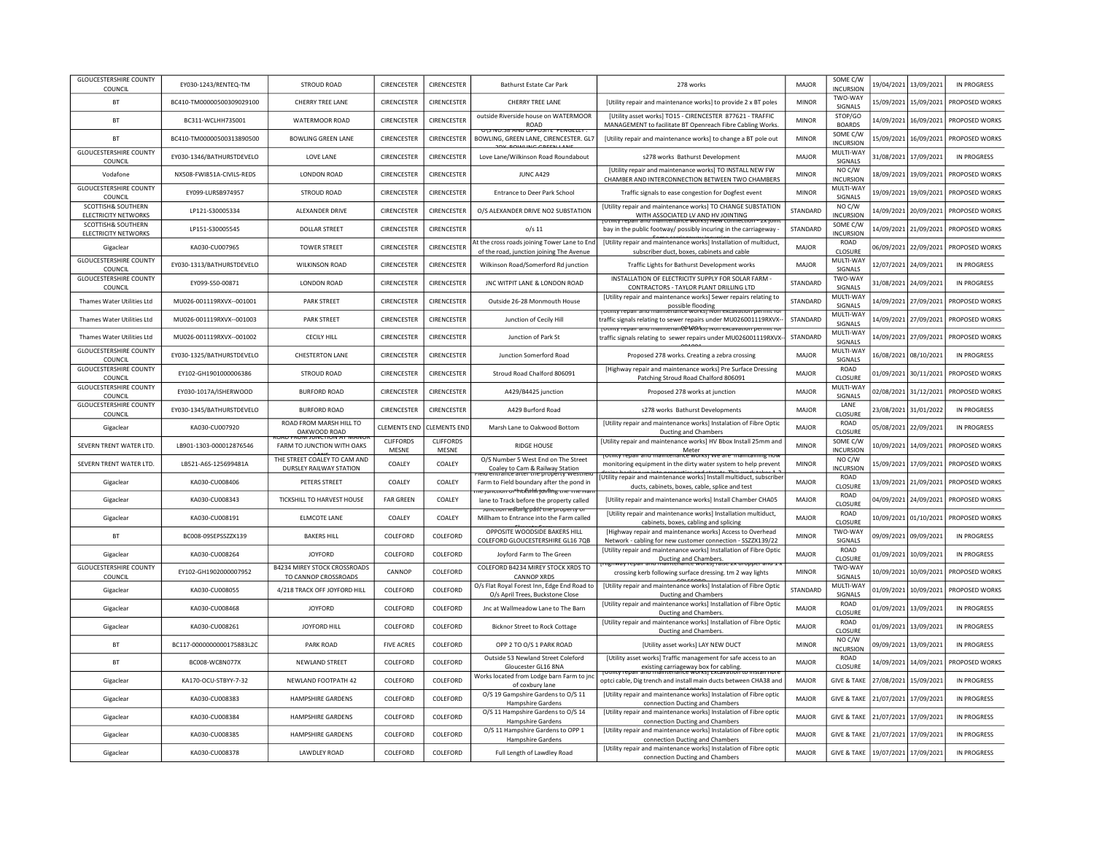| <b>GLOUCESTERSHIRE COUNTY</b><br>COUNCIL   | EY030-1243/RENTEQ-TM      | <b>STROUD ROAD</b>                                   | CIRENCESTER         | CIRENCESTER         | Bathurst Estate Car Park                                                                                           | 278 works                                                                                                                                                | MAJOR        | SOME C/W<br><b>INCURSION</b>      | 19/04/2021            | 13/09/2021 | <b>IN PROGRESS</b> |
|--------------------------------------------|---------------------------|------------------------------------------------------|---------------------|---------------------|--------------------------------------------------------------------------------------------------------------------|----------------------------------------------------------------------------------------------------------------------------------------------------------|--------------|-----------------------------------|-----------------------|------------|--------------------|
| <b>BT</b>                                  | BC410-TM00000500309029100 | CHERRY TREE LANE                                     | CIRENCESTER         | CIRENCESTER         | CHERRY TREE LANE                                                                                                   | [Utility repair and maintenance works] to provide 2 x BT poles                                                                                           | <b>MINOR</b> | TWO-WAY<br>SIGNALS                | 15/09/2021            | 15/09/2021 | PROPOSED WORKS     |
| <b>BT</b>                                  | BC311-WCLHH735001         | WATERMOOR ROAD                                       | <b>CIRENCESTER</b>  | CIRENCESTER         | outside Riverside house on WATERMOOR<br><b>ROAD</b>                                                                | [Utility asset works] TO15 - CIRENCESTER 877621 - TRAFFIC<br>MANAGEMENT to facilitate BT Openreach Fibre Cabling Works.                                  | <b>MINOR</b> | STOP/GO<br><b>BOARDS</b>          | 14/09/2021            | 16/09/2021 | PROPOSED WORKS     |
| <b>BT</b>                                  | BC410-TM00000500313890500 | <b>BOWLING GREEN LANE</b>                            | CIRENCESTER         | CIRENCESTER         | UIJ IVU.JO AIVU UFFUJ<br>$\overline{r}$ is the contract of $\overline{r}$<br>BOWLING, GREEN LANE, CIRENCESTER. GL7 | [Utility repair and maintenance works] to change a BT pole out                                                                                           | <b>MINOR</b> | SOME C/W<br><b>INCURSION</b>      | 15/09/2021            | 16/09/2021 | PROPOSED WORKS     |
| <b>GLOUCESTERSHIRE COUNTY</b><br>COUNCIL   | EY030-1346/BATHURSTDEVELO | <b>LOVE LANE</b>                                     | CIRENCESTER         | CIRENCESTER         | Love Lane/Wilkinson Road Roundabout                                                                                | s278 works Bathurst Development                                                                                                                          | MAJOR        | MULTI-WAY<br>SIGNALS              | 31/08/2021            | 17/09/2021 | <b>IN PROGRESS</b> |
| Vodafone                                   | NX508-FWI851A-CIVILS-REDS | <b>LONDON ROAD</b>                                   | CIRENCESTER         | CIRENCESTER         | JUNC A429                                                                                                          | [Utility repair and maintenance works] TO INSTALL NEW FW<br>CHAMBER AND INTERCONNECTION BETWEEN TWO CHAMBERS                                             | <b>MINOR</b> | NO C/W<br><b>INCURSION</b>        | 18/09/2021            | 19/09/2021 | PROPOSED WORKS     |
| <b>GLOUCESTERSHIRE COUNTY</b><br>COUNCIL   | EY099-LURSB974957         | STROUD ROAD                                          | CIRENCESTER         | CIRENCESTER         | Entrance to Deer Park School                                                                                       | Traffic signals to ease congestion for Dogfest event                                                                                                     | <b>MINOR</b> | MULTI-WAY<br>SIGNALS              | 19/09/2021            | 19/09/2021 | PROPOSED WORKS     |
| SCOTTISH& SOUTHERN<br>ELECTRICITY NETWORKS | LP121-S30005334           | ALEXANDER DRIVE                                      | CIRENCESTER         | CIRENCESTER         | O/S ALEXANDER DRIVE NO2 SUBSTATION                                                                                 | [Utility repair and maintenance works] TO CHANGE SUBSTATION<br>WITH ASSOCIATED IV AND HV IOINTING                                                        | STANDARD     | NO C/W<br><b>INCURSION</b>        | 14/09/2021            | 20/09/2021 | PROPOSED WORKS     |
| SCOTTISH& SOUTHERN<br>ELECTRICITY NETWORKS | LP151-S30005545           | <b>DOLLAR STREET</b>                                 | CIRENCESTER         | CIRENCESTER         | $0/s$ 11                                                                                                           | bay in the public footway/ possibly incuring in the carriageway                                                                                          | STANDARD     | SOME C/W<br><b>INCURSION</b>      | 14/09/2021            | 21/09/2021 | PROPOSED WORKS     |
| Gigaclear                                  | KA030-CU007965            | <b>TOWER STREET</b>                                  | CIRENCESTER         | CIRENCESTER         | At the cross roads joining Tower Lane to End<br>of the road, junction joining The Avenue                           | [Utility repair and maintenance works] Installation of multiduct,<br>subscriber duct, boxes, cabinets and cable                                          | MAJOR        | ROAD<br>CLOSURE                   | 06/09/2021            | 22/09/2021 | PROPOSED WORKS     |
| <b>GLOUCESTERSHIRE COUNTY</b><br>COUNCIL   | EY030-1313/BATHURSTDEVELO | <b>WILKINSON ROAD</b>                                | CIRENCESTER         | CIRENCESTER         | Wilkinson Road/Somerford Rd junction                                                                               | Traffic Lights for Bathurst Development works                                                                                                            | MAJOR        | MULTI-WAY<br>SIGNALS              | 12/07/2021            | 24/09/2021 | <b>IN PROGRESS</b> |
| <b>GLOUCESTERSHIRE COUNTY</b><br>COUNCIL   | EY099-S50-00871           | <b>LONDON ROAD</b>                                   | CIRENCESTER         | CIRENCESTER         | JNC WITPIT LANE & LONDON ROAD                                                                                      | INSTALLATION OF ELECTRICITY SUPPLY FOR SOLAR FARM<br>CONTRACTORS - TAYLOR PLANT DRILLING LTD                                                             | STANDARD     | TWO-WAY<br>SIGNALS                | 31/08/2021            | 24/09/2021 | <b>IN PROGRESS</b> |
| Thames Water Utilities Ltd                 | MU026-001119RXVX--001001  | <b>PARK STREET</b>                                   | CIRENCESTER         | CIRENCESTER         | Outside 26-28 Monmouth House                                                                                       | [Utility repair and maintenance works] Sewer repairs relating to<br>possible flooding                                                                    | STANDARD     | MULTI-WAY<br>SIGNALS              | 14/09/2021            | 27/09/2021 | PROPOSED WORKS     |
| Thames Water Utilities Ltd                 | MU026-001119RXVX--001003  | <b>PARK STREET</b>                                   | CIRENCESTER         | CIRENCESTER         | Junction of Cecily Hill                                                                                            | ונכוומוונכ שטו גאו ועטו<br>traffic signals relating to sewer repairs under MU026001119RXVX-                                                              | STANDARD     | MULTI-WAY<br>SIGNALS              | 14/09/2021            | 27/09/2021 | PROPOSED WORKS     |
| Thames Water Utilities Ltd                 | MU026-001119RXVX--001002  | <b>CECILY HILL</b>                                   | CIRENCESTER         | CIRENCESTER         | Junction of Park St                                                                                                | <u>דסנווונץ דפטמור מזום והמוזונפוזמות (County repair and maintenanter AM) וויזטק</u><br>traffic signals relating to sewer repairs under MU026001119RXVX- | STANDARD     | MULTI-WAY<br>SIGNALS              | 14/09/2021            | 27/09/2021 | PROPOSED WORKS     |
| <b>GLOUCESTERSHIRE COUNTY</b><br>COUNCIL   | EY030-1325/BATHURSTDEVELO | <b>CHESTERTON LANE</b>                               | CIRENCESTER         | CIRENCESTER         | Junction Somerford Road                                                                                            | Proposed 278 works. Creating a zebra crossing                                                                                                            | MAJOR        | MULTI-WAY<br>SIGNALS              | 16/08/2021            | 08/10/2021 | IN PROGRESS        |
| <b>GLOUCESTERSHIRE COUNTY</b><br>COUNCIL   | FY102-GH1901000006386     | STROUD ROAD                                          | CIRENCESTER         | <b>CIRENCESTER</b>  | Stroud Road Chalford 806091                                                                                        | [Highway repair and maintenance works] Pre Surface Dressing<br>Patching Stroud Road Chalford 806091                                                      | <b>MAJOR</b> | ROAD<br>CLOSURE                   | 01/09/2021            | 30/11/2021 | PROPOSED WORKS     |
| <b>GLOUCESTERSHIRE COUNTY</b><br>COUNCIL   | EY030-1017A/ISHERWOOD     | <b>BURFORD ROAD</b>                                  | CIRENCESTER         | CIRENCESTER         | A429/B4425 junction                                                                                                | Proposed 278 works at junction                                                                                                                           | MAJOR        | MULTI-WAY<br>SIGNALS              | 02/08/2021            | 31/12/2021 | PROPOSED WORKS     |
| <b>GLOUCESTERSHIRE COUNTY</b><br>COUNCIL   | EY030-1345/BATHURSTDEVELO | <b>BURFORD ROAD</b>                                  | CIRENCESTER         | <b>CIRENCESTER</b>  | A429 Burford Road                                                                                                  | s278 works Bathurst Developments                                                                                                                         | MAIOR        | LANE<br>CLOSURE                   | 23/08/2021            | 31/01/2022 | <b>IN PROGRESS</b> |
|                                            |                           |                                                      |                     |                     |                                                                                                                    |                                                                                                                                                          |              |                                   |                       |            |                    |
| Gigaclear                                  | KA030-CU007920            | ROAD FROM MARSH HILL TO                              | <b>CLEMENTS END</b> | <b>CLEMENTS END</b> | Marsh Lane to Oakwood Bottom                                                                                       | [Utility repair and maintenance works] Instalation of Fibre Optic                                                                                        | MAJOR        | ROAD                              | 05/08/2021            | 22/09/2021 | <b>IN PROGRESS</b> |
| SEVERN TRENT WATER LTD                     | LB901-1303-000012876546   | OAKWOOD ROAD<br>FARM TO JUNCTION WITH OAKS           | <b>CLIFFORDS</b>    | <b>CLIFFORDS</b>    | <b>RIDGE HOUSE</b>                                                                                                 | Ducting and Chambers<br>[Utility repair and maintenance works] HV Bbox Install 25mm and                                                                  | <b>MINOR</b> | CLOSURE<br>SOME C/W               | 10/09/2021            | 14/09/2021 | PROPOSED WORKS     |
| SEVERN TRENT WATER LTD.                    | LB521-A6S-125699481A      | THE STREET COALEY TO CAM AND                         | MESNE<br>COALEY     | MESNE<br>COALEY     | O/S Number 5 West End on The Street                                                                                | Meter<br>ance works<br>monitoring equipment in the dirty water system to help prevent                                                                    | <b>MINOR</b> | <b>INCURSION</b><br>NO C/W        | 15/09/2021            | 17/09/2021 | PROPOSED WORKS     |
| Gigaclear                                  | KA030-CU008406            | DURSLEY RAILWAY STATION<br>PFTFRS STRFFT             | <b>COALEY</b>       | COALEY              | Coaley to Cam & Railway Station<br>Farm to Field boundary after the pond in                                        | [Utility repair and maintenance works] Install multiduct, subscribe                                                                                      | <b>MAJOR</b> | <b>INCURSION</b><br>ROAD          | 13/09/2021            | 21/09/2021 | PROPOSED WORKS     |
| Gigaclear                                  | KA030-CU008343            | TICKSHILL TO HARVEST HOUSE                           | <b>FAR GREEN</b>    | COALEY              | re rancaon or 'ncksthi romme me me na<br>lane to Track before the property called                                  | ducts, cabinets, boxes, cable, splice and test<br>[Utility repair and maintenance works] Install Chamber CHA05                                           | MAJOR        | CLOSURE<br>ROAD                   | 04/09/2021            | 24/09/2021 | PROPOSED WORKS     |
| Gigaclear                                  | KA030-CU008191            | <b>ELMCOTE LANE</b>                                  | COALEY              | COALEY              | <del>Junction leading past the property or</del><br>Millham to Entrance into the Farm called                       | [Utility repair and maintenance works] Installation multiduct,                                                                                           | MAJOR        | CLOSURE<br>ROAD                   | 10/09/2021            | 01/10/2021 | PROPOSED WORKS     |
| <b>BT</b>                                  | BC008-09SEPSSZZX139       | <b>BAKERS HILL</b>                                   | COLEFORD            | COLEFORD            | OPPOSITE WOODSIDE BAKERS HILL                                                                                      | cabinets, boxes, cabling and splicing<br>[Highway repair and maintenance works] Access to Overhead                                                       | <b>MINOR</b> | CLOSURE<br>TWO-WAY                | 09/09/2021            | 09/09/2021 | IN PROGRESS        |
| Gigaclear                                  | KA030-CU008264            | <b>JOYFORD</b>                                       | COLEFORD            | COLEFORD            | COLEFORD GLOUCESTERSHIRE GL16 7QB<br>Joyford Farm to The Green                                                     | Network - cabling for new customer connection - SSZZX139/22<br><b>IUtility repair and maintenance works] Installation of Fibre Optic</b>                 | MAJOR        | SIGNALS<br>ROAD                   | 01/09/2021            | 10/09/2021 | <b>IN PROGRESS</b> |
| <b>GLOUCESTERSHIRE COUNTY</b>              | EY102-GH1902000007952     | <b>B4234 MIREY STOCK CROSSROADS</b>                  | CANNOP              | COLEFORD            | COLEFORD B4234 MIREY STOCK XRDS TO                                                                                 | Ducting and Chambers.<br>maintenance works raise<br>crossing kerb following surface dressing. tm 2 way lights                                            | <b>MINOR</b> | CLOSURE<br>TWO-WAY                | 10/09/2021            | 10/09/2021 | PROPOSED WORKS     |
| COUNCIL<br>Gigaclear                       | KA030-CU008055            | TO CANNOP CROSSROADS<br>4/218 TRACK OFF JOYFORD HILL | COLEFORD            | COLEFORD            | <b>CANNOP XRDS</b><br>O/s Flat Royal Forest Inn, Edge End Road to                                                  | [Utility repair and maintenance works] Instalation of Fibre Optic                                                                                        | STANDARD     | SIGNALS<br>MULTI-WAY              | 01/09/2021            | 10/09/2021 | PROPOSED WORKS     |
| Gigaclear                                  | KA030-CU008468            | <b>JOYFORD</b>                                       | COLEFORD            | COLEFORD            | O/s April Trees, Buckstone Close<br>Jnc at Wallmeadow Lane to The Barn                                             | Ducting and Chambers<br>[Utility repair and maintenance works] Installation of Fibre Optic                                                               | MAJOR        | SIGNALS<br>ROAD                   | 01/09/2021            | 13/09/2021 | <b>IN PROGRESS</b> |
| Gigaclear                                  | KA030-CU008261            | JOYFORD HILL                                         | COLEFORD            | COLEFORD            | <b>Bicknor Street to Rock Cottage</b>                                                                              | Ducting and Chambers.<br>[Utility repair and maintenance works] Installation of Fibre Optic                                                              | MAJOR        | CLOSURE<br>ROAD                   | 01/09/2021            | 13/09/2021 | <b>IN PROGRESS</b> |
| <b>BT</b>                                  | BC117-0000000000175883L2C | <b>PARK ROAD</b>                                     | <b>FIVE ACRES</b>   | COLEFORD            | OPP 2 TO O/S 1 PARK ROAD                                                                                           | Ducting and Chambers.<br>[Utility asset works] LAY NEW DUCT                                                                                              | <b>MINOR</b> | CLOSURE<br>NO C/W                 | 09/09/2021            | 13/09/2021 | <b>IN PROGRESS</b> |
| <b>BT</b>                                  | BC008-WC8N077X            | NEWLAND STREET                                       | COLEFORD            | COLEFORD            | Outside 53 Newland Street Coleford                                                                                 | [Utility asset works] Traffic management for safe access to an                                                                                           | MAJOR        | <b>INCURSION</b><br>ROAD          | 14/09/2021            | 14/09/2021 | PROPOSED WORKS     |
| Gigaclear                                  | KA170-OCU-STBYY-7-32      | NEWLAND FOOTPATH 42                                  | COLEFORD            | COLEFORD            | Gloucester GL16 8NA<br>Works located from Lodge barn Farm to jno                                                   | existing carriageway box for cabling<br>and maintenance worksjextavation<br>optci cable, Dig trench and install main ducts between CHA38 and             | MAJOR        | CLOSURE<br><b>GIVE &amp; TAKE</b> | 27/08/2021            | 15/09/2021 | <b>IN PROGRESS</b> |
| Gigaclear                                  | KA030-CU008383            | <b>HAMPSHIRE GARDENS</b>                             | COLEFORD            | COLEFORD            | of coxbury lane<br>O/S 19 Gampshire Gardens to O/S 11                                                              | [Utility repair and maintenance works] Instalation of Fibre optic                                                                                        | <b>MAJOR</b> | <b>GIVE &amp; TAKE</b>            | 21/07/2021            | 17/09/2021 | IN PROGRESS        |
| Gigaclear                                  | KA030-CU008384            | HAMPSHIRE GARDENS                                    | COLEFORD            | COLEFORD            | <b>Hampshire Gardens</b><br>O/S 11 Hampshire Gardens to O/S 14                                                     | connection Ducting and Chambers<br>[Utility repair and maintenance works] Instalation of Fibre optic                                                     | MAJOR        | <b>GIVE &amp; TAKE</b>            | 21/07/2021 17/09/2021 |            | <b>IN PROGRESS</b> |
| Gigaclear                                  | KA030-CU008385            | <b>HAMPSHIRE GARDENS</b>                             | COLEFORD            | COLEFORD            | <b>Hampshire Gardens</b><br>O/S 11 Hampshire Gardens to OPP 1                                                      | connection Ducting and Chambers<br>[Utility repair and maintenance works] Instalation of Fibre optic                                                     | MAJOR        | <b>GIVE &amp; TAKE</b>            | 21/07/2021            | 17/09/2021 | <b>IN PROGRESS</b> |
| Gigaclear                                  | KA030-CU008378            | <b>LAWDLEY ROAD</b>                                  | COLEFORD            | COLEFORD            | <b>Hampshire Gardens</b><br>Full Length of Lawdley Road                                                            | connection Ducting and Chambers<br>[Utility repair and maintenance works] Instalation of Fibre optic<br>connection Ducting and Chambers                  | MAJOR        | <b>GIVE &amp; TAKE</b>            | 19/07/2021 17/09/2021 |            | <b>IN PROGRESS</b> |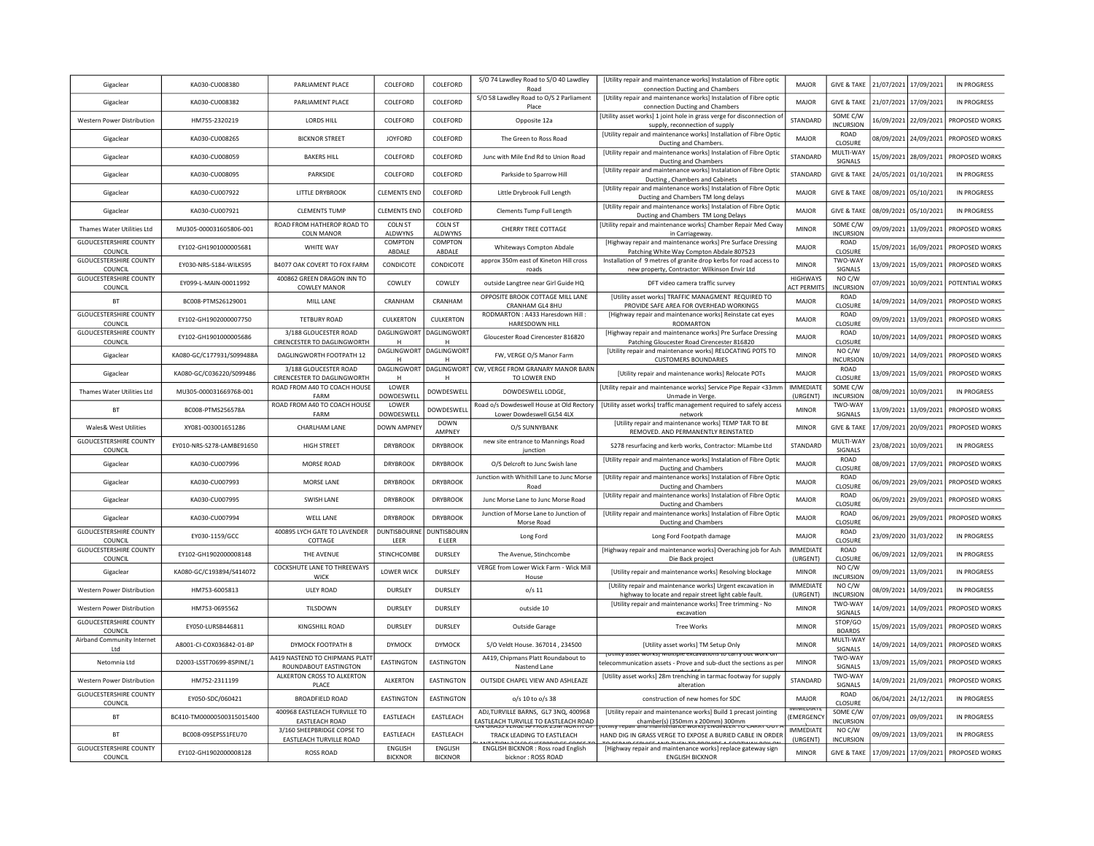| Gigaclear                                | KA030-CU008380            | PARLIAMENT PLACE                                       | COLEFORD                           | COLEFORD                     | S/O 74 Lawdley Road to S/O 40 Lawdley<br>Road                                      | [Utility repair and maintenance works] Instalation of Fibre optic<br>connection Ducting and Chambers                                   | MAJOR                                 | <b>GIVE &amp; TAKE</b>       | 21/07/2021 | 17/09/2021            | IN PROGRESS                           |
|------------------------------------------|---------------------------|--------------------------------------------------------|------------------------------------|------------------------------|------------------------------------------------------------------------------------|----------------------------------------------------------------------------------------------------------------------------------------|---------------------------------------|------------------------------|------------|-----------------------|---------------------------------------|
| Gigaclear                                | KA030-CU008382            | PARLIAMENT PLACE                                       | COLEFORD                           | COLEFORD                     | S/O 58 Lawdley Road to O/S 2 Parliament<br>Place                                   | [Utility repair and maintenance works] Instalation of Fibre optic<br>connection Ducting and Chambers                                   | MAJOR                                 | <b>GIVE &amp; TAKE</b>       | 21/07/2021 | 17/09/2021            | IN PROGRESS                           |
| Western Power Distribution               | HM755-2320219             | LORDS HILL                                             | COLEFORD                           | COLEFORD                     | Opposite 12a                                                                       | [Utility asset works] 1 joint hole in grass verge for disconnection of<br>supply, reconnection of supply                               | STANDARD                              | SOME C/W<br><b>INCURSION</b> |            | 16/09/2021 22/09/2021 | PROPOSED WORKS                        |
| Gigaclear                                | KA030-CU008265            | <b>BICKNOR STREET</b>                                  | <b>JOYFORD</b>                     | COLEFORD                     | The Green to Ross Road                                                             | [Utility repair and maintenance works] Installation of Fibre Optic<br>Ducting and Chambers.                                            | MAJOR                                 | ROAD<br>CLOSURE              |            | 08/09/2021 24/09/2021 | PROPOSED WORKS                        |
| Gigaclear                                | KA030-CU008059            | <b>BAKERS HILL</b>                                     | COLEFORD                           | COLEFORD                     | Junc with Mile End Rd to Union Road                                                | [Utility repair and maintenance works] Instalation of Fibre Optic<br>Ducting and Chambers                                              | STANDARD                              | MULTI-WAY<br>SIGNALS         | 15/09/2021 | 28/09/2021            | PROPOSED WORKS                        |
| Gigaclear                                | KA030-CU008095            | PARKSIDE                                               | COLEFORD                           | COLEFORD                     | Parkside to Sparrow Hill                                                           | [Utility repair and maintenance works] Instalation of Fibre Optic<br>Ducting, Chambers and Cabinets                                    | STANDARD                              | <b>GIVE &amp; TAKE</b>       |            | 24/05/2021 01/10/2021 | <b>IN PROGRESS</b>                    |
| Gigaclear                                | KA030-CU007922            | <b>LITTLE DRYBROOK</b>                                 | CLEMENTS END                       | COLEFORD                     | Little Drybrook Full Length                                                        | [Utility repair and maintenance works] Instalation of Fibre Optic<br>Ducting and Chambers TM long delays                               | MAIOR                                 | <b>GIVE &amp; TAKE</b>       |            | 08/09/2021 05/10/2021 | IN PROGRESS                           |
| Gigaclear                                | KA030-CU007921            | <b>CLEMENTS TUMP</b>                                   | <b>CLEMENTS END</b>                | COLEFORD                     | Clements Tump Full Length                                                          | [Utility repair and maintenance works] Instalation of Fibre Optic<br>Ducting and Chambers TM Long Delays                               | MAJOR                                 | <b>GIVE &amp; TAKE</b>       | 08/09/2021 | 05/10/2021            | <b>IN PROGRESS</b>                    |
| Thames Water Utilities Ltd               | MU305-000031605806-001    | ROAD FROM HATHEROP ROAD TO<br><b>COLN MANOR</b>        | COLN ST<br>ALDWYNS                 | <b>COLN ST</b><br>ALDWYNS    | CHERRY TREE COTTAGE                                                                | [Utility repair and maintenance works] Chamber Repair Med Cway<br>in Carriageway.                                                      | <b>MINOR</b>                          | SOME C/W<br><b>INCURSION</b> | 09/09/2021 | 13/09/2021            | PROPOSED WORKS                        |
| <b>GLOUCESTERSHIRE COUNTY</b><br>COUNCIL | EY102-GH1901000005681     | WHITE WAY                                              | COMPTON<br>ABDALE                  | COMPTON<br>ABDALE            | Whiteways Compton Abdale                                                           | [Highway repair and maintenance works] Pre Surface Dressing<br>Patching White Way Compton Abdale 807523                                | MAJOR                                 | ROAD<br>CLOSURE              | 15/09/2021 | 16/09/2021            | PROPOSED WORKS                        |
| <b>GLOUCESTERSHIRE COUNTY</b><br>COUNCIL | EY030-NRS-S184-WILKS95    | B4077 OAK COVERT TO FOX FARM                           | CONDICOTE                          | CONDICOTE                    | approx 350m east of Kineton Hill cross<br>roads                                    | Installation of 9 metres of granite drop kerbs for road access to<br>new property, Contractor: Wilkinson Envir Ltd                     | <b>MINOR</b>                          | TWO-WAY<br>SIGNALS           |            | 13/09/2021 15/09/2021 | PROPOSED WORKS                        |
| <b>GLOUCESTERSHIRE COUNTY</b><br>COUNCIL | EY099-L-MAIN-00011992     | 400862 GREEN DRAGON INN TO<br><b>COWLEY MANOR</b>      | COWLEY                             | COWLEY                       | outside Langtree near Girl Guide HQ                                                | DFT video camera traffic survey                                                                                                        | <b>HIGHWAYS</b><br><b>ACT PERMITS</b> | NO C/W<br><b>INCURSION</b>   |            |                       | 07/09/2021 10/09/2021 POTENTIAL WORKS |
| <b>BT</b>                                | BC008-PTMS26129001        | MILL LANE                                              | CRANHAM                            | CRANHAM                      | OPPOSITE BROOK COTTAGE MILL LANE<br>CRANHAM GL4 8HU                                | [Utility asset works] TRAFFIC MANAGMENT REQUIRED TO<br>PROVIDE SAFE AREA FOR OVERHEAD WORKINGS                                         | MAJOR                                 | ROAD<br>CLOSURE              |            | 14/09/2021 14/09/2021 | PROPOSED WORKS                        |
| <b>GLOUCESTERSHIRE COUNTY</b><br>COUNCIL | EY102-GH1902000007750     | <b>TETBURY ROAD</b>                                    | CULKERTON                          | <b>CULKERTON</b>             | RODMARTON: A433 Haresdown Hill:<br>HARESDOWN HILL                                  | [Highway repair and maintenance works] Reinstate cat eyes<br>RODMARTON                                                                 | MAJOR                                 | ROAD<br>CLOSURE              |            | 09/09/2021 13/09/2021 | PROPOSED WORKS                        |
| <b>GLOUCESTERSHIRE COUNTY</b><br>COUNCIL | EY102-GH1901000005686     | 3/188 GLOUCESTER ROAD<br>CIRENCESTER TO DAGLINGWORTH   | DAGLINGWORT                        | <b>DAGLINGWORT</b><br>H      | Gloucester Road Cirencester 816820                                                 | [Highway repair and maintenance works] Pre Surface Dressing<br>Patching Gloucester Road Cirencester 816820                             | MAJOR                                 | ROAD<br>CLOSURE              | 10/09/2021 | 14/09/2021            | PROPOSED WORKS                        |
| Gigaclear                                | KA080-GC/C177931/S099488A | DAGLINGWORTH FOOTPATH 12                               | DAGLINGWORT                        | DAGLINGWORT<br>H             | FW, VERGE O/S Manor Farm                                                           | [Utility repair and maintenance works] RELOCATING POTS TO<br><b>CUSTOMERS BOUNDARIES</b>                                               | <b>MINOR</b>                          | NO C/W<br><b>INCURSION</b>   | 10/09/2021 | 14/09/2021            | PROPOSED WORKS                        |
| Gigaclear                                | KA080-GC/C036220/S099486  | 3/188 GLOUCESTER ROAD<br>CIRENCESTER TO DAGLINGWORTH   | DAGLINGWORT<br>н                   | <b>DAGLINGWORT</b><br>H      | CW, VERGE FROM GRANARY MANOR BARN<br>TO LOWER END                                  | [Utility repair and maintenance works] Relocate POTs                                                                                   | MAJOR                                 | ROAD<br>CLOSURE              |            | 13/09/2021 15/09/2021 | PROPOSED WORKS                        |
| Thames Water Utilities Ltd               | MU305-000031669768-001    | ROAD FROM A40 TO COACH HOUSE<br>FARM                   | LOWER<br>DOWDESWELL                | DOWDESWELL                   | DOWDESWELL LODGE,                                                                  | [Utility repair and maintenance works] Service Pipe Repair <33mm<br>Unmade in Verge                                                    | <b>IMMEDIATE</b><br>(URGENT)          | SOME C/W<br><b>INCURSION</b> | 08/09/2021 | 10/09/2021            | <b>IN PROGRESS</b>                    |
| <b>BT</b>                                | BC008-PTMS256578A         | ROAD FROM A40 TO COACH HOUSE<br>FARM                   | LOWER<br>DOWDESWELL                | <b>DOWDESWELL</b>            | Road o/s Dowdeswell House at Old Rectory<br>Lower Dowdeswell GL54 4LX              | [Utility asset works] traffic management required to safely access<br>network                                                          | <b>MINOR</b>                          | TWO-WAY<br>SIGNALS           | 13/09/2021 | 13/09/2021            | PROPOSED WORKS                        |
| Wales& West Utilities                    | XY081-003001651286        | <b>CHARLHAM LANE</b>                                   | DOWN AMPNEY                        | <b>DOWN</b><br>AMPNEY        | O/S SUNNYBANK                                                                      | [Utility repair and maintenance works] TEMP TAR TO BE<br>REMOVED. AND PERMANENTLY REINSTATED                                           | <b>MINOR</b>                          | <b>GIVE &amp; TAKE</b>       | 17/09/2021 | 20/09/2021            | PROPOSED WORKS                        |
| <b>GLOUCESTERSHIRE COUNTY</b><br>COUNCIL | EY010-NRS-S278-LAMBE91650 | <b>HIGH STREET</b>                                     | <b>DRYBROOK</b>                    | <b>DRYBROOK</b>              | new site entrance to Mannings Road<br>junction                                     | S278 resurfacing and kerb works, Contractor: MLambe Ltd                                                                                | STANDARD                              | MULTI-WAY<br>SIGNALS         | 23/08/2021 | 10/09/2021            | <b>IN PROGRESS</b>                    |
| Gigaclear                                | KA030-CU007996            | MORSE ROAD                                             | <b>DRYBROOK</b>                    | <b>DRYBROOK</b>              | O/S Delcroft to Junc Swish lane                                                    | [Utility repair and maintenance works] Instalation of Fibre Optic<br>Ducting and Chambers                                              | MAJOR                                 | <b>ROAD</b><br>CLOSURE       | 08/09/2021 | 17/09/2021            | PROPOSED WORKS                        |
| Gigaclear                                | KA030-CU007993            | MORSE LANE                                             | <b>DRYBROOK</b>                    | <b>DRYBROOK</b>              | Junction with Whithill Lane to Junc Morse<br>Road                                  | [Utility repair and maintenance works] Instalation of Fibre Optic<br><b>Ducting and Chambers</b>                                       | MAJOR                                 | ROAD<br>CLOSURE              | 06/09/2021 | 29/09/2021            | PROPOSED WORKS                        |
| Gigaclear                                | KA030-CU007995            | SWISH LANE                                             | <b>DRYBROOK</b>                    | <b>DRYBROOK</b>              | Junc Morse Lane to Junc Morse Road                                                 | [Utility repair and maintenance works] Instalation of Fibre Optic<br>Ducting and Chambers                                              | MAJOR                                 | ROAD<br>CLOSURE              | 06/09/2021 | 29/09/2021            | PROPOSED WORKS                        |
| Gigaclear                                | KA030-CU007994            | WELL LANE                                              | <b>DRYBROOK</b>                    | <b>DRYBROOK</b>              | Junction of Morse Lane to Junction of<br>Morse Road                                | [Utility repair and maintenance works] Instalation of Fibre Optic<br><b>Ducting and Chambers</b>                                       | MAJOR                                 | ROAD<br>CLOSURE              | 06/09/2021 | 29/09/2021            | PROPOSED WORKS                        |
| <b>GLOUCESTERSHIRE COUNTY</b><br>COUNCIL | EY030-1159/GCC            | 400895 LYCH GATE TO LAVENDER<br>COTTAGE                | <b>DUNTISBOURNE</b><br><b>IFFR</b> | <b>DUNTISBOURN</b><br>E LEER | Long Ford                                                                          | Long Ford Footpath damage                                                                                                              | MAJOR                                 | ROAD<br>CLOSURE              |            | 23/09/2020 31/03/2022 | <b>IN PROGRESS</b>                    |
| <b>GLOUCESTERSHIRE COUNTY</b><br>COUNCIL | EY102-GH1902000008148     | THE AVENUE                                             | STINCHCOMBE                        | <b>DURSLEY</b>               | The Avenue, Stinchcombe                                                            | [Highway repair and maintenance works] Overaching job for Ash<br>Die Back project                                                      | <b>IMMEDIATE</b><br>(URGENT)          | <b>ROAD</b><br>CLOSURE       |            | 06/09/2021 12/09/2021 | IN PROGRESS                           |
| Gigaclear                                | KA080-GC/C193894/S414072  | COCKSHUTE LANE TO THREEWAYS<br><b>WICK</b>             | <b>LOWER WICK</b>                  | DURSLEY                      | VERGE from Lower Wick Farm - Wick Mill<br>House                                    | [Utility repair and maintenance works] Resolving blockage                                                                              | <b>MINOR</b>                          | NO C/W<br><b>INCURSION</b>   |            | 09/09/2021 13/09/2021 | IN PROGRESS                           |
| Western Power Distribution               | HM753-6005813             | <b>ULEY ROAD</b>                                       | DURSLEY                            | DURSLEY                      | $o/s$ 11                                                                           | [Utility repair and maintenance works] Urgent excavation in<br>highway to locate and repair street light cable fault.                  | <b>IMMEDIATE</b><br>(URGENT)          | NO C/W<br><b>INCURSION</b>   |            | 08/09/2021 14/09/2021 | <b>IN PROGRESS</b>                    |
| Western Power Distribution               | HM753-0695562             | TILSDOWN                                               | DURSLEY                            | DURSLEY                      | outside 10                                                                         | [Utility repair and maintenance works] Tree trimming - No<br>excavation                                                                | <b>MINOR</b>                          | TWO-WAY<br>SIGNALS           | 14/09/2021 | 14/09/2021            | PROPOSED WORKS                        |
| <b>GLOUCESTERSHIRE COUNTY</b><br>COUNCIL | FY050-LURSB446811         | KINGSHILL ROAD                                         | <b>DURSLEY</b>                     | <b>DURSLEY</b>               | Outside Garage                                                                     | <b>Tree Works</b>                                                                                                                      | <b>MINOR</b>                          | STOP/GO<br><b>BOARDS</b>     | 15/09/2021 | 15/09/2021            | PROPOSED WORKS                        |
| Airband Community Internet<br>Ltd        | A8001-CI-COX036842-01-BP  | DYMOCK FOOTPATH 8                                      | <b>DYMOCK</b>                      | <b>DYMOCK</b>                | S/O Veldt House, 367014, 234500                                                    | [Utility asset works] TM Setup Only                                                                                                    | <b>MINOR</b>                          | MULTI-WAY<br>SIGNALS         | 14/09/2021 | 14/09/2021            | PROPOSED WORKS                        |
| Netomnia Ltd                             | D2003-LSST70699-8SPINE/1  | 4419 NASTEND TO CHIPMANS PLAT<br>ROUNDABOUT EASTINGTON | <b>EASTINGTON</b>                  | <b>EASTINGTON</b>            | A419, Chipmans Platt Roundabout to<br>Nastend Lane                                 | [Utility asset works] with tiple excavations to carry out work on<br>relecommunication assets - Prove and sub-duct the sections as per | <b>MINOR</b>                          | TWO-WAY<br>SIGNALS           |            | 13/09/2021 15/09/2021 | PROPOSED WORKS                        |
| Western Power Distribution               | HM752-2311199             | ALKERTON CROSS TO ALKERTON<br>PLACE                    | <b>ALKERTON</b>                    | <b>EASTINGTON</b>            | OUTSIDE CHAPEL VIEW AND ASHLEAZE                                                   | [Utility asset works] 28m trenching in tarmac footway for supply<br>alteration                                                         | STANDARD                              | TWO-WAY<br>SIGNALS           |            | 14/09/2021 21/09/2021 | PROPOSED WORKS                        |
| <b>GLOUCESTERSHIRE COUNTY</b><br>COUNCIL | EY050-SDC/060421          | <b>BROADFIELD ROAD</b>                                 | <b>EASTINGTON</b>                  | <b>EASTINGTON</b>            | o/s 10 to o/s 38                                                                   | construction of new homes for SDC                                                                                                      | MAJOR                                 | ROAD<br>CLOSURE              | 06/04/2021 | 24/12/2021            | <b>IN PROGRESS</b>                    |
| <b>BT</b>                                | BC410-TM00000500315015400 | 400968 EASTLEACH TURVILLE TO<br>EASTLEACH ROAD         | EASTLEACH                          | EASTLEACH                    | ADJ,TURVILLE BARNS, GL7 3NQ, 400968<br><b>EASTLEACH TURVILLE TO EASTLEACH ROAD</b> | [Utility repair and maintenance works] Build 1 precast jointing<br>chamber(s) (350mm x 200mm) 300mm                                    | EMERGENCY                             | SOME C/W<br>INCURSION        |            | 07/09/2021 09/09/2021 | <b>IN PROGRESS</b>                    |
| <b>BT</b>                                | BC008-09SEPSS1FEU70       | 3/160 SHEEPBRIDGE COPSE TO                             | <b>FASTI FACH</b>                  | EASTLEACH                    | TRACK LEADING TO EASTLEACH                                                         | HAND DIG IN GRASS VERGE TO EXPOSE A BURIED CABLE IN ORDER                                                                              | <b>IMMEDIATE</b><br>(URGENT)          | NO C/W<br><b>INCURSION</b>   |            | 09/09/2021 13/09/2021 | IN PROGRESS                           |
|                                          |                           |                                                        |                                    |                              |                                                                                    |                                                                                                                                        |                                       |                              |            |                       |                                       |
| <b>GLOUCESTERSHIRE COUNTY</b><br>COUNCIL | EY102-GH1902000008128     | EASTLEACH TURVILLE ROAD<br><b>ROSS ROAD</b>            | <b>ENGLISH</b><br><b>BICKNOR</b>   | ENGLISH<br><b>BICKNOR</b>    | <b>ENGLISH BICKNOR: Ross road English</b><br>bicknor: ROSS ROAD                    | [Highway repair and maintenance works] replace gateway sign<br><b>ENGLISH BICKNOR</b>                                                  | <b>MINOR</b>                          | <b>GIVE &amp; TAKE</b>       |            | 17/09/2021 17/09/2021 | PROPOSED WORKS                        |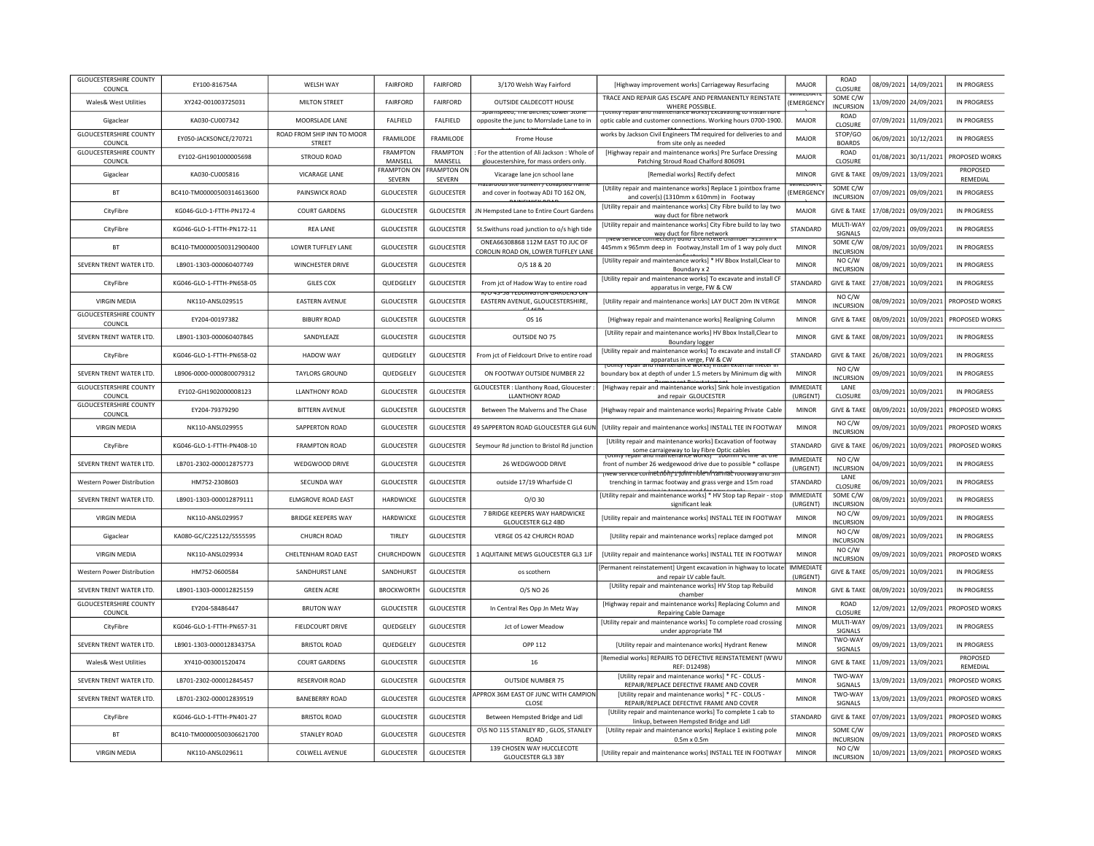| <b>GLOUCESTERSHIRE COUNTY</b><br>COUNCIL | EY100-816754A             | <b>WELSH WAY</b>                            | <b>FAIRFORD</b>              | <b>FAIRFORD</b>              | 3/170 Welsh Way Fairford                                                                     | [Highway improvement works] Carriageway Resurfacing                                                                                        | MAJOR                        | <b>ROAD</b><br>CLOSURE       | 08/09/2021 | 14/09/2021            | <b>IN PROGRESS</b>                   |
|------------------------------------------|---------------------------|---------------------------------------------|------------------------------|------------------------------|----------------------------------------------------------------------------------------------|--------------------------------------------------------------------------------------------------------------------------------------------|------------------------------|------------------------------|------------|-----------------------|--------------------------------------|
| Wales& West Utilities                    | XY242-001003725031        | <b>MILTON STREET</b>                        | <b>FAIRFORD</b>              | <b>FAIRFORD</b>              | OUTSIDE CALDECOTT HOUSE<br>speed, me pirches, cower stu                                      | TRACE AND REPAIR GAS ESCAPE AND PERMANENTLY REINSTATE<br><b>WHERE POSSIBLE</b>                                                             | <b>TEDIAT</b><br>(EMERGENC)  | SOME C/W<br><b>INCURSION</b> |            | 13/09/2020 24/09/2021 | IN PROGRESS                          |
| Gigaclear                                | KA030-CU007342            | MOORSLADE LANE                              | <b>FAIFIELD</b>              | FALFIELD                     | opposite the junc to Morrslade Lane to in                                                    | ic : UUSSEES.<br>ICE WOTKSJ EXCAN<br>optic cable and customer connections. Working hours 0700-1900.                                        | MAJOR                        | <b>ROAD</b><br>CLOSURE       | 07/09/2021 | 11/09/2021            | <b>IN PROGRESS</b>                   |
| <b>GLOUCESTERSHIRE COUNTY</b><br>COUNCIL | EY050-JACKSONCE/270721    | ROAD FROM SHIP INN TO MOOR<br><b>STREET</b> | <b>FRAMILODE</b>             | <b>FRAMILODE</b>             | <b>Frome House</b>                                                                           | works by Jackson Civil Engineers TM required for deliveries to and<br>from site only as needed                                             | <b>MAJOR</b>                 | STOP/GO<br><b>BOARDS</b>     | 06/09/2021 | 10/12/2021            | IN PROGRESS                          |
| <b>GLOUCESTERSHIRE COUNTY</b><br>COUNCIL | EY102-GH1901000005698     | <b>STROUD ROAD</b>                          | <b>FRAMPTON</b><br>MANSELL   | <b>FRAMPTON</b><br>MANSELL   | For the attention of Ali Jackson : Whole of<br>gloucestershire, for mass orders only.        | [Highway repair and maintenance works] Pre Surface Dressing<br>Patching Stroud Road Chalford 806091                                        | MAJOR                        | ROAD<br>CLOSURE              | 01/08/2021 | 30/11/2021            | PROPOSED WORKS                       |
| Gigaclear                                | KA030-CU005816            | <b>VICARAGE LANE</b>                        | <b>FRAMPTON ON</b><br>SEVERN | <b>FRAMPTON ON</b><br>SEVERN | Vicarage lane icn school lane                                                                | [Remedial works] Rectify defect                                                                                                            | <b>MINOR</b>                 | <b>GIVE &amp; TAKE</b>       | 09/09/2021 | 13/09/2021            | PROPOSED<br>REMEDIAL                 |
| <b>BT</b>                                | BC410-TM00000500314613600 | PAINSWICK ROAD                              | <b>GLOUCESTER</b>            | <b>GLOUCESTER</b>            | Tazaruous site sunken 7 collabseu frami<br>and cover in footway ADJ TO 162 ON,               | [Utility repair and maintenance works] Replace 1 jointbox frame<br>and cover(s) (1310mm x 610mm) in Footway                                | EMERGENC                     | SOME C/W<br><b>INCURSION</b> | 07/09/2021 | 09/09/2021            | IN PROGRESS                          |
| CityFibre                                | KG046-GLO-1-FTTH-PN172-4  | <b>COURT GARDENS</b>                        | <b>GLOUCESTER</b>            | <b>GLOUCESTER</b>            | JN Hempsted Lane to Entire Court Gardens                                                     | [Utility repair and maintenance works] City Fibre build to lay two<br>way duct for fibre network                                           | MAJOR                        | <b>GIVE &amp; TAKE</b>       | 17/08/2021 | 09/09/202:            | <b>IN PROGRESS</b>                   |
| CityFibre                                | KG046-GLO-1-FTTH-PN172-11 | <b>REA LANE</b>                             | <b>GLOUCESTER</b>            | <b>GLOUCESTER</b>            | St.Swithuns road junction to o/s high tide                                                   | [Utility repair and maintenance works] City Fibre build to lay two<br>way duct for fibre network                                           | STANDARD                     | MULTI-WAY<br>SIGNALS         | 02/09/2021 | 09/09/2021            | IN PROGRESS                          |
| <b>BT</b>                                | BC410-TM00000500312900400 | LOWER TUFFLEY LANE                          | <b>GLOUCESTER</b>            | <b>GLOUCESTER</b>            | ONEA66308868 112M EAST TO JUC OF<br>COROLIN ROAD ON, LOWER TUFFLEY LANE                      | <u>new service connection i build a concrete cha</u><br>445mm x 965mm deep in Footway, Install 1m of 1 way poly duct                       | <b>MINOR</b>                 | SOME C/W<br><b>INCURSION</b> | 08/09/2021 | 10/09/2021            | <b>IN PROGRESS</b>                   |
| SEVERN TRENT WATER LTD.                  | LB901-1303-000060407749   | WINCHESTER DRIVE                            | <b>GLOUCESTER</b>            | <b>GLOUCESTER</b>            | O/S 18 & 20                                                                                  | [Utility repair and maintenance works] * HV Bbox Install, Clear to<br>Boundary x 2                                                         | <b>MINOR</b>                 | NO C/W<br><b>INCURSION</b>   |            | 08/09/2021 10/09/2021 | IN PROGRESS                          |
| CityFibre                                | KG046-GLO-1-FTTH-PN658-05 | <b>GILES COX</b>                            | QUEDGELEY                    | <b>GLOUCESTER</b>            | From jct of Hadow Way to entire road<br>ווט כאום שהואט זיוט ו טיוועעם דסכ"כ <del>ר</del> טיו | [Utility repair and maintenance works] To excavate and install CF<br>apparatus in verge, FW & CW                                           | STANDARD                     | <b>GIVE &amp; TAKE</b>       |            | 27/08/2021 10/09/2021 | <b>IN PROGRESS</b>                   |
| <b>VIRGIN MEDIA</b>                      | NK110-ANSL029515          | <b>EASTERN AVENUE</b>                       | <b>GLOUCESTER</b>            | <b>GLOUCESTER</b>            | EASTERN AVENUE, GLOUCESTERSHIRE,                                                             | [Utility repair and maintenance works] LAY DUCT 20m IN VERGE                                                                               | <b>MINOR</b>                 | NO C/W<br><b>INCURSION</b>   | 08/09/2021 | 10/09/2021            | PROPOSED WORKS                       |
| <b>GLOUCESTERSHIRE COUNTY</b><br>COUNCIL | EY204-00197382            | <b>BIBURY ROAD</b>                          | <b>GLOUCESTER</b>            | <b>GLOUCESTER</b>            | OS 16                                                                                        | [Highway repair and maintenance works] Realigning Column                                                                                   | <b>MINOR</b>                 | <b>GIVE &amp; TAKE</b>       | 08/09/2021 | 10/09/2021            | PROPOSED WORKS                       |
| SEVERN TRENT WATER LTD.                  | LB901-1303-000060407845   | SANDYLEAZE                                  | <b>GLOUCESTER</b>            | <b>GLOUCESTER</b>            | OUTSIDE NO 75                                                                                | [Utility repair and maintenance works] HV Bbox Install, Clear to<br>Boundary logger                                                        | <b>MINOR</b>                 | <b>GIVE &amp; TAKE</b>       | 08/09/2021 | 10/09/2021            | <b>IN PROGRESS</b>                   |
| CityFibre                                | KG046-GLO-1-FTTH-PN658-02 | <b>HADOW WAY</b>                            | QUEDGELEY                    | <b>GLOUCESTER</b>            | From jct of Fieldcourt Drive to entire road                                                  | [Utility repair and maintenance works] To excavate and install CF<br>apparatus in verge, FW & CW<br>Tepair and maintenance worksj installe | STANDARD                     | <b>GIVE &amp; TAKE</b>       | 26/08/2021 | 10/09/2021            | <b>IN PROGRESS</b>                   |
| SEVERN TRENT WATER LTD.                  | LB906-0000-0000800079312  | <b>TAYLORS GROUND</b>                       | QUEDGELEY                    | <b>GLOUCESTER</b>            | ON FOOTWAY OUTSIDE NUMBER 22                                                                 | boundary box at depth of under 1.5 meters by Minimum dig with                                                                              | <b>MINOR</b>                 | NO C/W<br><b>INCURSION</b>   | 09/09/2021 | 10/09/2021            | <b>IN PROGRESS</b>                   |
| <b>GLOUCESTERSHIRE COUNTY</b><br>COUNCIL | EY102-GH1902000008123     | <b>LLANTHONY ROAD</b>                       | <b>GLOUCESTER</b>            | <b>GLOUCESTER</b>            | GLOUCESTER : Llanthony Road, Gloucester :<br><b>LLANTHONY ROAD</b>                           | [Highway repair and maintenance works] Sink hole investigation<br>and repair GLOUCESTER                                                    | <b>IMMEDIATE</b><br>(URGENT) | LANE<br>CLOSURE              | 03/09/2021 | 10/09/2021            | <b>IN PROGRESS</b>                   |
| <b>GLOUCESTERSHIRE COUNTY</b><br>COUNCIL | FY204-79379290            | <b>BITTERN AVENUE</b>                       | <b>GLOUCESTER</b>            | <b>GLOUCESTER</b>            | Between The Malverns and The Chase                                                           | [Highway repair and maintenance works] Repairing Private Cable                                                                             | <b>MINOR</b>                 | <b>GIVE &amp; TAKE</b>       | 08/09/2021 | 10/09/2021            | PROPOSED WORKS                       |
| <b>VIRGIN MEDIA</b>                      | NK110-ANSL029955          | SAPPERTON ROAD                              | <b>GLOUCESTER</b>            | <b>GLOUCESTER</b>            | 49 SAPPERTON ROAD GLOUCESTER GL4 6UN                                                         | [Utility repair and maintenance works] INSTALL TEE IN FOOTWAY                                                                              | <b>MINOR</b>                 | NO C/W<br><b>INCURSION</b>   | 09/09/2021 | 10/09/2021            | PROPOSED WORKS                       |
| CityFibre                                | KG046-GLO-1-FTTH-PN408-10 | <b>FRAMPTON ROAD</b>                        | <b>GLOUCESTER</b>            | <b>GLOUCESTER</b>            | Seymour Rd junction to Bristol Rd junction                                                   | [Utility repair and maintenance works] Excavation of footway<br>some carraigeway to lay Fibre Optic cables                                 | STANDARD                     | <b>GIVE &amp; TAKE</b>       | 06/09/2021 | 10/09/2021            | PROPOSED WORKS                       |
| SEVERN TRENT WATER LTD.                  | LB701-2302-000012875773   | WEDGWOOD DRIVE                              | <b>GLOUCESTER</b>            | <b>GLOUCESTER</b>            | 26 WEDGWOOD DRIVE                                                                            | front of number 26 wedgewood drive due to possible * collaspe<br><del>inet.nóhr 1 john: nole ní tanmat rootway anu :</del>                 | <b>IMMEDIATE</b><br>(URGENT) | NO C/W<br><b>INCURSION</b>   | 04/09/2021 | 10/09/2021            | IN PROGRESS                          |
| Western Power Distribution               | HM752-2308603             | <b>SECUNDA WAY</b>                          | <b>GLOUCESTER</b>            | <b>GLOUCESTER</b>            | outside 17/19 Wharfside Cl                                                                   | trenching in tarmac footway and grass verge and 15m road                                                                                   | STANDARD                     | LANE<br>CLOSURE              | 06/09/2021 | 10/09/2021            | IN PROGRESS                          |
| SEVERN TRENT WATER LTD                   | LB901-1303-000012879111   | <b>ELMGROVE ROAD EAST</b>                   | HARDWICKE                    | <b>GLOUCESTER</b>            | O/O30                                                                                        | [Utility repair and maintenance works] * HV Stop tap Repair - stop<br>significant leak                                                     | <b>IMMEDIATE</b><br>(URGENT) | SOME C/W<br>INCURSION        | 08/09/2021 | 10/09/2021            | IN PROGRESS                          |
| <b>VIRGIN MEDIA</b>                      | NK110-ANSL029957          | <b>BRIDGE KEEPERS WAY</b>                   | <b>HARDWICKF</b>             | <b>GLOUCESTER</b>            | 7 BRIDGE KEEPERS WAY HARDWICKE<br><b>GLOUCESTER GL2 4BD</b>                                  | [Utility repair and maintenance works] INSTALL TEE IN FOOTWAY                                                                              | <b>MINOR</b>                 | NO C/W<br><b>INCURSION</b>   | 09/09/2021 | 10/09/2021            | <b>IN PROGRESS</b>                   |
| Gigaclear                                | KA080-GC/C225122/S555595  | CHURCH ROAD                                 | TIRLEY                       | <b>GLOUCESTER</b>            | VERGE OS 42 CHURCH ROAD                                                                      | [Utility repair and maintenance works] replace damged pot                                                                                  | <b>MINOR</b>                 | NO C/W<br><b>INCURSION</b>   | 08/09/2021 | 10/09/2021            | IN PROGRESS                          |
| <b>VIRGIN MEDIA</b>                      | NK110-ANSL029934          | CHELTENHAM ROAD EAST                        | CHURCHDOWN                   | <b>GLOUCESTER</b>            | 1 AQUITAINE MEWS GLOUCESTER GL3 1JF                                                          | [Utility repair and maintenance works] INSTALL TEE IN FOOTWAY                                                                              | <b>MINOR</b>                 | NO C/W<br><b>INCURSION</b>   | 09/09/2021 | 10/09/2021            | PROPOSED WORKS                       |
| Western Power Distribution               | HM752-0600584             | SANDHURST LANE                              | SANDHURST                    | <b>GLOUCESTER</b>            | os scothern                                                                                  | [Permanent reinstatement] Urgent excavation in highway to locate<br>and repair LV cable fault.                                             | <b>IMMEDIATE</b><br>(URGENT) | <b>GIVE &amp; TAKE</b>       | 05/09/2021 | 10/09/2021            | <b>IN PROGRESS</b>                   |
| SEVERN TRENT WATER LTD                   | LB901-1303-000012825159   | <b>GREEN ACRE</b>                           | <b>BROCKWORTH</b>            | <b>GLOUCESTER</b>            | O/S NO 26                                                                                    | [Utility repair and maintenance works] HV Stop tap Rebuild<br>chamber                                                                      | <b>MINOR</b>                 | <b>GIVE &amp; TAKE</b>       | 08/09/2021 | 10/09/2021            | IN PROGRESS                          |
| <b>GLOUCESTERSHIRE COUNTY</b><br>COUNCIL | EY204-58486447            | <b>BRUTON WAY</b>                           | <b>GLOUCESTER</b>            | <b>GLOUCESTER</b>            | In Central Res Opp Jn Metz Way                                                               | [Highway repair and maintenance works] Replacing Column and<br>Repairing Cable Damage                                                      | <b>MINOR</b>                 | ROAD<br>CLOSURE              | 12/09/2021 | 12/09/2021            | PROPOSED WORKS                       |
| CityFibre                                | KG046-GLO-1-FTTH-PN657-31 | <b>FIELDCOURT DRIVE</b>                     | QUEDGELEY                    | <b>GLOUCESTER</b>            | Jct of Lower Meadow                                                                          | [Utility repair and maintenance works] To complete road crossing<br>under appropriate TM                                                   | <b>MINOR</b>                 | MULTI-WAY<br>SIGNALS         | 09/09/2021 | 13/09/2021            | IN PROGRESS                          |
| SFVERN TRENT WATER LTD                   | IB901-1303-000012834375A  | <b>BRISTOL ROAD</b>                         | <b>OUFDGELEY</b>             | <b>GLOUCESTER</b>            | OPP 112                                                                                      | [Utility repair and maintenance works] Hydrant Renew                                                                                       | <b>MINOR</b>                 | TWO-WAY<br><b>SIGNALS</b>    | 09/09/2021 | 13/09/2021            | <b>IN PROGRESS</b>                   |
| Wales& West Utilities                    | XY410-003001520474        | <b>COURT GARDENS</b>                        | <b>GLOUCESTER</b>            | <b>GLOUCESTER</b>            | 16                                                                                           | [Remedial works] REPAIRS TO DEFECTIVE REINSTATEMENT (WWU<br>REF: D12498)                                                                   | <b>MINOR</b>                 | <b>GIVE &amp; TAKE</b>       | 11/09/2021 | 13/09/2021            | PROPOSED<br>REMEDIAL                 |
| SEVERN TRENT WATER LTD.                  | LB701-2302-000012845457   | RESERVOIR ROAD                              | <b>GLOUCESTER</b>            | <b>GLOUCESTER</b>            | <b>OUTSIDE NUMBER 75</b>                                                                     | [Utility repair and maintenance works] * FC - COLUS -<br>REPAIR/REPLACE DEFECTIVE FRAME AND COVER                                          | <b>MINOR</b>                 | TWO-WAY<br>SIGNALS           | 13/09/2021 | 13/09/2021            | PROPOSED WORKS                       |
| SEVERN TRENT WATER LTD.                  | LB701-2302-000012839519   | <b>BANEBERRY ROAD</b>                       | <b>GLOUCESTER</b>            | <b>GLOUCESTER</b>            | APPROX 36M EAST OF JUNC WITH CAMPION<br>CLOSE                                                | [Utility repair and maintenance works] * FC - COLUS -<br>REPAIR/REPLACE DEFECTIVE FRAME AND COVER                                          | <b>MINOR</b>                 | TWO-WAY<br>SIGNALS           | 13/09/2021 | 13/09/2021            | PROPOSED WORKS                       |
| CityFibre                                | KG046-GLO-1-FTTH-PN401-27 | <b>BRISTOL ROAD</b>                         | <b>GLOUCESTER</b>            | <b>GLOUCESTER</b>            | Between Hempsted Bridge and Lidl                                                             | [Utility repair and maintenance works] To complete 1 cab to<br>linkup, between Hempsted Bridge and Lidl                                    | STANDARD                     | <b>GIVE &amp; TAKE</b>       | 07/09/2021 | 13/09/2021            | PROPOSED WORKS                       |
| <b>BT</b>                                | BC410-TM00000500306621700 | <b>STANLEY ROAD</b>                         | <b>GLOUCESTER</b>            | GLOUCESTER                   | O\S NO 115 STANLEY RD, GLOS, STANLEY<br><b>ROAD</b>                                          | [Utility repair and maintenance works] Replace 1 existing pole<br>$0.5m \times 0.5m$                                                       | <b>MINOR</b>                 | SOME C/W<br><b>INCURSION</b> |            | 09/09/2021 13/09/2021 | PROPOSED WORKS                       |
| <b>VIRGIN MEDIA</b>                      | NK110-ANSL029611          | <b>COLWELL AVENUE</b>                       | <b>GLOUCESTER</b>            | <b>GLOUCESTER</b>            | 139 CHOSEN WAY HUCCLECOTE<br>GLOUCESTER GL3 3BY                                              | [Utility repair and maintenance works] INSTALL TEE IN FOOTWAY                                                                              | <b>MINOR</b>                 | NO C/W<br><b>INCURSION</b>   |            |                       | 10/09/2021 13/09/2021 PROPOSED WORKS |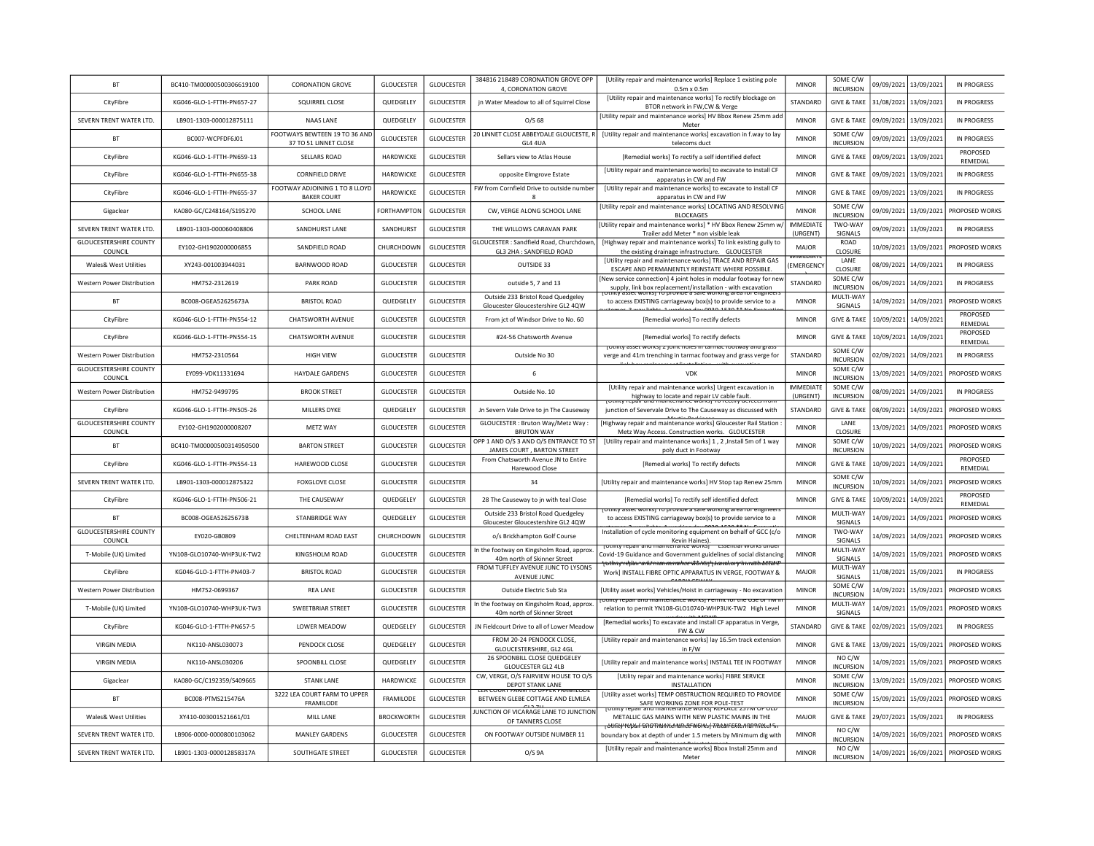| <b>BT</b>                                       | BC410-TM00000500306619100 | <b>CORONATION GROVE</b>                                | <b>GLOUCESTER</b>  | <b>GLOUCESTER</b> | 384816 218489 CORONATION GROVE OPP<br>4, CORONATION GROVE                | [Utility repair and maintenance works] Replace 1 existing pole<br>$0.5m \times 0.5m$                                                                                                                       | <b>MINOR</b>                 | SOME C/W<br><b>INCURSION</b>         |            | 09/09/2021 13/09/2021 | IN PROGRESS          |
|-------------------------------------------------|---------------------------|--------------------------------------------------------|--------------------|-------------------|--------------------------------------------------------------------------|------------------------------------------------------------------------------------------------------------------------------------------------------------------------------------------------------------|------------------------------|--------------------------------------|------------|-----------------------|----------------------|
| CityFibre                                       | KG046-GLO-1-FTTH-PN657-27 | SQUIRREL CLOSE                                         | QUEDGELEY          | <b>GLOUCESTER</b> | jn Water Meadow to all of Squirrel Close                                 | [Utility repair and maintenance works] To rectify blockage on<br>BTOR network in FW,CW & Verge                                                                                                             | STANDARD                     | <b>GIVE &amp; TAKE</b>               |            | 31/08/2021 13/09/2021 | <b>IN PROGRESS</b>   |
| SEVERN TRENT WATER LTD.                         | LB901-1303-000012875111   | NAAS LANE                                              | QUEDGELEY          | <b>GLOUCESTER</b> | O/S <sub>68</sub>                                                        | [Utility repair and maintenance works] HV Bbox Renew 25mm add<br>Meter                                                                                                                                     | <b>MINOR</b>                 | <b>GIVE &amp; TAKE</b>               |            | 09/09/2021 13/09/2021 | <b>IN PROGRESS</b>   |
| <b>BT</b>                                       | BC007-WCPFDF6J01          | FOOTWAYS BEWTEEN 19 TO 36 AND<br>37 TO 51 LINNET CLOSE | <b>GLOUCESTER</b>  | <b>GLOUCESTER</b> | 20 LINNET CLOSE ABBEYDALE GLOUCESTE, R<br>GL4 4UA                        | [Utility repair and maintenance works] excavation in f.way to lay<br>telecoms duct                                                                                                                         | <b>MINOR</b>                 | SOME C/W<br><b>INCURSION</b>         |            | 09/09/2021 13/09/2021 | <b>IN PROGRESS</b>   |
| CityFibre                                       | KG046-GLO-1-FTTH-PN659-13 | SELLARS ROAD                                           | <b>HARDWICKF</b>   | <b>GLOUCESTER</b> | Sellars view to Atlas House                                              | [Remedial works] To rectify a self identified defect                                                                                                                                                       | <b>MINOR</b>                 | <b>GIVE &amp; TAKE</b>               |            | 09/09/2021 13/09/2021 | PROPOSED<br>REMEDIAL |
| CityFibre                                       | KG046-GLO-1-FTTH-PN655-38 | <b>CORNFIELD DRIVE</b>                                 | HARDWICKE          | <b>GLOUCESTER</b> | opposite Elmgrove Estate                                                 | [Utility repair and maintenance works] to excavate to install CF<br>apparatus in CW and FW                                                                                                                 | <b>MINOR</b>                 | <b>GIVE &amp; TAKE</b>               |            | 09/09/2021 13/09/2021 | <b>IN PROGRESS</b>   |
| CityFibre                                       | KG046-GLO-1-FTTH-PN655-37 | FOOTWAY ADJOINING 1 TO 8 LLOYD<br><b>BAKER COURT</b>   | HARDWICKE          | <b>GLOUCESTER</b> | FW from Cornfield Drive to outside number                                | [Utility repair and maintenance works] to excavate to install CF<br>apparatus in CW and FW                                                                                                                 | <b>MINOR</b>                 | <b>GIVE &amp; TAKE</b>               | 09/09/2021 | 13/09/2021            | <b>IN PROGRESS</b>   |
| Gigaclear                                       | KA080-GC/C248164/S195270  | SCHOOL LANE                                            | <b>FORTHAMPTON</b> | <b>GLOUCESTER</b> | CW, VERGE ALONG SCHOOL LANE                                              | [Utility repair and maintenance works] LOCATING AND RESOLVING<br><b>BLOCKAGES</b>                                                                                                                          | <b>MINOR</b>                 | SOME C/W<br><b>INCURSION</b>         | 09/09/2021 | 13/09/2021            | PROPOSED WORKS       |
| SEVERN TRENT WATER LTD.                         | LB901-1303-000060408806   | SANDHURST LANE                                         | SANDHURST          | <b>GLOUCESTER</b> | THE WILLOWS CARAVAN PARK                                                 | [Utility repair and maintenance works] * HV Bbox Renew 25mm w/<br>Trailer add Meter * non visible leak                                                                                                     | <b>IMMEDIATE</b><br>(URGENT) | TWO-WAY<br>SIGNALS                   | 09/09/2021 | 13/09/2021            | <b>IN PROGRESS</b>   |
| <b>GLOUCESTERSHIRE COUNTY</b><br>COUNCIL        | EY102-GH1902000006855     | SANDFIELD ROAD                                         | CHURCHDOWN         | <b>GLOUCESTER</b> | GLOUCESTER: Sandfield Road, Churchdown<br>GL3 2HA: SANDFIELD ROAD        | [Highway repair and maintenance works] To link existing gully to<br>the existing drainage infrastructure. GLOUCESTER                                                                                       | MAJOR                        | ROAD<br>CLOSURE                      | 10/09/2021 | 13/09/2021            | PROPOSED WORKS       |
| Wales& West Utilities                           | XY243-001003944031        | BARNWOOD ROAD                                          | <b>GLOUCESTER</b>  | <b>GLOUCESTER</b> | OUTSIDE 33                                                               | [Utility repair and maintenance works] TRACE AND REPAIR GAS<br>ESCAPE AND PERMANENTLY REINSTATE WHERE POSSIBLE                                                                                             | EMERGENCY                    | LANE<br>CLOSURE                      |            | 08/09/2021 14/09/2021 | IN PROGRESS          |
| Western Power Distribution                      | HM752-2312619             | PARK ROAD                                              | <b>GLOUCESTER</b>  | <b>GLOUCESTER</b> | outside 5, 7 and 13                                                      | [New service connection] 4 joint holes in modular footway for nev<br>supply, link box replacement/installation - with excavation                                                                           | STANDARD                     | SOME C/W<br><b>INCURSION</b>         |            | 06/09/2021 14/09/2021 | IN PROGRESS          |
| <b>BT</b>                                       | BC008-OGEA52625673A       | <b>BRISTOL ROAD</b>                                    | QUEDGELEY          | <b>GLOUCESTER</b> | Outside 233 Bristol Road Quedgeley<br>Gloucester Gloucestershire GL2 4QW | TO provide a sale worki<br>to access EXISTING carriageway box(s) to provide service to a                                                                                                                   | <b>MINOR</b>                 | MULTI-WAY<br>SIGNALS                 |            | 14/09/2021 14/09/2021 | PROPOSED WORKS       |
| CityFibre                                       | KG046-GLO-1-FTTH-PN554-12 | <b>CHATSWORTH AVENUE</b>                               | <b>GLOUCESTER</b>  | <b>GLOUCESTER</b> | From jct of Windsor Drive to No. 60                                      | [Remedial works] To rectify defects                                                                                                                                                                        | <b>MINOR</b>                 | <b>GIVE &amp; TAKE</b>               | 10/09/2021 | 14/09/2021            | PROPOSED<br>REMEDIAL |
| CityFibre                                       | KG046-GLO-1-FTTH-PN554-15 | <b>CHATSWORTH AVENUE</b>                               | <b>GLOUCESTER</b>  | <b>GLOUCESTER</b> | #24-56 Chatsworth Avenue                                                 | [Remedial works] To rectify defects                                                                                                                                                                        | <b>MINOR</b>                 | <b>GIVE &amp; TAKE</b>               | 10/09/2021 | 14/09/2021            | PROPOSED<br>REMEDIAL |
| Western Power Distribution                      | HM752-2310564             | <b>HIGH VIEW</b>                                       | <b>GLOUCESTER</b>  | <b>GLOUCESTER</b> | Outside No 30                                                            | JUINTY asset works) Z JOINT HOIES IN TANNIAC TOOTWAY AND REAS!<br>verge and 41m trenching in tarmac footway and grass verge for                                                                            | STANDARD                     | SOME C/W<br><b>INCURSION</b>         | 02/09/2021 | 14/09/2021            | <b>IN PROGRESS</b>   |
| <b>GLOUCESTERSHIRE COUNTY</b><br><b>COUNCIL</b> | EY099-VDK11331694         | HAYDALE GARDENS                                        | <b>GLOUCESTER</b>  | GLOUCESTER        | 6                                                                        | <b>VDK</b>                                                                                                                                                                                                 | <b>MINOR</b>                 | SOME C/W<br><b>INCURSION</b>         | 13/09/2021 | 14/09/2021            | PROPOSED WORKS       |
| Western Power Distribution                      | HM752-9499795             | <b>BROOK STREET</b>                                    | <b>GLOUCESTER</b>  | <b>GLOUCESTER</b> | Outside No. 10                                                           | [Utility repair and maintenance works] Urgent excavation in<br>highway to locate and repair LV cable fault.                                                                                                | <b>IMMEDIATE</b><br>(URGENT) | SOME C/W<br><b>INCURSION</b>         | 08/09/2021 | 14/09/2021            | <b>IN PROGRESS</b>   |
| CityFibre                                       | KG046-GLO-1-FTTH-PN505-26 | MILLERS DYKE                                           | QUEDGELEY          | <b>GLOUCESTER</b> | Jn Severn Vale Drive to jn The Causeway                                  | tenance works) To Tectify der<br>junction of Severvale Drive to The Causeway as discussed with                                                                                                             | <b>STANDARD</b>              | <b>GIVE &amp; TAKE</b>               | 08/09/2021 | 14/09/2021            | PROPOSED WORKS       |
|                                                 |                           |                                                        |                    |                   |                                                                          |                                                                                                                                                                                                            |                              |                                      |            |                       |                      |
| <b>GLOUCESTERSHIRE COUNTY</b><br>COUNCIL        | EY102-GH1902000008207     | <b>METZ WAY</b>                                        | <b>GLOUCESTER</b>  | <b>GLOUCESTER</b> | GLOUCESTER : Bruton Way/Metz Way :<br><b>BRUTON WAY</b>                  | [Highway repair and maintenance works] Gloucester Rail Station<br>Metz Way Access. Construction works. GLOUCESTER                                                                                          | <b>MINOR</b>                 | LANE<br>CLOSURE                      | 13/09/2021 | 14/09/2021            | PROPOSED WORKS       |
| <b>BT</b>                                       | BC410-TM00000500314950500 | <b>BARTON STREET</b>                                   | <b>GLOUCESTER</b>  | <b>GLOUCESTER</b> | OPP 1 AND O/S 3 AND O/S ENTRANCE TO ST<br>JAMES COURT, BARTON STREET     | [Utility repair and maintenance works] 1, 2, Install 5m of 1 way<br>poly duct in Footway                                                                                                                   | <b>MINOR</b>                 | SOME C/W<br><b>INCURSION</b>         | 10/09/2021 | 14/09/2021            | PROPOSED WORKS       |
| CityFibre                                       | KG046-GLO-1-FTTH-PN554-13 | HAREWOOD CLOSE                                         | <b>GLOUCESTER</b>  | <b>GLOUCESTER</b> | From Chatsworth Avenue JN to Entire<br>Harewood Close                    | [Remedial works] To rectify defects                                                                                                                                                                        | <b>MINOR</b>                 | <b>GIVE &amp; TAKE</b>               | 10/09/2021 | 14/09/2021            | PROPOSED<br>REMEDIAL |
| SEVERN TRENT WATER LTD.                         | LB901-1303-000012875322   | <b>FOXGLOVE CLOSE</b>                                  | <b>GLOUCESTER</b>  | GLOUCESTER        | 34                                                                       | [Utility repair and maintenance works] HV Stop tap Renew 25mm                                                                                                                                              | <b>MINOR</b>                 | SOME C/W<br><b>INCURSION</b>         | 10/09/2021 | 14/09/2021            | PROPOSED WORKS       |
| CityFibre                                       | KG046-GLO-1-FTTH-PN506-21 | THE CAUSEWAY                                           | QUEDGELEY          | <b>GLOUCESTER</b> | 28 The Causeway to jn with teal Close                                    | [Remedial works] To rectify self identified defect                                                                                                                                                         | <b>MINOR</b>                 | <b>GIVE &amp; TAKE</b>               | 10/09/2021 | 14/09/2021            | PROPOSED<br>REMEDIAL |
| <b>BT</b>                                       | BC008-OGEA52625673B       | STANBRIDGE WAY                                         | QUEDGELEY          | <b>GLOUCESTER</b> | Outside 233 Bristol Road Quedgeley<br>Gloucester Gloucestershire GL2 4QW | works) to provide a sale working area.<br>to access EXISTING carriageway box(s) to provide service to a                                                                                                    | <b>MINOR</b>                 | MULTI-WAY<br>SIGNALS                 | 14/09/2021 | 14/09/2021            | PROPOSED WORKS       |
| <b>GLOUCESTERSHIRE COUNTY</b><br>COUNCIL        | EY020-GB0809              | CHELTENHAM ROAD EAST                                   | CHURCHDOWN         | <b>GLOUCESTER</b> | o/s Brickhampton Golf Course                                             | Installation of cycle monitoring equipment on behalf of GCC (c/o<br><b>Kevin Haines</b>                                                                                                                    | <b>MINOR</b>                 | TWO-WAY<br>SIGNALS                   | 14/09/2021 | 14/09/2021            | PROPOSED WORKS       |
| T-Mobile (UK) Limited                           | YN108-GLO10740-WHP3UK-TW2 | KINGSHOLM ROAD                                         | <b>GLOUCESTER</b>  | <b>GLOUCESTER</b> | In the footway on Kingsholm Road, approx.<br>40m north of Skinner Street | <del>otmty repair and maintenance worksj</del><br>Covid-19 Guidance and Government guidelines of social distancing                                                                                         | <b>MINOR</b>                 | MULTI-WAY<br>SIGNALS                 | 14/09/2021 | 15/09/2021            | PROPOSED WORKS       |
| CityFibre                                       | KG046-GLO-1-FTTH-PN403-7  | <b>BRISTOL ROAD</b>                                    | <b>GLOUCESTER</b>  | <b>GLOUCESTER</b> | FROM TUFFLEY AVENUE JUNC TO LYSONS<br>AVENUE JUNC                        | othny repair and maintenance works ji statutory hin astructure<br>Work] INSTALL FIBRE OPTIC APPARATUS IN VERGE, FOOTWAY &                                                                                  | MAJOR                        | MULTI-WAY<br>SIGNALS                 | 11/08/2021 | 15/09/2021            | IN PROGRESS          |
| Western Power Distribution                      | HM752-0699367             | REA LANE                                               | <b>GLOUCESTER</b>  | GLOUCESTER        | Outside Electric Sub Sta                                                 | [Utility asset works] Vehicles/Hoist in carriageway - No excavation                                                                                                                                        | <b>MINOR</b>                 | SOME C/W<br><b>INCURSION</b>         | 14/09/2021 | 15/09/2021            | PROPOSED WORKS       |
| T-Mobile (UK) Limited                           | YN108-GLO10740-WHP3UK-TW3 | <b>SWEETBRIAR STREET</b>                               | <b>GLOUCESTER</b>  | <b>GLOUCESTER</b> | In the footway on Kingsholm Road, approx<br>40m north of Skinner Street  | נץ וכטמו מות והמותכומותכ שטוג) רכוחות וטו נווכ טסכ ט<br>relation to permit YN108-GLO10740-WHP3UK-TW2 High Level                                                                                            | <b>MINOR</b>                 | MULTI-WAY<br>SIGNALS                 | 14/09/2021 | 15/09/2021            | PROPOSED WORKS       |
| CityFibre                                       | KG046-GLO-1-FTTH-PN657-5  | <b>LOWER MEADOW</b>                                    | QUEDGELEY          | <b>GLOUCESTER</b> | JN Fieldcourt Drive to all of Lower Meadow                               | [Remedial works] To excavate and install CF apparatus in Verge,<br>FW & CW                                                                                                                                 | <b>STANDARD</b>              | <b>GIVE &amp; TAKE</b>               | 02/09/2021 | 15/09/2021            | IN PROGRESS          |
| <b>VIRGIN MEDIA</b>                             | NK110-ANSL030073          | PENDOCK CLOSE                                          | QUEDGELEY          | <b>GLOUCESTER</b> | FROM 20-24 PENDOCK CLOSE,<br>GLOUCESTERSHIRE, GL2 4GL                    | [Utility repair and maintenance works] lay 16.5m track extension<br>in F/W                                                                                                                                 | <b>MINOR</b>                 | <b>GIVE &amp; TAKE</b>               | 13/09/2021 | 15/09/2021            | PROPOSED WORKS       |
| <b>VIRGIN MEDIA</b>                             | NK110-ANSL030206          | SPOONBILL CLOSE                                        | QUEDGELEY          | <b>GLOUCESTER</b> | 26 SPOONBILL CLOSE QUEDGELEY<br><b>GLOUCESTER GL2 4LB</b>                | [Utility repair and maintenance works] INSTALL TEE IN FOOTWAY                                                                                                                                              | <b>MINOR</b>                 | NO C/W<br><b>INCURSION</b>           | 14/09/2021 | 15/09/2021            | PROPOSED WORKS       |
| Gigaclear                                       | KA080-GC/C192359/S409665  | <b>STANK LANE</b>                                      | <b>HARDWICKE</b>   | <b>GLOUCESTER</b> | CW, VERGE, O/S FAIRVIEW HOUSE TO O/S<br>DEPOT STANK LANE                 | [Utility repair and maintenance works] FIBRE SERVICE<br><b>INSTALLATION</b>                                                                                                                                | <b>MINOR</b>                 | SOME C/W<br><b>INCURSION</b>         | 13/09/2021 | 15/09/2021            | PROPOSED WORKS       |
| BT                                              | BC008-PTMS215476A         | 3222 LEA COURT FARM TO UPPER<br><b>FRAMILODE</b>       | FRAMILODE          | <b>GLOUCESTER</b> | IRT FARIVI TO OPPER FR<br>BETWEEN GLEBE COTTAGE AND ELMLEA               | [Utility asset works] TEMP OBSTRUCTION REQUIRED TO PROVIDE<br>SAFE WORKING ZONE FOR POLE-TEST                                                                                                              | <b>MINOR</b>                 | SOME C/W<br><b>INCURSION</b>         | 15/09/2021 | 15/09/2021            | PROPOSED WORKS       |
| Wales& West Utilities                           | XY410-003001521661/01     | MILL LANE                                              | <b>BROCKWORTH</b>  | <b>GLOUCESTER</b> | UNCTION OF VICARAGE LANE TO JUNCTION<br>OF TANNERS CLOSE                 | othity repair and maintenance works i RePoACE 25<br>METALLIC GAS MAINS WITH NEW PLASTIC MAINS IN THE                                                                                                       | MAJOR                        | <b>GIVE &amp; TAKE</b>               | 29/07/2021 | 15/09/2021            | <b>IN PROGRESS</b>   |
| SEVERN TRENT WATER LTD.                         | 18906-0000-0000800103062  | MANI FY GARDENS                                        | <b>GLOUCESTER</b>  | <b>GLOUCESTER</b> | ON FOOTWAY OUTSIDE NUMBER 11                                             | <del>inty tepail and than itenance worksj firstair externannet et f</del><br>boundary box at depth of under 1.5 meters by Minimum dig with<br>[Utility repair and maintenance works] Bbox Install 25mm and | <b>MINOR</b>                 | NO C/W<br><b>INCURSION</b><br>NO C/W |            | 14/09/2021 16/09/2021 | PROPOSED WORKS       |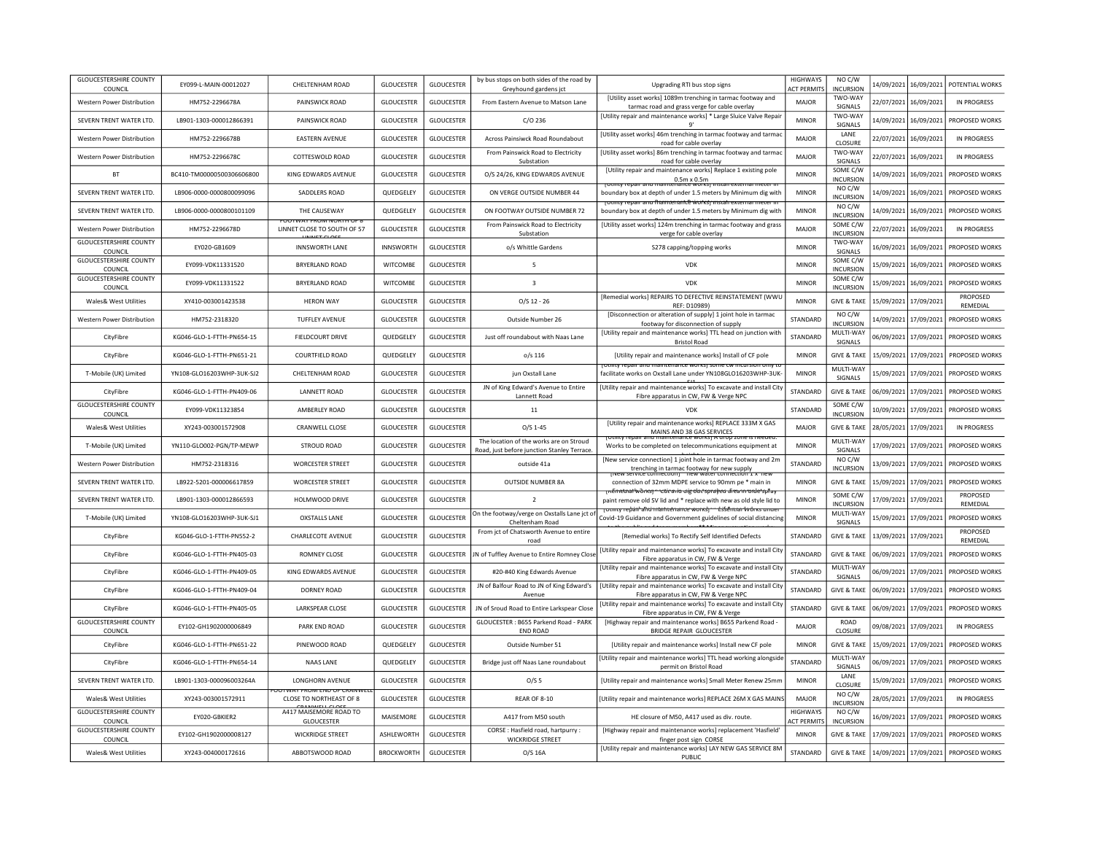| <b>GLOUCESTERSHIRE COUNTY</b><br>COUNCIL        | EY099-L-MAIN-00012027     | CHELTENHAM ROAD                                              | <b>GLOUCESTER</b> | <b>GLOUCESTER</b> | by bus stops on both sides of the road by<br>Greyhound gardens jct                    | Upgrading RTI bus stop signs                                                                                                                                                         | <b>HIGHWAYS</b><br><b>ACT PERMITS</b> | NO C/W<br><b>INCURSION</b>   |            | 14/09/2021 16/09/2021 | POTENTIAL WORKS      |
|-------------------------------------------------|---------------------------|--------------------------------------------------------------|-------------------|-------------------|---------------------------------------------------------------------------------------|--------------------------------------------------------------------------------------------------------------------------------------------------------------------------------------|---------------------------------------|------------------------------|------------|-----------------------|----------------------|
| Western Power Distribution                      | HM752-2296678A            | PAINSWICK ROAD                                               | <b>GLOUCESTER</b> | <b>GLOUCESTER</b> | From Eastern Avenue to Matson Lane                                                    | [Utility asset works] 1089m trenching in tarmac footway and<br>tarmac road and grass verge for cable overlay                                                                         | MAJOR                                 | TWO-WAY<br>SIGNALS           |            | 22/07/2021 16/09/2021 | IN PROGRESS          |
| SEVERN TRENT WATER LTD.                         | LB901-1303-000012866391   | PAINSWICK ROAD                                               | GLOUCESTER        | <b>GLOUCESTER</b> | $C/O$ 236                                                                             | [Utility repair and maintenance works] * Large Sluice Valve Repair<br>q'                                                                                                             | <b>MINOR</b>                          | TWO-WAY<br>SIGNALS           | 14/09/2021 | 16/09/2021            | PROPOSED WORKS       |
| Western Power Distribution                      | HM752-2296678B            | <b>EASTERN AVENUE</b>                                        | <b>GLOUCESTER</b> | <b>GLOUCESTER</b> | Across Painsiwck Road Roundabout                                                      | [Utility asset works] 46m trenching in tarmac footway and tarmac<br>road for cable overlay                                                                                           | <b>MAJOR</b>                          | LANE<br>CLOSURE              | 22/07/2021 | 16/09/2021            | <b>IN PROGRESS</b>   |
| <b>Western Power Distribution</b>               | HM752-2296678C            | COTTESWOLD ROAD                                              | <b>GLOUCESTER</b> | <b>GLOUCESTER</b> | From Painswick Road to Electricity<br>Substation                                      | [Utility asset works] 86m trenching in tarmac footway and tarmac<br>road for cable overlay                                                                                           | <b>MAJOR</b>                          | TWO-WAY<br>SIGNALS           | 22/07/2021 | 16/09/2021            | IN PROGRESS          |
| <b>BT</b>                                       | BC410-TM00000500306606800 | KING EDWARDS AVENUE                                          | <b>GLOUCESTER</b> | <b>GLOUCESTER</b> | O/S 24/26, KING EDWARDS AVENUE                                                        | [Utility repair and maintenance works] Replace 1 existing pole<br>$0.5m \times 0.5m$                                                                                                 | <b>MINOR</b>                          | SOME C/W<br><b>INCURSION</b> | 14/09/2021 | 16/09/2021            | PROPOSED WORKS       |
| SEVERN TRENT WATER LTD.                         | LB906-0000-0000800099096  | SADDLERS ROAD                                                | QUEDGELEY         | <b>GLOUCESTER</b> | ON VERGE OUTSIDE NUMBER 44                                                            | <b>WOTKST</b><br><u>VIIIIIV TEDAT AND IN</u><br>boundary box at depth of under 1.5 meters by Minimum dig with                                                                        | <b>MINOR</b>                          | NO C/W<br><b>INCURSION</b>   | 14/09/2021 | 16/09/2021            | PROPOSED WORKS       |
| SEVERN TRENT WATER LTD.                         | LB906-0000-0000800101109  | THE CAUSEWAY                                                 | QUEDGELEY         | <b>GLOUCESTER</b> | ON FOOTWAY OUTSIDE NUMBER 72                                                          | roumy repair and fhamtenarice works) instali externar meter in<br>boundary box at depth of under 1.5 meters by Minimum dig with                                                      | <b>MINOR</b>                          | NO C/W<br><b>INCURSION</b>   | 14/09/2021 | 16/09/2021            | PROPOSED WORKS       |
| Western Power Distribution                      | HM752-2296678D            | <b>UUTWAT FRUM NURTH UF 6</b><br>LINNET CLOSE TO SOUTH OF 57 | <b>GLOUCESTER</b> | <b>GLOUCESTER</b> | From Painswick Road to Electricity<br>Substation                                      | [Utility asset works] 124m trenching in tarmac footway and grass<br>verge for cable overlay                                                                                          | MAJOR                                 | SOME C/W<br>INCURSION        | 22/07/2021 | 16/09/2021            | IN PROGRESS          |
| <b>GLOUCESTERSHIRE COUNTY</b><br>COUNCIL        | EY020-GB1609              | <b>INNSWORTH LANE</b>                                        | <b>INNSWORTH</b>  | <b>GLOUCESTER</b> | o/s Whittle Gardens                                                                   | S278 capping/topping works                                                                                                                                                           | <b>MINOR</b>                          | TWO-WAY<br>SIGNALS           | 16/09/2021 | 16/09/2021            | PROPOSED WORKS       |
| <b>GLOUCESTERSHIRE COUNTY</b><br><b>COUNCIL</b> | EY099-VDK11331520         | <b>BRYERLAND ROAD</b>                                        | <b>WITCOMBE</b>   | <b>GLOUCESTER</b> | $\overline{\phantom{a}}$                                                              | <b>VDK</b>                                                                                                                                                                           | <b>MINOR</b>                          | SOME C/W<br><b>INCURSION</b> |            | 15/09/2021 16/09/2021 | PROPOSED WORKS       |
| <b>GLOUCESTERSHIRE COUNTY</b><br>COUNCIL        | EY099-VDK11331522         | <b>BRYERLAND ROAD</b>                                        | <b>WITCOMBE</b>   | <b>GLOUCESTER</b> | $\overline{\mathbf{3}}$                                                               | <b>VDK</b>                                                                                                                                                                           | <b>MINOR</b>                          | SOME C/W<br><b>INCURSION</b> |            | 15/09/2021 16/09/2021 | PROPOSED WORKS       |
| Wales& West Utilities                           | XY410-003001423538        | <b>HERON WAY</b>                                             | <b>GLOUCESTER</b> | <b>GLOUCESTER</b> | $O/S$ 12 - 26                                                                         | [Remedial works] REPAIRS TO DEFECTIVE REINSTATEMENT (WWL<br>REF: D10989)                                                                                                             | <b>MINOR</b>                          | <b>GIVE &amp; TAKE</b>       |            | 15/09/2021 17/09/2021 | PROPOSED<br>REMEDIAL |
| Western Power Distribution                      | HM752-2318320             | <b>TUFFLEY AVENUE</b>                                        | <b>GLOUCESTER</b> | <b>GLOUCESTER</b> | Outside Number 26                                                                     | [Disconnection or alteration of supply] 1 joint hole in tarmac<br>footway for disconnection of supply                                                                                | STANDARD                              | NO C/W<br><b>INCURSION</b>   | 14/09/2021 | 17/09/2021            | PROPOSED WORKS       |
| CityFibre                                       | KG046-GLO-1-FTTH-PN654-15 | FIELDCOURT DRIVE                                             | QUEDGELEY         | <b>GLOUCESTER</b> | Just off roundabout with Naas Lane                                                    | [Utility repair and maintenance works] TTL head on junction with<br><b>Bristol Road</b>                                                                                              | STANDARD                              | MULTI-WAY<br>SIGNALS         |            | 06/09/2021 17/09/2021 | PROPOSED WORKS       |
| CityFibre                                       | KG046-GLO-1-FTTH-PN651-21 | COURTFIELD ROAD                                              | QUEDGELEY         | <b>GLOUCESTER</b> | $o/s$ 116                                                                             | [Utility repair and maintenance works] Install of CF pole                                                                                                                            | <b>MINOR</b>                          | <b>GIVE &amp; TAKE</b>       | 15/09/2021 | 17/09/2021            | PROPOSED WORKS       |
| T-Mobile (UK) Limited                           | YN108-GLO16203WHP-3UK-SJ2 | CHELTENHAM ROAD                                              | <b>GLOUCESTER</b> | <b>GLOUCESTER</b> | jun Oxstall Lane                                                                      | tounty repair and maintenance worksj some cw incursion omy to<br>facilitate works on Oxstall Lane under YN108GLO16203WHP-3UK-                                                        | <b>MINOR</b>                          | MULTI-WAY<br>SIGNALS         | 15/09/2021 | 17/09/2021            | PROPOSED WORKS       |
| CityFibre                                       | KG046-GLO-1-FTTH-PN409-06 | <b>LANNETT ROAD</b>                                          | <b>GLOUCESTER</b> | <b>GLOUCESTER</b> | JN of King Edward's Avenue to Entire<br>Lannett Road                                  | [Utility repair and maintenance works] To excavate and install City<br>Fibre apparatus in CW, FW & Verge NPC                                                                         | STANDARD                              | <b>GIVE &amp; TAKE</b>       | 06/09/2021 | 17/09/2021            | PROPOSED WORKS       |
| <b>GLOUCESTERSHIRE COUNTY</b><br>COUNCIL        | EY099-VDK11323854         | AMBERLEY ROAD                                                | <b>GLOUCESTER</b> | <b>GLOUCESTER</b> | $11\,$                                                                                | <b>VDK</b>                                                                                                                                                                           | STANDARD                              | SOME C/W<br><b>INCURSION</b> | 10/09/2021 | 17/09/2021            | PROPOSED WORKS       |
| <b>Wales&amp; West Utilities</b>                | XY243-003001572908        | <b>CRANWELL CLOSE</b>                                        | <b>GLOUCESTER</b> | <b>GLOUCESTER</b> | $O/S$ 1-45                                                                            | [Utility repair and maintenance works] REPLACE 333M X GAS<br>MAINS AND 38 GAS SERVICES                                                                                               | MAJOR                                 | <b>GIVE &amp; TAKE</b>       | 28/05/2021 | 17/09/2021            | <b>IN PROGRESS</b>   |
| T-Mobile (UK) Limited                           | YN110-GLO002-PGN/TP-MEWP  | <b>STROUD ROAD</b>                                           | <b>GLOUCESTER</b> | GLOUCESTER        | The location of the works are on Stroud<br>Road, just before junction Stanley Terrace | Works to be completed on telecommunications equipment at                                                                                                                             | <b>MINOR</b>                          | MULTI-WAY<br>SIGNALS         | 17/09/2021 | 17/09/2021            | PROPOSED WORKS       |
| Western Power Distribution                      | HM752-2318316             | <b>WORCESTER STREET</b>                                      | <b>GLOUCESTER</b> | <b>GLOUCESTER</b> | outside 41a                                                                           | [New service connection] 1 joint hole in tarmac footway and 2m<br>trenching in tarmac footway for new supply                                                                         | STANDARD                              | NO C/W<br><b>INCURSION</b>   | 13/09/2021 | 17/09/2021            | PROPOSED WORKS       |
| SEVERN TRENT WATER LTD.                         | LB922-5201-000006617859   | <b>WORCESTER STREET</b>                                      | <b>GLOUCESTER</b> | <b>GLOUCESTER</b> | <b>OUTSIDE NUMBER 8A</b>                                                              | connection of 32mm MDPE service to 90mm pe * main in                                                                                                                                 | <b>MINOR</b>                          | <b>GIVE &amp; TAKE</b>       | 15/09/2021 | 17/09/2021            | PROPOSED WORKS       |
| SEVERN TRENT WATER LTD.                         | LB901-1303-000012866593   | HOI MWOOD DRIVE                                              | <b>GLOUCESTER</b> | <b>GLOUCESTER</b> | $\overline{\phantom{a}}$                                                              | лаlˈwʊ̂rкsj ≅ ੮tit ario oig ʊˈutˈsprayeo aream ordeˈspfar<br>paint remove old SV lid and * replace with new as old style lid to<br><del>ebail anu maintenance works — EsSêntia</del> | <b>MINOR</b>                          | SOME C/W<br><b>INCURSION</b> | 17/09/2021 | 17/09/2021            | PROPOSED<br>REMEDIAL |
| T-Mobile (UK) Limited                           | YN108-GLO16203WHP-3UK-SJ1 | <b>OXSTALLS LANE</b>                                         | <b>GLOUCESTER</b> | <b>GLOUCESTER</b> | On the footway/verge on Oxstalls Lane jct of<br>Cheltenham Road                       | Covid-19 Guidance and Government guidelines of social distancing                                                                                                                     | <b>MINOR</b>                          | MULTI-WAY<br>SIGNALS         | 15/09/2021 | 17/09/2021            | PROPOSED WORKS       |
| CityFibre                                       | KG046-GLO-1-FTTH-PN552-2  | CHARLECOTE AVENUE                                            | <b>GLOUCESTER</b> | GLOUCESTER        | From jct of Chatsworth Avenue to entire<br>road                                       | [Remedial works] To Rectify Self Identified Defects                                                                                                                                  | <b>STANDARD</b>                       | <b>GIVE &amp; TAKE</b>       | 13/09/2021 | 17/09/2021            | PROPOSED<br>REMEDIAL |
| CityFibre                                       | KG046-GLO-1-FTTH-PN405-03 | ROMNEY CLOSE                                                 | <b>GLOUCESTER</b> | <b>GLOUCESTER</b> | JN of Tuffley Avenue to Entire Romney Close                                           | [Utility repair and maintenance works] To excavate and install City<br>Fibre apparatus in CW, FW & Verge                                                                             | STANDARD                              | <b>GIVE &amp; TAKE</b>       | 06/09/2021 | 17/09/2021            | PROPOSED WORKS       |
| CityFibre                                       | KG046-GLO-1-FTTH-PN409-05 | KING EDWARDS AVENUE                                          | <b>GLOUCESTER</b> | GLOUCESTER        | #20-#40 King Edwards Avenue                                                           | [Utility repair and maintenance works] To excavate and install City<br>Fibre apparatus in CW, FW & Verge NPC                                                                         | STANDARD                              | MULTI-WAY<br>SIGNALS         | 06/09/2021 | 17/09/2021            | PROPOSED WORKS       |
| CityFibre                                       | KG046-GLO-1-FTTH-PN409-04 | <b>DORNEY ROAD</b>                                           | <b>GLOUCESTER</b> | <b>GLOUCESTER</b> | JN of Balfour Road to JN of King Edward's<br>Avenue                                   | [Utility repair and maintenance works] To excavate and install City<br>Fibre apparatus in CW, FW & Verge NPC                                                                         | STANDARD                              | <b>GIVE &amp; TAKE</b>       | 06/09/2021 | 17/09/2021            | PROPOSED WORKS       |
| CityFibre                                       | KG046-GLO-1-FTTH-PN405-05 | <b>LARKSPEAR CLOSE</b>                                       | <b>GLOUCESTER</b> | <b>GLOUCESTER</b> | IN of Sroud Road to Entire Larkspear Close                                            | Utility repair and maintenance works] To excavate and install City<br>Fibre apparatus in CW, FW & Verge                                                                              | STANDARD                              | <b>GIVE &amp; TAKE</b>       | 06/09/2021 | 17/09/2021            | PROPOSED WORKS       |
| <b>GLOUCESTERSHIRE COUNTY</b><br>COUNCIL        | EY102-GH1902000006849     | PARK END ROAD                                                | <b>GLOUCESTER</b> | <b>GLOUCESTER</b> | GLOUCESTER: B655 Parkend Road - PARK<br><b>END ROAD</b>                               | [Highway repair and maintenance works] B655 Parkend Road -<br><b>BRIDGE REPAIR GLOUCESTER</b>                                                                                        | MAJOR                                 | ROAD<br>CLOSURE              | 09/08/2021 | 17/09/2021            | IN PROGRESS          |
| CityFibre                                       | KG046-GLO-1-FTTH-PN651-22 | PINEWOOD ROAD                                                | QUEDGELEY         | <b>GLOUCESTER</b> | Outside Number 51                                                                     | [Utility repair and maintenance works] Install new CF pole                                                                                                                           | <b>MINOR</b>                          | <b>GIVE &amp; TAKE</b>       | 15/09/2021 | 17/09/2021            | PROPOSED WORKS       |
| CityFibre                                       | KG046-GLO-1-FTTH-PN654-14 | <b>NAAS LANE</b>                                             | QUEDGELEY         | <b>GLOUCESTER</b> | Bridge just off Naas Lane roundabout                                                  | Utility repair and maintenance works] TTL head working alongside<br>permit on Bristol Road                                                                                           | STANDARD                              | MULTI-WAY<br>SIGNALS         | 06/09/2021 | 17/09/2021            | PROPOSED WORKS       |
| SEVERN TRENT WATER LTD.                         | LB901-1303-000096003264A  | LONGHORN AVENUE<br><b>TOM END OF CRANWE</b>                  | <b>GLOUCESTER</b> | <b>GLOUCESTER</b> | O/S <sub>5</sub>                                                                      | [Utility repair and maintenance works] Small Meter Renew 25mm                                                                                                                        | <b>MINOR</b>                          | LANE<br>CLOSURE              | 15/09/2021 | 17/09/2021            | PROPOSED WORKS       |
| Wales& West Utilities                           | XY243-003001572911        | CLOSE TO NORTHEAST OF 8                                      | <b>GLOUCESTER</b> | <b>GLOUCESTER</b> | <b>REAR OF 8-10</b>                                                                   | [Utility repair and maintenance works] REPLACE 26M X GAS MAINS                                                                                                                       | <b>MAJOR</b>                          | NO C/W<br><b>INCURSION</b>   | 28/05/2021 | 17/09/2021            | <b>IN PROGRESS</b>   |
| <b>GLOUCESTERSHIRE COUNTY</b><br>COUNCIL        | EY020-GBKIER2             | A417 MAISEMORE ROAD TO<br><b>GLOUCESTER</b>                  | MAISEMORE         | <b>GLOUCESTER</b> | A417 from M50 south                                                                   | HE closure of M50, A417 used as div. route.                                                                                                                                          | <b>HIGHWAYS</b><br><b>ACT PERMITS</b> | NO C/W<br><b>INCURSION</b>   |            | 16/09/2021 17/09/2021 | PROPOSED WORKS       |
| <b>GLOUCESTERSHIRE COUNTY</b><br>COUNCIL        | EY102-GH1902000008127     | <b>WICKRIDGE STREET</b>                                      | ASHLEWORTH        | <b>GLOUCESTER</b> | CORSE : Hasfield road, hartpurry :<br><b>WICKRIDGE STREET</b>                         | [Highway repair and maintenance works] replacement 'Hasfield'<br>finger post sign CORSE                                                                                              | <b>MINOR</b>                          | <b>GIVE &amp; TAKE</b>       |            | 17/09/2021 17/09/2021 | PROPOSED WORKS       |
| Wales& West Utilities                           | XY243-004000172616        | ABBOTSWOOD ROAD                                              | <b>BROCKWORTH</b> | <b>GLOUCESTER</b> | O/S 16A                                                                               | [Utility repair and maintenance works] LAY NEW GAS SERVICE 8M<br>PUBLIC                                                                                                              | STANDARD                              | <b>GIVE &amp; TAKE</b>       |            | 14/09/2021 17/09/2021 | PROPOSED WORKS       |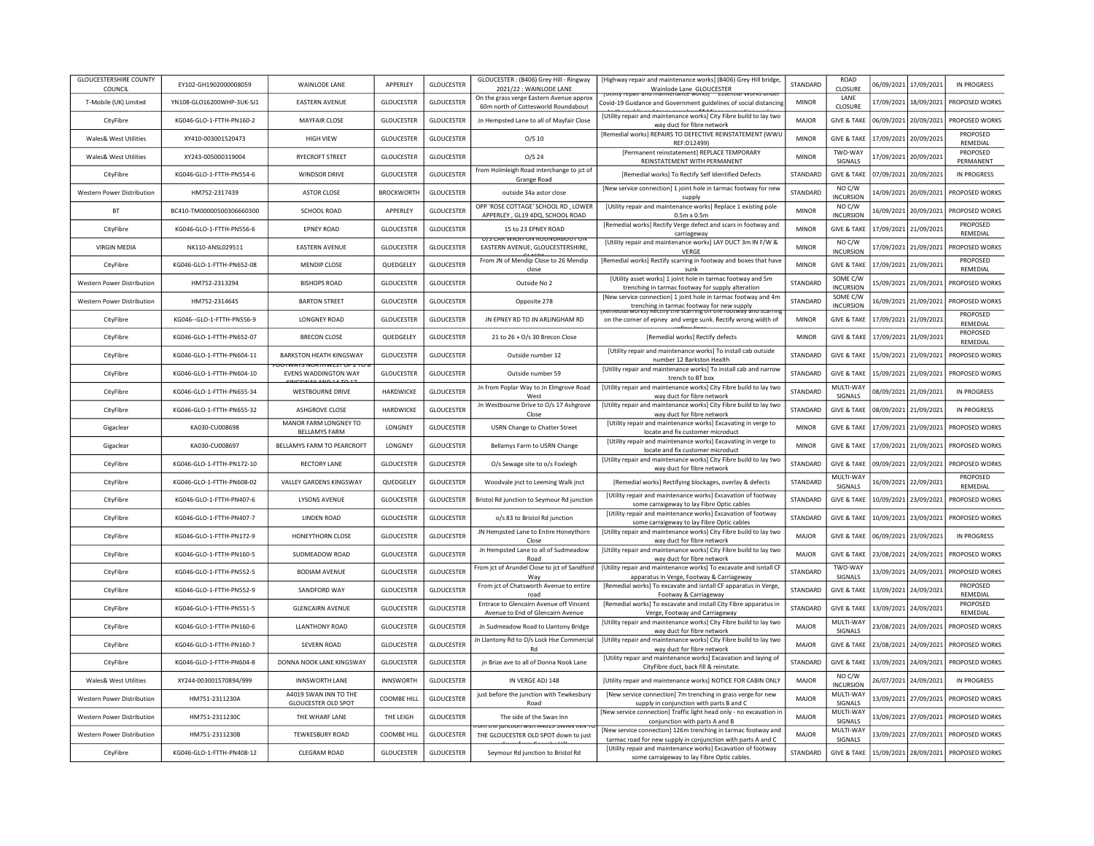| <b>GLOUCESTERSHIRE COUNTY</b><br>COUNCIL | EY102-GH1902000008059       | WAINLODE LANE                                           | <b>APPFRIFY</b>    | <b>GLOUCESTER</b> | GLOUCESTER : (B406) Grey Hill - Ringway<br>2021/22 : WAINLODE LANE                                                                                                                                                                                                    | [Highway repair and maintenance works] (B406) Grey Hill bridge,<br>Wainlode Lane GLOUCESTER                                              | <b>STANDARD</b> | <b>ROAD</b><br>CLOSURE       |            | 06/09/2021 17/09/2021 | IN PROGRESS                 |
|------------------------------------------|-----------------------------|---------------------------------------------------------|--------------------|-------------------|-----------------------------------------------------------------------------------------------------------------------------------------------------------------------------------------------------------------------------------------------------------------------|------------------------------------------------------------------------------------------------------------------------------------------|-----------------|------------------------------|------------|-----------------------|-----------------------------|
| T-Mobile (UK) Limited                    | YN108-GLO16200WHP-3UK-SJ1   | <b>EASTERN AVENUE</b>                                   | <b>GLOUCESTER</b>  | <b>GLOUCESTER</b> | On the grass verge Eastern Avenue approx<br>60m north of Cottesworld Roundabout                                                                                                                                                                                       | <u>iotility repair and maintenance works in essential works unde</u><br>Covid-19 Guidance and Government guidelines of social distancing | <b>MINOR</b>    | LANE<br><b>CLOSURE</b>       |            | 17/09/2021 18/09/2021 | PROPOSED WORKS              |
| CityFibre                                | KG046-GLO-1-FTTH-PN160-2    | <b>MAYFAIR CLOSE</b>                                    | <b>GLOUCESTER</b>  | <b>GLOUCESTER</b> | Jn Hempsted Lane to all of Mayfair Close                                                                                                                                                                                                                              | [Utility repair and maintenance works] City Fibre build to lay two<br>way duct for fibre network                                         | <b>MAJOR</b>    | <b>GIVE &amp; TAKE</b>       |            | 06/09/2021 20/09/2021 | PROPOSED WORKS              |
| <b>Wales&amp; West Utilities</b>         | XY410-003001520473          | <b>HIGH VIEW</b>                                        | <b>GLOUCESTER</b>  | <b>GLOUCESTER</b> | O/S 10                                                                                                                                                                                                                                                                | [Remedial works] REPAIRS TO DEFECTIVE REINSTATEMENT (WWU<br>REF:D12499)                                                                  | <b>MINOR</b>    | <b>GIVE &amp; TAKE</b>       | 17/09/2021 | 20/09/2021            | PROPOSED<br>REMEDIAL        |
| Wales& West Utilities                    | XY243-005000319004          | <b>RYFCROFT STREET</b>                                  | <b>GLOUCESTER</b>  | <b>GLOUCESTER</b> | $O/S$ 24                                                                                                                                                                                                                                                              | [Permanent reinstatement] REPLACE TEMPORARY<br>REINSTATEMENT WITH PERMANENT                                                              | <b>MINOR</b>    | TWO-WAY<br>SIGNALS           | 17/09/2021 | 20/09/2021            | PROPOSED<br>PERMANENT       |
| CityFibre                                | KG046-GLO-1-FTTH-PN554-6    | WINDSOR DRIVE                                           | <b>GLOUCESTER</b>  | <b>GLOUCESTER</b> | from Holmleigh Road interchange to jct of<br>Grange Road                                                                                                                                                                                                              | [Remedial works] To Rectify Self Identified Defects                                                                                      | STANDARD        | <b>GIVE &amp; TAKE</b>       |            | 07/09/2021 20/09/2021 | <b>IN PROGRESS</b>          |
| Western Power Distribution               | HM752-2317439               | <b>ASTOR CLOSE</b>                                      | <b>BROCKWORTH</b>  | <b>GLOUCESTER</b> | outside 34a astor close                                                                                                                                                                                                                                               | [New service connection] 1 joint hole in tarmac footway for new<br>supply                                                                | STANDARD        | NO C/W<br>INCURSION          |            | 14/09/2021 20/09/2021 | PROPOSED WORKS              |
| <b>BT</b>                                | BC410-TM00000500306660300   | <b>SCHOOL ROAD</b>                                      | APPERLEY           | <b>GLOUCESTER</b> | OPP 'ROSE COTTAGE' SCHOOL RD, LOWER<br>APPERLEY, GL19 4DQ, SCHOOL ROAD                                                                                                                                                                                                | [Utility repair and maintenance works] Replace 1 existing pole<br>$0.5m \times 0.5m$                                                     | <b>MINOR</b>    | NO C/W<br>INCURSION          |            | 16/09/2021 20/09/2021 | PROPOSED WORKS              |
| CityFibre                                | KG046-GLO-1-FTTH-PN556-6    | <b>EPNEY ROAD</b>                                       | <b>GLOUCESTER</b>  | <b>GLOUCESTER</b> | 15 to 23 EPNEY ROAD                                                                                                                                                                                                                                                   | [Remedial works] Rectify Verge defect and scars in footway and<br>carriageway                                                            | <b>MINOR</b>    | <b>GIVE &amp; TAKE</b>       | 17/09/2021 | 21/09/2021            | PROPOSED<br>REMEDIAL        |
| <b>VIRGIN MEDIA</b>                      | NK110-ANSL029511            | <b>EASTERN AVENUE</b>                                   | <b>GLOUCESTER</b>  | <b>GLOUCESTER</b> | <b>J73 CAR WASH ON ROONDABOOT O</b><br>EASTERN AVENUE, GLOUCESTERSHIRE,                                                                                                                                                                                               | [Utility repair and maintenance works] LAY DUCT 3m IN F/W &<br>VERGE                                                                     | <b>MINOR</b>    | NO C/W<br><b>INCURSION</b>   |            | 17/09/2021 21/09/2021 | PROPOSED WORKS              |
| CityFibre                                | KG046-GLO-1-FTTH-PN652-08   | MENDIP CLOSE                                            | QUEDGELEY          | <b>GLOUCESTER</b> | From JN of Mendip Close to 26 Mendip<br>close                                                                                                                                                                                                                         | [Remedial works] Rectify scarring in footway and boxes that have<br>sunk                                                                 | <b>MINOR</b>    | <b>GIVE &amp; TAKE</b>       |            | 17/09/2021 21/09/2021 | PROPOSED<br><b>REMEDIAL</b> |
| Western Power Distribution               | HM752-2313294               | <b>BISHOPS ROAD</b>                                     | <b>GLOUCESTER</b>  | <b>GLOUCESTER</b> | Outside No 2                                                                                                                                                                                                                                                          | [Utility asset works] 1 joint hole in tarmac footway and 5m<br>trenching in tarmac footway for supply alteration                         | STANDARD        | SOME C/W<br><b>INCURSION</b> |            | 15/09/2021 21/09/2021 | PROPOSED WORKS              |
| Western Power Distribution               | HM752-2314645               | <b>BARTON STREET</b>                                    | <b>GLOUCESTER</b>  | <b>GLOUCESTER</b> | Opposite 278                                                                                                                                                                                                                                                          | [New service connection] 1 joint hole in tarmac footway and 4m<br>trenching in tarmac footway for new supply                             | STANDARD        | SOME C/W<br><b>INCURSION</b> |            | 16/09/2021 21/09/2021 | PROPOSED WORKS              |
| CityFibre                                | KG046 -- GLO-1-FTTH-PN556-9 | <b>LONGNEY ROAD</b>                                     | <b>GLOUCESTER</b>  | <b>GLOUCESTER</b> | JN EPNEY RD TO JN ARLINGHAM RD                                                                                                                                                                                                                                        | WOO NE DELIUX UIE N AUDIE VILUIE BAUWA<br>on the corner of epney and verge sunk. Rectify wrong width of                                  | <b>MINOR</b>    | <b>GIVE &amp; TAKE</b>       |            | 17/09/2021 21/09/2021 | PROPOSED<br>REMEDIAL        |
| CityFibre                                | KG046-GLO-1-FTTH-PN652-07   | <b>BRECON CLOSE</b>                                     | QUEDGELEY          | <b>GLOUCESTER</b> | 21 to 26 + O/s 30 Brecon Close                                                                                                                                                                                                                                        | [Remedial works] Rectify defects                                                                                                         | <b>MINOR</b>    | <b>GIVE &amp; TAKE</b>       |            | 17/09/2021 21/09/2021 | PROPOSED<br>REMEDIAL        |
| CityFibre                                | KG046-GLO-1-FTTH-PN604-11   | <b>BARKSTON HEATH KINGSWAY</b>                          | <b>GLOUCESTER</b>  | <b>GLOUCESTER</b> | Outside number 12                                                                                                                                                                                                                                                     | [Utility repair and maintenance works] To install cab outside<br>number 12 Barkston Health                                               | STANDARD        | <b>GIVE &amp; TAKE</b>       | 15/09/2021 | 21/09/2021            | PROPOSED WORKS              |
| CityFibre                                | KG046-GLO-1-FTTH-PN604-10   | <b>JUTWATS NURTHWEST UF Z T</b><br>EVENS WADDINGTON WAY | <b>GLOUCESTER</b>  | <b>GLOUCESTER</b> | Outside number 59                                                                                                                                                                                                                                                     | [Utility repair and maintenance works] To install cab and narrow<br>trench to BT box                                                     | STANDARD        | <b>GIVE &amp; TAKE</b>       | 15/09/2021 | 21/09/2021            | PROPOSED WORKS              |
| CityFibre                                | KG046-GLO-1-FTTH-PN655-34   | <b>WESTBOURNE DRIVE</b>                                 | HARDWICKE          | <b>GLOUCESTER</b> | Jn from Poplar Way to Jn Elmgrove Road<br>West                                                                                                                                                                                                                        | [Utility repair and maintenance works] City Fibre build to lay two<br>way duct for fibre network                                         | <b>STANDARD</b> | MULTI-WAY<br>SIGNALS         |            | 08/09/2021 21/09/2021 | IN PROGRESS                 |
| CityFibre                                | KG046-GLO-1-FTTH-PN655-32   | ASHGROVE CLOSE                                          | HARDWICKE          | <b>GLOUCESTER</b> | Jn Westbourne Drive to O/s 17 Ashgrove<br>Close                                                                                                                                                                                                                       | [Utility repair and maintenance works] City Fibre build to lay two<br>way duct for fibre network                                         | STANDARD        | <b>GIVE &amp; TAKE</b>       |            | 08/09/2021 21/09/2021 | IN PROGRESS                 |
| Gigaclear                                | KA030-CU008698              | MANOR FARM LONGNEY TO<br><b>BELLAMYS FARM</b>           | LONGNEY            | <b>GLOUCESTER</b> | <b>USRN Change to Chatter Street</b>                                                                                                                                                                                                                                  | [Utility repair and maintenance works] Excavating in verge to<br>locate and fix customer microduct                                       | <b>MINOR</b>    | <b>GIVE &amp; TAKE</b>       | 17/09/2021 | 21/09/2021            | PROPOSED WORKS              |
| Gigaclear                                | KA030-CU008697              | BELLAMYS FARM TO PEARCROFT                              | LONGNEY            | <b>GLOUCESTER</b> | Bellamys Farm to USRN Change                                                                                                                                                                                                                                          | [Utility repair and maintenance works] Excavating in verge to<br>locate and fix customer microduct                                       | <b>MINOR</b>    | <b>GIVE &amp; TAKE</b>       | 17/09/2021 | 21/09/2021            | PROPOSED WORKS              |
| CityFibre                                | KG046-GLO-1-FTTH-PN172-10   | <b>RECTORY LANE</b>                                     | <b>GLOUCESTER</b>  | GLOUCESTER        | O/s Sewage site to o/s Foxleigh                                                                                                                                                                                                                                       | [Utility repair and maintenance works] City Fibre build to lay two<br>way duct for fibre network                                         | STANDARD        | <b>GIVE &amp; TAKE</b>       | 09/09/2021 | 22/09/2021            | PROPOSED WORKS              |
| CityFibre                                | KG046-GLO-1-FTTH-PN608-02   | VALLEY GARDENS KINGSWAY                                 | QUEDGELEY          | <b>GLOUCESTER</b> | Woodvale jnct to Leeming Walk jnct                                                                                                                                                                                                                                    | [Remedial works] Rectifying blockages, overlay & defects                                                                                 | STANDARD        | MULTI-WAY<br>SIGNALS         |            | 16/09/2021 22/09/2021 | PROPOSED<br>REMEDIAL        |
| CityFibre                                | KG046-GLO-1-FTTH-PN407-6    | <b>IYSONS AVENUE</b>                                    | GLOUCESTER         | GLOUCESTER        | Bristol Rd junction to Seymour Rd junction                                                                                                                                                                                                                            | [Utility repair and maintenance works] Excavation of footway<br>some carraigeway to lay Fibre Optic cables                               | <b>STANDARD</b> | <b>GIVE &amp; TAKE</b>       | 10/09/2021 | 23/09/2021            | PROPOSED WORKS              |
| CityFibre                                | KG046-GLO-1-FTTH-PN407-7    | LINDEN ROAD                                             | <b>GLOUCESTER</b>  | <b>GLOUCESTER</b> | o/s 83 to Bristol Rd junction                                                                                                                                                                                                                                         | [Utility repair and maintenance works] Excavation of footway<br>some carraigeway to lay Fibre Optic cables                               | STANDARD        | <b>GIVE &amp; TAKE</b>       | 10/09/2021 | 23/09/2021            | PROPOSED WORKS              |
| CityFibre                                | KG046-GLO-1-FTTH-PN172-9    | HONEYTHORN CLOSE                                        | <b>GLOUCESTER</b>  | <b>GLOUCESTER</b> | JN Hempsted Lane to Entire Honeythorn<br>Close                                                                                                                                                                                                                        | [Utility repair and maintenance works] City Fibre build to lay two<br>way duct for fibre network                                         | MAIOR           | <b>GIVE &amp; TAKE</b>       | 06/09/2021 | 23/09/2021            | IN PROGRESS                 |
| CityFibre                                | KG046-GLO-1-FTTH-PN160-5    | SUDMEADOW ROAD                                          | <b>GLOUCESTER</b>  | <b>GLOUCESTER</b> | Jn Hemosted Lane to all of Sudmeadow<br>Road                                                                                                                                                                                                                          | [Utility repair and maintenance works] City Fibre build to lay two<br>way duct for fibre network                                         | MAJOR           | <b>GIVE &amp; TAKE</b>       | 23/08/2021 | 24/09/2021            | PROPOSED WORKS              |
| CityFibre                                | KG046-GLO-1-FTTH-PN552-5    | <b>BODIAM AVENUE</b>                                    | <b>GLOUCESTER</b>  | GLOUCESTER        | From jct of Arundel Close to jct of Sandford<br>Way                                                                                                                                                                                                                   | [Utility repair and maintenance works] To excavate and isntall CF<br>apparatus in Verge, Footway & Carriageway                           | STANDARD        | TWO-WAY<br>SIGNALS           |            | 13/09/2021 24/09/2021 | PROPOSED WORKS              |
| CityFibre                                | KG046-GLO-1-FTTH-PN552-9    | SANDFORD WAY                                            | <b>GLOUCESTER</b>  | <b>GLOUCESTER</b> | From jct of Chatsworth Avenue to entire<br>road                                                                                                                                                                                                                       | [Remedial works] To excavate and isntall CF apparatus in Verge,<br>Footway & Carriageway                                                 | STANDARD        | <b>GIVE &amp; TAKE</b>       | 13/09/2021 | 24/09/2021            | PROPOSED<br>REMEDIAL        |
| CityFibre                                | KG046-GLO-1-FTTH-PN551-5    | <b>GLENCAIRN AVENUE</b>                                 | <b>GLOUCESTER</b>  | <b>GLOUCESTER</b> | Entrace to Glencairn Avenue off Vincent<br>Avenue to End of Glencairn Avenue                                                                                                                                                                                          | [Remedial works] To excavate and install City Fibre apparatus in<br>Verge, Footway and Carriageway                                       | <b>STANDARD</b> | <b>GIVE &amp; TAKE</b>       | 13/09/2021 | 24/09/2021            | PROPOSED<br><b>REMEDIAL</b> |
| CityFibre                                | KG046-GLO-1-FTTH-PN160-6    | <b>LLANTHONY ROAD</b>                                   | <b>GLOUCESTER</b>  | <b>GLOUCESTER</b> | Jn Sudmeadow Road to Llantony Bridge                                                                                                                                                                                                                                  | [Utility repair and maintenance works] City Fibre build to lay two<br>way duct for fibre network                                         | MAJOR           | MULTI-WAY<br>SIGNALS         |            | 23/08/2021 24/09/2021 | PROPOSED WORKS              |
| CityFibre                                | KG046-GLO-1-FTTH-PN160-7    | <b>SEVERN ROAD</b>                                      | <b>GLOUCESTER</b>  | <b>GLOUCESTER</b> | In Llantony Rd to O/s Lock Hse Commercial<br>Rd                                                                                                                                                                                                                       | [Utility repair and maintenance works] City Fibre build to lay two<br>way duct for fibre network                                         | MAJOR           | <b>GIVE &amp; TAKE</b>       | 23/08/2021 | 24/09/2021            | PROPOSED WORKS              |
| CityFibre                                | KG046-GLO-1-FTTH-PN604-8    | DONNA NOOK LANE KINGSWAY                                | <b>GLOUCESTER</b>  | <b>GLOUCESTER</b> | jn Brize ave to all of Donna Nook Lane                                                                                                                                                                                                                                | [Utility repair and maintenance works] Excavation and laying of<br>CityFibre duct, back fill & reinstate.                                | STANDARD        | <b>GIVE &amp; TAKE</b>       | 13/09/2021 | 24/09/2021            | PROPOSED WORKS              |
| <b>Wales&amp; West Utilities</b>         | XY244-003001570894/999      | <b>INNSWORTH LANE</b>                                   | INNSWORTH          | <b>GLOUCESTER</b> | IN VERGE ADJ 148                                                                                                                                                                                                                                                      | [Utility repair and maintenance works] NOTICE FOR CABIN ONLY                                                                             | MAJOR           | NO C/W<br><b>INCURSION</b>   |            | 26/07/2021 24/09/2021 | IN PROGRESS                 |
| Western Power Distribution               | HM751-2311230A              | A4019 SWAN INN TO THE<br><b>GLOUCESTER OLD SPOT</b>     | <b>COOMBE HILL</b> | <b>GLOUCESTER</b> | just before the junction with Tewkesbury<br>Road                                                                                                                                                                                                                      | [New service connection] 7m trenching in grass verge for new<br>supply in conjunction with parts B and C                                 | MAJOR           | MULTI-WAY<br>SIGNALS         |            | 13/09/2021 27/09/2021 | PROPOSED WORKS              |
| Western Power Distribution               | HM751-2311230C              | THE WHARF LANE                                          | THE LEIGH          | <b>GLOUCESTER</b> | The side of the Swan Inn                                                                                                                                                                                                                                              | [New service connection] Traffic light head only - no excavation in<br>conjunction with parts A and B                                    | MAJOR           | MULTI-WAY<br>SIGNALS         |            | 13/09/2021 27/09/2021 | PROPOSED WORKS              |
| Western Power Distribution               | HM751-2311230B              | <b>TEWKESBURY ROAD</b>                                  | <b>COOMBE HILL</b> | <b>GLOUCESTER</b> | THE REPORT OF A 49 YEAR OLD A 200 YO MALE OF THE REAL PROPERTY OF THE REAL PROPERTY OF THE REAL PROPERTY OF THE REAL PROPERTY OF THE REAL PROPERTY OF THE REAL PROPERTY OF THE REAL PROPERTY OF THE REAL PROPERTY OF THE REAL<br>THE GLOUCESTER OLD SPOT down to just | [New service connection] 126m trenching in tarmac footway and<br>tarmac road for new supply in conjunction with parts A and C            | MAJOR           | MULTI-WAY<br>SIGNALS         |            | 13/09/2021 27/09/2021 | PROPOSED WORKS              |
| CityFibre                                | KG046-GLO-1-FTTH-PN408-12   | <b>CLEGRAM ROAD</b>                                     | <b>GLOUCESTER</b>  | <b>GLOUCESTER</b> | Seymour Rd junction to Bristol Rd                                                                                                                                                                                                                                     | [Utility repair and maintenance works] Excavation of footway<br>some carraigeway to lay Fibre Optic cables.                              | STANDARD        | <b>GIVE &amp; TAKE</b>       |            | 15/09/2021 28/09/2021 | PROPOSED WORKS              |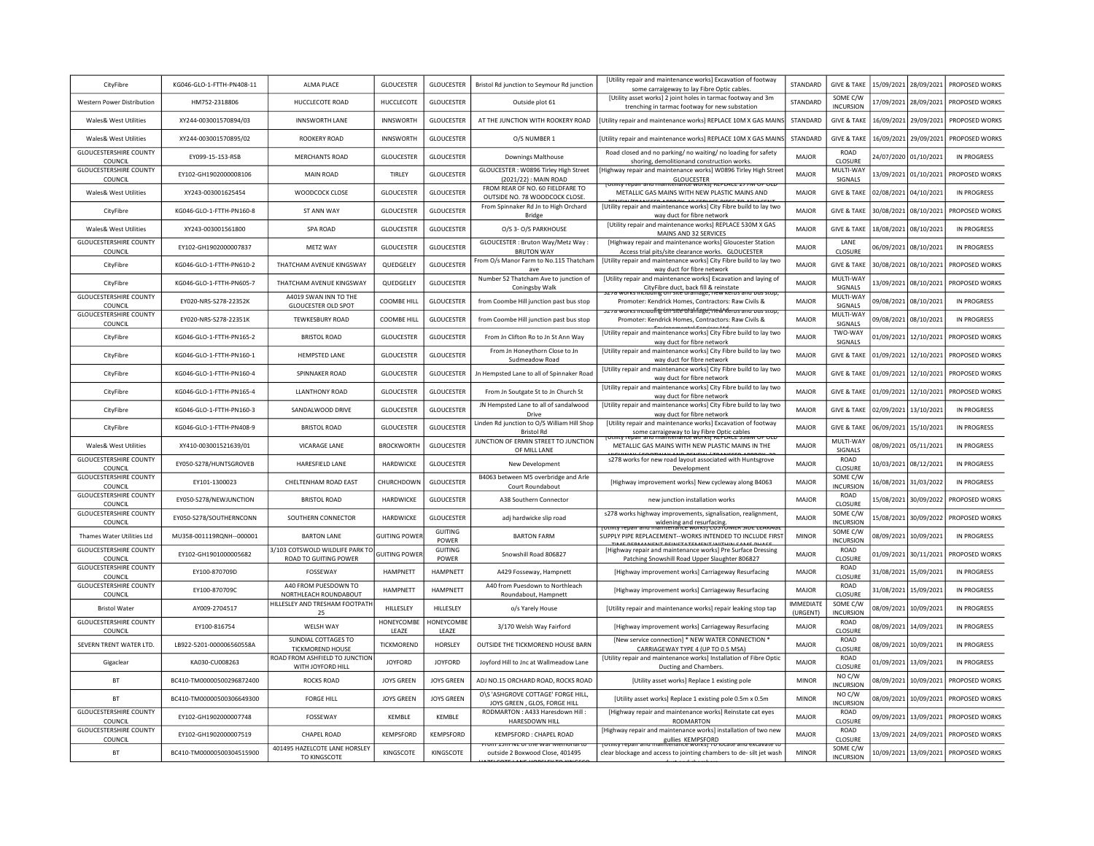| CityFibre                                | KG046-GLO-1-FTTH-PN408-11 | <b>ALMA PLACE</b>                                        | <b>GLOUCESTER</b>    | <b>GLOUCESTER</b>       | Bristol Rd junction to Seymour Rd junction                         | <b>IUtility repair and maintenance worksl Excavation of footway</b><br>some carraigeway to lay Fibre Optic cables.     | <b>STANDARD</b>              | <b>GIVE &amp; TAKE</b>       |            | 15/09/2021 28/09/2021 | PROPOSED WORKS     |
|------------------------------------------|---------------------------|----------------------------------------------------------|----------------------|-------------------------|--------------------------------------------------------------------|------------------------------------------------------------------------------------------------------------------------|------------------------------|------------------------------|------------|-----------------------|--------------------|
| Western Power Distribution               | HM752-2318806             | HUCCLECOTE ROAD                                          | <b>HUCCLECOTE</b>    | <b>GLOUCESTER</b>       | Outside plot 61                                                    | [Utility asset works] 2 joint holes in tarmac footway and 3m<br>trenching in tarmac footway for new substation         | STANDARD                     | SOME C/W<br><b>INCURSION</b> |            | 17/09/2021 28/09/2021 | PROPOSED WORKS     |
| Wales& West Utilities                    | XY244-003001570894/03     | <b>INNSWORTH LANE</b>                                    | <b>INNSWORTH</b>     | GLOUCESTER              | AT THE JUNCTION WITH ROOKERY ROAD                                  | Utility repair and maintenance works] REPLACE 10M X GAS MAINS                                                          | STANDARD                     | <b>GIVE &amp; TAKE</b>       |            | 16/09/2021 29/09/2021 | PROPOSED WORKS     |
| Wales& West Utilities                    | XY244-003001570895/02     | ROOKERY ROAD                                             | <b>INNSWORTH</b>     | <b>GLOUCESTER</b>       | O/S NUMBER 1                                                       | Utility repair and maintenance works] REPLACE 10M X GAS MAIN!                                                          | STANDARD                     | <b>GIVE &amp; TAKE</b>       | 16/09/2021 | 29/09/2021            | PROPOSED WORKS     |
| <b>GLOUCESTERSHIRE COUNTY</b><br>COUNCIL | EY099-15-153-RSB          | <b>MERCHANTS ROAD</b>                                    | <b>GLOUCESTER</b>    | <b>GLOUCESTER</b>       | <b>Downings Malthouse</b>                                          | Road closed and no parking/ no waiting/ no loading for safety<br>shoring, demolitionand construction works.            | MAJOR                        | <b>ROAD</b><br>CLOSURE       |            | 24/07/2020 01/10/2021 | <b>IN PROGRESS</b> |
| <b>GLOUCESTERSHIRE COUNTY</b><br>COUNCIL | EY102-GH1902000008106     | <b>MAIN ROAD</b>                                         | TIRLEY               | <b>GLOUCESTER</b>       | GLOUCESTER: W0896 Tirley High Street<br>(2021/22) : MAIN ROAD      | Highway repair and maintenance works] W0896 Tirley High Street<br>GLOUCESTER                                           | MAIOR                        | MULTI-WAY<br>SIGNALS         |            | 13/09/2021 01/10/2021 | PROPOSED WORKS     |
| Wales& West Utilities                    | XY243-003001625454        | WOODCOCK CLOSE                                           | <b>GLOUCESTER</b>    | <b>GLOUCESTER</b>       | FROM REAR OF NO. 60 FIELDFARE TO<br>OUTSIDE NO. 78 WOODCOCK CLOSE. | <u>otility repair and maintenance worksi Republic 2771Vi Of Oct</u><br>METALLIC GAS MAINS WITH NEW PLASTIC MAINS AND   | MAJOR                        | <b>GIVE &amp; TAKE</b>       | 02/08/2021 | 04/10/2021            | <b>IN PROGRESS</b> |
| CityFibre                                | KG046-GLO-1-FTTH-PN160-8  | ST ANN WAY                                               | <b>GLOUCESTER</b>    | <b>GLOUCESTER</b>       | From Spinnaker Rd Jn to High Orchard<br>Bridge                     | [Utility repair and maintenance works] City Fibre build to lay two<br>way duct for fibre network                       | MAJOR                        | <b>GIVE &amp; TAKE</b>       | 30/08/2021 | 08/10/2021            | PROPOSED WORKS     |
| <b>Wales&amp; West Utilities</b>         | XY243-003001561800        | SPA ROAD                                                 | <b>GLOUCESTER</b>    | <b>GLOUCESTER</b>       | O/S 3- O/S PARKHOUSE                                               | [Utility repair and maintenance works] REPLACE 530M X GAS<br>MAINS AND 32 SERVICES                                     | MAJOR                        | <b>GIVE &amp; TAKE</b>       | 18/08/2021 | 08/10/2021            | <b>IN PROGRESS</b> |
| <b>GLOUCESTERSHIRE COUNTY</b><br>COUNCIL | EY102-GH1902000007837     | <b>METZ WAY</b>                                          | <b>GLOUCESTER</b>    | <b>GLOUCESTER</b>       | GLOUCESTER : Bruton Way/Metz Way :<br><b>BRUTON WAY</b>            | [Highway repair and maintenance works] Gloucester Station<br>Access trial pits/site clearance works. GLOUCESTER        | MAJOR                        | LANE<br>CLOSURE              |            | 06/09/2021 08/10/2021 | <b>IN PROGRESS</b> |
| CityFibre                                | KG046-GLO-1-FTTH-PN610-2  | THATCHAM AVENUE KINGSWAY                                 | QUEDGELEY            | <b>GLOUCESTER</b>       | From O/s Manor Farm to No.115 Thatcham<br>ave                      | [Utility repair and maintenance works] City Fibre build to lay two<br>way duct for fibre network                       | MAJOR                        | <b>GIVE &amp; TAKE</b>       | 30/08/2021 | 08/10/2021            | PROPOSED WORKS     |
| CityFibre                                | KG046-GLO-1-FTTH-PN605-7  | THATCHAM AVENUE KINGSWAY                                 | QUEDGELEY            | GLOUCESTER              | Number 52 Thatcham Ave to junction of<br>Coningsby Walk            | [Utility repair and maintenance works] Excavation and laying of<br>CityFibre duct, back fill & reinstate               | MAJOR                        | MULTI-WAY<br>SIGNALS         | 13/09/2021 | 08/10/2021            | PROPOSED WORKS     |
| <b>GLOUCESTERSHIRE COUNTY</b><br>COUNCIL | EY020-NRS-S278-22352K     | A4019 SWAN INN TO THE<br><b>GLOUCESTER OLD SPOT</b>      | COOMBE HILL          | <b>GLOUCESTER</b>       | from Coombe Hill junction past bus stop                            | ig uit site uramage, new Kerus ar<br>Promoter: Kendrick Homes, Contractors: Raw Civils &                               | MAJOR                        | MULTI-WAY<br>SIGNALS         | 09/08/2021 | 08/10/2021            | IN PROGRESS        |
| <b>GLOUCESTERSHIRE COUNTY</b><br>COUNCIL | EY020-NRS-S278-22351K     | TEWKESBURY ROAD                                          | <b>COOMBE HILL</b>   | <b>GLOUCESTER</b>       | from Coombe Hill junction past bus stop                            | o works merualing on site atalifage, new Kerus and ous stop<br>Promoter: Kendrick Homes, Contractors: Raw Civils &     | MAJOR                        | MULTI-WAY<br>SIGNALS         |            | 09/08/2021 08/10/2021 | <b>IN PROGRESS</b> |
| CityFibre                                | KG046-GLO-1-FTTH-PN165-2  | <b>BRISTOL ROAD</b>                                      | <b>GLOUCESTER</b>    | GLOUCESTER              | From Jn Clifton Ro to Jn St Ann Way                                | [Utility repair and maintenance works] City Fibre build to lay two<br>way duct for fibre network                       | MAJOR                        | TWO-WAY<br>SIGNALS           | 01/09/2021 | 12/10/2021            | PROPOSED WORKS     |
| CityFibre                                | KG046-GLO-1-FTTH-PN160-1  | <b>HFMPSTFD LANF</b>                                     | <b>GLOUCESTER</b>    | <b>GLOUCESTER</b>       | From Jn Honeythorn Close to Jn<br>Sudmeadow Road                   | [Utility repair and maintenance works] City Fibre build to lay two<br>way duct for fibre network                       | MAIOR                        | <b>GIVE &amp; TAKE</b>       | 01/09/2021 | 12/10/2021            | PROPOSED WORKS     |
| CityFibre                                | KG046-GLO-1-FTTH-PN160-4  | SPINNAKER ROAD                                           | <b>GLOUCESTER</b>    | <b>GLOUCESTER</b>       | Jn Hempsted Lane to all of Spinnaker Road                          | [Utility repair and maintenance works] City Fibre build to lay two<br>way duct for fibre network                       | MAJOR                        | <b>GIVE &amp; TAKE</b>       | 01/09/2021 | 12/10/2021            | PROPOSED WORKS     |
| CityFibre                                | KG046-GLO-1-FTTH-PN165-4  | <b>LLANTHONY ROAD</b>                                    | <b>GLOUCESTER</b>    | <b>GLOUCESTER</b>       | From Jn Soutgate St to Jn Church St                                | [Utility repair and maintenance works] City Fibre build to lay two<br>way duct for fibre network                       | MAIOR                        | <b>GIVE &amp; TAKE</b>       | 01/09/2021 | 12/10/2021            | PROPOSED WORKS     |
| CityFibre                                | KG046-GLO-1-FTTH-PN160-3  | SANDALWOOD DRIVE                                         | <b>GLOUCESTER</b>    | <b>GLOUCESTER</b>       | JN Hempsted Lane to all of sandalwood<br>Drive                     | [Utility repair and maintenance works] City Fibre build to lay two<br>way duct for fibre network                       | MAJOR                        | <b>GIVE &amp; TAKE</b>       | 02/09/2021 | 13/10/2021            | <b>IN PROGRESS</b> |
| CityFibre                                | KG046-GLO-1-FTTH-PN408-9  | <b>BRISTOL ROAD</b>                                      | <b>GLOUCESTER</b>    | GLOUCESTER              | Linden Rd junction to O/S William Hill Shop<br><b>Bristol Rd</b>   | [Utility repair and maintenance works] Excavation of footway<br>some carraigeway to lay Fibre Optic cables             | <b>MAJOR</b>                 | <b>GIVE &amp; TAKE</b>       | 06/09/2021 | 15/10/2021            | <b>IN PROGRESS</b> |
| Wales& West Utilities                    | XY410-003001521639/01     | <b>VICARAGE LANE</b>                                     | <b>BROCKWORTH</b>    | <b>GLOUCESTER</b>       | JUNCTION OF ERMIN STREET TO JUNCTION<br>OF MILL LANE               | METALLIC GAS MAINS WITH NEW PLASTIC MAINS IN THE                                                                       | MAIOR                        | MULTI-WAY<br>SIGNALS         | 08/09/2021 | 05/11/2021            | IN PROGRESS        |
| <b>GLOUCESTERSHIRE COUNTY</b><br>COUNCIL | EY050-S278/HUNTSGROVEB    | HARESFIELD LANE                                          | HARDWICKE            | <b>GLOUCESTER</b>       | New Development                                                    | s278 works for new road layout associated with Huntsgrove<br>Development                                               | MAJOR                        | <b>ROAD</b><br>CLOSURE       | 10/03/2021 | 08/12/2021            | <b>IN PROGRESS</b> |
| <b>GLOUCESTERSHIRE COUNTY</b><br>COUNCIL | EY101-1300023             | CHELTENHAM ROAD EAST                                     | CHURCHDOWN           | <b>GLOUCESTER</b>       | B4063 between M5 overbridge and Arle<br>Court Roundabout           | [Highway improvement works] New cycleway along B4063                                                                   | MAJOR                        | SOME C/W<br>INCURSION        | 16/08/2021 | 31/03/2022            | IN PROGRESS        |
| <b>GLOUCESTERSHIRE COUNTY</b><br>COUNCIL | EY050-S278/NEWJUNCTION    | <b>BRISTOL ROAD</b>                                      | <b>HARDWICKE</b>     | <b>GLOUCESTER</b>       | A38 Southern Connector                                             | new junction installation works                                                                                        | MAJOR                        | <b>ROAD</b><br>CLOSURE       | 15/08/2021 | 30/09/2022            | PROPOSED WORKS     |
| <b>GLOUCESTERSHIRE COUNTY</b><br>COUNCIL | EY050-S278/SOUTHERNCONN   | SOUTHERN CONNECTOR                                       | HARDWICKE            | <b>GLOUCESTER</b>       | adj hardwicke slip road                                            | s278 works highway improvements, signalisation, realignment,<br>widening and resurfacing.<br>maintenance worksj costor | MAJOR                        | SOME C/W<br><b>INCURSION</b> | 15/08/2021 | 30/09/2022            | PROPOSED WORKS     |
| Thames Water Utilities Ltd               | MU358-001119RONH--000001  | <b>BARTON LANE</b>                                       | <b>GUITING POWER</b> | GUITING<br>POWER        | <b>BARTON FARM</b>                                                 | <b>rotility repair and</b><br>SUPPLY PIPE REPLACEMENT--WORKS INTENDED TO INCLUDE FIRST                                 | <b>MINOR</b>                 | SOME C/W<br><b>INCURSION</b> | 08/09/2021 | 10/09/2021            | <b>IN PROGRESS</b> |
| <b>GLOUCESTERSHIRE COUNTY</b><br>COUNCIL | EY102-GH1901000005682     | 3/103 COTSWOLD WILDLIFE PARK TO<br>ROAD TO GUITING POWER | <b>GUITING POWER</b> | <b>GUITING</b><br>POWER | Snowshill Road 806827                                              | [Highway repair and maintenance works] Pre Surface Dressing<br>Patching Snowshill Road Upper Slaughter 806827          | MAJOR                        | <b>ROAD</b><br>CLOSURE       | 01/09/2021 | 30/11/2021            | PROPOSED WORKS     |
| <b>GLOUCESTERSHIRE COUNTY</b><br>COUNCIL | EY100-870709D             | FOSSEWAY                                                 | <b>HAMPNFTT</b>      | <b>HAMPNETT</b>         | A429 Fosseway, Hampnett                                            | [Highway improvement works] Carriageway Resurfacing                                                                    | MAJOR                        | <b>ROAD</b><br>CLOSURE       | 31/08/2021 | 15/09/2021            | IN PROGRESS        |
| <b>GLOUCESTERSHIRE COUNTY</b><br>COUNCIL | EY100-870709C             | A40 FROM PUESDOWN TO<br>NORTHLEACH ROUNDABOUT            | <b>HAMPNETT</b>      | HAMPNETT                | A40 from Puesdown to Northleach<br>Roundabout, Hampnett            | [Highway improvement works] Carriageway Resurfacing                                                                    | MAJOR                        | ROAD<br>CLOSURE              | 31/08/2021 | 15/09/2021            | <b>IN PROGRESS</b> |
| <b>Bristol Water</b>                     | AY009-2704517             | HILLESLEY AND TRESHAM FOOTPATH<br>25                     | HILLESLEY            | HILLESLEY               | o/s Yarely House                                                   | [Utility repair and maintenance works] repair leaking stop tap                                                         | <b>IMMEDIATE</b><br>(URGENT) | SOME C/W<br><b>INCURSION</b> | 08/09/2021 | 10/09/2021            | <b>IN PROGRESS</b> |
| <b>GLOUCESTERSHIRE COUNTY</b><br>COUNCIL | EY100-816754              | <b>WELSH WAY</b>                                         | HONEYCOMBE<br>LEAZE  | HONEYCOMBE<br>LEAZE     | 3/170 Welsh Way Fairford                                           | [Highway improvement works] Carriageway Resurfacing                                                                    | MAJOR                        | ROAD<br>CLOSURE              | 08/09/2021 | 14/09/2021            | <b>IN PROGRESS</b> |
| SEVERN TRENT WATER LTD.                  | LB922-5201-000006560558A  | SUNDIAL COTTAGES TO<br><b>TICKMOREND HOUSE</b>           | TICKMOREND           | HORSLEY                 | OUTSIDE THE TICKMOREND HOUSE BARN                                  | [New service connection] * NEW WATER CONNECTION *<br>CARRIAGEWAY TYPE 4 (UP TO 0.5 MSA)                                | MAJOR                        | <b>ROAD</b><br>CLOSURE       | 08/09/2021 | 10/09/2021            | IN PROGRESS        |
| Gigaclear                                | KA030-CU008263            | ROAD FROM ASHFIELD TO JUNCTION<br>WITH JOYFORD HILL      | <b>JOYFORD</b>       | <b>JOYFORD</b>          | Joyford Hill to Jnc at Wallmeadow Lane                             | [Utility repair and maintenance works] Installation of Fibre Optic<br>Ducting and Chambers.                            | MAJOR                        | ROAD<br>CLOSURE              |            | 01/09/2021 13/09/2021 | IN PROGRESS        |
| <b>BT</b>                                | BC410-TM00000500296872400 | <b>ROCKS ROAD</b>                                        | <b>JOYS GREEN</b>    | <b>JOYS GREEN</b>       | ADJ NO.15 ORCHARD ROAD, ROCKS ROAD                                 | [Utility asset works] Replace 1 existing pole                                                                          | <b>MINOR</b>                 | NO C/W<br><b>INCURSION</b>   |            | 08/09/2021 10/09/2021 | PROPOSED WORKS     |
| <b>BT</b>                                | BC410-TM00000500306649300 | <b>FORGE HILL</b>                                        | <b>JOYS GREEN</b>    | <b>JOYS GREEN</b>       | O\S 'ASHGROVE COTTAGE' FORGE HILL,<br>JOYS GREEN, GLOS, FORGE HILL | [Utility asset works] Replace 1 existing pole 0.5m x 0.5m                                                              | <b>MINOR</b>                 | NO C/W<br><b>INCURSION</b>   | 08/09/2021 | 10/09/2021            | PROPOSED WORKS     |
| <b>GLOUCESTERSHIRE COUNTY</b><br>COUNCIL | EY102-GH1902000007748     | FOSSEWAY                                                 | KEMBLE               | KEMBLE                  | RODMARTON: A433 Haresdown Hill:<br>HARESDOWN HILL                  | [Highway repair and maintenance works] Reinstate cat eyes<br>RODMARTON                                                 | <b>MAJOR</b>                 | ROAD<br>CLOSURE              | 09/09/2021 | 13/09/2021            | PROPOSED WORKS     |
| <b>GLOUCESTERSHIRE COUNTY</b><br>COUNCIL | EY102-GH1902000007519     | CHAPEL ROAD                                              | <b>KEMPSFORD</b>     | <b>KFMPSFORD</b>        | KEMPSFORD: CHAPEL ROAD<br>אוווכבו                                  | [Highway repair and maintenance works] installation of two new<br>gullies KEMPSFORD                                    | MAJOR                        | ROAD<br>CLOSURI              | 13/09/2021 | 24/09/2021            | PROPOSED WORKS     |
|                                          |                           |                                                          |                      |                         |                                                                    |                                                                                                                        |                              |                              |            |                       |                    |
| <b>BT</b>                                | BC410-TM00000500304515900 | 401495 HAZELCOTE LANE HORSLEY<br><b>TO KINGSCOTE</b>     | KINGSCOTE            | KINGSCOTE               | outside 2 Boxwood Close, 401495                                    | clear blockage and access to jointing chambers to de- silt jet wash                                                    | <b>MINOR</b>                 | SOME C/W<br><b>INCURSION</b> | 10/09/2021 | 13/09/2021            | PROPOSED WORKS     |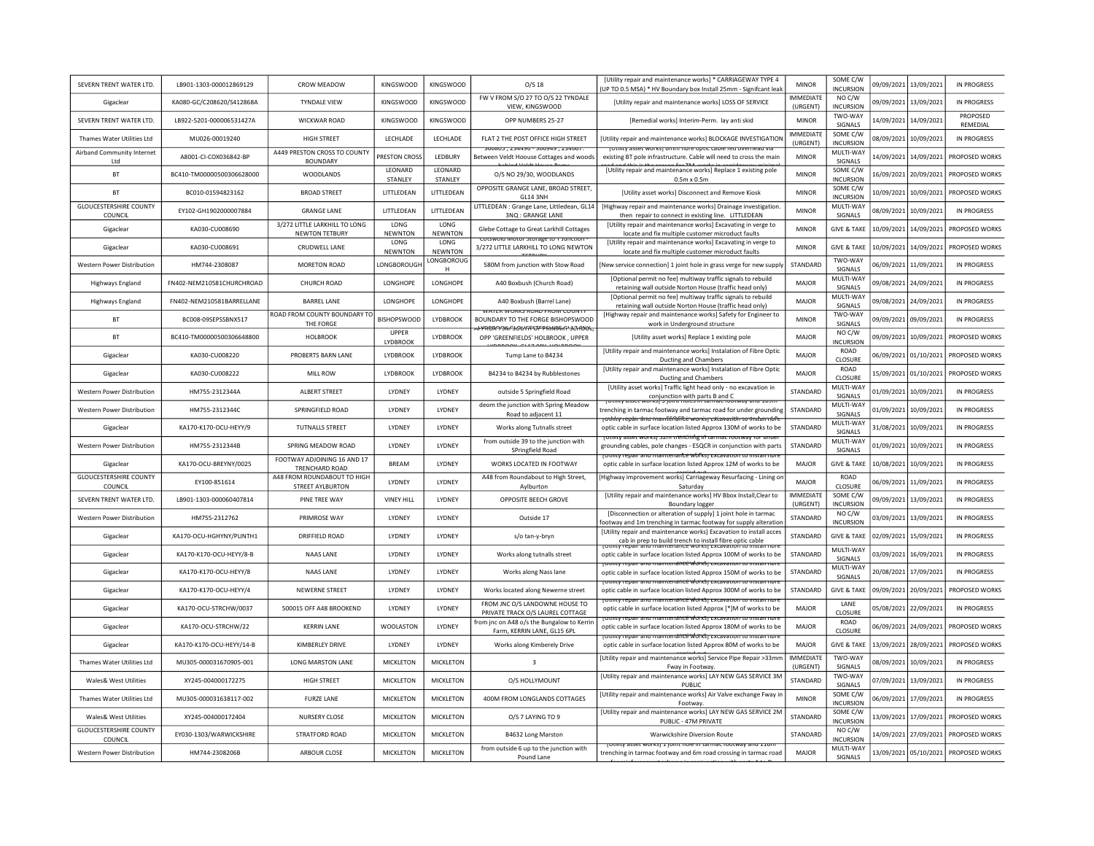| SEVERN TRENT WATER LTD.                  | LB901-1303-000012869129   | CROW MEADOW                                            | <b>KINGSWOOD</b>         | <b>KINGSWOOD</b>       | $O/S$ 18                                                                                                                       | [Utility repair and maintenance works] * CARRIAGEWAY TYPE 4<br>(UP TO 0.5 MSA) * HV Boundary box Install 25mm - Signifcant leak                                                                         | <b>MINOR</b>                 | SOME C/W<br><b>INCURSION</b>  | 09/09/2021 | 13/09/2021            | IN PROGRESS          |
|------------------------------------------|---------------------------|--------------------------------------------------------|--------------------------|------------------------|--------------------------------------------------------------------------------------------------------------------------------|---------------------------------------------------------------------------------------------------------------------------------------------------------------------------------------------------------|------------------------------|-------------------------------|------------|-----------------------|----------------------|
| Gigaclear                                | KA080-GC/C208620/S412868A | <b>TYNDALE VIEW</b>                                    | <b>KINGSWOOD</b>         | KINGSWOOD              | FW V FROM S/O 27 TO O/S 22 TYNDALE<br>VIEW, KINGSWOOD                                                                          | [Utility repair and maintenance works] LOSS OF SERVICE                                                                                                                                                  | <b>IMMEDIATE</b><br>(URGENT) | NO C/W<br><b>INCURSION</b>    | 09/09/2021 | 13/09/2021            | <b>IN PROGRESS</b>   |
| SEVERN TRENT WATER LTD.                  | LB922-5201-000006531427A  | <b>WICKWAR ROAD</b>                                    | <b>KINGSWOOD</b>         | <b>KINGSWOOD</b>       | OPP NUMBERS 25-27                                                                                                              | [Remedial works] Interim-Perm. lay anti skid                                                                                                                                                            | <b>MINOR</b>                 | TWO-WAY<br>SIGNALS            | 14/09/2021 | 14/09/2021            | PROPOSED<br>REMEDIAL |
| Thames Water Utilities Itd               | MU026-00019240            | <b>HIGH STREET</b>                                     | <b>IFCHIADE</b>          | LECHLADE               | FLAT 2 THE POST OFFICE HIGH STREET                                                                                             | [Utility repair and maintenance works] BLOCKAGE INVESTIGATION                                                                                                                                           | <b>IMMEDIATE</b><br>(URGENT) | SOME C/W<br>INCURSION         | 08/09/2021 | 10/09/2021            | IN PROGRESS          |
| Airband Community Internet<br>Ltd        | A8001-CI-COX036842-BP     | A449 PRESTON CROSS TO COUNTY<br><b>BOUNDARY</b>        | <b>PRESTON CROSS</b>     | LEDBURY                | .<br>טט <del>וי</del> כג <i>ו כ</i> ויכטטכ ־ טכ <del>ויוי</del> כג <i>ו ב</i> טסטטכ<br>Between Veldt Hoouse Cottages and woods | formità asser moresì numi uni e obrir canie ien orei uean ale<br>existing BT pole infrastructure. Cable will need to cross the main                                                                     | <b>MINOR</b>                 | MULTI-WAY<br>SIGNALS          | 14/09/2021 | 14/09/2021            | PROPOSED WORKS       |
| <b>BT</b>                                | BC410-TM00000500306628000 | <b>WOODLANDS</b>                                       | LEONARD<br>STANLEY       | LEONARD<br>STANLEY     | 0/S NO 29/30, WOODLANDS                                                                                                        | [Utility repair and maintenance works] Replace 1 existing pole<br>$0.5m \times 0.5m$                                                                                                                    | <b>MINOR</b>                 | SOME C/W<br><b>INCURSION</b>  | 16/09/2021 | 20/09/2021            | PROPOSED WORKS       |
| <b>BT</b>                                | BC010-01594823162         | <b>BROAD STREET</b>                                    | LITTLEDEAN               | LITTLEDEAN             | OPPOSITE GRANGE LANE, BROAD STREET,<br><b>GL14 3NH</b>                                                                         | [Utility asset works] Disconnect and Remove Kiosk                                                                                                                                                       | <b>MINOR</b>                 | SOME C/W<br>INCURSION         | 10/09/2021 | 10/09/2021            | PROPOSED WORKS       |
| <b>GLOUCESTERSHIRE COUNTY</b><br>COUNCIL | EY102-GH1902000007884     | <b>GRANGE LANE</b>                                     | LITTLEDEAN               | LITTLEDEAN             | LITTLEDEAN : Grange Lane, Littledean, GL14<br>3NQ: GRANGE LANE                                                                 | [Highway repair and maintenance works] Drainage investigation.<br>then repair to connect in existing line. LITTLEDEAN                                                                                   | <b>MINOR</b>                 | MULTI-WAY<br>SIGNALS          | 08/09/2021 | 10/09/2021            | <b>IN PROGRESS</b>   |
| Gigaclear                                | KA030-CU008690            | 3/272 LITTLE LARKHILL TO LONG<br><b>NEWTON TETBURY</b> | LONG<br>NEWNTON          | LONG<br>NEWNTON        | Glebe Cottage to Great Larkhill Cottages                                                                                       | [Utility repair and maintenance works] Excavating in verge to<br>locate and fix multiple customer microduct faults                                                                                      | <b>MINOR</b>                 | <b>GIVE &amp; TAKE</b>        | 10/09/2021 | 14/09/2021            | PROPOSED WORKS       |
| Gigaclear                                | KA030-CU008691            | CRUDWELL LANE                                          | LONG<br>NEWNTON          | LONG<br><b>NEWNTON</b> | COLSWOID MOLOF SLOTage to Turnctio<br>3/272 LITTLE LARKHILL TO LONG NEWTON                                                     | [Utility repair and maintenance works] Excavating in verge to<br>locate and fix multiple customer microduct faults                                                                                      | <b>MINOR</b>                 | <b>GIVE &amp; TAKE</b>        | 10/09/2021 | 14/09/2021            | PROPOSED WORKS       |
| <b>Western Power Distribution</b>        | HM744-2308087             | MORETON ROAD                                           | LONGBOROUGH              | LONGBOROUG<br>H        | 580M from junction with Stow Road                                                                                              | [New service connection] 1 joint hole in grass verge for new supply                                                                                                                                     | STANDARD                     | TWO-WAY<br>SIGNALS            | 06/09/2021 | 11/09/2021            | <b>IN PROGRESS</b>   |
| <b>Highways England</b>                  | FN402-NEM210581CHURCHROAD | <b>CHURCH ROAD</b>                                     | LONGHOPE                 | LONGHOPE               | A40 Boxbush (Church Road)                                                                                                      | [Optional permit no fee] multiway traffic signals to rebuild<br>retaining wall outside Norton House (traffic head only)                                                                                 | MAJOR                        | MULTI-WAY<br>SIGNALS          | 09/08/2021 | 24/09/2021            | <b>IN PROGRESS</b>   |
| Highways England                         | FN402-NEM210581BARRELLANE | <b>BARREL LANE</b>                                     | LONGHOPE                 | LONGHOPE               | A40 Boxbush (Barrel Lane)                                                                                                      | [Optional permit no fee] multiway traffic signals to rebuild<br>retaining wall outside Norton House (traffic head only)                                                                                 | MAJOR                        | MULTI-WAY<br>SIGNALS          | 09/08/2021 | 24/09/2021            | IN PROGRESS          |
| <b>BT</b>                                | BC008-09SEPSSBNX517       | ROAD FROM COUNTY BOUNDARY TO<br>THE FORGE              | <b>BISHOPSWOOD</b>       | <b>LYDBROOK</b>        | ן צוטטים ואוטחז שו <i>אט</i> ה כמחשיג ווא אז<br>BOUNDARY TO THE FORGE BISHOPSWOOD                                              | [Highway repair and maintenance works] Safety for Engineer to<br>work in Underground structure                                                                                                          | <b>MINOR</b>                 | TWO-WAY<br>SIGNALS            | 09/09/2021 | 09/09/2021            | IN PROGRESS          |
| <b>BT</b>                                | BC410-TM00000500306648800 | <b>HOLBROOK</b>                                        | <b>UPPER</b><br>LYDBROOK | LYDBROOK               | <u>PPROXYSIWISOVYHITTPRIIMAKTISCHOOL</u><br>OPP 'GREENFIELDS' HOLBROOK, UPPER                                                  | [Utility asset works] Replace 1 existing pole                                                                                                                                                           | MAJOR                        | NO C/W<br><b>INCURSION</b>    | 09/09/2021 | 10/09/2021            | PROPOSED WORKS       |
| Gigaclear                                | KA030-CU008220            | PROBERTS BARN LANE                                     | <b>LYDBROOK</b>          | <b>I YDBROOK</b>       | Tump Lane to B4234                                                                                                             | <b>IUtility repair and maintenance works] Instalation of Fibre Optic</b><br><b>Ducting and Chambers</b>                                                                                                 | <b>MAJOR</b>                 | <b>ROAD</b><br><b>CLOSURE</b> | 06/09/2021 | 01/10/2021            | PROPOSED WORKS       |
| Gigaclear                                | KA030-CU008222            | MILL ROW                                               | LYDBROOK                 | <b>LYDBROOK</b>        | B4234 to B4234 by Rubblestones                                                                                                 | <b>IUtility repair and maintenance works] Instalation of Fibre Optic</b><br><b>Ducting and Chambers</b>                                                                                                 | MAJOR                        | ROAD<br>CLOSURE               | 15/09/2021 | 01/10/2021            | PROPOSED WORKS       |
| Western Power Distribution               | HM755-2312344A            | <b>ALBERT STREET</b>                                   | <b>I YDNEY</b>           | <b>I YDNEY</b>         | outside 5 Springfield Road                                                                                                     | [Utility asset works] Traffic light head only - no excavation in<br>conjunction with parts B and C                                                                                                      | <b>STANDARD</b>              | MULTI-WAY<br>SIGNALS          | 01/09/2021 | 10/09/2021            | IN PROGRESS          |
| Western Power Distribution               | HM755-2312344C            | SPRINGFIELD ROAD                                       | LYDNEY                   | LYDNEY                 | deom the junction with Spring Meadow<br>Road to adjacent 11                                                                    | asset worksi 3 joint noies in tarmat rootway and 1091<br>trenching in tarmac footway and tarmac road for under grounding                                                                                | STANDARD                     | MULTI-WAY<br>SIGNALS          | 01/09/2021 | 10/09/2021            | <b>IN PROGRESS</b>   |
| Gigaclear                                | KA170-K170-OCU-HEYY/9     | TUTNALLS STREET                                        | LYDNEY                   | LYDNEY                 | Works along Tutnalls street                                                                                                    | <del>rothky repan and maintenante worksjicktavación to instan ido</del><br>optic cable in surface location listed Approx 130M of works to be                                                            | STANDARD                     | MULTI-WAY<br>SIGNALS          | 31/08/2021 | 10/09/2021            | IN PROGRESS          |
| Western Power Distribution               | HM755-2312344B            | SPRING MEADOW ROAD                                     | <b>I YDNEY</b>           | <b>I YDNEY</b>         | from outside 39 to the junction with<br>SPringfield Road                                                                       | Tothity asset works) bein trenthing in tarmac rootway for<br>grounding cables, pole changes - ESQCR in conjunction with parts                                                                           | STANDARD                     | MULTI-WAY<br>SIGNALS          | 01/09/2021 | 10/09/2021            | IN PROGRESS          |
| Gigaclear                                | KA170-OCU-BREYNY/0025     | FOOTWAY ADJOINING 16 AND 17<br>TRENCHARD ROAD          | BREAM                    | LYDNEY                 | WORKS LOCATED IN FOOTWAY                                                                                                       | zulluv repair anu maintenarice wurksi cxcavation to r<br>optic cable in surface location listed Approx 12M of works to be                                                                               | <b>MAJOR</b>                 | <b>GIVE &amp; TAKE</b>        | 10/08/2021 | 10/09/2021            | <b>IN PROGRESS</b>   |
| <b>GLOUCESTERSHIRE COUNTY</b><br>COUNCIL | EY100-851614              | A48 FROM ROUNDABOUT TO HIGH<br>STREET AYLBURTON        | <b>I YDNEY</b>           | <b>IYDNEY</b>          | A48 from Roundabout to High Street,<br>Aylburton                                                                               | [Highway improvement works] Carriageway Resurfacing - Lining o<br>Saturdav                                                                                                                              | MAIOR                        | <b>ROAD</b><br>CLOSURE        | 06/09/2021 | 11/09/2021            | <b>IN PROGRESS</b>   |
| SEVERN TRENT WATER LTD.                  | LB901-1303-000060407814   | PINE TREE WAY                                          | <b>VINEY HILL</b>        | LYDNEY                 | OPPOSITE BEECH GROVE                                                                                                           | [Utility repair and maintenance works] HV Bbox Install, Clear to<br><b>Boundary logger</b>                                                                                                              | <b>IMMEDIATE</b><br>(URGENT) | SOME C/W<br><b>INCURSION</b>  | 09/09/2021 | 13/09/2021            | <b>IN PROGRESS</b>   |
| Western Power Distribution               | HM755-2312762             | PRIMROSE WAY                                           | LYDNEY                   | LYDNEY                 | Outside 17                                                                                                                     | [Disconnection or alteration of supply] 1 joint hole in tarmac<br>footway and 1m trenching in tarmac footway for supply alteratior                                                                      | STANDARD                     | NO C/W<br>INCURSION           | 03/09/2021 | 13/09/2021            | IN PROGRESS          |
| Gigaclear                                | KA170-OCU-HGHYNY/PLINTH1  | <b>DRIFFIELD ROAD</b>                                  | LYDNEY                   | LYDNEY                 | s/o tan-y-bryn                                                                                                                 | [Utility repair and maintenance works] Excavation to install acces<br>cab in prep to build trench to install fibre optic cable                                                                          | STANDARD                     | <b>GIVE &amp; TAKE</b>        | 02/09/2021 | 15/09/2021            | <b>IN PROGRESS</b>   |
| Gigaclear                                | KA170-K170-OCU-HEYY/8-B   | <b>NAAS LANE</b>                                       | <b>I YDNFY</b>           | <b>IYDNEY</b>          | Works along tutnalls street                                                                                                    | <u>ty repair ario maintenance worksj excavation to instalin</u><br>optic cable in surface location listed Approx 100M of works to be                                                                    | STANDARD                     | MULTI-WAY<br>SIGNALS          | 03/09/2021 | 16/09/2021            | IN PROGRESS          |
| Gigaclear                                | KA170-K170-OCU-HEYY/8     | NAAS LANE                                              | LYDNEY                   | LYDNEY                 | Works along Nass lane                                                                                                          | otility repair and maintenance works Excavation to install nor<br>optic cable in surface location listed Approx 150M of works to be<br>rotility repair and maintenancé worksi Excavation to install non | <b>STANDARD</b>              | MULTI-WAY<br>SIGNALS          | 20/08/2021 | 17/09/2021            | IN PROGRESS          |
| Gigaclear                                | KA170-K170-OCU-HEYY/4     | <b>NEWERNE STREET</b>                                  | LYDNEY                   | LYDNEY                 | Works located along Newerne street                                                                                             | optic cable in surface location listed Approx 300M of works to be                                                                                                                                       | STANDARD                     | <b>GIVE &amp; TAKE</b>        | 09/09/2021 | 20/09/2021            | PROPOSED WORKS       |
| Gigaclear                                | KA170-OCU-STRCHW/0037     | 500015 OFF A48 BROOKEND                                | LYDNEY                   | LYDNEY                 | FROM JNC O/S LANDOWNE HOUSE TO<br>PRIVATE TRACK O/S LAUREL COTTAGE                                                             | יטנווונץ וכטמו מוזע ווומווונפוומוונפ שטואלן באנמעמנוטוו גט ווואנמו ווטוי<br>optic cable in surface location listed Approx [*]M of works to be<br><u>ty repair and maintenancé worksj excavation</u>     | MAJOR                        | LANE<br>CLOSURE               | 05/08/2021 | 22/09/2021            | IN PROGRESS          |
| Gigaclear                                | KA170-OCU-STRCHW/22       | <b>KERRIN LANE</b>                                     | <b>WOOLASTON</b>         | LYDNEY                 | rom jnc on A48 o/s the Bungalow to Kerrir<br>Farm, KERRIN LANE, GL15 6PL                                                       | optic cable in surface location listed Approx 180M of works to be<br><del>ty repair anu maintenancé worksj excavation to insta</del>                                                                    | <b>MAJOR</b>                 | <b>ROAD</b><br>CLOSURE        | 06/09/2021 | 24/09/2021            | PROPOSED WORKS       |
| Gigaclear                                | KA170-K170-OCU-HEYY/14-B  | <b>KIMBERI FY DRIVE</b>                                | LYDNEY                   | <b>I YDNEY</b>         | Works along Kimberely Drive                                                                                                    | optic cable in surface location listed Approx 80M of works to be                                                                                                                                        | MAIOR                        | <b>GIVE &amp; TAKE</b>        | 13/09/2021 | 28/09/2021            | PROPOSED WORKS       |
| Thames Water Utilities Itd               | MU305-000031670905-001    | <b>LONG MARSTON LANE</b>                               | <b>MICKLETON</b>         | <b>MICKLETON</b>       | $\overline{3}$                                                                                                                 | [Utility repair and maintenance works] Service Pipe Repair >33mn<br>Fway in Footway.                                                                                                                    | <b>IMMEDIATE</b><br>(URGENT) | TWO-WAY<br>SIGNALS            |            | 08/09/2021 10/09/2021 | IN PROGRESS          |
| <b>Wales&amp; West Utilities</b>         | XY245-004000172275        | <b>HIGH STREET</b>                                     | <b>MICKLETON</b>         | MICKLETON              | O/S HOLLYMOUNT                                                                                                                 | [Utility repair and maintenance works] LAY NEW GAS SERVICE 3M<br>PUBLIC                                                                                                                                 | STANDARD                     | TWO-WAY<br>SIGNALS            |            | 07/09/2021 13/09/2021 | <b>IN PROGRESS</b>   |
| Thames Water Utilities Ltd               | MU305-000031638117-002    | <b>FURZE LANE</b>                                      | <b>MICKLETON</b>         | MICKLETON              | 400M FROM LONGLANDS COTTAGES                                                                                                   | [Utility repair and maintenance works] Air Valve exchange Fway ir<br>Footway                                                                                                                            | <b>MINOR</b>                 | SOME C/W<br><b>INCURSION</b>  | 06/09/2021 | 17/09/2021            | <b>IN PROGRESS</b>   |
| Wales& West Utilities                    | XY245-004000172404        | NURSERY CLOSE                                          | MICKLETON                | MICKLETON              | O/S 7 LAYING TO 9                                                                                                              | [Utility repair and maintenance works] LAY NEW GAS SERVICE 2M<br>PUBLIC - 47M PRIVATE                                                                                                                   | STANDARD                     | SOME C/W<br><b>INCURSION</b>  | 13/09/2021 | 17/09/2021            | PROPOSED WORKS       |
| <b>GLOUCESTERSHIRE COUNTY</b><br>COUNCIL | EY030-1303/WARWICKSHIRE   | STRATFORD ROAD                                         | <b>MICKLETON</b>         | MICKLETON              | B4632 Long Marston                                                                                                             | Warwickshire Diversion Route                                                                                                                                                                            | STANDARD                     | NO C/W<br><b>INCURSION</b>    | 14/09/2021 | 27/09/2021            | PROPOSED WORKS       |
| Western Power Distribution               | HM744-2308206B            | ARBOUR CLOSE                                           | <b>MICKLETON</b>         | <b>MICKLETON</b>       | from outside 6 up to the junction with<br>Pound Lane                                                                           | עוווגן סאפ <i>נ אטו</i> ואזן בןטוווג ווטו <del>כ וווינגונגוווסט וטטנאפ</del> ן פווט בבע<br>trenching in tarmac footway and 6m road crossing in tarmac road                                              | <b>MAJOR</b>                 | MULTI-WAY<br><b>SIGNALS</b>   | 13/09/2021 | 05/10/2021            | PROPOSED WORKS       |
|                                          |                           |                                                        |                          |                        |                                                                                                                                |                                                                                                                                                                                                         |                              |                               |            |                       |                      |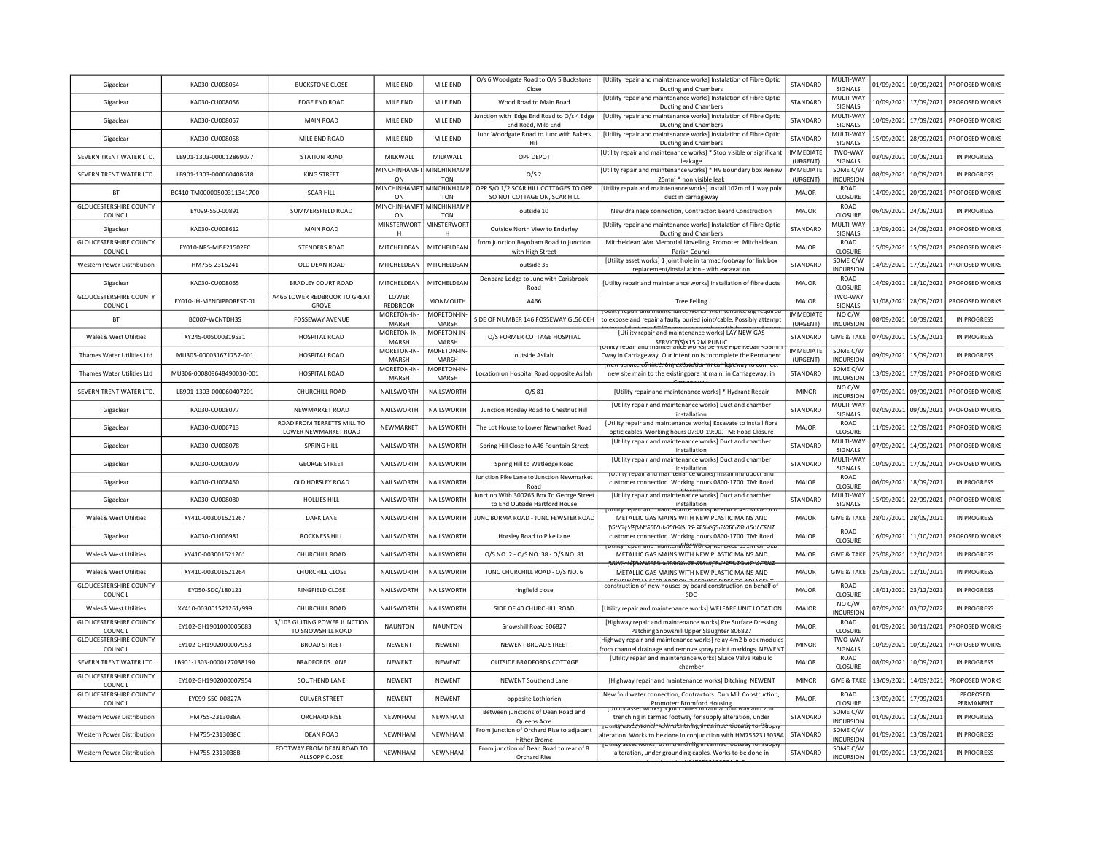| Gigaclear                                | KA030-CU008054            | <b>BUCKSTONE CLOSE</b>                             | MILE END                       | MILE END                  | O/s 6 Woodgate Road to O/s 5 Buckstone<br>Close                            | [Utility repair and maintenance works] Instalation of Fibre Optic<br>Ducting and Chambers                                                                                    | <b>STANDARD</b>              | MULTI-WAY<br>SIGNALS          |            | 01/09/2021 10/09/2021   | PROPOSED WORKS        |
|------------------------------------------|---------------------------|----------------------------------------------------|--------------------------------|---------------------------|----------------------------------------------------------------------------|------------------------------------------------------------------------------------------------------------------------------------------------------------------------------|------------------------------|-------------------------------|------------|-------------------------|-----------------------|
| Gigaclear                                | KA030-CU008056            | <b>EDGE END ROAD</b>                               | MILE END                       | MILE END                  | Wood Road to Main Road                                                     | [Utility repair and maintenance works] Instalation of Fibre Optic<br>Ducting and Chambers                                                                                    | STANDARD                     | MULTI-WAY<br>SIGNALS          |            | 10/09/2021 17/09/2021   | PROPOSED WORKS        |
| Gigaclear                                | KA030-CU008057            | MAIN ROAD                                          | MILE END                       | MILE END                  | Junction with Edge End Road to O/s 4 Edge<br>End Road, Mile End            | [Utility repair and maintenance works] Instalation of Fibre Optic<br>Ducting and Chambers                                                                                    | STANDARD                     | MULTI-WAY<br>SIGNALS          |            | 10/09/2021 17/09/2021   | PROPOSED WORKS        |
| Gigaclear                                | KA030-CU008058            | MILE END ROAD                                      | MILE END                       | MILE END                  | Junc Woodgate Road to Junc with Bakers<br>Hill                             | [Utility repair and maintenance works] Instalation of Fibre Optic<br>Ducting and Chambers                                                                                    | <b>STANDARD</b>              | MULTI-WAY<br>SIGNALS          |            | 15/09/2021 28/09/2021   | PROPOSED WORKS        |
| SEVERN TRENT WATER LTD.                  | LB901-1303-000012869077   | <b>STATION ROAD</b>                                | MILKWALL                       | MILKWALL                  | OPP DEPOT                                                                  | [Utility repair and maintenance works] * Stop visible or significant<br>leakage                                                                                              | <b>IMMEDIATE</b><br>(URGENT) | TWO-WAY<br>SIGNALS            |            | 03/09/2021 10/09/2021   | <b>IN PROGRESS</b>    |
| SEVERN TRENT WATER LTD.                  | 18901-1303-000060408618   | <b>KING STREET</b>                                 | <b>MINCHINHAMPT</b><br>ON      | MINCHINHAMI<br><b>TON</b> | O/S <sub>2</sub>                                                           | [Utility repair and maintenance works] * HV Boundary box Renew<br>25mm * non visible leak                                                                                    | <b>IMMEDIATE</b><br>(URGENT) | SOME C/W<br><b>INCURSION</b>  |            | 08/09/2021 10/09/2021   | <b>IN PROGRESS</b>    |
| <b>BT</b>                                | BC410-TM00000500311341700 | <b>SCAR HILL</b>                                   | MINCHINHAMPT MINCHINHAMP<br>ON | <b>TON</b>                | OPP S/O 1/2 SCAR HILL COTTAGES TO OPP<br>SO NUT COTTAGE ON, SCAR HILL      | [Utility repair and maintenance works] Install 102m of 1 way poly<br>duct in carriageway                                                                                     | MAJOR                        | ROAD<br>CLOSURE               |            | 14/09/2021 20/09/2021   | PROPOSED WORKS        |
| <b>GLOUCESTERSHIRE COUNTY</b><br>COUNCIL | EY099-S50-00891           | SUMMERSFIELD ROAD                                  | MINCHINHAMPT MINCHINHAMI<br>ON | <b>TON</b>                | outside 10                                                                 | New drainage connection, Contractor: Beard Construction                                                                                                                      | MAJOR                        | ROAD<br>CLOSURE               | 06/09/2021 | 24/09/2021              | IN PROGRESS           |
| Gigaclear                                | KA030-CU008612            | <b>MAIN ROAD</b>                                   | MINSTERWORT MINSTERWORT<br>H   | H                         | Outside North View to Enderley                                             | [Utility repair and maintenance works] Instalation of Fibre Optic<br>Ducting and Chambers                                                                                    | STANDARD                     | MULTI-WAY<br>SIGNALS          |            | 13/09/2021 24/09/2021   | PROPOSED WORKS        |
| <b>GLOUCESTERSHIRE COUNTY</b><br>COUNCIL | EY010-NRS-MISF21502FC     | <b>STENDERS ROAD</b>                               | MITCHELDEAN                    | MITCHELDEAN               | from junction Baynham Road to junction<br>with High Street                 | Mitcheldean War Memorial Unveiling, Promoter: Mitcheldean<br>Parish Council                                                                                                  | MAJOR                        | ROAD<br>CLOSURE               |            | 15/09/2021 15/09/2021   | PROPOSED WORKS        |
| Western Power Distribution               | HM755-2315241             | OLD DEAN ROAD                                      | MITCHELDEAN                    | MITCHELDEAN               | outside 35                                                                 | [Utility asset works] 1 joint hole in tarmac footway for link box<br>replacement/installation - with excavation                                                              | STANDARD                     | SOME C/W<br><b>INCURSION</b>  |            | 14/09/2021 17/09/2021   | PROPOSED WORKS        |
| Gigaclear                                | KA030-CU008065            | <b>BRADLEY COURT ROAD</b>                          | MITCHELDEAN                    | MITCHELDEAN               | Denbara Lodge to Junc with Carisbrook<br>Road                              | [Utility repair and maintenance works] Installation of fibre ducts                                                                                                           | <b>MAJOR</b>                 | <b>ROAD</b><br>CLOSURE        |            | 14/09/2021 18/10/2021   | PROPOSED WORKS        |
| <b>GLOUCESTERSHIRE COUNTY</b><br>COUNCIL | EY010-JH-MENDIPFOREST-01  | A466 LOWER REDBROOK TO GREAT<br><b>GROVE</b>       | LOWER<br>REDBROOK              | MONMOUTH                  | A466                                                                       | <b>Tree Felling</b>                                                                                                                                                          | MAJOR                        | TWO-WAY<br>SIGNALS            |            | 31/08/2021 28/09/2021   | PROPOSED WORKS        |
| <b>BT</b>                                | BC007-WCNTDH3S            | FOSSEWAY AVENUE                                    | MORETON-IN-<br>MARSH           | MORETON-IN<br>MARSH       | SIDE OF NUMBER 146 FOSSEWAY GL56 OEH                                       | ונש וכעמון מווע ווומווונכוומוונכ שטו גמו ושמון<br>to expose and repair a faulty buried joint/cable. Possibly attempt                                                         | <b>IMMEDIATE</b><br>(URGENT) | NO C/W<br><b>INCURSION</b>    |            | 08/09/2021 10/09/2021   | <b>IN PROGRESS</b>    |
| <b>Wales&amp; West Utilities</b>         | XY245-005000319531        | <b>HOSPITAL ROAD</b>                               | MORETON-IN-<br>MARSH           | MORETON-IN-<br>MARSH      | O/S FORMER COTTAGE HOSPITAL                                                | [Utility repair and maintenance works] LAY NEW GAS<br>SERVICE(S)X15 2M PUBLIC                                                                                                | STANDARD                     | <b>GIVE &amp; TAKE</b>        | 07/09/2021 | 15/09/2021              | <b>IN PROGRESS</b>    |
| Thames Water Utilities Itd               | MU305-000031671757-001    | HOSPITAL ROAD                                      | MORETON-IN-<br>MARSH           | MORFTON-IN<br>MARSH       | outside Asilah                                                             | Cway in Carriageway. Our intention is tocomplete the Permanent                                                                                                               | <b>IMMEDIATE</b><br>(URGENT) | SOME C/W<br><b>INCURSION</b>  | 09/09/2021 | 15/09/2021              | IN PROGRESS           |
| Thames Water Utilities Ltd               | MU306-000809648490030-001 | HOSPITAL ROAD                                      | MORETON-IN-<br>MARSH           | MORETON-IN-<br>MARSH      | Location on Hospital Road opposite Asilah                                  | wew service competition restablishment and wan<br>new site main to the existingpare nt main. in Carriageway. in                                                              | STANDARD                     | SOME C/W<br><b>INCURSION</b>  |            | 13/09/2021 17/09/2021   | PROPOSED WORKS        |
| SEVERN TRENT WATER LTD.                  | LB901-1303-000060407201   | CHURCHILL ROAD                                     | NAILSWORTH                     | NAILSWORTH                | O/S 81                                                                     | [Utility repair and maintenance works] * Hydrant Repair                                                                                                                      | <b>MINOR</b>                 | NO C/W<br><b>INCURSION</b>    |            | 07/09/2021 09/09/2021   | PROPOSED WORKS        |
| Gigaclear                                | KA030-CU008077            | NEWMARKET ROAD                                     | NAILSWORTH                     | NAILSWORTH                | Junction Horsley Road to Chestnut Hill                                     | [Utility repair and maintenance works] Duct and chamber<br>installation                                                                                                      | STANDARD                     | MULTI-WAY<br>SIGNALS          | 02/09/2021 | 09/09/2021              | PROPOSED WORKS        |
| Gigaclear                                | KA030-CU006713            | ROAD FROM TERRETTS MILL TO<br>LOWER NEWMARKET ROAD | NEWMARKET                      | NAILSWORTH                | The Lot House to Lower Newmarket Road                                      | [Utility repair and maintenance works] Excavate to install fibre<br>optic cables. Working hours 07:00-19:00. TM: Road Closure                                                | MAJOR                        | ROAD<br>CLOSURE               |            | 11/09/2021   12/09/2021 | PROPOSED WORKS        |
| Gigaclear                                | KA030-CU008078            | SPRING HILL                                        | NAILSWORTH                     | NAILSWORTH                | Spring Hill Close to A46 Fountain Street                                   | [Utility repair and maintenance works] Duct and chamber<br>installation                                                                                                      | <b>STANDARD</b>              | MULTI-WAY<br>SIGNALS          | 07/09/2021 | 14/09/2021              | PROPOSED WORKS        |
| Gigaclear                                | KA030-CU008079            | <b>GEORGE STREET</b>                               | NAILSWORTH                     | NAILSWORTH                | Spring Hill to Watledge Road                                               | [Utility repair and maintenance works] Duct and chamber<br>installation                                                                                                      | STANDARD                     | MULTI-WAY<br>SIGNALS          |            | 10/09/2021 17/09/2021   | PROPOSED WORKS        |
| Gigaclear                                | KA030-CU008450            | OLD HORSLEY ROAD                                   | NAILSWORTH                     | NAILSWORTH                | Junction Pike Lane to Junction Newmarket<br>Road                           | enance works<br>customer connection. Working hours 0800-1700. TM: Road                                                                                                       | MAJOR                        | ROAD<br>CLOSURE               |            | 06/09/2021 18/09/2021   | IN PROGRESS           |
| Gigaclear                                | KA030-CU008080            | <b>HOLLIES HILL</b>                                | NAILSWORTH                     | NAILSWORTH                | Junction With 300265 Box To George Street<br>to End Outside Hartford House | [Utility repair and maintenance works] Duct and chamber<br>installation                                                                                                      | STANDARD                     | MULTI-WAY<br>SIGNALS          | 15/09/2021 | 22/09/2021              | PROPOSED WORKS        |
| <b>Wales&amp; West Utilities</b>         | XY410-003001521267        | DARK LANE                                          | NAILSWORTH                     | NAILSWORTH                | JUNC BURMA ROAD - JUNC FEWSTER ROAD                                        | ulity repair and maintenance works) REPLACE 497M OF OL<br>METALLIC GAS MAINS WITH NEW PLASTIC MAINS AND                                                                      | MAJOR                        | <b>GIVE &amp; TAKE</b>        |            | 28/07/2021 28/09/2021   | <b>IN PROGRESS</b>    |
| Gigaclear                                | KA030-CU006981            | <b>ROCKNESS HILL</b>                               | <b>NAILSWORTH</b>              | NAILSWORTH                | Horsley Road to Pike Lane                                                  | <b>TOthity Kepan and mannemance works in Islam montout Candi</b><br>customer connection. Working hours 0800-1700. TM: Road                                                   | MAJOR                        | <b>ROAD</b><br>CLOSURE        | 16/09/2021 | 11/10/2021              | PROPOSED WORKS        |
| Wales& West Utilities                    | XY410-003001521261        | CHURCHILL ROAD                                     | <b>NAILSWORTH</b>              | <b>NAILSWORTH</b>         | 0/S NO. 2 - 0/S NO. 38 - 0/S NO. 81                                        | Totility repair and maintenafice works) REPLACE 391IVI OF OLD<br>METALLIC GAS MAINS WITH NEW PLASTIC MAINS AND<br>DEMEVY ÉDANYATET NAMREAM JEE WORKSER LY LAELE SUIN LYFELLE | <b>MAJOR</b>                 | <b>GIVE &amp; TAKE</b>        |            | 25/08/2021 12/10/2021   | <b>IN PROGRESS</b>    |
| Wales& West Utilities                    | XY410-003001521264        | CHURCHILL CLOSE                                    | NAILSWORTH                     | NAILSWORTH                | JUNC CHURCHILL ROAD - O/S NO. 6                                            | METALLIC GAS MAINS WITH NEW PLASTIC MAINS AND                                                                                                                                | MAJOR                        | <b>GIVE &amp; TAKE</b>        | 25/08/2021 | 12/10/2021              | <b>IN PROGRESS</b>    |
| <b>GLOUCESTERSHIRE COUNTY</b><br>COUNCIL | EY050-SDC/180121          | RINGFIELD CLOSE                                    | NAILSWORTH                     | NAILSWORTH                | ringfield close                                                            | construction of new houses by beard construction on behalf of<br>SDC                                                                                                         | MAJOR                        | <b>ROAD</b><br>CLOSURE        |            | 18/01/2021 23/12/2021   | <b>IN PROGRESS</b>    |
| <b>Wales&amp; West Utilities</b>         | XY410-003001521261/999    | CHURCHILL ROAD                                     | NAILSWORTH                     | NAILSWORTH                | SIDE OF 40 CHURCHILL ROAD                                                  | [Utility repair and maintenance works] WELFARE UNIT LOCATION                                                                                                                 | MAJOR                        | NO C/W<br><b>INCURSION</b>    |            | 07/09/2021 03/02/2022   | <b>IN PROGRESS</b>    |
| <b>GLOUCESTERSHIRE COUNTY</b><br>COUNCIL | EY102-GH1901000005683     | 3/103 GUITING POWER JUNCTION<br>TO SNOWSHILL ROAD  | <b>NAUNTON</b>                 | <b>NAUNTON</b>            | Snowshill Road 806827                                                      | [Highway repair and maintenance works] Pre Surface Dressing<br>Patching Snowshill Upper Slaughter 806827                                                                     | MAJOR                        | <b>ROAD</b><br><b>CLOSURE</b> |            | 01/09/2021 30/11/2021   | PROPOSED WORKS        |
| <b>GLOUCESTERSHIRE COUNTY</b><br>COUNCIL | EY102-GH1902000007953     | <b>BROAD STREET</b>                                | NEWENT                         | <b>NFWFNT</b>             | NEWENT BROAD STREET                                                        | [Highway repair and maintenance works] relay 4m2 block modules<br>from channel drainage and remove spray paint markings NEWENT                                               | <b>MINOR</b>                 | TWO-WAY<br>SIGNALS            |            | 10/09/2021 10/09/2021   | PROPOSED WORKS        |
| SEVERN TRENT WATER LTD.                  | IB901-1303-000012703819A  | <b>BRADFORDS LANF</b>                              | NEWENT                         | NEWENT                    | <b>OUTSIDE BRADEORDS COTTAGE</b>                                           | [Utility repair and maintenance works] Sluice Valve Rebuild<br>chamber                                                                                                       | MAJOR                        | ROAD<br>CLOSURE               |            | 08/09/2021 10/09/2021   | IN PROGRESS           |
| <b>GLOUCESTERSHIRE COUNTY</b><br>COUNCIL | EY102-GH1902000007954     | SOUTHEND LANE                                      | NEWENT                         | <b>NEWENT</b>             | <b>NEWENT Southend Lane</b>                                                | [Highway repair and maintenance works] Ditching NEWENT                                                                                                                       | <b>MINOR</b>                 | <b>GIVE &amp; TAKE</b>        |            | 13/09/2021 14/09/2021   | PROPOSED WORKS        |
| <b>GLOUCESTERSHIRE COUNTY</b><br>COUNCIL | EY099-S50-00827A          | <b>CULVER STREET</b>                               | NEWENT                         | NEWENT                    | opposite Lothlorien                                                        | New foul water connection, Contractors: Dun Mill Construction,<br>Promoter: Bromford Housing                                                                                 | MAJOR                        | <b>ROAD</b><br>CLOSURE        |            | 13/09/2021 17/09/2021   | PROPOSED<br>PERMANENT |
| Western Power Distribution               | HM755-2313038A            | ORCHARD RISE                                       | <b>NEWNHAM</b>                 | NEWNHAM                   | Between junctions of Dean Road and<br>Queens Acre                          | <b>Othity asset works</b> of form mores in tarmac rootwa<br>trenching in tarmac footway for supply alteration, under                                                         | STANDARD                     | SOME C/W<br><b>INCURSION</b>  |            | 01/09/2021 13/09/2021   | <b>IN PROGRESS</b>    |
| Western Power Distribution               | HM755-2313038C            | <b>DEAN ROAD</b>                                   | <b>NEWNHAM</b>                 | NEWNHAM                   | From junction of Orchard Rise to adjacent<br><b>Hither Brome</b>           | <del>otmty asset works pashf trentning ih tarinac rootway for supp</del> r<br>alteration. Works to be done in conjunction with HM7552313038A                                 | STANDARD                     | SOME C/W<br><b>INCURSION</b>  | 01/09/2021 | 13/09/2021              | <b>IN PROGRESS</b>    |
| <b>Western Power Distribution</b>        | HM755-2313038B            | FOOTWAY FROM DEAN ROAD TO<br>ALLSOPP CLOSE         | NEWNHAM                        | NFWNHAM                   | From junction of Dean Road to rear of 8<br><b>Orchard Rise</b>             | <u>נרטוווגן asset works) וויזט נוכחולוווקט וויזט נא</u><br>alteration, under grounding cables. Works to be done in                                                           | <b>STANDARD</b>              | SOME C/W<br><b>INCURSION</b>  |            | 01/09/2021 13/09/2021   | IN PROGRESS           |
|                                          |                           |                                                    |                                |                           |                                                                            |                                                                                                                                                                              |                              |                               |            |                         |                       |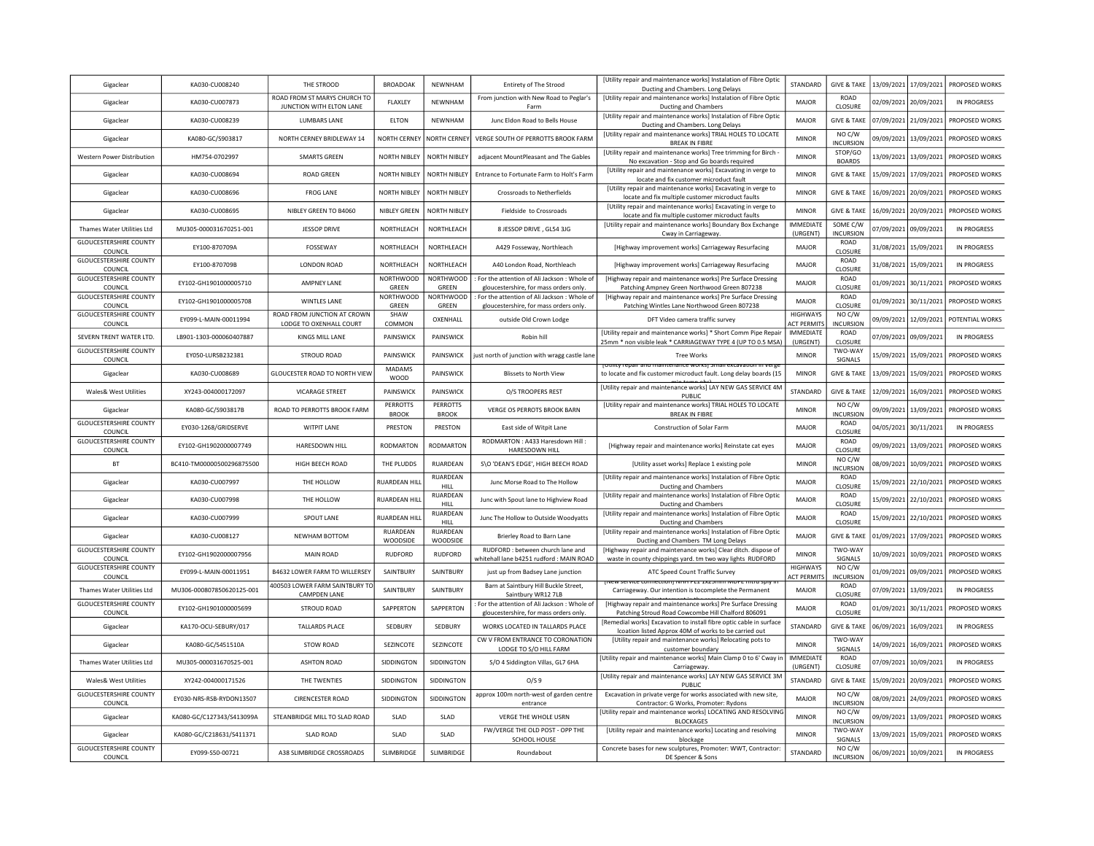| Gigaclear                                | KA030-CU008240            | THE STROOD                                                   | <b>BROADOAK</b>                 | NEWNHAM                   | <b>Entirety of The Strood</b>                                                          | [Utility repair and maintenance works] Instalation of Fibre Optic<br>Ducting and Chambers. Long Delays                                     | <b>STANDARD</b>                       | <b>GIVE &amp; TAKE</b>     |                       | 13/09/2021 17/09/2021   | PROPOSED WORKS     |
|------------------------------------------|---------------------------|--------------------------------------------------------------|---------------------------------|---------------------------|----------------------------------------------------------------------------------------|--------------------------------------------------------------------------------------------------------------------------------------------|---------------------------------------|----------------------------|-----------------------|-------------------------|--------------------|
| Gigaclear                                | KA030-CU007873            | ROAD FROM ST MARYS CHURCH TO<br>JUNCTION WITH ELTON LANE     | FLAXLEY                         | <b>NEWNHAM</b>            | From junction with New Road to Peglar's<br>Farm                                        | [Utility repair and maintenance works] Instalation of Fibre Optic<br>Ducting and Chambers                                                  | <b>MAJOR</b>                          | <b>ROAD</b><br>CLOSURE     |                       | 02/09/2021 20/09/2021   | <b>IN PROGRESS</b> |
| Gigaclear                                | KA030-CU008239            | <b>LUMBARS LANE</b>                                          | ELTON                           | NEWNHAM                   | Junc Eldon Road to Bells House                                                         | [Utility repair and maintenance works] Instalation of Fibre Optic<br>Ducting and Chambers. Long Delays                                     | <b>MAJOR</b>                          | <b>GIVE &amp; TAKE</b>     |                       | 07/09/2021 21/09/2021   | PROPOSED WORKS     |
| Gigaclear                                | KA080-GC/S903817          | NORTH CERNEY BRIDLEWAY 14                                    | NORTH CERNEY                    | <b>NORTH CERNEY</b>       | VERGE SOUTH OF PERROTTS BROOK FARM                                                     | [Utility repair and maintenance works] TRIAL HOLES TO LOCATE<br><b>BREAK IN FIBRE</b>                                                      | <b>MINOR</b>                          | NO C/W<br><b>INCURSION</b> | 09/09/2021            | 13/09/2021              | PROPOSED WORKS     |
| Western Power Distribution               | HM754-0702997             | <b>SMARTS GREEN</b>                                          | NORTH NIBI FY                   | NORTH NIBLEY              | adiacent MountPleasant and The Gables                                                  | [Utility repair and maintenance works] Tree trimming for Birch -<br>No excavation - Stop and Go boards required                            | <b>MINOR</b>                          | STOP/GO<br><b>BOARDS</b>   | 13/09/2021            | 13/09/2021              | PROPOSED WORKS     |
| Gigaclear                                | KA030-CU008694            | <b>ROAD GREEN</b>                                            | NORTH NIBLEY                    | NORTH NIBLEY              | Entrance to Fortunate Farm to Holt's Farm                                              | [Utility repair and maintenance works] Excavating in verge to<br>locate and fix customer microduct fault                                   | <b>MINOR</b>                          | <b>GIVE &amp; TAKE</b>     | 15/09/2021            | 17/09/2021              | PROPOSED WORKS     |
| Gigaclear                                | KA030-CU008696            | <b>FROG LANE</b>                                             | NORTH NIBI FY                   | NORTH NIBLEY              | Crossroads to Netherfields                                                             | [Utility repair and maintenance works] Excavating in verge to<br>locate and fix multiple customer microduct faults                         | <b>MINOR</b>                          | <b>GIVE &amp; TAKE</b>     | 16/09/2021            | 20/09/2021              | PROPOSED WORKS     |
| Gigaclear                                | KA030-CU008695            | NIBLEY GREEN TO B4060                                        | <b>NIBLEY GREEN</b>             | <b>NORTH NIBLEY</b>       | Fieldside to Crossroads                                                                | [Utility repair and maintenance works] Excavating in verge to<br>locate and fix multiple customer microduct faults                         | <b>MINOR</b>                          | <b>GIVE &amp; TAKE</b>     | 16/09/2021            | 20/09/2021              | PROPOSED WORKS     |
| Thames Water Utilities Ltd               | MU305-000031670251-001    | JESSOP DRIVE                                                 | NORTHLEACH                      | NORTHLEACH                | 8 JESSOP DRIVE, GL54 3JG                                                               | [Utility repair and maintenance works] Boundary Box Exchange<br>Cway in Carriageway.                                                       | <b>IMMEDIATE</b><br>(URGENT)          | SOME C/W<br>INCURSION      | 07/09/2021            | 09/09/2021              | IN PROGRESS        |
| <b>GLOUCESTERSHIRE COUNTY</b><br>COUNCIL | EY100-870709A             | FOSSEWAY                                                     | NORTHLEACH                      | NORTHLEACH                | A429 Fosseway, Northleach                                                              | [Highway improvement works] Carriageway Resurfacing                                                                                        | MAJOR                                 | ROAD<br>CLOSURE            |                       | 31/08/2021 15/09/2021   | <b>IN PROGRESS</b> |
| <b>GLOUCESTERSHIRE COUNTY</b><br>COUNCIL | EY100-870709B             | <b>LONDON ROAD</b>                                           | NORTHLEACH                      | NORTHLEACH                | A40 London Road, Northleach                                                            | [Highway improvement works] Carriageway Resurfacing                                                                                        | MAIOR                                 | ROAD<br>CLOSURE            |                       | 31/08/2021 15/09/2021   | IN PROGRESS        |
| <b>GLOUCESTERSHIRE COUNTY</b><br>COUNCIL | EY102-GH1901000005710     | <b>AMPNEY LANE</b>                                           | <b>NORTHWOOD</b><br>GREEN       | NORTHWOOD<br>GREEN        | For the attention of Ali Jackson : Whole of<br>gloucestershire, for mass orders only   | [Highway repair and maintenance works] Pre Surface Dressing<br>Patching Ampney Green Northwood Green 807238                                | MAJOR                                 | ROAD<br>CLOSURE            |                       | 01/09/2021 30/11/2021   | PROPOSED WORKS     |
| <b>GLOUCESTERSHIRE COUNTY</b><br>COUNCIL | EY102-GH1901000005708     | WINTLES LANE                                                 | <b>NORTHWOOD</b><br>GREEN       | <b>NORTHWOOD</b><br>GREEN | : For the attention of Ali Jackson : Whole of<br>gloucestershire, for mass orders only | [Highway repair and maintenance works] Pre Surface Dressing<br>Patching Wintles Lane Northwood Green 807238                                | MAJOR                                 | <b>ROAD</b><br>CLOSURE     | 01/09/2021            | 30/11/2021              | PROPOSED WORKS     |
| <b>GLOUCESTERSHIRE COUNTY</b><br>COUNCIL | EY099-L-MAIN-00011994     | ROAD FROM JUNCTION AT CROWN<br>LODGE TO OXENHALL COURT       | SHAW<br>COMMON                  | OXENHALL                  | outside Old Crown Lodge                                                                | DFT Video camera traffic survey                                                                                                            | <b>HIGHWAYS</b><br><b>ACT PERMITS</b> | NO C/W<br>INCURSION        | 09/09/2021            | 12/09/2021              | POTENTIAL WORKS    |
| SEVERN TRENT WATER LTD                   | LB901-1303-000060407887   | KINGS MILL LANE                                              | PAINSWICK                       | PAINSWICK                 | Robin hill                                                                             | [Utility repair and maintenance works] * Short Comm Pipe Repair<br>25mm * non visible leak * CARRIAGEWAY TYPE 4 (UP TO 0.5 MSA)            | <b>IMMEDIATE</b><br>(URGENT)          | ROAD<br>CLOSURE            |                       | 07/09/2021 09/09/2021   | <b>IN PROGRESS</b> |
| <b>GLOUCESTERSHIRE COUNTY</b><br>COUNCIL | EY050-LURSB232381         | <b>STROUD ROAD</b>                                           | PAINSWICK                       | PAINSWICK                 | just north of junction with wragg castle land                                          | <b>Tree Works</b>                                                                                                                          | <b>MINOR</b>                          | TWO-WAY<br>SIGNALS         | 15/09/2021            | 15/09/2021              | PROPOSED WORKS     |
| Gigaclear                                | KA030-CU008689            | <b>GLOUCESTER ROAD TO NORTH VIEW</b>                         | <b>MADAMS</b><br><b>WOOD</b>    | PAINSWICK                 | <b>Blissets to North View</b>                                                          | <u>TOUTHLY TEDAIT and maintenance workst small excavation in verg</u><br>to locate and fix customer microduct fault. Long delay boards (15 | <b>MINOR</b>                          | <b>GIVE &amp; TAKE</b>     | 13/09/2021            | 15/09/2021              | PROPOSED WORKS     |
| Wales& West Utilities                    | XY243-004000172097        | <b>VICARAGE STREET</b>                                       | PAINSWICK                       | PAINSWICK                 | O/S TROOPERS REST                                                                      | [Utility repair and maintenance works] LAY NEW GAS SERVICE 4M<br>PUBLIC                                                                    | <b>STANDARD</b>                       | <b>GIVE &amp; TAKE</b>     | 12/09/2021            | 16/09/2021              | PROPOSED WORKS     |
| Gigaclear                                | KA080-GC/S903817B         | ROAD TO PERROTTS BROOK FARM                                  | <b>PERROTTS</b><br><b>BROOK</b> | PERROTTS<br><b>BROOK</b>  | VERGE OS PERROTS BROOK BARN                                                            | [Utility repair and maintenance works] TRIAL HOLES TO LOCATE<br><b>BREAK IN FIBRE</b>                                                      | <b>MINOR</b>                          | NO C/W<br>INCURSION        | 09/09/2021            | 13/09/2021              | PROPOSED WORKS     |
| <b>GLOUCESTERSHIRE COUNTY</b><br>COUNCIL | EY030-1268/GRIDSERVE      | <b>WITPIT LANE</b>                                           | PRESTON                         | PRESTON                   | East side of Witpit Lane                                                               | Construction of Solar Farm                                                                                                                 | MAJOR                                 | ROAD<br>CLOSURE            | 04/05/2021            | 30/11/2021              | <b>IN PROGRESS</b> |
| <b>GLOUCESTERSHIRE COUNTY</b><br>COUNCIL | EY102-GH1902000007749     | HARESDOWN HILL                                               | RODMARTON                       | <b>RODMARTON</b>          | RODMARTON: A433 Haresdown Hill:<br>HARESDOWN HILL                                      | [Highway repair and maintenance works] Reinstate cat eyes                                                                                  | MAJOR                                 | <b>ROAD</b><br>CLOSURE     | 09/09/2021            | 13/09/2021              | PROPOSED WORKS     |
| <b>BT</b>                                | BC410-TM00000500296875500 | HIGH BEECH ROAD                                              | THE PLUDDS                      | RUARDEAN                  | S\O 'DEAN'S EDGE'. HIGH BEECH ROAD                                                     | [Utility asset works] Replace 1 existing pole                                                                                              | <b>MINOR</b>                          | NO C/W<br><b>INCURSION</b> | 08/09/2021            | 10/09/2021              | PROPOSED WORKS     |
| Gigaclear                                | KA030-CU007997            | THE HOLLOW                                                   | RUARDEAN HIL                    | RUARDEAN<br>HII I         | Junc Morse Road to The Hollow                                                          | [Utility repair and maintenance works] Instalation of Fibre Optic<br>Ducting and Chambers                                                  | <b>MAJOR</b>                          | <b>ROAD</b><br>CLOSURE     |                       | 15/09/2021   22/10/2021 | PROPOSED WORKS     |
| Gigaclear                                | KA030-CU007998            | THE HOLLOW                                                   | <b>RUARDEAN HILL</b>            | RUARDEAN<br>HILL.         | Junc with Spout lane to Highview Road                                                  | [Utility repair and maintenance works] Instalation of Fibre Optic<br>Ducting and Chambers                                                  | MAIOR                                 | ROAD<br>CLOSURE            |                       | 15/09/2021 22/10/2021   | PROPOSED WORKS     |
| Gigaclear                                | KA030-CU007999            | SPOUT LANE                                                   | RUARDEAN HILL                   | RUARDEAN<br><b>HILL</b>   | Junc The Hollow to Outside Woodvatts                                                   | [Utility repair and maintenance works] Instalation of Fibre Optic<br>Ducting and Chambers                                                  | MAJOR                                 | ROAD<br>CLOSURE            |                       | 15/09/2021 22/10/2021   | PROPOSED WORKS     |
| Gigaclear                                | KA030-CU008127            | NEWHAM BOTTOM                                                | <b>RUARDEAN</b><br>WOODSIDE     | RUARDEAN<br>WOODSIDE      | Brierley Road to Barn Lane                                                             | [Utility repair and maintenance works] Instalation of Fibre Optic<br>Ducting and Chambers TM Long Delays                                   | MAIOR                                 | <b>GIVE &amp; TAKE</b>     | 01/09/2021            | 17/09/2021              | PROPOSED WORKS     |
| <b>GLOUCESTERSHIRE COUNTY</b><br>COUNCIL | EY102-GH1902000007956     | <b>MAIN ROAD</b>                                             | <b>RUDFORD</b>                  | <b>RUDFORD</b>            | RUDFORD : between church lane and<br>whitehall lane b4251 rudford : MAIN ROAD          | [Highway repair and maintenance works] Clear ditch. dispose of<br>waste in county chippings yard. tm two way lights RUDFORD                | <b>MINOR</b>                          | TWO-WAY<br>SIGNALS         |                       | 10/09/2021 10/09/2021   | PROPOSED WORKS     |
| <b>GLOUCESTERSHIRE COUNTY</b><br>COUNCIL | EY099-L-MAIN-00011951     | <b>B4632 LOWER FARM TO WILLERSEY</b>                         | SAINTBURY                       | SAINTBURY                 | just up from Badsey Lane junction                                                      | ATC Speed Count Traffic Survey                                                                                                             | <b>HIGHWAYS</b><br><b>ACT PERMITS</b> | NO C/W<br>INCURSION        |                       | 01/09/2021 09/09/2021   | PROPOSED WORKS     |
| Thames Water Utilities Ltd               | MU306-000807850620125-001 | <b>400503 LOWER FARM SAINTBURY TO</b><br><b>CAMPDEN LANE</b> | SAINTBURY                       | SAINTBURY                 | Barn at Saintbury Hill Buckle Street,<br>Saintbury WR12 7LB                            | EW SERVICE CONNECTION PRINT FEL EXZONIN WIDEL HIGH SPI<br>Carriageway. Our intention is tocomplete the Permanent                           | <b>MAJOR</b>                          | ROAD<br>CLOSURE            | 07/09/2021            | 13/09/2021              | <b>IN PROGRESS</b> |
| <b>GLOUCESTERSHIRE COUNTY</b><br>COUNCIL | FY102-GH1901000005699     | STROUD ROAD                                                  | SAPPERTON                       | SAPPERTON                 | For the attention of Ali Jackson : Whole of<br>gloucestershire, for mass orders only   | [Highway repair and maintenance works] Pre Surface Dressing<br>Patching Stroud Road Cowcombe Hill Chalford 806091                          | MAIOR                                 | <b>ROAD</b><br>CLOSURE     | 01/09/2021            | 30/11/2021              | PROPOSED WORKS     |
| Gigaclear                                | KA170-OCU-SEBURY/017      | <b>TALLARDS PLACE</b>                                        | SEDBURY                         | SEDBURY                   | WORKS LOCATED IN TALLARDS PLACE                                                        | [Remedial works] Excavation to install fibre optic cable in surface<br>Icoation listed Approx 40M of works to be carried out               | STANDARD                              | <b>GIVE &amp; TAKE</b>     | 06/09/2021            | 16/09/2021              | IN PROGRESS        |
| Gigaclear                                | KA080-GC/S451510A         | <b>STOW ROAD</b>                                             | SEZINCOTE                       | SEZINCOTE                 | CW V FROM ENTRANCE TO CORONATION<br>LODGE TO S/O HILL FARM                             | [Utility repair and maintenance works] Relocating pots to<br>customer boundary                                                             | <b>MINOR</b>                          | TWO-WAY<br>SIGNALS         | 14/09/2021            | 16/09/2021              | PROPOSED WORKS     |
| Thames Water Utilities Ltd               | MU305-000031670525-001    | <b>ASHTON ROAD</b>                                           | SIDDINGTON                      | SIDDINGTON                | S/O 4 Siddington Villas, GL7 6HA                                                       | [Utility repair and maintenance works] Main Clamp 0 to 6' Cway in<br>Carriageway                                                           | <b>IMMEDIATE</b><br>(URGENT)          | ROAD<br>CLOSURE            |                       | 07/09/2021 10/09/2021   | <b>IN PROGRESS</b> |
| Wales& West Utilities                    | XY242-004000171526        | THE TWENTIES                                                 | SIDDINGTON                      | SIDDINGTON                | O/S9                                                                                   | [Utility repair and maintenance works] LAY NEW GAS SERVICE 3M<br>PUBLIC                                                                    | STANDARD                              | <b>GIVE &amp; TAKE</b>     | 15/09/2021            | 20/09/2021              | PROPOSED WORKS     |
| <b>GLOUCESTERSHIRE COUNTY</b><br>COUNCIL | EY030-NRS-RSB-RYDON13507  | <b>CIRENCESTER ROAD</b>                                      | SIDDINGTON                      | SIDDINGTON                | approx 100m north-west of garden centre<br>entrance                                    | Excavation in private verge for works associated with new site,<br>Contractor: G Works, Promoter: Rydons                                   | MAJOR                                 | NO C/W<br><b>INCURSION</b> | 08/09/2021            | 24/09/2021              | PROPOSED WORKS     |
| Gigaclear                                | KA080-GC/C127343/S413099A | STEANBRIDGE MILL TO SLAD ROAD                                | SLAD                            | SLAD                      | VERGE THE WHOLE USRN                                                                   | [Utility repair and maintenance works] LOCATING AND RESOLVING<br><b>BLOCKAGES</b>                                                          | <b>MINOR</b>                          | NO C/W<br><b>INCURSION</b> |                       | 09/09/2021 13/09/2021   | PROPOSED WORKS     |
| Gigaclear                                | KA080-GC/C218631/S411371  | <b>SLAD ROAD</b>                                             | SLAD                            | SLAD                      | FW/VERGE THE OLD POST - OPP THE<br>SCHOOL HOUSE                                        | [Utility repair and maintenance works] Locating and resolving<br>blockage                                                                  | <b>MINOR</b>                          | TWO-WAY<br>SIGNALS         |                       | 13/09/2021 15/09/2021   | PROPOSED WORKS     |
| <b>GLOUCESTERSHIRE COUNTY</b>            |                           |                                                              |                                 |                           |                                                                                        | Concrete bases for new sculptures, Promoter: WWT, Contractor:                                                                              |                                       | NO C/W                     |                       |                         |                    |
| COUNCIL                                  | EY099-S50-00721           | A38 SLIMBRIDGE CROSSROADS                                    | SLIMBRIDGE                      | SLIMBRIDGE                | Roundabout                                                                             | DE Spencer & Sons                                                                                                                          | STANDARD                              | <b>INCURSION</b>           | 06/09/2021 10/09/2021 |                         | <b>IN PROGRESS</b> |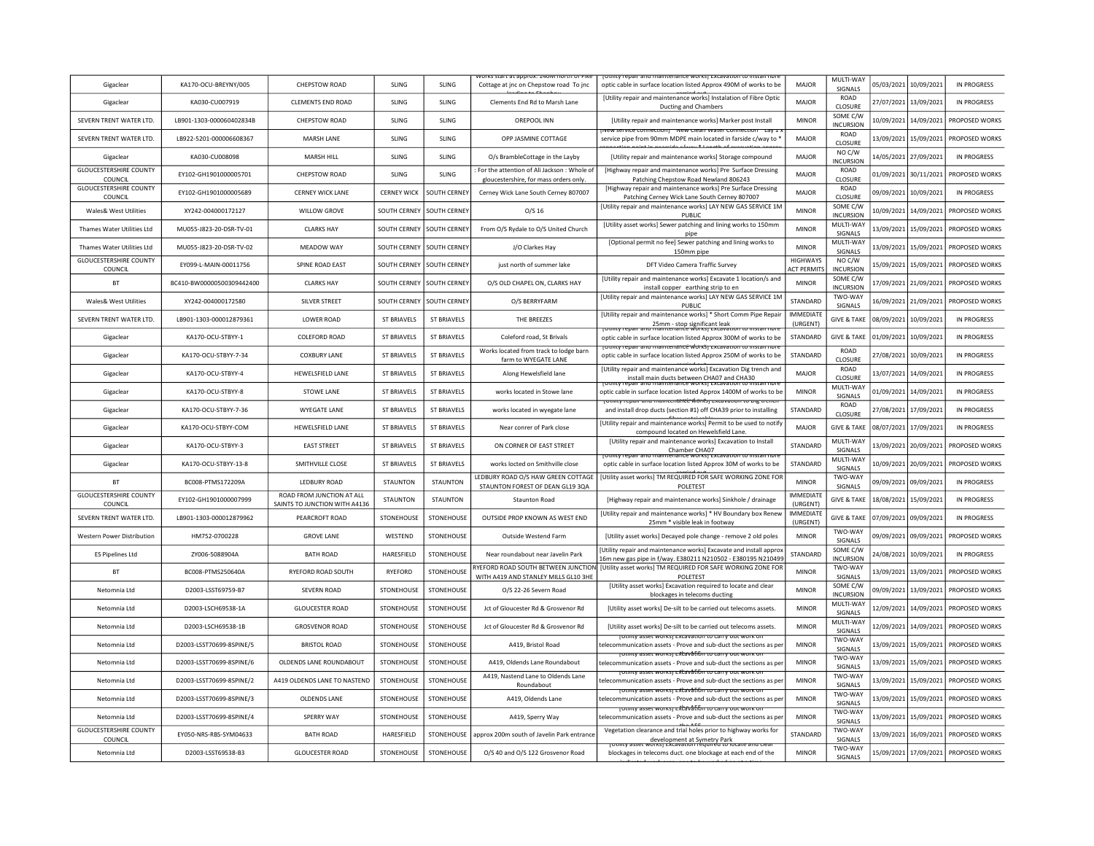| Gigaclear                                | KA170-OCU-BREYNY/005      | CHEPSTOW ROAD                                              | SLING               | <b>SLING</b>        | Cottage at jnc on Chepstow road To jnc                                                | epair and maintenance works   excavation<br>optic cable in surface location listed Approx 490M of works to be                                | MAJOR                          | MULTI-WAY<br>SIGNALS          | 05/03/2021 | 10/09/2021 | IN PROGRESS        |
|------------------------------------------|---------------------------|------------------------------------------------------------|---------------------|---------------------|---------------------------------------------------------------------------------------|----------------------------------------------------------------------------------------------------------------------------------------------|--------------------------------|-------------------------------|------------|------------|--------------------|
| Gigaclear                                | KA030-CU007919            | <b>CLEMENTS END ROAD</b>                                   | SLING               | SLING               | Clements End Rd to Marsh Lane                                                         | [Utility repair and maintenance works] Instalation of Fibre Optic<br>Ducting and Chambers                                                    | MAJOR                          | ROAD<br><b>CLOSURE</b>        | 27/07/2021 | 13/09/2021 | <b>IN PROGRESS</b> |
| SEVERN TRENT WATER LTD                   | LB901-1303-000060402834B  | CHEPSTOW ROAD                                              | SLING               | SLING               | OREPOOL INN                                                                           | [Utility repair and maintenance works] Marker post Install                                                                                   | <b>MINOR</b>                   | SOME C/W<br><b>INCURSION</b>  | 10/09/2021 | 14/09/2021 | PROPOSED WORKS     |
| SEVERN TRENT WATER LTD                   | LB922-5201-000006608367   | <b>MARSH LANE</b>                                          | SLING               | <b>SLING</b>        | OPP JASMINE COTTAGE                                                                   | <u>ואפאי אפראונפ נטוווופנגוטוון - ואפאי כופמון אאמנפו כטוווופנגוטו</u><br>service pipe from 90mm MDPE main located in farside c/way to *     | MAJOR                          | ROAD<br>CLOSURE               | 13/09/2021 | 15/09/2021 | PROPOSED WORKS     |
| Gigaclear                                | KA030-CU008098            | MARSH HILL                                                 | SLING               | <b>SLING</b>        | O/s BrambleCottage in the Layby                                                       | [Utility repair and maintenance works] Storage compound                                                                                      | <b>MAJOR</b>                   | NO C/W<br><b>INCURSION</b>    | 14/05/2021 | 27/09/2021 | <b>IN PROGRESS</b> |
| <b>GLOUCESTERSHIRE COUNTY</b><br>COUNCIL | FY102-GH1901000005701     | CHEPSTOW ROAD                                              | SLING               | <b>SLING</b>        | For the attention of Ali Jackson : Whole of<br>gloucestershire, for mass orders only. | [Highway repair and maintenance works] Pre Surface Dressing<br>Patching Chepstow Road Newland 806243                                         | MAIOR                          | ROAD<br>CLOSURE               | 01/09/2021 | 30/11/2021 | PROPOSED WORKS     |
| <b>GLOUCESTERSHIRE COUNTY</b><br>COUNCIL | EY102-GH1901000005689     | <b>CERNEY WICK LANE</b>                                    | <b>CERNEY WICK</b>  | <b>SOUTH CERNEY</b> | Cerney Wick Lane South Cerney 807007                                                  | [Highway repair and maintenance works] Pre Surface Dressing<br>Patching Cerney Wick Lane South Cerney 807007                                 | MAJOR                          | ROAD<br><b>CLOSURE</b>        | 09/09/2021 | 10/09/2021 | <b>IN PROGRESS</b> |
| <b>Wales&amp; West Utilities</b>         | XY242-004000172127        | <b>WILLOW GROVE</b>                                        | <b>SOUTH CERNEY</b> | SOUTH CERNEY        | $O/S$ 16                                                                              | [Utility repair and maintenance works] LAY NEW GAS SERVICE 1M<br>PUBLIC                                                                      | <b>MINOR</b>                   | SOME C/W<br><b>INCURSION</b>  | 10/09/2021 | 14/09/2021 | PROPOSED WORKS     |
| Thames Water Utilities Ltd               | MU055-J823-20-DSR-TV-01   | <b>CLARKS HAY</b>                                          | <b>SOUTH CERNEY</b> | SOUTH CERNEY        | From O/S Rydale to O/S United Church                                                  | [Utility asset works] Sewer patching and lining works to 150mm<br>pipe                                                                       | <b>MINOR</b>                   | MULTI-WAY<br>SIGNALS          | 13/09/2021 | 15/09/2021 | PROPOSED WORKS     |
| Thames Water Utilities Ltd               | MU055-J823-20-DSR-TV-02   | MEADOW WAY                                                 | SOUTH CERNEY        | SOUTH CERNEY        | J/O Clarkes Hay                                                                       | [Optional permit no fee] Sewer patching and lining works to<br>150mm pipe                                                                    | <b>MINOR</b>                   | MULTI-WAY<br>SIGNALS          | 13/09/2021 | 15/09/2021 | PROPOSED WORKS     |
| <b>GLOUCESTERSHIRE COUNTY</b><br>COUNCIL | EY099-L-MAIN-00011756     | SPINE ROAD EAST                                            | SOUTH CERNEY        | SOUTH CERNEY        | just north of summer lake                                                             | DFT Video Camera Traffic Survey                                                                                                              | HIGHWAYS<br><b>ACT PERMITS</b> | NO C/W<br><b>INCURSION</b>    | 15/09/2021 | 15/09/2021 | PROPOSED WORKS     |
| <b>BT</b>                                | BC410-BW00000500309442400 | <b>CLARKS HAY</b>                                          | SOUTH CERNEY        | SOUTH CERNEY        | O/S OLD CHAPEL ON, CLARKS HAY                                                         | [Utility repair and maintenance works] Excavate 1 location/s and<br>install copper earthing strip to en                                      | <b>MINOR</b>                   | SOME C/W<br><b>INCURSION</b>  | 17/09/2021 | 21/09/2021 | PROPOSED WORKS     |
| <b>Wales&amp; West Utilities</b>         | XY242-004000172580        | <b>SILVER STREET</b>                                       | SOUTH CERNEY        | SOUTH CERNEY        | O/S BERRYFARM                                                                         | [Utility repair and maintenance works] LAY NEW GAS SERVICE 1M<br>PUBLIC                                                                      | STANDARD                       | TWO-WAY<br>SIGNALS            | 16/09/2021 | 21/09/2021 | PROPOSED WORKS     |
| SEVERN TRENT WATER LTD                   | LB901-1303-000012879361   | <b>LOWER ROAD</b>                                          | <b>ST BRIAVELS</b>  | <b>ST BRIAVELS</b>  | THE BREEZES                                                                           | [Utility repair and maintenance works] * Short Comm Pipe Repair<br>25mm - stop significant leak<br>I maintenance worksj excaval              | <b>IMMEDIATE</b><br>(URGENT)   | <b>GIVE &amp; TAKE</b>        | 08/09/2021 | 10/09/2021 | <b>IN PROGRESS</b> |
| Gigaclear                                | KA170-OCU-STBYY-1         | <b>COLEFORD ROAD</b>                                       | <b>ST BRIAVELS</b>  | <b>ST BRIAVELS</b>  | Coleford road, St Brivals                                                             | optic cable in surface location listed Approx 300M of works to be                                                                            | STANDARD                       | <b>GIVE &amp; TAKE</b>        | 01/09/2021 | 10/09/2021 | IN PROGRESS        |
| Gigaclear                                | KA170-OCU-STBYY-7-34      | <b>COXBURY LANE</b>                                        | <b>ST BRIAVELS</b>  | <b>ST BRIAVELS</b>  | Works located from track to lodge barn<br>farm to WYEGATE LANE                        | <u>totility repair and maintenance workst excavation to install nor</u><br>optic cable in surface location listed Approx 250M of works to be | STANDARD                       | ROAD<br>CLOSURE               | 27/08/2021 | 10/09/2021 | IN PROGRESS        |
| Gigaclear                                | KA170-OCU-STBYY-4         | HEWELSFIELD LANE                                           | <b>ST BRIAVELS</b>  | ST BRIAVELS         | Along Hewelsfield lane                                                                | [Utility repair and maintenance works] Excavation Dig trench and<br>install main ducts between CHA07 and CHA30                               | MAIOR                          | <b>ROAD</b><br><b>CLOSURE</b> | 13/07/2021 | 14/09/2021 | IN PROGRESS        |
| Gigaclear                                | KA170-OCU-STBYY-8         | <b>STOWE LANE</b>                                          | <b>ST BRIAVELS</b>  | <b>ST BRIAVELS</b>  | works located in Stowe lane                                                           | optic cable in surface location listed Approx 1400M of works to be                                                                           | <b>MINOR</b>                   | MULTI-WAY<br>SIGNALS          | 01/09/2021 | 14/09/2021 | <b>IN PROGRESS</b> |
| Gigaclear                                | KA170-OCU-STBYY-7-36      | WYEGATE LANE                                               | <b>ST BRIAVELS</b>  | <b>ST BRIAVELS</b>  | works located in wyegate lane                                                         | rotility repair and maintenance works) excavation to big trenci<br>and install drop ducts (section #1) off CHA39 prior to installing         | STANDARD                       | <b>ROAD</b><br>CLOSURE        | 27/08/2021 | 17/09/2021 | IN PROGRESS        |
| Gigaclear                                | KA170-OCU-STBYY-COM       | <b>HEWELSFIELD LANE</b>                                    | <b>ST BRIAVELS</b>  | <b>ST BRIAVELS</b>  | Near conrer of Park close                                                             | [Utility repair and maintenance works] Permit to be used to notify<br>compound located on Hewelsfield Lane                                   | MAJOR                          | <b>GIVE &amp; TAKE</b>        | 08/07/2021 | 17/09/2021 | IN PROGRESS        |
| Gigaclear                                | KA170-OCU-STBYY-3         | <b>EAST STREET</b>                                         | <b>ST BRIAVELS</b>  | <b>ST BRIAVELS</b>  | ON CORNER OF EAST STREET                                                              | [Utility repair and maintenance works] Excavation to Install<br><b>Chamber CHA07</b>                                                         | STANDARD                       | MULTI-WAY<br>SIGNALS          | 13/09/2021 | 20/09/2021 | PROPOSED WORKS     |
| Gigaclear                                | KA170-OCU-STBYY-13-8      | SMITHVILLE CLOSE                                           | ST BRIAVELS         | ST BRIAVELS         | works locted on Smithville close                                                      | optic cable in surface location listed Approx 30M of works to be                                                                             | <b>STANDARD</b>                | MULTI-WAY<br><b>SIGNALS</b>   | 10/09/2021 | 20/09/2021 | PROPOSED WORKS     |
| <b>BT</b>                                | BC008-PTMS172209A         | <b>LEDBURY ROAD</b>                                        | STAUNTON            | <b>STAUNTON</b>     | LEDBURY ROAD O/S HAW GREEN COTTAGE<br>STAUNTON FOREST OF DEAN GL19 3QA                | [Utility asset works] TM REQUIRED FOR SAFE WORKING ZONE FOR<br>POLETEST                                                                      | <b>MINOR</b>                   | TWO-WAY<br>SIGNALS            | 09/09/2021 | 09/09/2021 | <b>IN PROGRESS</b> |
| <b>GLOUCESTERSHIRE COUNTY</b><br>COUNCIL | EY102-GH1901000007999     | ROAD FROM JUNCTION AT ALL<br>SAINTS TO JUNCTION WITH A4136 | <b>STAUNTON</b>     | STAUNTON            | Staunton Road                                                                         | [Highway repair and maintenance works] Sinkhole / drainage                                                                                   | <b>IMMEDIATE</b><br>(URGENT)   | <b>GIVE &amp; TAKE</b>        | 18/08/2021 | 15/09/2021 | IN PROGRESS        |
| SEVERN TRENT WATER LTD                   | LB901-1303-000012879962   | PEARCROFT ROAD                                             | STONEHOUSE          | STONEHOUSE          | OUTSIDE PROP KNOWN AS WEST END                                                        | [Utility repair and maintenance works] * HV Boundary box Renew<br>25mm * visible leak in footway                                             | <b>IMMEDIATE</b><br>(URGENT)   | <b>GIVE &amp; TAKE</b>        | 07/09/2021 | 09/09/2021 | <b>IN PROGRESS</b> |
| Western Power Distribution               | HM752-0700228             | <b>GROVE LANE</b>                                          | WESTEND             | STONEHOUSE          | Outside Westend Farm                                                                  | [Utility asset works] Decayed pole change - remove 2 old poles                                                                               | <b>MINOR</b>                   | TWO-WAY<br>SIGNALS            | 09/09/2021 | 09/09/2021 | PROPOSED WORKS     |
| <b>ES Pipelines Ltd</b>                  | ZY006-5088904A            | <b>RATH ROAD</b>                                           | HARESFIELD          | <b>STONEHOUSE</b>   | Near roundabout near Javelin Park                                                     | Utility repair and maintenance works] Excavate and install appro:<br>16m new gas pipe in f/way. E380211 N210502 - E380195 N210499            | STANDARD                       | SOME C/W<br><b>INCURSION</b>  | 4/08/2021  | 10/09/2021 | IN PROGRESS        |
| <b>BT</b>                                | BC008-PTMS250640A         | RYEFORD ROAD SOUTH                                         | RYEFORD             | STONEHOUSE          | <b>RYEFORD ROAD SOUTH BETWEEN JUNCTION</b><br>WITH A419 AND STANLEY MILLS GL10 3HE    | [Utility asset works] TM REQUIRED FOR SAFE WORKING ZONE FOR<br>POLETEST                                                                      | <b>MINOR</b>                   | TWO-WAY<br>SIGNALS            | 13/09/2021 | 13/09/2021 | PROPOSED WORKS     |
| Netomnia Ltd                             | D2003-LSST69759-B7        | <b>SEVERN ROAD</b>                                         | STONEHOUSE          | STONEHOUSE          | O/S 22-26 Severn Road                                                                 | [Utility asset works] Excavation required to locate and clear<br>blockages in telecoms ducting                                               | <b>MINOR</b>                   | SOME C/W<br><b>INCURSION</b>  | 09/09/2021 | 13/09/2021 | PROPOSED WORKS     |
| Netomnia Ltd                             | D2003-LSCH69538-1A        | <b>GLOUCESTER ROAD</b>                                     | STONEHOUSE          | STONEHOUSE          | Jct of Gloucester Rd & Grosvenor Rd                                                   | [Utility asset works] De-silt to be carried out telecoms assets.                                                                             | <b>MINOR</b>                   | MULTI-WAY<br>SIGNALS          | 12/09/2021 | 14/09/2021 | PROPOSED WORKS     |
| Netomnia Ltd                             | D2003-LSCH69538-1B        | <b>GROSVENOR ROAD</b>                                      | STONEHOUSE          | STONEHOUSE          | Jct of Gloucester Rd & Grosvenor Rd                                                   | [Utility asset works] De-silt to be carried out telecoms assets.                                                                             | <b>MINOR</b>                   | MULTI-WAY<br>SIGNALS          | 12/09/2021 | 14/09/2021 | PROPOSED WORKS     |
| Netomnia Ltd                             | D2003-LSST70699-8SPINE/5  | <b>BRISTOL ROAD</b>                                        | STONEHOUSE          | STONEHOUSE          | A419, Bristol Road                                                                    | TULINLY asset works   Excavation to carry out won<br>telecommunication assets - Prove and sub-duct the sections as pe                        | <b>MINOR</b>                   | TWO-WAY<br>SIGNALS            | 13/09/2021 | 15/09/2021 | PROPOSED WORKS     |
| Netomnia Itd                             | D2003-LSST70699-8SPINF/6  | OLDENDS LANE ROUNDABOUT                                    | <b>STONFHOUSE</b>   | STONEHOUSE          | A419. Oldends Lane Roundabout                                                         | <u>נטנווונץ asset works בללמע&amp;נוסודנט כמוזץ טענ work ו</u><br>telecommunication assets - Prove and sub-duct the sections as pe           | <b>MINOR</b>                   | TWO-WAY<br>SIGNALS            | 13/09/2021 | 15/09/2021 | PROPOSED WORKS     |
| Netomnia Ltd                             | D2003-LSST70699-8SPINE/2  | A419 OLDENDS LANE TO NASTEND                               | STONEHOUSE          | STONEHOUSE          | A419, Nastend Lane to Oldends Lane<br>Roundabout                                      | omrv asser workst excavation to carry out work t<br>telecommunication assets - Prove and sub-duct the sections as per                        | <b>MINOR</b>                   | TWO-WAY<br>SIGNALS            | 13/09/2021 | 15/09/2021 | PROPOSED WORKS     |
| Netomnia Ltd                             | D2003-LSST70699-8SPINE/3  | <b>OLDENDS LANE</b>                                        | STONEHOUSE          | STONEHOUSE          | A419, Oldends Lane                                                                    | <u>Totility asset worksjie kaar af form to carry out work of</u><br>telecommunication assets - Prove and sub-duct the sections as per        | <b>MINOR</b>                   | TWO-WAY<br>SIGNALS            | 13/09/2021 | 15/09/2021 | PROPOSED WORKS     |
| Netomnia Ltd                             | D2003-LSST70699-8SPINE/4  | <b>SPERRY WAY</b>                                          | STONEHOUSE          | STONEHOUSE          | A419, Sperry Way                                                                      | <u>TOtility asset workst excavation to carry out work or</u><br>telecommunication assets - Prove and sub-duct the sections as per            | <b>MINOR</b>                   | TWO-WAY<br>SIGNALS            | 13/09/2021 | 15/09/2021 | PROPOSED WORKS     |
| <b>GLOUCESTERSHIRE COUNTY</b><br>COUNCIL | EY050-NRS-RBS-SYM04633    | <b>BATH ROAD</b>                                           | HARESFIELD          | <b>STONEHOUSE</b>   | approx 200m south of Javelin Park entrance                                            | Vegetation clearance and trial holes prior to highway works for<br>development at Symetry Park<br>worksj Excavation required to id           | STANDARD                       | TWO-WAY<br><b>SIGNALS</b>     | 13/09/2021 | 16/09/2021 | PROPOSED WORKS     |
| Netomnia Itd                             | D2003-LSST69538-B3        | <b>GLOUCESTER ROAD</b>                                     | <b>STONEHOUSE</b>   | STONEHOUSE          | O/S 40 and O/S 122 Grosvenor Road                                                     | blockages in telecoms duct. one blockage at each end of the                                                                                  | <b>MINOR</b>                   | TWO-WAY<br>SIGNALS            | 15/09/2021 | 17/09/2021 | PROPOSED WORKS     |
|                                          |                           |                                                            |                     |                     |                                                                                       |                                                                                                                                              |                                |                               |            |            |                    |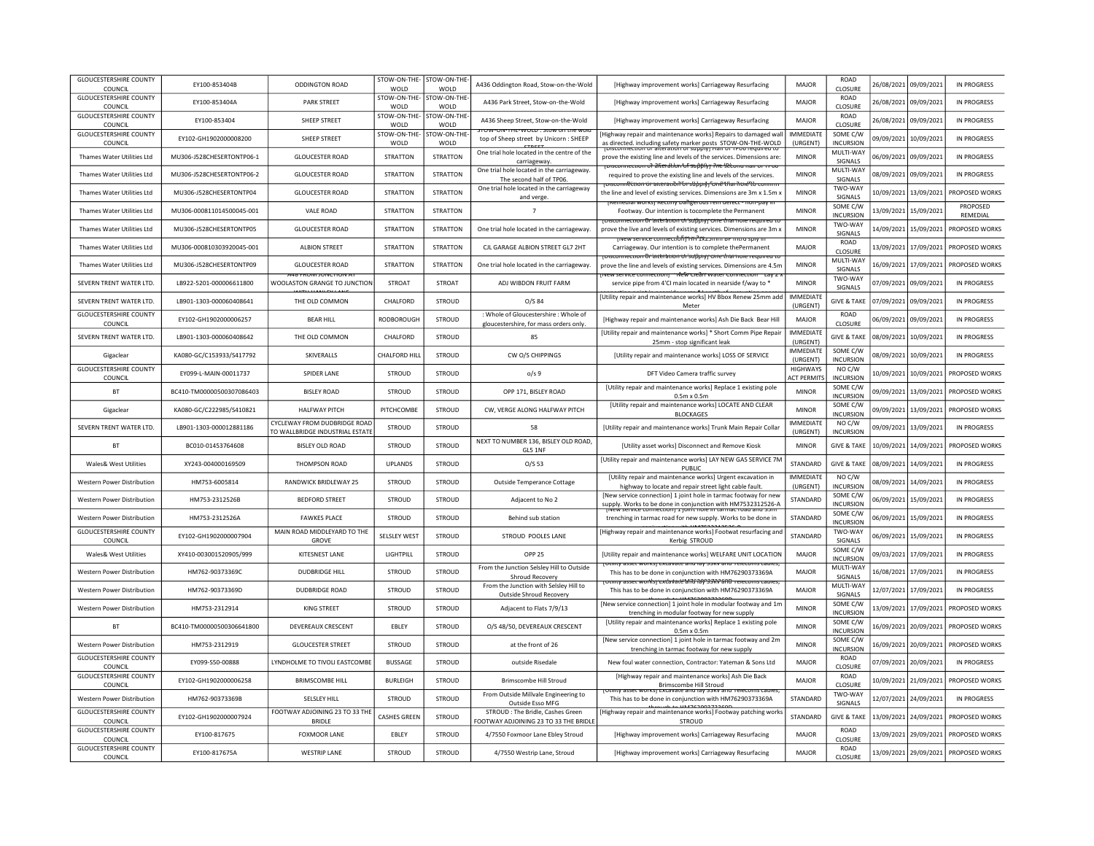| <b>GLOUCESTERSHIRE COUNTY</b><br>STOW-ON-THE-<br>STOW-ON-THE<br>ROAD<br>EY100-853404A<br>PARK STREET<br>A436 Park Street, Stow-on-the-Wold<br>[Highway improvement works] Carriageway Resurfacing<br>MAJOR<br>26/08/2021<br>09/09/2021<br><b>IN PROGRESS</b><br>CLOSURE<br>COUNCIL<br>WOLD<br>WOLD<br><b>GLOUCESTERSHIRE COUNTY</b><br>STOW-ON-THE-<br>STOW-ON-THE<br>ROAD<br>FY100-853404<br>SHEEP STREET<br>MAIOR<br>26/08/2021<br>09/09/2021<br>IN PROGRESS<br>A436 Sheep Street, Stow-on-the-Wold<br>[Highway improvement works] Carriageway Resurfacing<br>CLOSURE<br><b>COUNCIL</b><br>WOLD<br>WOLD<br>יו טיש איטו וויט איט וויידי אויידי אויס<br><b>GLOUCESTERSHIRE COUNTY</b><br>STOW-ON-THE-<br>STOW-ON-THE<br><b>IMMEDIATE</b><br>SOME C/W<br>[Highway repair and maintenance works] Repairs to damaged wall<br>EY102-GH1902000008200<br>SHEEP STREET<br>09/09/2021<br>10/09/2021<br>IN PROGRESS<br>top of Sheep street by Unicorn: SHEEP<br>(URGENT)<br><b>INCURSION</b><br>COUNCIL<br>WOLD<br>WOLD<br>as directed, including safety marker posts, STOW-ON-THE-WOLD<br>MULTI-WAY<br>One trial hole located in the centre of the<br>Thames Water Utilities Ltd<br>MU306-J528CHESERTONTP06-1<br><b>STRATTON</b><br>STRATTON<br><b>MINOR</b><br>06/09/2021<br>09/09/2021<br><b>IN PROGRESS</b><br><b>GLOUCESTER ROAD</b><br>prove the existing line and levels of the services. Dimensions are:<br>SIGNALS<br>carriageway<br><del>ioisconnection of âlteration of supplyj frie Second nair or reo</del><br>One trial hole located in the carriageway.<br>MULTI-WAY<br>Thames Water Utilities Ltd<br>MU306-J528CHESERTONTP06-2<br><b>GLOUCESTER ROAD</b><br>STRATTON<br>STRATTON<br><b>MINOR</b><br>08/09/2021<br>09/09/2021<br><b>IN PROGRESS</b><br>required to prove the existing line and levels of the services.<br>The second half of TP06.<br>SIGNALS<br>piscomfection or arteration or supprof fone than hore to comm<br>One trial hole located in the carriageway<br>TWO-WAY<br>Thames Water Utilities Ltd<br>MU306-J528CHESERTONTP04<br><b>GLOUCESTER ROAD</b><br><b>STRATTON</b><br><b>STRATTON</b><br><b>MINOR</b><br>13/09/2021<br>the line and level of existing services. Dimensions are 3m x 1.5m ><br>10/09/2021<br>PROPOSED WORKS<br>SIGNALS<br>and verge.<br>Tremedial workst rectiny Dangerous rein defect - non-pay<br>SOME C/W<br>PROPOSED<br>Thames Water Utilities Ltd<br>MU306-000811014500045-001<br><b>VALE ROAD</b><br><b>STRATTON</b><br>STRATTON<br>$\overline{7}$<br><b>MINOR</b><br>13/09/2021<br>15/09/2021<br>Footway. Our intention is tocomplete the Permanent<br>REMEDIAL<br>INCURSION<br><sub>T</sub> oisconnection Or atteration of supply cone than noie required to<br>TWO-WAY<br>Thames Water Utilities Ltd<br>MU306-J528CHESERTONTP05<br><b>GLOUCESTER ROAD</b><br><b>STRATTON</b><br>STRATTON<br>One trial hole located in the carriageway.<br><b>MINOR</b><br>14/09/2021<br>15/09/2021<br>PROPOSED WORKS<br>prove the live and levels of existing services. Dimensions are 3m ><br>SIGNALS<br><u> השפש אשמות האיזורה אדור החדרת האשמות ה</u><br>ROAD<br>ALBION STREET<br><b>STRATTON</b><br><b>STRATTON</b><br>CIL GARAGE ALBION STREET GL7 2HT<br>MAIOR<br>PROPOSED WORKS<br>Thames Water Utilities Ltd<br>MU306-000810303920045-001<br>Carriageway. Our intention is to complete thePermanent<br>13/09/2021 17/09/2021<br>CLOSURE<br>isconnection Or arteration of supply rone than noie required to<br>MULTI-WAY<br>Thames Water Utilities Ltd<br>MU306-J528CHESERTONTP09<br><b>GLOUCESTER ROAD</b><br><b>STRATTON</b><br><b>STRATTON</b><br><b>MINOR</b><br>16/09/2021<br>17/09/2021<br>PROPOSED WORKS<br>One trial hole located in the carriageway.<br>prove the line and levels of existing services. Dimensions are 4.5m<br>SIGNALS<br>י צוטוד טוויטג ווערטת ז<br>ew service commection — rifew cream water co<br>TWO-WAY<br>SEVERN TRENT WATER LTD.<br>LB922-5201-000006611800<br><b>STROAT</b><br><b>STROAT</b><br>ADJ WIBDON FRUIT FARM<br><b>MINOR</b><br>07/09/2021 09/09/2021<br><b>IN PROGRESS</b><br>WOOLASTON GRANGE TO ILINCTION<br>service pipe from 4'CI main located in nearside f/way to *<br>SIGNALS<br>[Utility repair and maintenance works] HV Bbox Renew 25mm add<br><b>IMMEDIATE</b><br>SEVERN TRENT WATER LTD.<br>LB901-1303-000060408641<br>THE OLD COMMON<br>CHALFORD<br><b>IN PROGRESS</b><br>STROUD<br>O/S 84<br><b>GIVE &amp; TAKE</b><br>07/09/2021<br>09/09/2021<br>Meter<br>(URGENT)<br><b>GLOUCESTERSHIRE COUNTY</b><br>: Whole of Gloucestershire : Whole of<br>ROAD<br>EY102-GH1902000006257<br><b>BEAR HILL</b><br>RODBOROUGH<br><b>STROUD</b><br>MAJOR<br>06/09/2021<br>09/09/2021<br><b>IN PROGRESS</b><br>[Highway repair and maintenance works] Ash Die Back Bear Hill<br>COUNCIL<br>CLOSURE<br>gloucestershire, for mass orders only<br>[Utility repair and maintenance works] * Short Comm Pipe Repair<br><b>IMMEDIATE</b><br>SEVERN TRENT WATER LTD.<br>LB901-1303-000060408642<br>THE OLD COMMON<br>CHALFORD<br>STROUD<br>85<br><b>GIVE &amp; TAKE</b><br>08/09/2021<br>10/09/2021<br><b>IN PROGRESS</b><br>25mm - stop significant leak<br>(URGENT)<br>SOME C/W<br><b>IMMEDIATE</b><br>KA080-GC/C153933/S417792<br>SKIVERALLS<br>CHALFORD HILL<br>STROUD<br>CW O/S CHIPPINGS<br>Gigaclear<br>[Utility repair and maintenance works] LOSS OF SERVICE<br>08/09/2021<br>10/09/2021<br>IN PROGRESS<br>(URGENT)<br><b>INCURSION</b><br><b>GLOUCESTERSHIRE COUNTY</b><br><b>HIGHWAYS</b><br>NO C/W<br>FY099-1-MAIN-00011737<br>SPIDER LANE<br>STROUD<br><b>STROUD</b><br>10/09/2021<br>PROPOSED WORKS<br>0/s <sub>9</sub><br>10/09/2021<br>DFT Video Camera traffic survey<br><b>ACT PERMITS</b><br><b>INCURSION</b><br>COUNCIL<br>SOME C/W<br>[Utility repair and maintenance works] Replace 1 existing pole<br>BC410-TM00000500307086403<br><b>BISLEY ROAD</b><br>STROUD<br><b>STROUD</b><br>OPP 171, BISLEY ROAD<br><b>MINOR</b><br>13/09/2021<br>PROPOSED WORKS<br><b>BT</b><br>09/09/2021<br><b>INCURSION</b><br>$0.5m \times 0.5m$<br>[Utility repair and maintenance works] LOCATE AND CLEAR<br>SOME C/W<br>KA080-GC/C222985/S410821<br><b>HALFWAY PITCH</b><br>PITCHCOMBE<br>STROUD<br>CW, VERGE ALONG HALFWAY PITCH<br><b>MINOR</b><br>09/09/2021<br>13/09/2021<br>PROPOSED WORKS<br>Gigaclear<br><b>BLOCKAGES</b><br><b>INCURSION</b><br>CYCLEWAY FROM DUDBRIDGE ROAD<br><b>IMMEDIATE</b><br>NO C/W<br>SEVERN TRENT WATER LTD.<br>LB901-1303-000012881186<br>STROUD<br><b>STROUD</b><br>58<br>[Utility repair and maintenance works] Trunk Main Repair Collar<br>09/09/2021<br>13/09/2021<br><b>IN PROGRESS</b><br>TO WALLBRIDGE INDUSTRIAL ESTATE<br>(URGENT)<br><b>INCURSION</b><br>NEXT TO NUMBER 136, BISLEY OLD ROAD,<br><b>BT</b><br>BC010-01453764608<br><b>BISLEY OLD ROAD</b><br><b>STROUD</b><br>STROUD<br>[Utility asset works] Disconnect and Remove Kiosk<br><b>MINOR</b><br><b>GIVE &amp; TAKE</b><br>10/09/2021<br>14/09/2021<br>PROPOSED WORKS<br>GL5 1NF<br>[Utility repair and maintenance works] LAY NEW GAS SERVICE 7M<br>$O/S$ 53<br>STANDARD<br><b>Wales&amp; West Utilities</b><br>XY243-004000169509<br>THOMPSON ROAD<br><b>UPLANDS</b><br><b>STROUD</b><br><b>GIVE &amp; TAKE</b><br>08/09/2021<br>14/09/2021<br>IN PROGRESS<br>PUBLIC<br><b>IMMEDIATE</b><br>NO C/W<br>[Utility repair and maintenance works] Urgent excavation in<br>HM753-6005814<br><b>RANDWICK BRIDLEWAY 25</b><br><b>STROUD</b><br><b>STROUD</b><br>14/09/2021<br><b>IN PROGRESS</b><br>Western Power Distribution<br>Outside Temperance Cottage<br>08/09/2021<br><b>INCURSION</b><br>(URGENT)<br>highway to locate and repair street light cable fault<br>SOME C/W<br>[New service connection] 1 joint hole in tarmac footway for new<br>HM753-2312526B<br><b>BEDFORD STREET</b><br>STROUD<br>STROUD<br>STANDARD<br>06/09/2021<br>15/09/2021<br><b>IN PROGRESS</b><br><b>Western Power Distribution</b><br>Adiacent to No 2<br><b>INCURSION</b><br>supply. Works to be done in conjunction with HM7532312526-A<br>SOME C/W<br><b>FAWKES PLACE</b><br>STROUD<br>STROUD<br>STANDARD<br>HM753-2312526A<br>trenching in tarmac road for new supply. Works to be done in<br>06/09/2021<br>15/09/2021<br>IN PROGRESS<br><b>Western Power Distribution</b><br>Behind sub station<br><b>INCURSION</b> |
|--------------------------------------------------------------------------------------------------------------------------------------------------------------------------------------------------------------------------------------------------------------------------------------------------------------------------------------------------------------------------------------------------------------------------------------------------------------------------------------------------------------------------------------------------------------------------------------------------------------------------------------------------------------------------------------------------------------------------------------------------------------------------------------------------------------------------------------------------------------------------------------------------------------------------------------------------------------------------------------------------------------------------------------------------------------------------------------------------------------------------------------------------------------------------------------------------------------------------------------------------------------------------------------------------------------------------------------------------------------------------------------------------------------------------------------------------------------------------------------------------------------------------------------------------------------------------------------------------------------------------------------------------------------------------------------------------------------------------------------------------------------------------------------------------------------------------------------------------------------------------------------------------------------------------------------------------------------------------------------------------------------------------------------------------------------------------------------------------------------------------------------------------------------------------------------------------------------------------------------------------------------------------------------------------------------------------------------------------------------------------------------------------------------------------------------------------------------------------------------------------------------------------------------------------------------------------------------------------------------------------------------------------------------------------------------------------------------------------------------------------------------------------------------------------------------------------------------------------------------------------------------------------------------------------------------------------------------------------------------------------------------------------------------------------------------------------------------------------------------------------------------------------------------------------------------------------------------------------------------------------------------------------------------------------------------------------------------------------------------------------------------------------------------------------------------------------------------------------------------------------------------------------------------------------------------------------------------------------------------------------------------------------------------------------------------------------------------------------------------------------------------------------------------------------------------------------------------------------------------------------------------------------------------------------------------------------------------------------------------------------------------------------------------------------------------------------------------------------------------------------------------------------------------------------------------------------------------------------------------------------------------------------------------------------------------------------------------------------------------------------------------------------------------------------------------------------------------------------------------------------------------------------------------------------------------------------------------------------------------------------------------------------------------------------------------------------------------------------------------------------------------------------------------------------------------------------------------------------------------------------------------------------------------------------------------------------------------------------------------------------------------------------------------------------------------------------------------------------------------------------------------------------------------------------------------------------------------------------------------------------------------------------------------------------------------------------------------------------------------------------------------------------------------------------------------------------------------------------------------------------------------------------------------------------------------------------------------------------------------------------------------------------------------------------------------------------------------------------------------------------------------------------------------------------------------------------------------------------------------------------------------------------------------------------------------------------------------------------------------------------------------------------------------------------------------------------------------------------------------------------------------------------------------------------------------------------------------------------------------------------------------------------------------------------------------------------------------------------------------------------------------------------------------------------------------------------------------------------------------------------------------------------------------------------------------------------------------------------------------------------------------------------------------------------------------------------------------------------------------------------------------------------------------------------------------------------------------------------------------------------------------------------------------------------------------------------------------------------------------------------------------------------------------------------------------------------------------------------------------------------------------------------------------------------------------------------------------------------------------------------------------------------------------------------------------------------------------------------------------------------------------------------------------------------------------------------------------------------------------------------------------------------------------------------------------------------------------------------------------------------------------------------------------------------------------------------------------------------------------------------------------------------------------------------------------------------------------------------------------------------------------------------------------------------------------------------------------------------------------------------------------------------------------------------------------------------------------------------------------------------------------------------------------------------------------------------------------------------------------------------------------------------------------------------------|
|                                                                                                                                                                                                                                                                                                                                                                                                                                                                                                                                                                                                                                                                                                                                                                                                                                                                                                                                                                                                                                                                                                                                                                                                                                                                                                                                                                                                                                                                                                                                                                                                                                                                                                                                                                                                                                                                                                                                                                                                                                                                                                                                                                                                                                                                                                                                                                                                                                                                                                                                                                                                                                                                                                                                                                                                                                                                                                                                                                                                                                                                                                                                                                                                                                                                                                                                                                                                                                                                                                                                                                                                                                                                                                                                                                                                                                                                                                                                                                                                                                                                                                                                                                                                                                                                                                                                                                                                                                                                                                                                                                                                                                                                                                                                                                                                                                                                                                                                                                                                                                                                                                                                                                                                                                                                                                                                                                                                                                                                                                                                                                                                                                                                                                                                                                                                                                                                                                                                                                                                                                                                                                                                                                                                                                                                                                                                                                                                                                                                                                                                                                                                                                                                                                                                                                                                                                                                                                                                                                                                                                                                                                                                                                                                                                                                                                                                                                                                                                                                                                                                                                                                                                                                                                                                                                                                                                                                                                                                                                                                                                                                                                                                                                                                                                                                                                        |
|                                                                                                                                                                                                                                                                                                                                                                                                                                                                                                                                                                                                                                                                                                                                                                                                                                                                                                                                                                                                                                                                                                                                                                                                                                                                                                                                                                                                                                                                                                                                                                                                                                                                                                                                                                                                                                                                                                                                                                                                                                                                                                                                                                                                                                                                                                                                                                                                                                                                                                                                                                                                                                                                                                                                                                                                                                                                                                                                                                                                                                                                                                                                                                                                                                                                                                                                                                                                                                                                                                                                                                                                                                                                                                                                                                                                                                                                                                                                                                                                                                                                                                                                                                                                                                                                                                                                                                                                                                                                                                                                                                                                                                                                                                                                                                                                                                                                                                                                                                                                                                                                                                                                                                                                                                                                                                                                                                                                                                                                                                                                                                                                                                                                                                                                                                                                                                                                                                                                                                                                                                                                                                                                                                                                                                                                                                                                                                                                                                                                                                                                                                                                                                                                                                                                                                                                                                                                                                                                                                                                                                                                                                                                                                                                                                                                                                                                                                                                                                                                                                                                                                                                                                                                                                                                                                                                                                                                                                                                                                                                                                                                                                                                                                                                                                                                                                        |
|                                                                                                                                                                                                                                                                                                                                                                                                                                                                                                                                                                                                                                                                                                                                                                                                                                                                                                                                                                                                                                                                                                                                                                                                                                                                                                                                                                                                                                                                                                                                                                                                                                                                                                                                                                                                                                                                                                                                                                                                                                                                                                                                                                                                                                                                                                                                                                                                                                                                                                                                                                                                                                                                                                                                                                                                                                                                                                                                                                                                                                                                                                                                                                                                                                                                                                                                                                                                                                                                                                                                                                                                                                                                                                                                                                                                                                                                                                                                                                                                                                                                                                                                                                                                                                                                                                                                                                                                                                                                                                                                                                                                                                                                                                                                                                                                                                                                                                                                                                                                                                                                                                                                                                                                                                                                                                                                                                                                                                                                                                                                                                                                                                                                                                                                                                                                                                                                                                                                                                                                                                                                                                                                                                                                                                                                                                                                                                                                                                                                                                                                                                                                                                                                                                                                                                                                                                                                                                                                                                                                                                                                                                                                                                                                                                                                                                                                                                                                                                                                                                                                                                                                                                                                                                                                                                                                                                                                                                                                                                                                                                                                                                                                                                                                                                                                                                        |
|                                                                                                                                                                                                                                                                                                                                                                                                                                                                                                                                                                                                                                                                                                                                                                                                                                                                                                                                                                                                                                                                                                                                                                                                                                                                                                                                                                                                                                                                                                                                                                                                                                                                                                                                                                                                                                                                                                                                                                                                                                                                                                                                                                                                                                                                                                                                                                                                                                                                                                                                                                                                                                                                                                                                                                                                                                                                                                                                                                                                                                                                                                                                                                                                                                                                                                                                                                                                                                                                                                                                                                                                                                                                                                                                                                                                                                                                                                                                                                                                                                                                                                                                                                                                                                                                                                                                                                                                                                                                                                                                                                                                                                                                                                                                                                                                                                                                                                                                                                                                                                                                                                                                                                                                                                                                                                                                                                                                                                                                                                                                                                                                                                                                                                                                                                                                                                                                                                                                                                                                                                                                                                                                                                                                                                                                                                                                                                                                                                                                                                                                                                                                                                                                                                                                                                                                                                                                                                                                                                                                                                                                                                                                                                                                                                                                                                                                                                                                                                                                                                                                                                                                                                                                                                                                                                                                                                                                                                                                                                                                                                                                                                                                                                                                                                                                                                        |
|                                                                                                                                                                                                                                                                                                                                                                                                                                                                                                                                                                                                                                                                                                                                                                                                                                                                                                                                                                                                                                                                                                                                                                                                                                                                                                                                                                                                                                                                                                                                                                                                                                                                                                                                                                                                                                                                                                                                                                                                                                                                                                                                                                                                                                                                                                                                                                                                                                                                                                                                                                                                                                                                                                                                                                                                                                                                                                                                                                                                                                                                                                                                                                                                                                                                                                                                                                                                                                                                                                                                                                                                                                                                                                                                                                                                                                                                                                                                                                                                                                                                                                                                                                                                                                                                                                                                                                                                                                                                                                                                                                                                                                                                                                                                                                                                                                                                                                                                                                                                                                                                                                                                                                                                                                                                                                                                                                                                                                                                                                                                                                                                                                                                                                                                                                                                                                                                                                                                                                                                                                                                                                                                                                                                                                                                                                                                                                                                                                                                                                                                                                                                                                                                                                                                                                                                                                                                                                                                                                                                                                                                                                                                                                                                                                                                                                                                                                                                                                                                                                                                                                                                                                                                                                                                                                                                                                                                                                                                                                                                                                                                                                                                                                                                                                                                                                        |
|                                                                                                                                                                                                                                                                                                                                                                                                                                                                                                                                                                                                                                                                                                                                                                                                                                                                                                                                                                                                                                                                                                                                                                                                                                                                                                                                                                                                                                                                                                                                                                                                                                                                                                                                                                                                                                                                                                                                                                                                                                                                                                                                                                                                                                                                                                                                                                                                                                                                                                                                                                                                                                                                                                                                                                                                                                                                                                                                                                                                                                                                                                                                                                                                                                                                                                                                                                                                                                                                                                                                                                                                                                                                                                                                                                                                                                                                                                                                                                                                                                                                                                                                                                                                                                                                                                                                                                                                                                                                                                                                                                                                                                                                                                                                                                                                                                                                                                                                                                                                                                                                                                                                                                                                                                                                                                                                                                                                                                                                                                                                                                                                                                                                                                                                                                                                                                                                                                                                                                                                                                                                                                                                                                                                                                                                                                                                                                                                                                                                                                                                                                                                                                                                                                                                                                                                                                                                                                                                                                                                                                                                                                                                                                                                                                                                                                                                                                                                                                                                                                                                                                                                                                                                                                                                                                                                                                                                                                                                                                                                                                                                                                                                                                                                                                                                                                        |
|                                                                                                                                                                                                                                                                                                                                                                                                                                                                                                                                                                                                                                                                                                                                                                                                                                                                                                                                                                                                                                                                                                                                                                                                                                                                                                                                                                                                                                                                                                                                                                                                                                                                                                                                                                                                                                                                                                                                                                                                                                                                                                                                                                                                                                                                                                                                                                                                                                                                                                                                                                                                                                                                                                                                                                                                                                                                                                                                                                                                                                                                                                                                                                                                                                                                                                                                                                                                                                                                                                                                                                                                                                                                                                                                                                                                                                                                                                                                                                                                                                                                                                                                                                                                                                                                                                                                                                                                                                                                                                                                                                                                                                                                                                                                                                                                                                                                                                                                                                                                                                                                                                                                                                                                                                                                                                                                                                                                                                                                                                                                                                                                                                                                                                                                                                                                                                                                                                                                                                                                                                                                                                                                                                                                                                                                                                                                                                                                                                                                                                                                                                                                                                                                                                                                                                                                                                                                                                                                                                                                                                                                                                                                                                                                                                                                                                                                                                                                                                                                                                                                                                                                                                                                                                                                                                                                                                                                                                                                                                                                                                                                                                                                                                                                                                                                                                        |
|                                                                                                                                                                                                                                                                                                                                                                                                                                                                                                                                                                                                                                                                                                                                                                                                                                                                                                                                                                                                                                                                                                                                                                                                                                                                                                                                                                                                                                                                                                                                                                                                                                                                                                                                                                                                                                                                                                                                                                                                                                                                                                                                                                                                                                                                                                                                                                                                                                                                                                                                                                                                                                                                                                                                                                                                                                                                                                                                                                                                                                                                                                                                                                                                                                                                                                                                                                                                                                                                                                                                                                                                                                                                                                                                                                                                                                                                                                                                                                                                                                                                                                                                                                                                                                                                                                                                                                                                                                                                                                                                                                                                                                                                                                                                                                                                                                                                                                                                                                                                                                                                                                                                                                                                                                                                                                                                                                                                                                                                                                                                                                                                                                                                                                                                                                                                                                                                                                                                                                                                                                                                                                                                                                                                                                                                                                                                                                                                                                                                                                                                                                                                                                                                                                                                                                                                                                                                                                                                                                                                                                                                                                                                                                                                                                                                                                                                                                                                                                                                                                                                                                                                                                                                                                                                                                                                                                                                                                                                                                                                                                                                                                                                                                                                                                                                                                        |
|                                                                                                                                                                                                                                                                                                                                                                                                                                                                                                                                                                                                                                                                                                                                                                                                                                                                                                                                                                                                                                                                                                                                                                                                                                                                                                                                                                                                                                                                                                                                                                                                                                                                                                                                                                                                                                                                                                                                                                                                                                                                                                                                                                                                                                                                                                                                                                                                                                                                                                                                                                                                                                                                                                                                                                                                                                                                                                                                                                                                                                                                                                                                                                                                                                                                                                                                                                                                                                                                                                                                                                                                                                                                                                                                                                                                                                                                                                                                                                                                                                                                                                                                                                                                                                                                                                                                                                                                                                                                                                                                                                                                                                                                                                                                                                                                                                                                                                                                                                                                                                                                                                                                                                                                                                                                                                                                                                                                                                                                                                                                                                                                                                                                                                                                                                                                                                                                                                                                                                                                                                                                                                                                                                                                                                                                                                                                                                                                                                                                                                                                                                                                                                                                                                                                                                                                                                                                                                                                                                                                                                                                                                                                                                                                                                                                                                                                                                                                                                                                                                                                                                                                                                                                                                                                                                                                                                                                                                                                                                                                                                                                                                                                                                                                                                                                                                        |
|                                                                                                                                                                                                                                                                                                                                                                                                                                                                                                                                                                                                                                                                                                                                                                                                                                                                                                                                                                                                                                                                                                                                                                                                                                                                                                                                                                                                                                                                                                                                                                                                                                                                                                                                                                                                                                                                                                                                                                                                                                                                                                                                                                                                                                                                                                                                                                                                                                                                                                                                                                                                                                                                                                                                                                                                                                                                                                                                                                                                                                                                                                                                                                                                                                                                                                                                                                                                                                                                                                                                                                                                                                                                                                                                                                                                                                                                                                                                                                                                                                                                                                                                                                                                                                                                                                                                                                                                                                                                                                                                                                                                                                                                                                                                                                                                                                                                                                                                                                                                                                                                                                                                                                                                                                                                                                                                                                                                                                                                                                                                                                                                                                                                                                                                                                                                                                                                                                                                                                                                                                                                                                                                                                                                                                                                                                                                                                                                                                                                                                                                                                                                                                                                                                                                                                                                                                                                                                                                                                                                                                                                                                                                                                                                                                                                                                                                                                                                                                                                                                                                                                                                                                                                                                                                                                                                                                                                                                                                                                                                                                                                                                                                                                                                                                                                                                        |
|                                                                                                                                                                                                                                                                                                                                                                                                                                                                                                                                                                                                                                                                                                                                                                                                                                                                                                                                                                                                                                                                                                                                                                                                                                                                                                                                                                                                                                                                                                                                                                                                                                                                                                                                                                                                                                                                                                                                                                                                                                                                                                                                                                                                                                                                                                                                                                                                                                                                                                                                                                                                                                                                                                                                                                                                                                                                                                                                                                                                                                                                                                                                                                                                                                                                                                                                                                                                                                                                                                                                                                                                                                                                                                                                                                                                                                                                                                                                                                                                                                                                                                                                                                                                                                                                                                                                                                                                                                                                                                                                                                                                                                                                                                                                                                                                                                                                                                                                                                                                                                                                                                                                                                                                                                                                                                                                                                                                                                                                                                                                                                                                                                                                                                                                                                                                                                                                                                                                                                                                                                                                                                                                                                                                                                                                                                                                                                                                                                                                                                                                                                                                                                                                                                                                                                                                                                                                                                                                                                                                                                                                                                                                                                                                                                                                                                                                                                                                                                                                                                                                                                                                                                                                                                                                                                                                                                                                                                                                                                                                                                                                                                                                                                                                                                                                                                        |
|                                                                                                                                                                                                                                                                                                                                                                                                                                                                                                                                                                                                                                                                                                                                                                                                                                                                                                                                                                                                                                                                                                                                                                                                                                                                                                                                                                                                                                                                                                                                                                                                                                                                                                                                                                                                                                                                                                                                                                                                                                                                                                                                                                                                                                                                                                                                                                                                                                                                                                                                                                                                                                                                                                                                                                                                                                                                                                                                                                                                                                                                                                                                                                                                                                                                                                                                                                                                                                                                                                                                                                                                                                                                                                                                                                                                                                                                                                                                                                                                                                                                                                                                                                                                                                                                                                                                                                                                                                                                                                                                                                                                                                                                                                                                                                                                                                                                                                                                                                                                                                                                                                                                                                                                                                                                                                                                                                                                                                                                                                                                                                                                                                                                                                                                                                                                                                                                                                                                                                                                                                                                                                                                                                                                                                                                                                                                                                                                                                                                                                                                                                                                                                                                                                                                                                                                                                                                                                                                                                                                                                                                                                                                                                                                                                                                                                                                                                                                                                                                                                                                                                                                                                                                                                                                                                                                                                                                                                                                                                                                                                                                                                                                                                                                                                                                                                        |
|                                                                                                                                                                                                                                                                                                                                                                                                                                                                                                                                                                                                                                                                                                                                                                                                                                                                                                                                                                                                                                                                                                                                                                                                                                                                                                                                                                                                                                                                                                                                                                                                                                                                                                                                                                                                                                                                                                                                                                                                                                                                                                                                                                                                                                                                                                                                                                                                                                                                                                                                                                                                                                                                                                                                                                                                                                                                                                                                                                                                                                                                                                                                                                                                                                                                                                                                                                                                                                                                                                                                                                                                                                                                                                                                                                                                                                                                                                                                                                                                                                                                                                                                                                                                                                                                                                                                                                                                                                                                                                                                                                                                                                                                                                                                                                                                                                                                                                                                                                                                                                                                                                                                                                                                                                                                                                                                                                                                                                                                                                                                                                                                                                                                                                                                                                                                                                                                                                                                                                                                                                                                                                                                                                                                                                                                                                                                                                                                                                                                                                                                                                                                                                                                                                                                                                                                                                                                                                                                                                                                                                                                                                                                                                                                                                                                                                                                                                                                                                                                                                                                                                                                                                                                                                                                                                                                                                                                                                                                                                                                                                                                                                                                                                                                                                                                                                        |
|                                                                                                                                                                                                                                                                                                                                                                                                                                                                                                                                                                                                                                                                                                                                                                                                                                                                                                                                                                                                                                                                                                                                                                                                                                                                                                                                                                                                                                                                                                                                                                                                                                                                                                                                                                                                                                                                                                                                                                                                                                                                                                                                                                                                                                                                                                                                                                                                                                                                                                                                                                                                                                                                                                                                                                                                                                                                                                                                                                                                                                                                                                                                                                                                                                                                                                                                                                                                                                                                                                                                                                                                                                                                                                                                                                                                                                                                                                                                                                                                                                                                                                                                                                                                                                                                                                                                                                                                                                                                                                                                                                                                                                                                                                                                                                                                                                                                                                                                                                                                                                                                                                                                                                                                                                                                                                                                                                                                                                                                                                                                                                                                                                                                                                                                                                                                                                                                                                                                                                                                                                                                                                                                                                                                                                                                                                                                                                                                                                                                                                                                                                                                                                                                                                                                                                                                                                                                                                                                                                                                                                                                                                                                                                                                                                                                                                                                                                                                                                                                                                                                                                                                                                                                                                                                                                                                                                                                                                                                                                                                                                                                                                                                                                                                                                                                                                        |
|                                                                                                                                                                                                                                                                                                                                                                                                                                                                                                                                                                                                                                                                                                                                                                                                                                                                                                                                                                                                                                                                                                                                                                                                                                                                                                                                                                                                                                                                                                                                                                                                                                                                                                                                                                                                                                                                                                                                                                                                                                                                                                                                                                                                                                                                                                                                                                                                                                                                                                                                                                                                                                                                                                                                                                                                                                                                                                                                                                                                                                                                                                                                                                                                                                                                                                                                                                                                                                                                                                                                                                                                                                                                                                                                                                                                                                                                                                                                                                                                                                                                                                                                                                                                                                                                                                                                                                                                                                                                                                                                                                                                                                                                                                                                                                                                                                                                                                                                                                                                                                                                                                                                                                                                                                                                                                                                                                                                                                                                                                                                                                                                                                                                                                                                                                                                                                                                                                                                                                                                                                                                                                                                                                                                                                                                                                                                                                                                                                                                                                                                                                                                                                                                                                                                                                                                                                                                                                                                                                                                                                                                                                                                                                                                                                                                                                                                                                                                                                                                                                                                                                                                                                                                                                                                                                                                                                                                                                                                                                                                                                                                                                                                                                                                                                                                                                        |
|                                                                                                                                                                                                                                                                                                                                                                                                                                                                                                                                                                                                                                                                                                                                                                                                                                                                                                                                                                                                                                                                                                                                                                                                                                                                                                                                                                                                                                                                                                                                                                                                                                                                                                                                                                                                                                                                                                                                                                                                                                                                                                                                                                                                                                                                                                                                                                                                                                                                                                                                                                                                                                                                                                                                                                                                                                                                                                                                                                                                                                                                                                                                                                                                                                                                                                                                                                                                                                                                                                                                                                                                                                                                                                                                                                                                                                                                                                                                                                                                                                                                                                                                                                                                                                                                                                                                                                                                                                                                                                                                                                                                                                                                                                                                                                                                                                                                                                                                                                                                                                                                                                                                                                                                                                                                                                                                                                                                                                                                                                                                                                                                                                                                                                                                                                                                                                                                                                                                                                                                                                                                                                                                                                                                                                                                                                                                                                                                                                                                                                                                                                                                                                                                                                                                                                                                                                                                                                                                                                                                                                                                                                                                                                                                                                                                                                                                                                                                                                                                                                                                                                                                                                                                                                                                                                                                                                                                                                                                                                                                                                                                                                                                                                                                                                                                                                        |
|                                                                                                                                                                                                                                                                                                                                                                                                                                                                                                                                                                                                                                                                                                                                                                                                                                                                                                                                                                                                                                                                                                                                                                                                                                                                                                                                                                                                                                                                                                                                                                                                                                                                                                                                                                                                                                                                                                                                                                                                                                                                                                                                                                                                                                                                                                                                                                                                                                                                                                                                                                                                                                                                                                                                                                                                                                                                                                                                                                                                                                                                                                                                                                                                                                                                                                                                                                                                                                                                                                                                                                                                                                                                                                                                                                                                                                                                                                                                                                                                                                                                                                                                                                                                                                                                                                                                                                                                                                                                                                                                                                                                                                                                                                                                                                                                                                                                                                                                                                                                                                                                                                                                                                                                                                                                                                                                                                                                                                                                                                                                                                                                                                                                                                                                                                                                                                                                                                                                                                                                                                                                                                                                                                                                                                                                                                                                                                                                                                                                                                                                                                                                                                                                                                                                                                                                                                                                                                                                                                                                                                                                                                                                                                                                                                                                                                                                                                                                                                                                                                                                                                                                                                                                                                                                                                                                                                                                                                                                                                                                                                                                                                                                                                                                                                                                                                        |
|                                                                                                                                                                                                                                                                                                                                                                                                                                                                                                                                                                                                                                                                                                                                                                                                                                                                                                                                                                                                                                                                                                                                                                                                                                                                                                                                                                                                                                                                                                                                                                                                                                                                                                                                                                                                                                                                                                                                                                                                                                                                                                                                                                                                                                                                                                                                                                                                                                                                                                                                                                                                                                                                                                                                                                                                                                                                                                                                                                                                                                                                                                                                                                                                                                                                                                                                                                                                                                                                                                                                                                                                                                                                                                                                                                                                                                                                                                                                                                                                                                                                                                                                                                                                                                                                                                                                                                                                                                                                                                                                                                                                                                                                                                                                                                                                                                                                                                                                                                                                                                                                                                                                                                                                                                                                                                                                                                                                                                                                                                                                                                                                                                                                                                                                                                                                                                                                                                                                                                                                                                                                                                                                                                                                                                                                                                                                                                                                                                                                                                                                                                                                                                                                                                                                                                                                                                                                                                                                                                                                                                                                                                                                                                                                                                                                                                                                                                                                                                                                                                                                                                                                                                                                                                                                                                                                                                                                                                                                                                                                                                                                                                                                                                                                                                                                                                        |
|                                                                                                                                                                                                                                                                                                                                                                                                                                                                                                                                                                                                                                                                                                                                                                                                                                                                                                                                                                                                                                                                                                                                                                                                                                                                                                                                                                                                                                                                                                                                                                                                                                                                                                                                                                                                                                                                                                                                                                                                                                                                                                                                                                                                                                                                                                                                                                                                                                                                                                                                                                                                                                                                                                                                                                                                                                                                                                                                                                                                                                                                                                                                                                                                                                                                                                                                                                                                                                                                                                                                                                                                                                                                                                                                                                                                                                                                                                                                                                                                                                                                                                                                                                                                                                                                                                                                                                                                                                                                                                                                                                                                                                                                                                                                                                                                                                                                                                                                                                                                                                                                                                                                                                                                                                                                                                                                                                                                                                                                                                                                                                                                                                                                                                                                                                                                                                                                                                                                                                                                                                                                                                                                                                                                                                                                                                                                                                                                                                                                                                                                                                                                                                                                                                                                                                                                                                                                                                                                                                                                                                                                                                                                                                                                                                                                                                                                                                                                                                                                                                                                                                                                                                                                                                                                                                                                                                                                                                                                                                                                                                                                                                                                                                                                                                                                                                        |
|                                                                                                                                                                                                                                                                                                                                                                                                                                                                                                                                                                                                                                                                                                                                                                                                                                                                                                                                                                                                                                                                                                                                                                                                                                                                                                                                                                                                                                                                                                                                                                                                                                                                                                                                                                                                                                                                                                                                                                                                                                                                                                                                                                                                                                                                                                                                                                                                                                                                                                                                                                                                                                                                                                                                                                                                                                                                                                                                                                                                                                                                                                                                                                                                                                                                                                                                                                                                                                                                                                                                                                                                                                                                                                                                                                                                                                                                                                                                                                                                                                                                                                                                                                                                                                                                                                                                                                                                                                                                                                                                                                                                                                                                                                                                                                                                                                                                                                                                                                                                                                                                                                                                                                                                                                                                                                                                                                                                                                                                                                                                                                                                                                                                                                                                                                                                                                                                                                                                                                                                                                                                                                                                                                                                                                                                                                                                                                                                                                                                                                                                                                                                                                                                                                                                                                                                                                                                                                                                                                                                                                                                                                                                                                                                                                                                                                                                                                                                                                                                                                                                                                                                                                                                                                                                                                                                                                                                                                                                                                                                                                                                                                                                                                                                                                                                                                        |
|                                                                                                                                                                                                                                                                                                                                                                                                                                                                                                                                                                                                                                                                                                                                                                                                                                                                                                                                                                                                                                                                                                                                                                                                                                                                                                                                                                                                                                                                                                                                                                                                                                                                                                                                                                                                                                                                                                                                                                                                                                                                                                                                                                                                                                                                                                                                                                                                                                                                                                                                                                                                                                                                                                                                                                                                                                                                                                                                                                                                                                                                                                                                                                                                                                                                                                                                                                                                                                                                                                                                                                                                                                                                                                                                                                                                                                                                                                                                                                                                                                                                                                                                                                                                                                                                                                                                                                                                                                                                                                                                                                                                                                                                                                                                                                                                                                                                                                                                                                                                                                                                                                                                                                                                                                                                                                                                                                                                                                                                                                                                                                                                                                                                                                                                                                                                                                                                                                                                                                                                                                                                                                                                                                                                                                                                                                                                                                                                                                                                                                                                                                                                                                                                                                                                                                                                                                                                                                                                                                                                                                                                                                                                                                                                                                                                                                                                                                                                                                                                                                                                                                                                                                                                                                                                                                                                                                                                                                                                                                                                                                                                                                                                                                                                                                                                                                        |
|                                                                                                                                                                                                                                                                                                                                                                                                                                                                                                                                                                                                                                                                                                                                                                                                                                                                                                                                                                                                                                                                                                                                                                                                                                                                                                                                                                                                                                                                                                                                                                                                                                                                                                                                                                                                                                                                                                                                                                                                                                                                                                                                                                                                                                                                                                                                                                                                                                                                                                                                                                                                                                                                                                                                                                                                                                                                                                                                                                                                                                                                                                                                                                                                                                                                                                                                                                                                                                                                                                                                                                                                                                                                                                                                                                                                                                                                                                                                                                                                                                                                                                                                                                                                                                                                                                                                                                                                                                                                                                                                                                                                                                                                                                                                                                                                                                                                                                                                                                                                                                                                                                                                                                                                                                                                                                                                                                                                                                                                                                                                                                                                                                                                                                                                                                                                                                                                                                                                                                                                                                                                                                                                                                                                                                                                                                                                                                                                                                                                                                                                                                                                                                                                                                                                                                                                                                                                                                                                                                                                                                                                                                                                                                                                                                                                                                                                                                                                                                                                                                                                                                                                                                                                                                                                                                                                                                                                                                                                                                                                                                                                                                                                                                                                                                                                                                        |
|                                                                                                                                                                                                                                                                                                                                                                                                                                                                                                                                                                                                                                                                                                                                                                                                                                                                                                                                                                                                                                                                                                                                                                                                                                                                                                                                                                                                                                                                                                                                                                                                                                                                                                                                                                                                                                                                                                                                                                                                                                                                                                                                                                                                                                                                                                                                                                                                                                                                                                                                                                                                                                                                                                                                                                                                                                                                                                                                                                                                                                                                                                                                                                                                                                                                                                                                                                                                                                                                                                                                                                                                                                                                                                                                                                                                                                                                                                                                                                                                                                                                                                                                                                                                                                                                                                                                                                                                                                                                                                                                                                                                                                                                                                                                                                                                                                                                                                                                                                                                                                                                                                                                                                                                                                                                                                                                                                                                                                                                                                                                                                                                                                                                                                                                                                                                                                                                                                                                                                                                                                                                                                                                                                                                                                                                                                                                                                                                                                                                                                                                                                                                                                                                                                                                                                                                                                                                                                                                                                                                                                                                                                                                                                                                                                                                                                                                                                                                                                                                                                                                                                                                                                                                                                                                                                                                                                                                                                                                                                                                                                                                                                                                                                                                                                                                                                        |
|                                                                                                                                                                                                                                                                                                                                                                                                                                                                                                                                                                                                                                                                                                                                                                                                                                                                                                                                                                                                                                                                                                                                                                                                                                                                                                                                                                                                                                                                                                                                                                                                                                                                                                                                                                                                                                                                                                                                                                                                                                                                                                                                                                                                                                                                                                                                                                                                                                                                                                                                                                                                                                                                                                                                                                                                                                                                                                                                                                                                                                                                                                                                                                                                                                                                                                                                                                                                                                                                                                                                                                                                                                                                                                                                                                                                                                                                                                                                                                                                                                                                                                                                                                                                                                                                                                                                                                                                                                                                                                                                                                                                                                                                                                                                                                                                                                                                                                                                                                                                                                                                                                                                                                                                                                                                                                                                                                                                                                                                                                                                                                                                                                                                                                                                                                                                                                                                                                                                                                                                                                                                                                                                                                                                                                                                                                                                                                                                                                                                                                                                                                                                                                                                                                                                                                                                                                                                                                                                                                                                                                                                                                                                                                                                                                                                                                                                                                                                                                                                                                                                                                                                                                                                                                                                                                                                                                                                                                                                                                                                                                                                                                                                                                                                                                                                                                        |
| <b>GLOUCESTERSHIRE COUNTY</b><br>MAIN ROAD MIDDLEYARD TO THE<br>[Highway repair and maintenance works] Footwat resurfacing and<br>TWO-WAY<br>EY102-GH1902000007904<br><b>SELSLEY WEST</b><br><b>STROUD</b><br>STROUD POOLES LANE<br>STANDARD<br>06/09/2021<br>15/09/2021<br><b>IN PROGRESS</b><br>COUNCIL<br><b>GROVE</b><br>Kerbig STROUD<br>SIGNALS                                                                                                                                                                                                                                                                                                                                                                                                                                                                                                                                                                                                                                                                                                                                                                                                                                                                                                                                                                                                                                                                                                                                                                                                                                                                                                                                                                                                                                                                                                                                                                                                                                                                                                                                                                                                                                                                                                                                                                                                                                                                                                                                                                                                                                                                                                                                                                                                                                                                                                                                                                                                                                                                                                                                                                                                                                                                                                                                                                                                                                                                                                                                                                                                                                                                                                                                                                                                                                                                                                                                                                                                                                                                                                                                                                                                                                                                                                                                                                                                                                                                                                                                                                                                                                                                                                                                                                                                                                                                                                                                                                                                                                                                                                                                                                                                                                                                                                                                                                                                                                                                                                                                                                                                                                                                                                                                                                                                                                                                                                                                                                                                                                                                                                                                                                                                                                                                                                                                                                                                                                                                                                                                                                                                                                                                                                                                                                                                                                                                                                                                                                                                                                                                                                                                                                                                                                                                                                                                                                                                                                                                                                                                                                                                                                                                                                                                                                                                                                                                                                                                                                                                                                                                                                                                                                                                                                                                                                                                                  |
| SOME C/W<br>KITESNEST LANE<br><b>MAJOR</b><br><b>Wales&amp; West Utilities</b><br>XY410-003001520905/999<br>LIGHTPILL<br><b>STROUD</b><br><b>OPP 25</b><br>[Utility repair and maintenance works] WELFARE UNIT LOCATION<br>09/03/2021<br>17/09/2021<br>IN PROGRESS<br><b>INCURSION</b>                                                                                                                                                                                                                                                                                                                                                                                                                                                                                                                                                                                                                                                                                                                                                                                                                                                                                                                                                                                                                                                                                                                                                                                                                                                                                                                                                                                                                                                                                                                                                                                                                                                                                                                                                                                                                                                                                                                                                                                                                                                                                                                                                                                                                                                                                                                                                                                                                                                                                                                                                                                                                                                                                                                                                                                                                                                                                                                                                                                                                                                                                                                                                                                                                                                                                                                                                                                                                                                                                                                                                                                                                                                                                                                                                                                                                                                                                                                                                                                                                                                                                                                                                                                                                                                                                                                                                                                                                                                                                                                                                                                                                                                                                                                                                                                                                                                                                                                                                                                                                                                                                                                                                                                                                                                                                                                                                                                                                                                                                                                                                                                                                                                                                                                                                                                                                                                                                                                                                                                                                                                                                                                                                                                                                                                                                                                                                                                                                                                                                                                                                                                                                                                                                                                                                                                                                                                                                                                                                                                                                                                                                                                                                                                                                                                                                                                                                                                                                                                                                                                                                                                                                                                                                                                                                                                                                                                                                                                                                                                                                 |
| .<br>נווונץ asset works   באנסיסנפ מות ומץ Soky מות דפופ<br>From the Junction Selsley Hill to Outside<br>MULTI-WAY<br>Western Power Distribution<br>HM762-90373369C<br><b>DUDBRIDGE HILL</b><br>STROUD<br><b>STROUD</b><br>MAJOR<br>16/08/2021<br>17/09/2021<br>IN PROGRESS<br>This has to be done in conjunction with HM76290373369A<br>Shroud Recovery<br>SIGNALS                                                                                                                                                                                                                                                                                                                                                                                                                                                                                                                                                                                                                                                                                                                                                                                                                                                                                                                                                                                                                                                                                                                                                                                                                                                                                                                                                                                                                                                                                                                                                                                                                                                                                                                                                                                                                                                                                                                                                                                                                                                                                                                                                                                                                                                                                                                                                                                                                                                                                                                                                                                                                                                                                                                                                                                                                                                                                                                                                                                                                                                                                                                                                                                                                                                                                                                                                                                                                                                                                                                                                                                                                                                                                                                                                                                                                                                                                                                                                                                                                                                                                                                                                                                                                                                                                                                                                                                                                                                                                                                                                                                                                                                                                                                                                                                                                                                                                                                                                                                                                                                                                                                                                                                                                                                                                                                                                                                                                                                                                                                                                                                                                                                                                                                                                                                                                                                                                                                                                                                                                                                                                                                                                                                                                                                                                                                                                                                                                                                                                                                                                                                                                                                                                                                                                                                                                                                                                                                                                                                                                                                                                                                                                                                                                                                                                                                                                                                                                                                                                                                                                                                                                                                                                                                                                                                                                                                                                                                                    |
| otmty asset workspexcavate and 189 33 27 and heret<br>From the Junction with Selsley Hill to<br>MULTI-WAY<br>DUDBRIDGE ROAD<br>STROUD<br>STROUD<br>MAJOR<br>12/07/2021<br>17/09/2021<br>Western Power Distribution<br>HM762-90373369D<br><b>IN PROGRESS</b><br>This has to be done in conjunction with HM76290373369A<br>Outside Shroud Recovery<br>SIGNALS                                                                                                                                                                                                                                                                                                                                                                                                                                                                                                                                                                                                                                                                                                                                                                                                                                                                                                                                                                                                                                                                                                                                                                                                                                                                                                                                                                                                                                                                                                                                                                                                                                                                                                                                                                                                                                                                                                                                                                                                                                                                                                                                                                                                                                                                                                                                                                                                                                                                                                                                                                                                                                                                                                                                                                                                                                                                                                                                                                                                                                                                                                                                                                                                                                                                                                                                                                                                                                                                                                                                                                                                                                                                                                                                                                                                                                                                                                                                                                                                                                                                                                                                                                                                                                                                                                                                                                                                                                                                                                                                                                                                                                                                                                                                                                                                                                                                                                                                                                                                                                                                                                                                                                                                                                                                                                                                                                                                                                                                                                                                                                                                                                                                                                                                                                                                                                                                                                                                                                                                                                                                                                                                                                                                                                                                                                                                                                                                                                                                                                                                                                                                                                                                                                                                                                                                                                                                                                                                                                                                                                                                                                                                                                                                                                                                                                                                                                                                                                                                                                                                                                                                                                                                                                                                                                                                                                                                                                                                            |
| SOME C/W<br>[New service connection] 1 joint hole in modular footway and 1m<br>HM753-2312914<br><b>KING STREET</b><br>STROUD<br><b>STROUD</b><br><b>MINOR</b><br>13/09/2021<br>17/09/2021<br>PROPOSED WORKS<br>Western Power Distribution<br>Adjacent to Flats 7/9/13<br><b>INCURSION</b><br>trenching in modular footway for new supply                                                                                                                                                                                                                                                                                                                                                                                                                                                                                                                                                                                                                                                                                                                                                                                                                                                                                                                                                                                                                                                                                                                                                                                                                                                                                                                                                                                                                                                                                                                                                                                                                                                                                                                                                                                                                                                                                                                                                                                                                                                                                                                                                                                                                                                                                                                                                                                                                                                                                                                                                                                                                                                                                                                                                                                                                                                                                                                                                                                                                                                                                                                                                                                                                                                                                                                                                                                                                                                                                                                                                                                                                                                                                                                                                                                                                                                                                                                                                                                                                                                                                                                                                                                                                                                                                                                                                                                                                                                                                                                                                                                                                                                                                                                                                                                                                                                                                                                                                                                                                                                                                                                                                                                                                                                                                                                                                                                                                                                                                                                                                                                                                                                                                                                                                                                                                                                                                                                                                                                                                                                                                                                                                                                                                                                                                                                                                                                                                                                                                                                                                                                                                                                                                                                                                                                                                                                                                                                                                                                                                                                                                                                                                                                                                                                                                                                                                                                                                                                                                                                                                                                                                                                                                                                                                                                                                                                                                                                                                               |
| SOME C/W<br>[Utility repair and maintenance works] Replace 1 existing pole<br>STROUD<br><b>MINOR</b><br>PROPOSED WORKS<br><b>BT</b><br>BC410-TM00000500306641800<br><b>DEVERFAUX CRESCENT</b><br><b>FBI FY</b><br>O/S 48/50, DEVEREAUX CRESCENT<br>16/09/2021<br>20/09/2021<br><b>INCURSION</b><br>$0.5m \times 0.5m$                                                                                                                                                                                                                                                                                                                                                                                                                                                                                                                                                                                                                                                                                                                                                                                                                                                                                                                                                                                                                                                                                                                                                                                                                                                                                                                                                                                                                                                                                                                                                                                                                                                                                                                                                                                                                                                                                                                                                                                                                                                                                                                                                                                                                                                                                                                                                                                                                                                                                                                                                                                                                                                                                                                                                                                                                                                                                                                                                                                                                                                                                                                                                                                                                                                                                                                                                                                                                                                                                                                                                                                                                                                                                                                                                                                                                                                                                                                                                                                                                                                                                                                                                                                                                                                                                                                                                                                                                                                                                                                                                                                                                                                                                                                                                                                                                                                                                                                                                                                                                                                                                                                                                                                                                                                                                                                                                                                                                                                                                                                                                                                                                                                                                                                                                                                                                                                                                                                                                                                                                                                                                                                                                                                                                                                                                                                                                                                                                                                                                                                                                                                                                                                                                                                                                                                                                                                                                                                                                                                                                                                                                                                                                                                                                                                                                                                                                                                                                                                                                                                                                                                                                                                                                                                                                                                                                                                                                                                                                                                  |
| [New service connection] 1 joint hole in tarmac footway and 2m<br>SOME C/W<br>HM753-2312919<br><b>GLOUCESTER STREET</b><br>STROUD<br><b>STROUD</b><br><b>MINOR</b><br>16/09/2021<br>20/09/2021<br>PROPOSED WORKS<br>Western Power Distribution<br>at the front of 26<br><b>INCURSION</b><br>trenching in tarmac footway for new supply                                                                                                                                                                                                                                                                                                                                                                                                                                                                                                                                                                                                                                                                                                                                                                                                                                                                                                                                                                                                                                                                                                                                                                                                                                                                                                                                                                                                                                                                                                                                                                                                                                                                                                                                                                                                                                                                                                                                                                                                                                                                                                                                                                                                                                                                                                                                                                                                                                                                                                                                                                                                                                                                                                                                                                                                                                                                                                                                                                                                                                                                                                                                                                                                                                                                                                                                                                                                                                                                                                                                                                                                                                                                                                                                                                                                                                                                                                                                                                                                                                                                                                                                                                                                                                                                                                                                                                                                                                                                                                                                                                                                                                                                                                                                                                                                                                                                                                                                                                                                                                                                                                                                                                                                                                                                                                                                                                                                                                                                                                                                                                                                                                                                                                                                                                                                                                                                                                                                                                                                                                                                                                                                                                                                                                                                                                                                                                                                                                                                                                                                                                                                                                                                                                                                                                                                                                                                                                                                                                                                                                                                                                                                                                                                                                                                                                                                                                                                                                                                                                                                                                                                                                                                                                                                                                                                                                                                                                                                                                 |
| <b>GLOUCESTERSHIRE COUNTY</b><br>ROAD<br>EY099-S50-00888<br>YNDHOLME TO TIVOLI EASTCOMBE<br><b>BUSSAGE</b><br>STROUD<br>outside Risedale<br>New foul water connection, Contractor: Yateman & Sons Ltd<br>MAJOR<br>07/09/2021<br>20/09/2021<br>IN PROGRESS<br>COUNCIL<br>CLOSURE                                                                                                                                                                                                                                                                                                                                                                                                                                                                                                                                                                                                                                                                                                                                                                                                                                                                                                                                                                                                                                                                                                                                                                                                                                                                                                                                                                                                                                                                                                                                                                                                                                                                                                                                                                                                                                                                                                                                                                                                                                                                                                                                                                                                                                                                                                                                                                                                                                                                                                                                                                                                                                                                                                                                                                                                                                                                                                                                                                                                                                                                                                                                                                                                                                                                                                                                                                                                                                                                                                                                                                                                                                                                                                                                                                                                                                                                                                                                                                                                                                                                                                                                                                                                                                                                                                                                                                                                                                                                                                                                                                                                                                                                                                                                                                                                                                                                                                                                                                                                                                                                                                                                                                                                                                                                                                                                                                                                                                                                                                                                                                                                                                                                                                                                                                                                                                                                                                                                                                                                                                                                                                                                                                                                                                                                                                                                                                                                                                                                                                                                                                                                                                                                                                                                                                                                                                                                                                                                                                                                                                                                                                                                                                                                                                                                                                                                                                                                                                                                                                                                                                                                                                                                                                                                                                                                                                                                                                                                                                                                                        |
| <b>GLOUCESTERSHIRE COUNTY</b><br>ROAD<br>[Highway repair and maintenance works] Ash Die Back<br>EY102-GH1902000006258<br><b>BRIMSCOMBE HILL</b><br><b>BURLEIGH</b><br>MAJOR<br><b>STROUD</b><br><b>Brimscombe Hill Stroud</b><br>10/09/2021<br>21/09/2021<br>PROPOSED WORKS<br>COUNCIL<br>Brimscombe Hill Stroud<br>CLOSURE                                                                                                                                                                                                                                                                                                                                                                                                                                                                                                                                                                                                                                                                                                                                                                                                                                                                                                                                                                                                                                                                                                                                                                                                                                                                                                                                                                                                                                                                                                                                                                                                                                                                                                                                                                                                                                                                                                                                                                                                                                                                                                                                                                                                                                                                                                                                                                                                                                                                                                                                                                                                                                                                                                                                                                                                                                                                                                                                                                                                                                                                                                                                                                                                                                                                                                                                                                                                                                                                                                                                                                                                                                                                                                                                                                                                                                                                                                                                                                                                                                                                                                                                                                                                                                                                                                                                                                                                                                                                                                                                                                                                                                                                                                                                                                                                                                                                                                                                                                                                                                                                                                                                                                                                                                                                                                                                                                                                                                                                                                                                                                                                                                                                                                                                                                                                                                                                                                                                                                                                                                                                                                                                                                                                                                                                                                                                                                                                                                                                                                                                                                                                                                                                                                                                                                                                                                                                                                                                                                                                                                                                                                                                                                                                                                                                                                                                                                                                                                                                                                                                                                                                                                                                                                                                                                                                                                                                                                                                                                            |
| Othity asset works) excavate and lay 33KV and<br>From Outside Millvale Engineering to<br>TWO-WAY<br>Western Power Distribution<br>HM762-90373369B<br>SELSLEY HILL<br><b>STROUD</b><br>STROUD<br>STANDARD<br>12/07/2021<br>24/09/2021<br><b>IN PROGRESS</b><br>This has to be done in conjunction with HM76290373369A<br>SIGNALS<br>Outside Esso MFG                                                                                                                                                                                                                                                                                                                                                                                                                                                                                                                                                                                                                                                                                                                                                                                                                                                                                                                                                                                                                                                                                                                                                                                                                                                                                                                                                                                                                                                                                                                                                                                                                                                                                                                                                                                                                                                                                                                                                                                                                                                                                                                                                                                                                                                                                                                                                                                                                                                                                                                                                                                                                                                                                                                                                                                                                                                                                                                                                                                                                                                                                                                                                                                                                                                                                                                                                                                                                                                                                                                                                                                                                                                                                                                                                                                                                                                                                                                                                                                                                                                                                                                                                                                                                                                                                                                                                                                                                                                                                                                                                                                                                                                                                                                                                                                                                                                                                                                                                                                                                                                                                                                                                                                                                                                                                                                                                                                                                                                                                                                                                                                                                                                                                                                                                                                                                                                                                                                                                                                                                                                                                                                                                                                                                                                                                                                                                                                                                                                                                                                                                                                                                                                                                                                                                                                                                                                                                                                                                                                                                                                                                                                                                                                                                                                                                                                                                                                                                                                                                                                                                                                                                                                                                                                                                                                                                                                                                                                                                    |
| FOOTWAY ADJOINING 23 TO 33 THE<br><b>GLOUCESTERSHIRE COUNTY</b><br>STROUD: The Bridle, Cashes Green<br>Highway repair and maintenance works] Footway patching work<br><b>CASHES GREEN</b><br>STROUD<br>STANDARD<br><b>GIVE &amp; TAKE</b><br>EY102-GH1902000007924<br>13/09/2021<br>24/09/2021<br>PROPOSED WORKS<br>OOTWAY ADJOINING 23 TO 33 THE BRIDLE<br>COUNCIL<br><b>BRIDLE</b><br><b>STROUD</b>                                                                                                                                                                                                                                                                                                                                                                                                                                                                                                                                                                                                                                                                                                                                                                                                                                                                                                                                                                                                                                                                                                                                                                                                                                                                                                                                                                                                                                                                                                                                                                                                                                                                                                                                                                                                                                                                                                                                                                                                                                                                                                                                                                                                                                                                                                                                                                                                                                                                                                                                                                                                                                                                                                                                                                                                                                                                                                                                                                                                                                                                                                                                                                                                                                                                                                                                                                                                                                                                                                                                                                                                                                                                                                                                                                                                                                                                                                                                                                                                                                                                                                                                                                                                                                                                                                                                                                                                                                                                                                                                                                                                                                                                                                                                                                                                                                                                                                                                                                                                                                                                                                                                                                                                                                                                                                                                                                                                                                                                                                                                                                                                                                                                                                                                                                                                                                                                                                                                                                                                                                                                                                                                                                                                                                                                                                                                                                                                                                                                                                                                                                                                                                                                                                                                                                                                                                                                                                                                                                                                                                                                                                                                                                                                                                                                                                                                                                                                                                                                                                                                                                                                                                                                                                                                                                                                                                                                                                  |
| <b>GLOUCESTERSHIRE COUNTY</b><br><b>ROAD</b><br>STROUD<br>FY100-817675<br><b>FOXMOOR LANE</b><br><b>FBI FY</b><br>4/7550 Foxmoor Lane Ebley Stroud<br><b>MAIOR</b><br>13/09/2021 29/09/2021<br>PROPOSED WORKS<br>[Highway improvement works] Carriageway Resurfacing<br>CLOSURE<br>COUNCIL                                                                                                                                                                                                                                                                                                                                                                                                                                                                                                                                                                                                                                                                                                                                                                                                                                                                                                                                                                                                                                                                                                                                                                                                                                                                                                                                                                                                                                                                                                                                                                                                                                                                                                                                                                                                                                                                                                                                                                                                                                                                                                                                                                                                                                                                                                                                                                                                                                                                                                                                                                                                                                                                                                                                                                                                                                                                                                                                                                                                                                                                                                                                                                                                                                                                                                                                                                                                                                                                                                                                                                                                                                                                                                                                                                                                                                                                                                                                                                                                                                                                                                                                                                                                                                                                                                                                                                                                                                                                                                                                                                                                                                                                                                                                                                                                                                                                                                                                                                                                                                                                                                                                                                                                                                                                                                                                                                                                                                                                                                                                                                                                                                                                                                                                                                                                                                                                                                                                                                                                                                                                                                                                                                                                                                                                                                                                                                                                                                                                                                                                                                                                                                                                                                                                                                                                                                                                                                                                                                                                                                                                                                                                                                                                                                                                                                                                                                                                                                                                                                                                                                                                                                                                                                                                                                                                                                                                                                                                                                                                             |
| <b>GLOUCESTERSHIRE COUNTY</b><br>ROAD<br>EY100-817675A<br><b>WESTRIP LANE</b><br>STROUD<br>STROUD<br>4/7550 Westrip Lane, Stroud<br>MAJOR<br>13/09/2021 29/09/2021<br>PROPOSED WORKS<br>[Highway improvement works] Carriageway Resurfacing<br><b>CLOSURE</b><br>COUNCIL                                                                                                                                                                                                                                                                                                                                                                                                                                                                                                                                                                                                                                                                                                                                                                                                                                                                                                                                                                                                                                                                                                                                                                                                                                                                                                                                                                                                                                                                                                                                                                                                                                                                                                                                                                                                                                                                                                                                                                                                                                                                                                                                                                                                                                                                                                                                                                                                                                                                                                                                                                                                                                                                                                                                                                                                                                                                                                                                                                                                                                                                                                                                                                                                                                                                                                                                                                                                                                                                                                                                                                                                                                                                                                                                                                                                                                                                                                                                                                                                                                                                                                                                                                                                                                                                                                                                                                                                                                                                                                                                                                                                                                                                                                                                                                                                                                                                                                                                                                                                                                                                                                                                                                                                                                                                                                                                                                                                                                                                                                                                                                                                                                                                                                                                                                                                                                                                                                                                                                                                                                                                                                                                                                                                                                                                                                                                                                                                                                                                                                                                                                                                                                                                                                                                                                                                                                                                                                                                                                                                                                                                                                                                                                                                                                                                                                                                                                                                                                                                                                                                                                                                                                                                                                                                                                                                                                                                                                                                                                                                                               |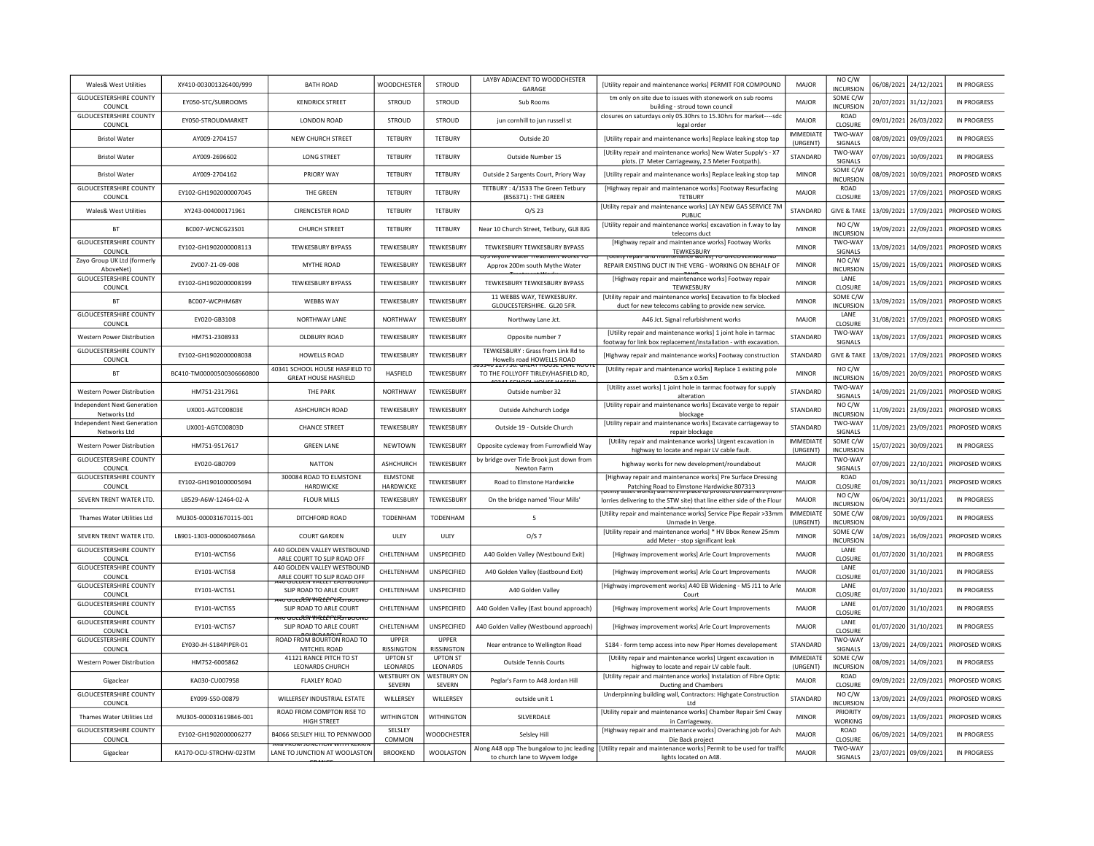| <b>Wales&amp; West Utilities</b>                   | XY410-003001326400/999    | <b>BATH ROAD</b>                                                        | WOODCHESTER                         | STROUD                              | LAYBY ADJACENT TO WOODCHESTER<br>GARAGE                                    | [Utility repair and maintenance works] PERMIT FOR COMPOUND                                                                        | MAJOR                        | NO C/W<br>INCURSION          | 06/08/2021 | 24/12/2021            | <b>IN PROGRESS</b> |
|----------------------------------------------------|---------------------------|-------------------------------------------------------------------------|-------------------------------------|-------------------------------------|----------------------------------------------------------------------------|-----------------------------------------------------------------------------------------------------------------------------------|------------------------------|------------------------------|------------|-----------------------|--------------------|
| <b>GLOUCESTERSHIRE COUNTY</b><br>COUNCIL           | EY050-STC/SUBROOMS        | <b>KENDRICK STREET</b>                                                  | STROUD                              | STROUD                              | Sub Rooms                                                                  | tm only on site due to issues with stonework on sub rooms<br>building - stroud town council                                       | MAJOR                        | SOME C/W<br><b>INCURSION</b> |            | 20/07/2021 31/12/2021 | <b>IN PROGRESS</b> |
| <b>GLOUCESTERSHIRE COUNTY</b><br>COUNCIL           | FY050-STROUDMARKET        | <b>LONDON ROAD</b>                                                      | <b>STROUD</b>                       | <b>STROUD</b>                       | jun cornhill to jun russell st                                             | closures on saturdays only 05.30hrs to 15.30hrs for market----sdc<br>legal order                                                  | MAIOR                        | <b>ROAD</b><br>CLOSURE       | 09/01/2021 | 26/03/2022            | IN PROGRESS        |
| <b>Bristol Water</b>                               | AY009-2704157             | NEW CHURCH STREET                                                       | <b>TETBURY</b>                      | <b>TETBURY</b>                      | Outside 20                                                                 | [Utility repair and maintenance works] Replace leaking stop tap                                                                   | <b>IMMEDIATE</b><br>(URGENT) | TWO-WAY<br>SIGNALS           | 08/09/2021 | 09/09/2021            | <b>IN PROGRESS</b> |
| <b>Bristol Water</b>                               | AY009-2696602             | <b>LONG STREET</b>                                                      | <b>TETBURY</b>                      | <b>TETBURY</b>                      | Outside Number 15                                                          | [Utility repair and maintenance works] New Water Supply's - X7<br>plots. (7 Meter Carriageway, 2.5 Meter Footpath).               | <b>STANDARD</b>              | TWO-WAY<br>SIGNALS           | 07/09/2021 | 10/09/2021            | IN PROGRESS        |
| <b>Bristol Water</b>                               | AY009-2704162             | PRIORY WAY                                                              | <b>TETBURY</b>                      | <b>TETBURY</b>                      | Outside 2 Sargents Court, Priory Way                                       | [Utility repair and maintenance works] Replace leaking stop tap                                                                   | <b>MINOR</b>                 | SOME C/W<br><b>INCURSION</b> | 08/09/2021 | 10/09/2021            | PROPOSED WORKS     |
| <b>GLOUCESTERSHIRE COUNTY</b><br>COUNCIL           | EY102-GH1902000007045     | THE GREEN                                                               | TETBURY                             | TETBURY                             | TETBURY: 4/1533 The Green Tetbury<br>(856371) : THE GREEN                  | [Highway repair and maintenance works] Footway Resurfacing<br><b>TETBURY</b>                                                      | MAJOR                        | ROAD<br>CLOSURE              | 13/09/2021 | 17/09/2021            | PROPOSED WORKS     |
| <b>Wales&amp; West Utilities</b>                   | XY243-004000171961        | <b>CIRENCESTER ROAD</b>                                                 | TETBURY                             | TETBURY                             | $O/S$ 23                                                                   | [Utility repair and maintenance works] LAY NEW GAS SERVICE 7M<br>PUBLIC                                                           | STANDARD                     | <b>GIVE &amp; TAKE</b>       | 13/09/2021 | 17/09/2021            | PROPOSED WORKS     |
| <b>BT</b>                                          | BC007-WCNCG23S01          | <b>CHURCH STREET</b>                                                    | <b>TETBURY</b>                      | <b>TETBURY</b>                      | Near 10 Church Street, Tetbury, GL8 8JG                                    | [Utility repair and maintenance works] excavation in f.way to lay<br>telecoms duct                                                | <b>MINOR</b>                 | NO C/W<br><b>INCURSION</b>   |            | 19/09/2021 22/09/2021 | PROPOSED WORKS     |
| <b>GLOUCESTERSHIRE COUNTY</b><br>COUNCIL           | EY102-GH1902000008113     | <b>TFWKFSBURY BYPASS</b>                                                | TEWKESBURY                          | <b>TEWKESBURY</b>                   | TEWKESBURY TEWKESBURY BYPASS                                               | [Highway repair and maintenance works] Footway Works<br>TEWKESBURY                                                                | <b>MINOR</b>                 | TWO-WAY<br>SIGNALS           |            | 13/09/2021 14/09/2021 | PROPOSED WORKS     |
| Zayo Group UK Ltd (formerly<br>AboveNet)           | ZV007-21-09-008           | <b>MYTHE ROAD</b>                                                       | TEWKESBURY                          | TEWKESBURY                          | S WIVIDE WATER TRAINIEN WORKS TO<br>Approx 200m south Mythe Water          | interiance worksi TO UNCOVERING AND<br>REPAIR EXISTING DUCT IN THE VERG - WORKING ON BEHALF OF                                    | <b>MINOR</b>                 | NO C/W<br><b>INCURSION</b>   | 15/09/2021 | 15/09/2021            | PROPOSED WORKS     |
| <b>GLOUCESTERSHIRE COUNTY</b><br>COUNCIL           | EY102-GH1902000008199     | <b>TEWKESBURY BYPASS</b>                                                | TEWKESBURY                          | TEWKESBURY                          | TEWKESBURY TEWKESBURY BYPASS                                               | [Highway repair and maintenance works] Footway repair<br>TEWKESBURY                                                               | <b>MINOR</b>                 | LANE<br>CLOSURE              | 14/09/2021 | 15/09/2021            | PROPOSED WORKS     |
| <b>BT</b>                                          | BC007-WCPHM68Y            | <b>WEBBS WAY</b>                                                        | TEWKESBURY                          | TEWKESBURY                          | 11 WEBBS WAY, TEWKESBURY.<br>GLOUCESTERSHIRE. GL20 5FR.                    | [Utility repair and maintenance works] Excavation to fix blocked<br>duct for new telecoms cabling to provide new service.         | <b>MINOR</b>                 | SOME C/W<br>INCURSION        | 13/09/2021 | 15/09/2021            | PROPOSED WORKS     |
| <b>GLOUCESTERSHIRE COUNTY</b><br>COUNCIL           | EY020-GB3108              | NORTHWAY LANE                                                           | NORTHWAY                            | TEWKESBURY                          | Northway Lane Jct.                                                         | A46 Jct. Signal refurbishment works                                                                                               | MAJOR                        | LANE<br>CLOSURE              | 31/08/2021 | 17/09/2021            | PROPOSED WORKS     |
| Western Power Distribution                         | HM751-2308933             | OLDBURY ROAD                                                            | TEWKESBURY                          | <b>TFWKFSBURY</b>                   | Opposite number 7                                                          | [Utility repair and maintenance works] 1 joint hole in tarmac<br>footway for link box replacement/installation - with excavation. | STANDARD                     | TWO-WAY<br>SIGNALS           | 13/09/2021 | 17/09/2021            | PROPOSED WORKS     |
| <b>GLOUCESTERSHIRE COUNTY</b><br>COUNCIL           | EY102-GH1902000008038     | <b>HOWELLS ROAD</b>                                                     | TEWKESBURY                          | <b>TEWKESBURY</b>                   | TEWKESBURY : Grass from Link Rd to<br>Howells road HOWELLS ROAD            | [Highway repair and maintenance works] Footway construction                                                                       | STANDARD                     | <b>GIVE &amp; TAKE</b>       | 13/09/2021 | 17/09/2021            | PROPOSED WORKS     |
| <b>BT</b>                                          | BC410-TM00000500306660800 | 40341 SCHOOL HOUSE HASFIELD TO<br><b>GREAT HOUSE HASFIELD</b>           | HASFIELD                            | TEWKESBURY                          | U ZZ7730. GREAT HOUSE LANE ROU<br>TO THE FOLLYOFF TIRLEY/HASFIELD RD,      | [Utility repair and maintenance works] Replace 1 existing pole<br>$0.5m \times 0.5m$                                              | <b>MINOR</b>                 | NO C/W<br><b>INCURSION</b>   | 16/09/2021 | 20/09/2021            | PROPOSED WORKS     |
| Western Power Distribution                         | HM751-2317961             | <b>THE PARK</b>                                                         | <b>NORTHWAY</b>                     | TEWKESBURY                          | Outside number 32                                                          | [Utility asset works] 1 joint hole in tarmac footway for supply<br>alteration                                                     | STANDARD                     | TWO-WAY<br>SIGNALS           | 14/09/2021 | 21/09/2021            | PROPOSED WORKS     |
| <b>Independent Next Generation</b><br>Networks Ltd | UX001-AGTC00803E          | ASHCHURCH ROAD                                                          | TEWKESBURY                          | TEWKESBURY                          | Outside Ashchurch Lodge                                                    | [Utility repair and maintenance works] Excavate verge to repair<br>blockage                                                       | STANDARD                     | NO C/W<br><b>INCURSION</b>   | 11/09/2021 | 23/09/2021            | PROPOSED WORKS     |
| <b>Independent Next Generation</b><br>Networks Ltd | UX001-AGTC00803D          | <b>CHANCE STREET</b>                                                    | <b>TFWKFSBURY</b>                   | TFWKFSBURY                          | Outside 19 - Outside Church                                                | [Utility repair and maintenance works] Excavate carriageway to<br>repair blockage                                                 | STANDARD                     | TWO-WAY<br>SIGNALS           | 11/09/2021 | 23/09/2021            | PROPOSED WORKS     |
| <b>Western Power Distribution</b>                  | HM751-9517617             | <b>GREEN LANE</b>                                                       | NEWTOWN                             | TEWKESBURY                          | Opposite cycleway from Furrowfield Way                                     | [Utility repair and maintenance works] Urgent excavation in<br>highway to locate and repair LV cable fault.                       | <b>IMMEDIATE</b><br>(URGENT) | SOME C/W<br><b>INCURSION</b> | 15/07/2021 | 30/09/2021            | <b>IN PROGRESS</b> |
| <b>GLOUCESTERSHIRE COUNTY</b><br>COUNCIL           | EY020-GB0709              | <b>NATTON</b>                                                           | ASHCHURCH                           | TEWKESBURY                          | by bridge over Tirle Brook just down from<br>Newton Farm                   | highway works for new development/roundabout                                                                                      | MAJOR                        | TWO-WAY<br>SIGNALS           | 07/09/2021 | 22/10/2021            | PROPOSED WORKS     |
| <b>GLOUCESTERSHIRE COUNTY</b><br>COUNCIL           | EY102-GH1901000005694     | 300084 ROAD TO ELMSTONE<br>HARDWICKE                                    | <b>ELMSTONE</b><br>HARDWICKE        | <b>TEWKESBURY</b>                   | Road to Elmstone Hardwicke                                                 | [Highway repair and maintenance works] Pre Surface Dressing<br>Patching Road to Elmstone Hardwicke 807313                         | MAJOR                        | ROAD<br>CLOSURE              | 01/09/2021 | 30/11/2021            | PROPOSED WORKS     |
| SEVERN TRENT WATER LTD.                            | LB529-A6W-12464-02-A      | <b>FLOUR MILLS</b>                                                      | TEWKESBURY                          | TEWKESBURY                          | On the bridge named 'Flour Mills'                                          | sset worksj barners in place to protect beil barr<br>lorries delivering to the STW site) that line either side of the Flour       | MAJOR                        | NO C/W<br><b>INCURSION</b>   | 06/04/2021 | 30/11/2021            | IN PROGRESS        |
| Thames Water Utilities Ltd                         | MU305-000031670115-001    | DITCHFORD ROAD                                                          | TODENHAM                            | TODENHAM                            | 5                                                                          | [Utility repair and maintenance works] Service Pipe Repair >33mm<br>Unmade in Verge                                               | <b>IMMEDIATE</b><br>(URGENT) | SOME C/W<br>INCURSION        | 08/09/2021 | 10/09/2021            | <b>IN PROGRESS</b> |
| SEVERN TRENT WATER LTD.                            | LB901-1303-000060407846A  | <b>COURT GARDEN</b>                                                     | ULEY                                | ULEY                                | O/S 7                                                                      | [Utility repair and maintenance works] * HV Bbox Renew 25mm<br>add Meter - stop significant leak                                  | <b>MINOR</b>                 | SOME C/W<br><b>INCURSION</b> | 14/09/2021 | 16/09/2021            | PROPOSED WORKS     |
| <b>GLOUCESTERSHIRE COUNTY</b><br>COUNCIL           | FY101-WCTIS6              | A40 GOLDEN VALLEY WESTBOUND<br>ARLE COURT TO SLIP ROAD OFF              | <b>CHFITFNHAM</b>                   | <b>UNSPECIFIED</b>                  | A40 Golden Valley (Westbound Exit)                                         | [Highway improvement works] Arle Court Improvements                                                                               | MAIOR                        | <b>I ANF</b><br>CLOSURE      |            | 01/07/2020 31/10/2021 | IN PROGRESS        |
| <b>GLOUCESTERSHIRE COUNTY</b><br>COUNCIL           | EY101-WCTIS8              | A40 GOLDEN VALLEY WESTBOUND<br>ARLE COURT TO SLIP ROAD OFF              | CHELTENHAM                          | UNSPECIFIED                         | A40 Golden Valley (Eastbound Exit)                                         | [Highway improvement works] Arle Court Improvements                                                                               | MAJOR                        | LANE<br>CLOSURE              | 01/07/2020 | 31/10/2021            | <b>IN PROGRESS</b> |
| <b>GLOUCESTERSHIRE COUNTY</b><br>COUNCIL           | EY101-WCTIS1              | 11/11/11 19: <b>VALLET LA 31 DI 41/11</b><br>SLIP ROAD TO ARLE COURT    | CHELTENHAM                          | <b>UNSPECIFIED</b>                  | A40 Golden Valley                                                          | [Highway improvement works] A40 EB Widening - M5 J11 to Arle<br>Court                                                             | MAJOR                        | LANE<br>CLOSURE              | 01/07/2020 | 31/10/2021            | <b>IN PROGRESS</b> |
| <b>GLOUCESTERSHIRE COUNTY</b><br>COUNCIL           | EY101-WCTIS5              | <del>സ സംഗീറി VALLEPLAS സ</del> ംസ<br>SLIP ROAD TO ARLE COURT           | CHELTENHAM                          | UNSPECIFIED                         | A40 Golden Valley (East bound approach)                                    | [Highway improvement works] Arle Court Improvements                                                                               | MAJOR                        | LANE<br>CLOSURE              |            | 01/07/2020 31/10/2021 | <b>IN PROGRESS</b> |
| <b>GLOUCESTERSHIRE COUNTY</b><br>COUNCIL           | FY101-WCTIS7              | י <del>סטנט<i>נור לאויסטייט וחייט</i>נ</del><br>SLIP ROAD TO ARLE COURT | CHELTENHAM                          | UNSPECIFIED                         | A40 Golden Valley (Westbound approach)                                     | [Highway improvement works] Arle Court Improvements                                                                               | MAJOR                        | LANE<br>CLOSURE              |            | 01/07/2020 31/10/2021 | IN PROGRESS        |
| <b>GLOUCESTERSHIRE COUNTY</b><br>COUNCIL           | FY030-IH-S184PIPFR-01     | ROAD FROM BOURTON ROAD TO<br>MITCHEL ROAD                               | <b>UPPER</b><br>RISSINGTON          | <b>UPPER</b><br><b>RISSINGTON</b>   | Near entrance to Wellington Road                                           | S184 - form temp access into new Piper Homes developement                                                                         | <b>STANDARD</b>              | TWO-WAY<br>SIGNALS           | 13/09/2021 | 24/09/2021            | PROPOSED WORKS     |
| Western Power Distribution                         | HM752-6005862             | 41121 RANCE PITCH TO ST<br>LEONARDS CHURCH                              | <b>UPTON ST</b><br>LEONARDS         | <b>UPTON ST</b><br>LEONARDS         | <b>Outside Tennis Courts</b>                                               | [Utility repair and maintenance works] Urgent excavation in<br>highway to locate and repair LV cable fault                        | <b>IMMEDIATE</b><br>(URGENT) | SOME C/W<br>INCURSION        | 08/09/2021 | 14/09/2021            | IN PROGRESS        |
| Gigaclear                                          | KA030-CU007958            | <b>FLAXLEY ROAD</b>                                                     | <b>WESTBURY ON</b><br><b>SEVERN</b> | <b>WESTBURY ON</b><br><b>SEVERN</b> | Peglar's Farm to A48 Jordan Hill                                           | [Utility repair and maintenance works] Instalation of Fibre Optic<br>Ducting and Chambers                                         | MAJOR                        | ROAD<br>CLOSURE              |            | 09/09/2021 22/09/2021 | PROPOSED WORKS     |
| <b>GLOUCESTERSHIRE COUNTY</b><br>COUNCIL           | EY099-S50-00879           | WILLERSEY INDUSTRIAL ESTATE                                             | WILLERSEY                           | WILLERSEY                           | outside unit 1                                                             | Underpinning building wall, Contractors: Highgate Construction<br>Ltd                                                             | STANDARD                     | NO C/W<br><b>INCURSION</b>   | 13/09/2021 | 24/09/2021            | PROPOSED WORKS     |
| Thames Water Utilities Ltd                         | MU305-000031619846-001    | ROAD FROM COMPTON RISE TO<br>HIGH STREET                                | <b>WITHINGTON</b>                   | <b>WITHINGTON</b>                   | SILVERDALE                                                                 | [Utility repair and maintenance works] Chamber Repair Sml Cway<br>in Carriageway.                                                 | <b>MINOR</b>                 | PRIORITY<br>WORKING          | 09/09/2021 | 13/09/2021            | PROPOSED WORKS     |
| <b>GLOUCESTERSHIRE COUNTY</b><br>COUNCIL           | EY102-GH1902000006277     | <b>B4066 SELSLEY HILL TO PENNWOOD</b>                                   | SELSLEY<br>COMMON                   | WOODCHESTEF                         | Selsley Hill                                                               | [Highway repair and maintenance works] Overaching job for Ash<br>Die Back project                                                 | <b>MAJOR</b>                 | ROAD<br>CLOSURI              | 06/09/2021 | 14/09/2021            | <b>IN PROGRESS</b> |
| Gigaclear                                          | KA170-OCU-STRCHW-023TM    | <b>THO ENVIRONMENT OR WITH NEW</b><br>LANE TO JUNCTION AT WOOLASTON     | <b>BROOKEND</b>                     | <b>WOOLASTON</b>                    | Along A48 opp The bungalow to jnc leading<br>to church lane to Wyvem lodge | [Utility repair and maintenance works] Permit to be used for traiffc<br>lights located on A48.                                    | <b>MAJOR</b>                 | TWO-WAY<br><b>SIGNALS</b>    |            | 23/07/2021 09/09/2021 | IN PROGRESS        |
|                                                    |                           |                                                                         |                                     |                                     |                                                                            |                                                                                                                                   |                              |                              |            |                       |                    |